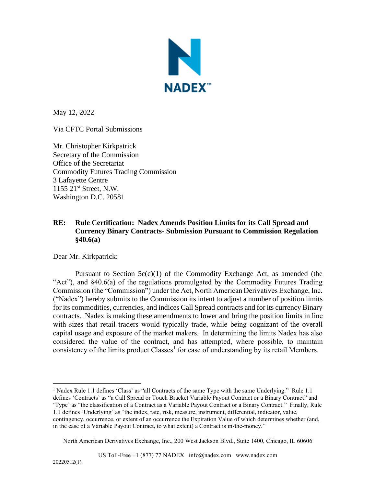

May 12, 2022

Via CFTC Portal Submissions

Mr. Christopher Kirkpatrick Secretary of the Commission Office of the Secretariat Commodity Futures Trading Commission 3 Lafayette Centre 1155 21st Street, N.W. Washington D.C. 20581

## **Currency Binary Contracts- Submission Pursuant to Commission Regulation §40.6(a) RE: Rule Certification: Nadex Amends Position Limits for its Call Spread and**

Dear Mr. Kirkpatrick:

Pursuant to Section  $5c(c)(1)$  of the Commodity Exchange Act, as amended (the "Act"), and §40.6(a) of the regulations promulgated by the Commodity Futures Trading Commission (the "Commission") under the Act, North American Derivatives Exchange, Inc. ("Nadex") hereby submits to the Commission its intent to adjust a number of position limits for its commodities, currencies, and indices Call Spread contracts and for its currency Binary contracts. Nadex is making these amendments to lower and bring the position limits in line with sizes that retail traders would typically trade, while being cognizant of the overall capital usage and exposure of the market makers. In determining the limits Nadex has also considered the value of the contract, and has attempted, where possible, to maintain consistency of the limits product Classes<sup>1</sup> for ease of understanding by its retail Members.

<sup>&</sup>lt;sup>1</sup> Nadex Rule 1.1 defines 'Class' as "all Contracts of the same Type with the same Underlying." Rule 1.1 defines 'Contracts' as "a Call Spread or Touch Bracket Variable Payout Contract or a Binary Contract" and 'Type' as "the classification of a Contract as a Variable Payout Contract or a Binary Contract." Finally, Rule 1.1 defines 'Underlying' as "the index, rate, risk, measure, instrument, differential, indicator, value,

contingency, occurrence, or extent of an occurrence the Expiration Value of which determines whether (and, in the case of a Variable Payout Contract, to what extent) a Contract is in-the-money."

North American Derivatives Exchange, Inc., 200 West Jackson Blvd., Suite 1400, Chicago, IL 60606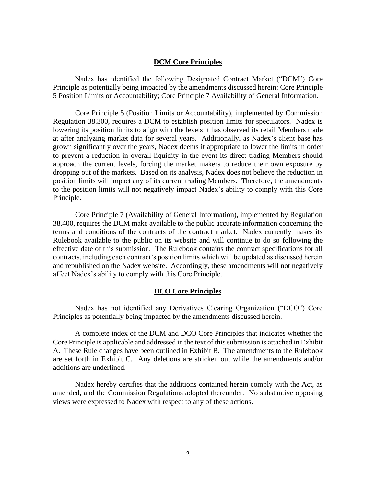#### **DCM Core Principles**

Nadex has identified the following Designated Contract Market ("DCM") Core Principle as potentially being impacted by the amendments discussed herein: Core Principle 5 Position Limits or Accountability; Core Principle 7 Availability of General Information.

Core Principle 5 (Position Limits or Accountability), implemented by Commission Regulation 38.300, requires a DCM to establish position limits for speculators. Nadex is lowering its position limits to align with the levels it has observed its retail Members trade at after analyzing market data for several years. Additionally, as Nadex's client base has grown significantly over the years, Nadex deems it appropriate to lower the limits in order to prevent a reduction in overall liquidity in the event its direct trading Members should approach the current levels, forcing the market makers to reduce their own exposure by dropping out of the markets. Based on its analysis, Nadex does not believe the reduction in position limits will impact any of its current trading Members. Therefore, the amendments to the position limits will not negatively impact Nadex's ability to comply with this Core Principle.

Core Principle 7 (Availability of General Information), implemented by Regulation 38.400, requires the DCM make available to the public accurate information concerning the terms and conditions of the contracts of the contract market. Nadex currently makes its Rulebook available to the public on its website and will continue to do so following the effective date of this submission. The Rulebook contains the contract specifications for all contracts, including each contract's position limits which will be updated as discussed herein and republished on the Nadex website. Accordingly, these amendments will not negatively affect Nadex's ability to comply with this Core Principle.

#### **DCO Core Principles**

Nadex has not identified any Derivatives Clearing Organization ("DCO") Core Principles as potentially being impacted by the amendments discussed herein.

A complete index of the DCM and DCO Core Principles that indicates whether the Core Principle is applicable and addressed in the text of this submission is attached in Exhibit A. These Rule changes have been outlined in Exhibit B. The amendments to the Rulebook are set forth in Exhibit C. Any deletions are stricken out while the amendments and/or additions are underlined.

Nadex hereby certifies that the additions contained herein comply with the Act, as amended, and the Commission Regulations adopted thereunder. No substantive opposing views were expressed to Nadex with respect to any of these actions.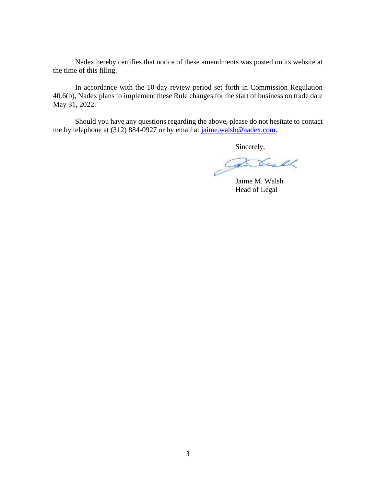Nadex hereby certifies that notice of these amendments was posted on its website at the time of this filing.

In accordance with the 10-day review period set forth in Commission Regulation 40.6(b), Nadex plans to implement these Rule changes for the start of business on trade date May 31, 2022.

Should you have any questions regarding the above, please do not hesitate to contact me by telephone at (312) 884-0927 or by email at [jaime.walsh@nadex.com.](mailto:jaime.walsh@nadex.com)

Sincerely,

Par bull

 Jaime M. Walsh Head of Legal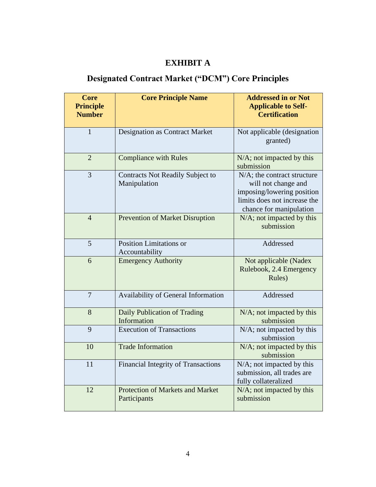# **EXHIBIT A**

## **Designated Contract Market ("DCM") Core Principles**

| <b>Core</b><br><b>Principle</b><br><b>Number</b> | <b>Core Principle Name</b>                              | <b>Addressed in or Not</b><br><b>Applicable to Self-</b><br><b>Certification</b>                                                            |
|--------------------------------------------------|---------------------------------------------------------|---------------------------------------------------------------------------------------------------------------------------------------------|
|                                                  |                                                         |                                                                                                                                             |
| 1                                                | <b>Designation as Contract Market</b>                   | Not applicable (designation<br>granted)                                                                                                     |
| $\overline{2}$                                   | <b>Compliance with Rules</b>                            | N/A; not impacted by this<br>submission                                                                                                     |
| 3                                                | Contracts Not Readily Subject to<br>Manipulation        | N/A; the contract structure<br>will not change and<br>imposing/lowering position<br>limits does not increase the<br>chance for manipulation |
| $\overline{4}$                                   | <b>Prevention of Market Disruption</b>                  | N/A; not impacted by this<br>submission                                                                                                     |
| 5                                                | <b>Position Limitations or</b><br>Accountability        | Addressed                                                                                                                                   |
| 6                                                | <b>Emergency Authority</b>                              | Not applicable (Nadex<br>Rulebook, 2.4 Emergency<br>Rules)                                                                                  |
| $\overline{7}$                                   | Availability of General Information                     | Addressed                                                                                                                                   |
| 8                                                | Daily Publication of Trading<br>Information             | N/A; not impacted by this<br>submission                                                                                                     |
| 9                                                | <b>Execution of Transactions</b>                        | $N/A$ ; not impacted by this<br>submission                                                                                                  |
| 10                                               | <b>Trade Information</b>                                | N/A; not impacted by this<br>submission                                                                                                     |
| 11                                               | <b>Financial Integrity of Transactions</b>              | N/A; not impacted by this<br>submission, all trades are<br>fully collateralized                                                             |
| 12                                               | <b>Protection of Markets and Market</b><br>Participants | N/A; not impacted by this<br>submission                                                                                                     |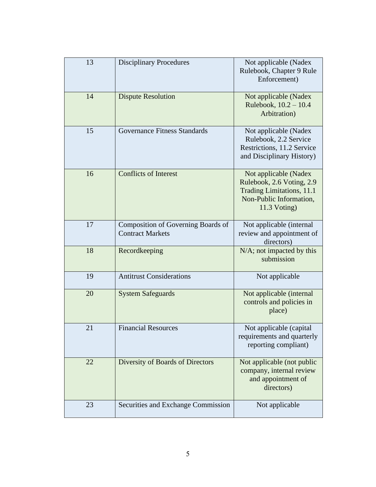| 13 | <b>Disciplinary Procedures</b>                                | Not applicable (Nadex<br>Rulebook, Chapter 9 Rule<br>Enforcement)                                                                 |
|----|---------------------------------------------------------------|-----------------------------------------------------------------------------------------------------------------------------------|
| 14 | <b>Dispute Resolution</b>                                     | Not applicable (Nadex<br>Rulebook, 10.2 - 10.4<br>Arbitration)                                                                    |
| 15 | <b>Governance Fitness Standards</b>                           | Not applicable (Nadex<br>Rulebook, 2.2 Service<br>Restrictions, 11.2 Service<br>and Disciplinary History)                         |
| 16 | <b>Conflicts of Interest</b>                                  | Not applicable (Nadex<br>Rulebook, 2.6 Voting, 2.9<br><b>Trading Limitations, 11.1</b><br>Non-Public Information,<br>11.3 Voting) |
| 17 | Composition of Governing Boards of<br><b>Contract Markets</b> | Not applicable (internal<br>review and appointment of<br>directors)                                                               |
| 18 | Recordkeeping                                                 | N/A; not impacted by this<br>submission                                                                                           |
| 19 | <b>Antitrust Considerations</b>                               | Not applicable                                                                                                                    |
| 20 | <b>System Safeguards</b>                                      | Not applicable (internal<br>controls and policies in<br>place)                                                                    |
| 21 | <b>Financial Resources</b>                                    | Not applicable (capital<br>requirements and quarterly<br>reporting compliant)                                                     |
| 22 | Diversity of Boards of Directors                              | Not applicable (not public<br>company, internal review<br>and appointment of<br>directors)                                        |
| 23 | Securities and Exchange Commission                            | Not applicable                                                                                                                    |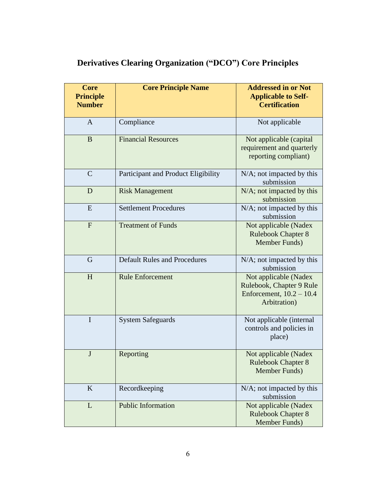# **Derivatives Clearing Organization ("DCO") Core Principles**

| <b>Core</b><br><b>Principle</b><br><b>Number</b> | <b>Core Principle Name</b>          | <b>Addressed in or Not</b><br><b>Applicable to Self-</b><br><b>Certification</b>                |
|--------------------------------------------------|-------------------------------------|-------------------------------------------------------------------------------------------------|
| $\overline{A}$                                   | Compliance                          | Not applicable                                                                                  |
| B                                                | <b>Financial Resources</b>          | Not applicable (capital<br>requirement and quarterly<br>reporting compliant)                    |
| $\overline{C}$                                   | Participant and Product Eligibility | N/A; not impacted by this<br>submission                                                         |
| D                                                | <b>Risk Management</b>              | N/A; not impacted by this<br>submission                                                         |
| E                                                | <b>Settlement Procedures</b>        | N/A; not impacted by this<br>submission                                                         |
| $\overline{F}$                                   | <b>Treatment of Funds</b>           | Not applicable (Nadex<br><b>Rulebook Chapter 8</b><br>Member Funds)                             |
| G                                                | <b>Default Rules and Procedures</b> | N/A; not impacted by this<br>submission                                                         |
| H                                                | <b>Rule Enforcement</b>             | Not applicable (Nadex<br>Rulebook, Chapter 9 Rule<br>Enforcement, $10.2 - 10.4$<br>Arbitration) |
| $\mathbf I$                                      | <b>System Safeguards</b>            | Not applicable (internal<br>controls and policies in<br>place)                                  |
| $\bf J$                                          | Reporting                           | Not applicable (Nadex<br><b>Rulebook Chapter 8</b><br>Member Funds)                             |
| K                                                | Recordkeeping                       | $N/A$ ; not impacted by this<br>submission                                                      |
| L                                                | <b>Public Information</b>           | Not applicable (Nadex<br><b>Rulebook Chapter 8</b><br>Member Funds)                             |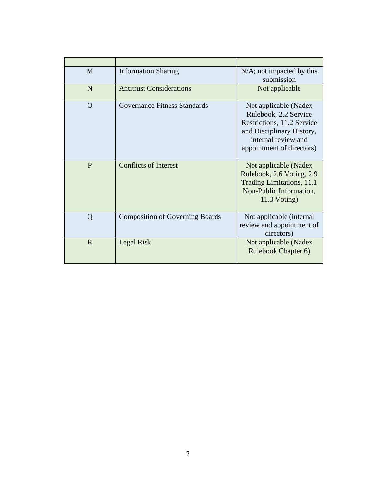| M        | <b>Information Sharing</b>             | $N/A$ ; not impacted by this<br>submission                                                                                                                    |
|----------|----------------------------------------|---------------------------------------------------------------------------------------------------------------------------------------------------------------|
| N        | <b>Antitrust Considerations</b>        | Not applicable                                                                                                                                                |
| $\Omega$ | Governance Fitness Standards           | Not applicable (Nadex<br>Rulebook, 2.2 Service<br>Restrictions, 11.2 Service<br>and Disciplinary History,<br>internal review and<br>appointment of directors) |
| P        | <b>Conflicts of Interest</b>           | Not applicable (Nadex<br>Rulebook, 2.6 Voting, 2.9<br>Trading Limitations, 11.1<br>Non-Public Information,<br>$11.3$ Voting)                                  |
| Q        | <b>Composition of Governing Boards</b> | Not applicable (internal<br>review and appointment of<br>directors)                                                                                           |
| R        | Legal Risk                             | Not applicable (Nadex<br>Rulebook Chapter 6)                                                                                                                  |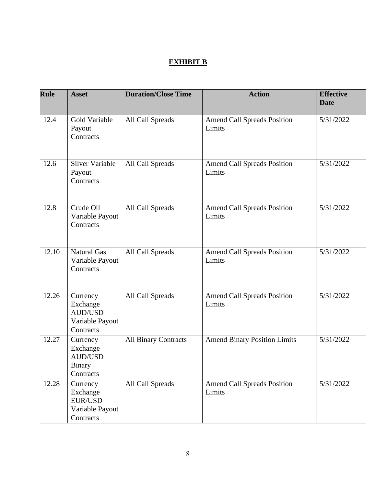## **EXHIBIT B**

| Rule  | <b>Asset</b>                                                         | <b>Duration/Close Time</b>  | <b>Action</b>                                | <b>Effective</b><br><b>Date</b> |
|-------|----------------------------------------------------------------------|-----------------------------|----------------------------------------------|---------------------------------|
| 12.4  | Gold Variable<br>Payout<br>Contracts                                 | All Call Spreads            | <b>Amend Call Spreads Position</b><br>Limits | 5/31/2022                       |
| 12.6  | <b>Silver Variable</b><br>Payout<br>Contracts                        | All Call Spreads            | <b>Amend Call Spreads Position</b><br>Limits | 5/31/2022                       |
| 12.8  | Crude Oil<br>Variable Payout<br>Contracts                            | All Call Spreads            | <b>Amend Call Spreads Position</b><br>Limits | 5/31/2022                       |
| 12.10 | <b>Natural Gas</b><br>Variable Payout<br>Contracts                   | All Call Spreads            | <b>Amend Call Spreads Position</b><br>Limits | 5/31/2022                       |
| 12.26 | Currency<br>Exchange<br>AUD/USD<br>Variable Payout<br>Contracts      | All Call Spreads            | <b>Amend Call Spreads Position</b><br>Limits | 5/31/2022                       |
| 12.27 | Currency<br>Exchange<br><b>AUD/USD</b><br><b>Binary</b><br>Contracts | <b>All Binary Contracts</b> | <b>Amend Binary Position Limits</b>          | 5/31/2022                       |
| 12.28 | Currency<br>Exchange<br>EUR/USD<br>Variable Payout<br>Contracts      | All Call Spreads            | <b>Amend Call Spreads Position</b><br>Limits | 5/31/2022                       |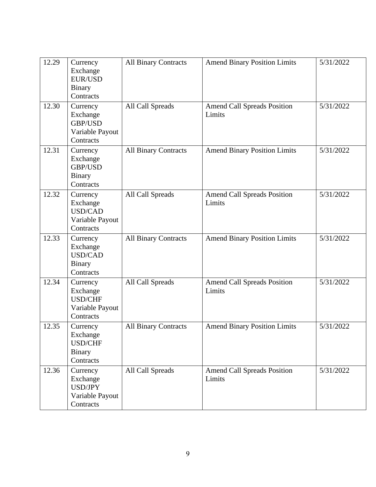| 12.29 | Currency<br>Exchange<br><b>EUR/USD</b><br>Binary<br>Contracts          | <b>All Binary Contracts</b> | <b>Amend Binary Position Limits</b>          | 5/31/2022 |
|-------|------------------------------------------------------------------------|-----------------------------|----------------------------------------------|-----------|
| 12.30 | Currency<br>Exchange<br><b>GBP/USD</b><br>Variable Payout<br>Contracts | All Call Spreads            | <b>Amend Call Spreads Position</b><br>Limits | 5/31/2022 |
| 12.31 | Currency<br>Exchange<br>GBP/USD<br>Binary<br>Contracts                 | <b>All Binary Contracts</b> | <b>Amend Binary Position Limits</b>          | 5/31/2022 |
| 12.32 | Currency<br>Exchange<br><b>USD/CAD</b><br>Variable Payout<br>Contracts | All Call Spreads            | <b>Amend Call Spreads Position</b><br>Limits | 5/31/2022 |
| 12.33 | Currency<br>Exchange<br><b>USD/CAD</b><br><b>Binary</b><br>Contracts   | <b>All Binary Contracts</b> | <b>Amend Binary Position Limits</b>          | 5/31/2022 |
| 12.34 | Currency<br>Exchange<br><b>USD/CHF</b><br>Variable Payout<br>Contracts | All Call Spreads            | <b>Amend Call Spreads Position</b><br>Limits | 5/31/2022 |
| 12.35 | Currency<br>Exchange<br><b>USD/CHF</b><br>Binary<br>Contracts          | <b>All Binary Contracts</b> | <b>Amend Binary Position Limits</b>          | 5/31/2022 |
| 12.36 | Currency<br>Exchange<br><b>USD/JPY</b><br>Variable Payout<br>Contracts | All Call Spreads            | <b>Amend Call Spreads Position</b><br>Limits | 5/31/2022 |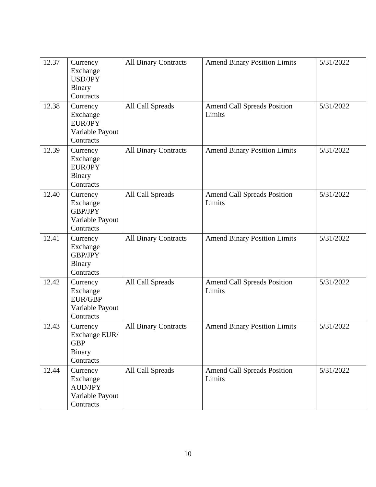| 12.37 | Currency<br>Exchange<br><b>USD/JPY</b><br><b>Binary</b><br>Contracts   | <b>All Binary Contracts</b> | <b>Amend Binary Position Limits</b>          | 5/31/2022 |
|-------|------------------------------------------------------------------------|-----------------------------|----------------------------------------------|-----------|
| 12.38 | Currency<br>Exchange<br>EUR/JPY<br>Variable Payout<br>Contracts        | All Call Spreads            | <b>Amend Call Spreads Position</b><br>Limits | 5/31/2022 |
| 12.39 | Currency<br>Exchange<br>EUR/JPY<br>Binary<br>Contracts                 | <b>All Binary Contracts</b> | <b>Amend Binary Position Limits</b>          | 5/31/2022 |
| 12.40 | Currency<br>Exchange<br>GBP/JPY<br>Variable Payout<br>Contracts        | All Call Spreads            | <b>Amend Call Spreads Position</b><br>Limits | 5/31/2022 |
| 12.41 | Currency<br>Exchange<br>GBP/JPY<br><b>Binary</b><br>Contracts          | <b>All Binary Contracts</b> | <b>Amend Binary Position Limits</b>          | 5/31/2022 |
| 12.42 | Currency<br>Exchange<br><b>EUR/GBP</b><br>Variable Payout<br>Contracts | All Call Spreads            | <b>Amend Call Spreads Position</b><br>Limits | 5/31/2022 |
| 12.43 | Currency<br>Exchange EUR/<br><b>GBP</b><br><b>Binary</b><br>Contracts  | <b>All Binary Contracts</b> | <b>Amend Binary Position Limits</b>          | 5/31/2022 |
| 12.44 | Currency<br>Exchange<br><b>AUD/JPY</b><br>Variable Payout<br>Contracts | All Call Spreads            | <b>Amend Call Spreads Position</b><br>Limits | 5/31/2022 |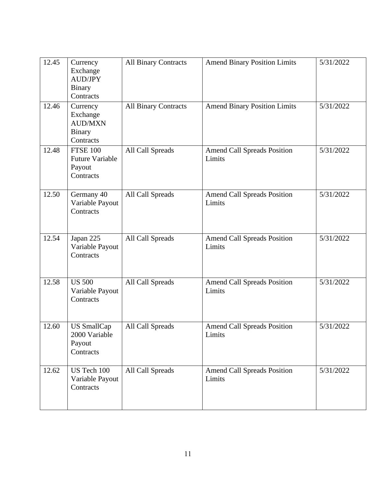| 12.45 | Currency<br>Exchange<br><b>AUD/JPY</b><br><b>Binary</b><br>Contracts | <b>All Binary Contracts</b> | <b>Amend Binary Position Limits</b>          | 5/31/2022 |
|-------|----------------------------------------------------------------------|-----------------------------|----------------------------------------------|-----------|
| 12.46 | Currency<br>Exchange<br><b>AUD/MXN</b><br>Binary<br>Contracts        | <b>All Binary Contracts</b> | <b>Amend Binary Position Limits</b>          | 5/31/2022 |
| 12.48 | <b>FTSE 100</b><br><b>Future Variable</b><br>Payout<br>Contracts     | All Call Spreads            | <b>Amend Call Spreads Position</b><br>Limits | 5/31/2022 |
| 12.50 | Germany 40<br>Variable Payout<br>Contracts                           | All Call Spreads            | <b>Amend Call Spreads Position</b><br>Limits | 5/31/2022 |
| 12.54 | Japan 225<br>Variable Payout<br>Contracts                            | All Call Spreads            | <b>Amend Call Spreads Position</b><br>Limits | 5/31/2022 |
| 12.58 | <b>US 500</b><br>Variable Payout<br>Contracts                        | All Call Spreads            | <b>Amend Call Spreads Position</b><br>Limits | 5/31/2022 |
| 12.60 | <b>US SmallCap</b><br>2000 Variable<br>Payout<br>Contracts           | All Call Spreads            | <b>Amend Call Spreads Position</b><br>Limits | 5/31/2022 |
| 12.62 | US Tech 100<br>Variable Payout<br>Contracts                          | All Call Spreads            | <b>Amend Call Spreads Position</b><br>Limits | 5/31/2022 |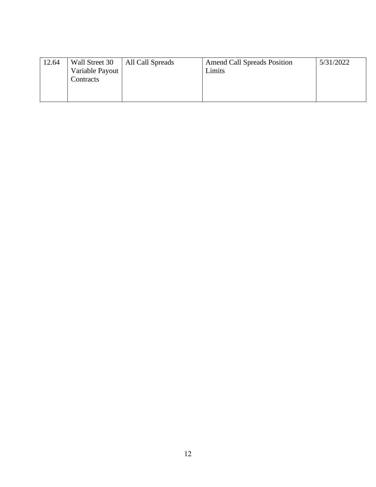| 12.64<br>Wall Street 30<br>All Call Spreads<br>Variable Payout<br>Contracts | <b>Amend Call Spreads Position</b><br>Limits | 5/31/2022 |
|-----------------------------------------------------------------------------|----------------------------------------------|-----------|
|-----------------------------------------------------------------------------|----------------------------------------------|-----------|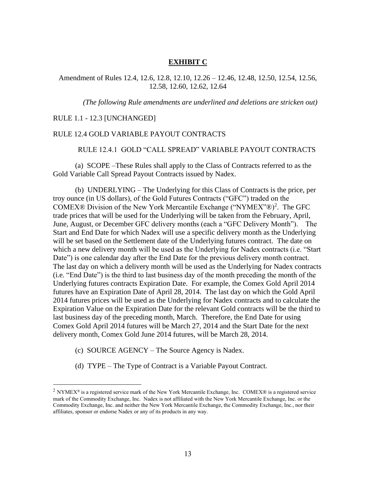#### **EXHIBIT C**

Amendment of Rules 12.4, 12.6, 12.8, 12.10, 12.26 – 12.46, 12.48, 12.50, 12.54, 12.56, 12.58, 12.60, 12.62, 12.64

*(The following Rule amendments are underlined and deletions are stricken out)*

#### RULE 1.1 - 12.3 [UNCHANGED]

#### RULE 12.4 GOLD VARIABLE PAYOUT CONTRACTS

## RULE 12.4.1 GOLD "CALL SPREAD" VARIABLE PAYOUT CONTRACTS

(a) SCOPE –These Rules shall apply to the Class of Contracts referred to as the Gold Variable Call Spread Payout Contracts issued by Nadex.

(b) UNDERLYING – The Underlying for this Class of Contracts is the price, per troy ounce (in US dollars), of the Gold Futures Contracts ("GFC") traded on the COMEX® Division of the New York Mercantile Exchange ("NYMEX"®)<sup>2</sup>. The GFC trade prices that will be used for the Underlying will be taken from the February, April, June, August, or December GFC delivery months (each a "GFC Delivery Month"). The Start and End Date for which Nadex will use a specific delivery month as the Underlying will be set based on the Settlement date of the Underlying futures contract. The date on which a new delivery month will be used as the Underlying for Nadex contracts (i.e. "Start Date") is one calendar day after the End Date for the previous delivery month contract. The last day on which a delivery month will be used as the Underlying for Nadex contracts (i.e. "End Date") is the third to last business day of the month preceding the month of the Underlying futures contracts Expiration Date. For example, the Comex Gold April 2014 futures have an Expiration Date of April 28, 2014. The last day on which the Gold April 2014 futures prices will be used as the Underlying for Nadex contracts and to calculate the Expiration Value on the Expiration Date for the relevant Gold contracts will be the third to last business day of the preceding month, March. Therefore, the End Date for using Comex Gold April 2014 futures will be March 27, 2014 and the Start Date for the next delivery month, Comex Gold June 2014 futures, will be March 28, 2014.

- (c) SOURCE AGENCY The Source Agency is Nadex.
- (d) TYPE The Type of Contract is a Variable Payout Contract.

<sup>&</sup>lt;sup>2</sup> NYMEX<sup>®</sup> is a registered service mark of the New York Mercantile Exchange, Inc. COMEX® is a registered service mark of the Commodity Exchange, Inc. Nadex is not affiliated with the New York Mercantile Exchange, Inc. or the Commodity Exchange, Inc. and neither the New York Mercantile Exchange, the Commodity Exchange, Inc., nor their affiliates, sponsor or endorse Nadex or any of its products in any way.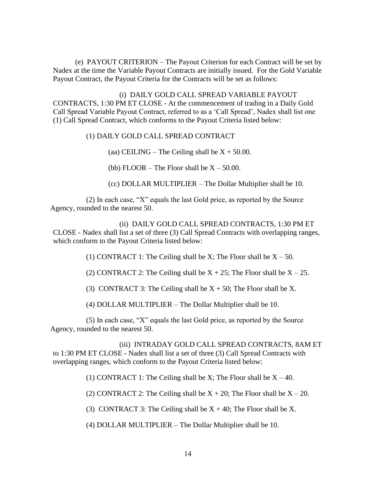(e) PAYOUT CRITERION – The Payout Criterion for each Contract will be set by Nadex at the time the Variable Payout Contracts are initially issued. For the Gold Variable Payout Contract, the Payout Criteria for the Contracts will be set as follows:

(i) DAILY GOLD CALL SPREAD VARIABLE PAYOUT CONTRACTS, 1:30 PM ET CLOSE - At the commencement of trading in a Daily Gold Call Spread Variable Payout Contract, referred to as a 'Call Spread', Nadex shall list one (1) Call Spread Contract, which conforms to the Payout Criteria listed below:

(1) DAILY GOLD CALL SPREAD CONTRACT

(aa) CEILING – The Ceiling shall be  $X + 50.00$ .

(bb) FLOOR – The Floor shall be  $X - 50.00$ .

(cc) DOLLAR MULTIPLIER – The Dollar Multiplier shall be 10.

(2) In each case, "X" equals the last Gold price, as reported by the Source Agency, rounded to the nearest 50.

(ii) DAILY GOLD CALL SPREAD CONTRACTS, 1:30 PM ET CLOSE - Nadex shall list a set of three (3) Call Spread Contracts with overlapping ranges, which conform to the Payout Criteria listed below:

(1) CONTRACT 1: The Ceiling shall be X; The Floor shall be  $X - 50$ .

(2) CONTRACT 2: The Ceiling shall be  $X + 25$ ; The Floor shall be  $X - 25$ .

(3) CONTRACT 3: The Ceiling shall be  $X + 50$ ; The Floor shall be X.

(4) DOLLAR MULTIPLIER – The Dollar Multiplier shall be 10.

(5) In each case, "X" equals the last Gold price, as reported by the Source Agency, rounded to the nearest 50.

(iii) INTRADAY GOLD CALL SPREAD CONTRACTS, 8AM ET to 1:30 PM ET CLOSE - Nadex shall list a set of three (3) Call Spread Contracts with overlapping ranges, which conform to the Payout Criteria listed below:

(1) CONTRACT 1: The Ceiling shall be X; The Floor shall be  $X - 40$ .

(2) CONTRACT 2: The Ceiling shall be  $X + 20$ ; The Floor shall be  $X - 20$ .

(3) CONTRACT 3: The Ceiling shall be  $X + 40$ ; The Floor shall be X.

(4) DOLLAR MULTIPLIER – The Dollar Multiplier shall be 10.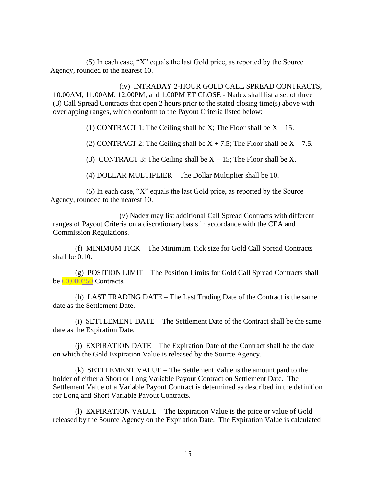(5) In each case, "X" equals the last Gold price, as reported by the Source Agency, rounded to the nearest 10.

(iv) INTRADAY 2-HOUR GOLD CALL SPREAD CONTRACTS, 10:00AM, 11:00AM, 12:00PM, and 1:00PM ET CLOSE - Nadex shall list a set of three (3) Call Spread Contracts that open 2 hours prior to the stated closing time(s) above with overlapping ranges, which conform to the Payout Criteria listed below:

(1) CONTRACT 1: The Ceiling shall be X; The Floor shall be  $X - 15$ .

(2) CONTRACT 2: The Ceiling shall be  $X + 7.5$ ; The Floor shall be  $X - 7.5$ .

(3) CONTRACT 3: The Ceiling shall be  $X + 15$ ; The Floor shall be X.

(4) DOLLAR MULTIPLIER – The Dollar Multiplier shall be 10.

(5) In each case, "X" equals the last Gold price, as reported by the Source Agency, rounded to the nearest 10.

(v) Nadex may list additional Call Spread Contracts with different ranges of Payout Criteria on a discretionary basis in accordance with the CEA and Commission Regulations.

(f) MINIMUM TICK – The Minimum Tick size for Gold Call Spread Contracts shall be 0.10.

(g) POSITION LIMIT – The Position Limits for Gold Call Spread Contracts shall be 60,000250 Contracts.

(h) LAST TRADING DATE – The Last Trading Date of the Contract is the same date as the Settlement Date.

(i) SETTLEMENT DATE – The Settlement Date of the Contract shall be the same date as the Expiration Date.

(j) EXPIRATION DATE – The Expiration Date of the Contract shall be the date on which the Gold Expiration Value is released by the Source Agency.

(k) SETTLEMENT VALUE – The Settlement Value is the amount paid to the holder of either a Short or Long Variable Payout Contract on Settlement Date. The Settlement Value of a Variable Payout Contract is determined as described in the definition for Long and Short Variable Payout Contracts.

(l) EXPIRATION VALUE – The Expiration Value is the price or value of Gold released by the Source Agency on the Expiration Date. The Expiration Value is calculated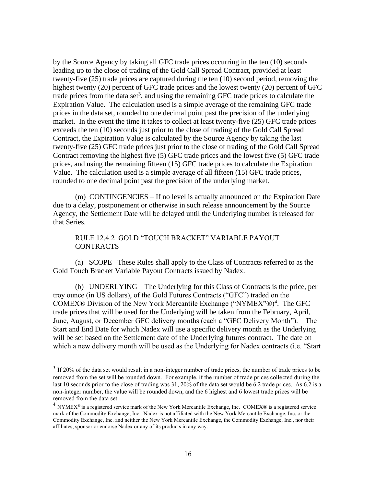by the Source Agency by taking all GFC trade prices occurring in the ten (10) seconds leading up to the close of trading of the Gold Call Spread Contract, provided at least twenty-five (25) trade prices are captured during the ten (10) second period, removing the highest twenty (20) percent of GFC trade prices and the lowest twenty (20) percent of GFC trade prices from the data set<sup>3</sup>, and using the remaining GFC trade prices to calculate the Expiration Value. The calculation used is a simple average of the remaining GFC trade prices in the data set, rounded to one decimal point past the precision of the underlying market. In the event the time it takes to collect at least twenty-five (25) GFC trade prices exceeds the ten (10) seconds just prior to the close of trading of the Gold Call Spread Contract, the Expiration Value is calculated by the Source Agency by taking the last twenty-five (25) GFC trade prices just prior to the close of trading of the Gold Call Spread Contract removing the highest five (5) GFC trade prices and the lowest five (5) GFC trade prices, and using the remaining fifteen (15) GFC trade prices to calculate the Expiration Value. The calculation used is a simple average of all fifteen (15) GFC trade prices, rounded to one decimal point past the precision of the underlying market.

(m) CONTINGENCIES – If no level is actually announced on the Expiration Date due to a delay, postponement or otherwise in such release announcement by the Source Agency, the Settlement Date will be delayed until the Underlying number is released for that Series.

## RULE 12.4.2 GOLD "TOUCH BRACKET" VARIABLE PAYOUT **CONTRACTS**

(a) SCOPE –These Rules shall apply to the Class of Contracts referred to as the Gold Touch Bracket Variable Payout Contracts issued by Nadex.

(b) UNDERLYING – The Underlying for this Class of Contracts is the price, per troy ounce (in US dollars), of the Gold Futures Contracts ("GFC") traded on the COMEX® Division of the New York Mercantile Exchange ("NYMEX"®)<sup>4</sup>. The GFC trade prices that will be used for the Underlying will be taken from the February, April, June, August, or December GFC delivery months (each a "GFC Delivery Month"). The Start and End Date for which Nadex will use a specific delivery month as the Underlying will be set based on the Settlement date of the Underlying futures contract. The date on which a new delivery month will be used as the Underlying for Nadex contracts (i.e. "Start

 $3$  If 20% of the data set would result in a non-integer number of trade prices, the number of trade prices to be removed from the set will be rounded down. For example, if the number of trade prices collected during the last 10 seconds prior to the close of trading was 31, 20% of the data set would be 6.2 trade prices. As 6.2 is a non-integer number, the value will be rounded down, and the 6 highest and 6 lowest trade prices will be removed from the data set.

<sup>4</sup> NYMEX® is a registered service mark of the New York Mercantile Exchange, Inc. COMEX® is a registered service mark of the Commodity Exchange, Inc. Nadex is not affiliated with the New York Mercantile Exchange, Inc. or the Commodity Exchange, Inc. and neither the New York Mercantile Exchange, the Commodity Exchange, Inc., nor their affiliates, sponsor or endorse Nadex or any of its products in any way.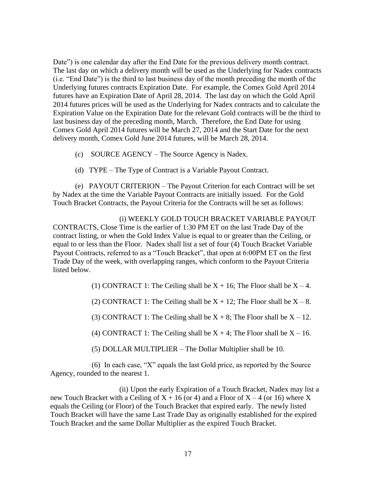Date") is one calendar day after the End Date for the previous delivery month contract. The last day on which a delivery month will be used as the Underlying for Nadex contracts (i.e. "End Date") is the third to last business day of the month preceding the month of the Underlying futures contracts Expiration Date. For example, the Comex Gold April 2014 futures have an Expiration Date of April 28, 2014. The last day on which the Gold April 2014 futures prices will be used as the Underlying for Nadex contracts and to calculate the Expiration Value on the Expiration Date for the relevant Gold contracts will be the third to last business day of the preceding month, March. Therefore, the End Date for using Comex Gold April 2014 futures will be March 27, 2014 and the Start Date for the next delivery month, Comex Gold June 2014 futures, will be March 28, 2014.

- (c) SOURCE AGENCY The Source Agency is Nadex.
- (d) TYPE The Type of Contract is a Variable Payout Contract.

(e) PAYOUT CRITERION – The Payout Criterion for each Contract will be set by Nadex at the time the Variable Payout Contracts are initially issued. For the Gold Touch Bracket Contracts, the Payout Criteria for the Contracts will be set as follows:

(i) WEEKLY GOLD TOUCH BRACKET VARIABLE PAYOUT CONTRACTS, Close Time is the earlier of 1:30 PM ET on the last Trade Day of the contract listing, or when the Gold Index Value is equal to or greater than the Ceiling, or equal to or less than the Floor. Nadex shall list a set of four (4) Touch Bracket Variable Payout Contracts, referred to as a "Touch Bracket", that open at 6:00PM ET on the first Trade Day of the week, with overlapping ranges, which conform to the Payout Criteria listed below.

(1) CONTRACT 1: The Ceiling shall be  $X + 16$ ; The Floor shall be  $X - 4$ .

(2) CONTRACT 1: The Ceiling shall be  $X + 12$ ; The Floor shall be  $X - 8$ .

(3) CONTRACT 1: The Ceiling shall be  $X + 8$ ; The Floor shall be  $X - 12$ .

(4) CONTRACT 1: The Ceiling shall be  $X + 4$ ; The Floor shall be  $X - 16$ .

(5) DOLLAR MULTIPLIER – The Dollar Multiplier shall be 10.

(6) In each case, "X" equals the last Gold price, as reported by the Source Agency, rounded to the nearest 1.

(ii) Upon the early Expiration of a Touch Bracket, Nadex may list a new Touch Bracket with a Ceiling of  $X + 16$  (or 4) and a Floor of  $X - 4$  (or 16) where X equals the Ceiling (or Floor) of the Touch Bracket that expired early. The newly listed Touch Bracket will have the same Last Trade Day as originally established for the expired Touch Bracket and the same Dollar Multiplier as the expired Touch Bracket.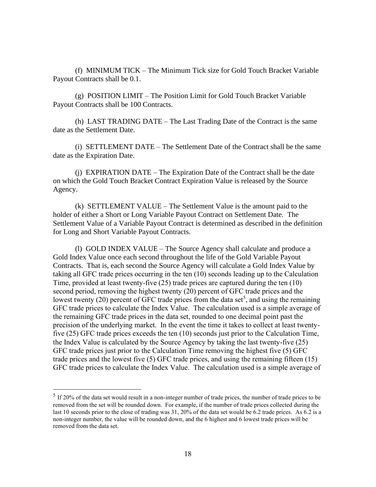(f) MINIMUM TICK – The Minimum Tick size for Gold Touch Bracket Variable Payout Contracts shall be 0.1.

(g) POSITION LIMIT – The Position Limit for Gold Touch Bracket Variable Payout Contracts shall be 100 Contracts.

(h) LAST TRADING DATE – The Last Trading Date of the Contract is the same date as the Settlement Date.

(i) SETTLEMENT DATE – The Settlement Date of the Contract shall be the same date as the Expiration Date.

(j) EXPIRATION DATE – The Expiration Date of the Contract shall be the date on which the Gold Touch Bracket Contract Expiration Value is released by the Source Agency.

(k) SETTLEMENT VALUE – The Settlement Value is the amount paid to the holder of either a Short or Long Variable Payout Contract on Settlement Date. The Settlement Value of a Variable Payout Contract is determined as described in the definition for Long and Short Variable Payout Contracts.

(l) GOLD INDEX VALUE – The Source Agency shall calculate and produce a Gold Index Value once each second throughout the life of the Gold Variable Payout Contracts. That is, each second the Source Agency will calculate a Gold Index Value by taking all GFC trade prices occurring in the ten (10) seconds leading up to the Calculation Time, provided at least twenty-five (25) trade prices are captured during the ten (10) second period, removing the highest twenty (20) percent of GFC trade prices and the lowest twenty (20) percent of GFC trade prices from the data set<sup>5</sup>, and using the remaining GFC trade prices to calculate the Index Value. The calculation used is a simple average of the remaining GFC trade prices in the data set, rounded to one decimal point past the precision of the underlying market. In the event the time it takes to collect at least twentyfive (25) GFC trade prices exceeds the ten (10) seconds just prior to the Calculation Time, the Index Value is calculated by the Source Agency by taking the last twenty-five (25) GFC trade prices just prior to the Calculation Time removing the highest five (5) GFC trade prices and the lowest five (5) GFC trade prices, and using the remaining fifteen (15) GFC trade prices to calculate the Index Value. The calculation used is a simple average of

 $<sup>5</sup>$  If 20% of the data set would result in a non-integer number of trade prices, the number of trade prices to be</sup> removed from the set will be rounded down. For example, if the number of trade prices collected during the last 10 seconds prior to the close of trading was 31, 20% of the data set would be 6.2 trade prices. As 6.2 is a non-integer number, the value will be rounded down, and the 6 highest and 6 lowest trade prices will be removed from the data set.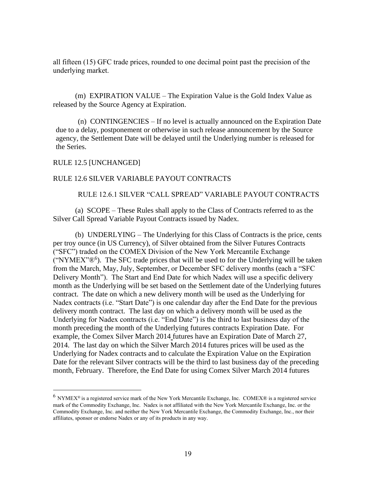all fifteen (15) GFC trade prices, rounded to one decimal point past the precision of the underlying market.

(m) EXPIRATION VALUE – The Expiration Value is the Gold Index Value as released by the Source Agency at Expiration.

(n) CONTINGENCIES – If no level is actually announced on the Expiration Date due to a delay, postponement or otherwise in such release announcement by the Source agency, the Settlement Date will be delayed until the Underlying number is released for the Series.

#### RULE 12.5 [UNCHANGED]

#### RULE 12.6 SILVER VARIABLE PAYOUT CONTRACTS

## RULE 12.6.1 SILVER "CALL SPREAD" VARIABLE PAYOUT CONTRACTS

(a) SCOPE – These Rules shall apply to the Class of Contracts referred to as the Silver Call Spread Variable Payout Contracts issued by Nadex.

(b) UNDERLYING – The Underlying for this Class of Contracts is the price, cents per troy ounce (in US Currency), of Silver obtained from the Silver Futures Contracts ("SFC") traded on the COMEX Division of the New York Mercantile Exchange ("NYMEX" $\mathbb{B}^6$ ). The SFC trade prices that will be used to for the Underlying will be taken from the March, May, July, September, or December SFC delivery months (each a "SFC Delivery Month"). The Start and End Date for which Nadex will use a specific delivery month as the Underlying will be set based on the Settlement date of the Underlying futures contract. The date on which a new delivery month will be used as the Underlying for Nadex contracts (i.e. "Start Date") is one calendar day after the End Date for the previous delivery month contract. The last day on which a delivery month will be used as the Underlying for Nadex contracts (i.e. "End Date") is the third to last business day of the month preceding the month of the Underlying futures contracts Expiration Date. For example, the Comex Silver March 2014 futures have an Expiration Date of March 27, 2014. The last day on which the Silver March 2014 futures prices will be used as the Underlying for Nadex contracts and to calculate the Expiration Value on the Expiration Date for the relevant Silver contracts will be the third to last business day of the preceding month, February. Therefore, the End Date for using Comex Silver March 2014 futures

 $6$  NYMEX<sup>®</sup> is a registered service mark of the New York Mercantile Exchange, Inc. COMEX<sup>®</sup> is a registered service mark of the Commodity Exchange, Inc. Nadex is not affiliated with the New York Mercantile Exchange, Inc. or the Commodity Exchange, Inc. and neither the New York Mercantile Exchange, the Commodity Exchange, Inc., nor their affiliates, sponsor or endorse Nadex or any of its products in any way.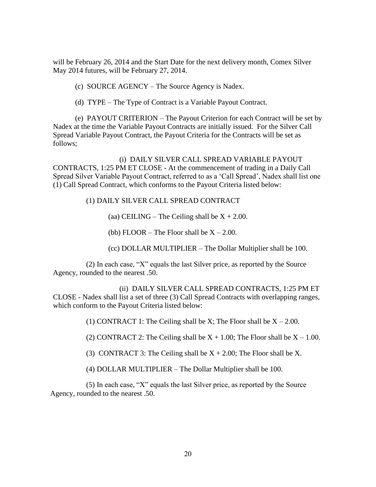will be February 26, 2014 and the Start Date for the next delivery month, Comex Silver May 2014 futures, will be February 27, 2014.

(c) SOURCE AGENCY – The Source Agency is Nadex.

(d) TYPE – The Type of Contract is a Variable Payout Contract.

(e) PAYOUT CRITERION – The Payout Criterion for each Contract will be set by Nadex at the time the Variable Payout Contracts are initially issued. For the Silver Call Spread Variable Payout Contract, the Payout Criteria for the Contracts will be set as follows;

(i) DAILY SILVER CALL SPREAD VARIABLE PAYOUT CONTRACTS, 1:25 PM ET CLOSE - At the commencement of trading in a Daily Call Spread Silver Variable Payout Contract, referred to as a 'Call Spread', Nadex shall list one (1) Call Spread Contract, which conforms to the Payout Criteria listed below:

(1) DAILY SILVER CALL SPREAD CONTRACT

(aa) CEILING – The Ceiling shall be  $X + 2.00$ .

(bb) FLOOR – The Floor shall be  $X - 2.00$ .

(cc) DOLLAR MULTIPLIER – The Dollar Multiplier shall be 100.

(2) In each case, "X" equals the last Silver price, as reported by the Source Agency, rounded to the nearest .50.

(ii) DAILY SILVER CALL SPREAD CONTRACTS, 1:25 PM ET CLOSE - Nadex shall list a set of three (3) Call Spread Contracts with overlapping ranges, which conform to the Payout Criteria listed below:

(1) CONTRACT 1: The Ceiling shall be X; The Floor shall be  $X - 2.00$ .

(2) CONTRACT 2: The Ceiling shall be  $X + 1.00$ ; The Floor shall be  $X - 1.00$ .

(3) CONTRACT 3: The Ceiling shall be  $X + 2.00$ ; The Floor shall be X.

(4) DOLLAR MULTIPLIER – The Dollar Multiplier shall be 100.

(5) In each case, "X" equals the last Silver price, as reported by the Source Agency, rounded to the nearest .50.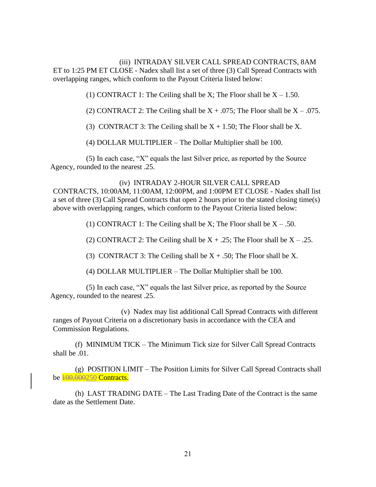(iii) INTRADAY SILVER CALL SPREAD CONTRACTS, 8AM ET to 1:25 PM ET CLOSE - Nadex shall list a set of three (3) Call Spread Contracts with overlapping ranges, which conform to the Payout Criteria listed below:

(1) CONTRACT 1: The Ceiling shall be X; The Floor shall be  $X - 1.50$ .

(2) CONTRACT 2: The Ceiling shall be  $X + .075$ ; The Floor shall be  $X - .075$ .

(3) CONTRACT 3: The Ceiling shall be  $X + 1.50$ ; The Floor shall be X.

(4) DOLLAR MULTIPLIER – The Dollar Multiplier shall be 100.

(5) In each case, "X" equals the last Silver price, as reported by the Source Agency, rounded to the nearest .25.

#### (iv) INTRADAY 2-HOUR SILVER CALL SPREAD

CONTRACTS, 10:00AM, 11:00AM, 12:00PM, and 1:00PM ET CLOSE - Nadex shall list a set of three (3) Call Spread Contracts that open 2 hours prior to the stated closing time(s) above with overlapping ranges, which conform to the Payout Criteria listed below:

(1) CONTRACT 1: The Ceiling shall be X; The Floor shall be  $X - 0.50$ .

(2) CONTRACT 2: The Ceiling shall be  $X + .25$ ; The Floor shall be  $X - .25$ .

(3) CONTRACT 3: The Ceiling shall be  $X + .50$ ; The Floor shall be X.

(4) DOLLAR MULTIPLIER – The Dollar Multiplier shall be 100.

(5) In each case, "X" equals the last Silver price, as reported by the Source Agency, rounded to the nearest .25.

(v) Nadex may list additional Call Spread Contracts with different ranges of Payout Criteria on a discretionary basis in accordance with the CEA and Commission Regulations.

(f) MINIMUM TICK – The Minimum Tick size for Silver Call Spread Contracts shall be .01.

(g) POSITION LIMIT – The Position Limits for Silver Call Spread Contracts shall be **100,000250 Contracts.** 

(h) LAST TRADING DATE – The Last Trading Date of the Contract is the same date as the Settlement Date.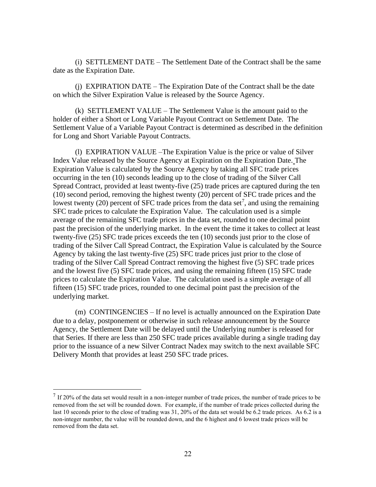(i) SETTLEMENT DATE – The Settlement Date of the Contract shall be the same date as the Expiration Date.

(j) EXPIRATION DATE – The Expiration Date of the Contract shall be the date on which the Silver Expiration Value is released by the Source Agency.

(k) SETTLEMENT VALUE – The Settlement Value is the amount paid to the holder of either a Short or Long Variable Payout Contract on Settlement Date. The Settlement Value of a Variable Payout Contract is determined as described in the definition for Long and Short Variable Payout Contracts.

(l) EXPIRATION VALUE –The Expiration Value is the price or value of Silver Index Value released by the Source Agency at Expiration on the Expiration Date. The Expiration Value is calculated by the Source Agency by taking all SFC trade prices occurring in the ten (10) seconds leading up to the close of trading of the Silver Call Spread Contract, provided at least twenty-five (25) trade prices are captured during the ten (10) second period, removing the highest twenty (20) percent of SFC trade prices and the lowest twenty (20) percent of SFC trade prices from the data set<sup>7</sup>, and using the remaining SFC trade prices to calculate the Expiration Value. The calculation used is a simple average of the remaining SFC trade prices in the data set, rounded to one decimal point past the precision of the underlying market. In the event the time it takes to collect at least twenty-five (25) SFC trade prices exceeds the ten (10) seconds just prior to the close of trading of the Silver Call Spread Contract, the Expiration Value is calculated by the Source Agency by taking the last twenty-five (25) SFC trade prices just prior to the close of trading of the Silver Call Spread Contract removing the highest five (5) SFC trade prices and the lowest five (5) SFC trade prices, and using the remaining fifteen (15) SFC trade prices to calculate the Expiration Value. The calculation used is a simple average of all fifteen (15) SFC trade prices, rounded to one decimal point past the precision of the underlying market.

(m) CONTINGENCIES – If no level is actually announced on the Expiration Date due to a delay, postponement or otherwise in such release announcement by the Source Agency, the Settlement Date will be delayed until the Underlying number is released for that Series. If there are less than 250 SFC trade prices available during a single trading day prior to the issuance of a new Silver Contract Nadex may switch to the next available SFC Delivery Month that provides at least 250 SFC trade prices.

 $<sup>7</sup>$  If 20% of the data set would result in a non-integer number of trade prices, the number of trade prices to be</sup> removed from the set will be rounded down. For example, if the number of trade prices collected during the last 10 seconds prior to the close of trading was 31, 20% of the data set would be 6.2 trade prices. As 6.2 is a non-integer number, the value will be rounded down, and the 6 highest and 6 lowest trade prices will be removed from the data set.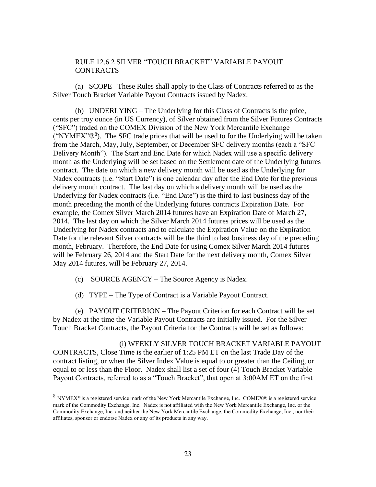## RULE 12.6.2 SILVER "TOUCH BRACKET" VARIABLE PAYOUT **CONTRACTS**

(a) SCOPE –These Rules shall apply to the Class of Contracts referred to as the Silver Touch Bracket Variable Payout Contracts issued by Nadex.

(b) UNDERLYING – The Underlying for this Class of Contracts is the price, cents per troy ounce (in US Currency), of Silver obtained from the Silver Futures Contracts ("SFC") traded on the COMEX Division of the New York Mercantile Exchange ("NYMEX" $\mathbb{R}^8$ ). The SFC trade prices that will be used to for the Underlying will be taken from the March, May, July, September, or December SFC delivery months (each a "SFC Delivery Month"). The Start and End Date for which Nadex will use a specific delivery month as the Underlying will be set based on the Settlement date of the Underlying futures contract. The date on which a new delivery month will be used as the Underlying for Nadex contracts (i.e. "Start Date") is one calendar day after the End Date for the previous delivery month contract. The last day on which a delivery month will be used as the Underlying for Nadex contracts (i.e. "End Date") is the third to last business day of the month preceding the month of the Underlying futures contracts Expiration Date. For example, the Comex Silver March 2014 futures have an Expiration Date of March 27, 2014. The last day on which the Silver March 2014 futures prices will be used as the Underlying for Nadex contracts and to calculate the Expiration Value on the Expiration Date for the relevant Silver contracts will be the third to last business day of the preceding month, February. Therefore, the End Date for using Comex Silver March 2014 futures will be February 26, 2014 and the Start Date for the next delivery month, Comex Silver May 2014 futures, will be February 27, 2014.

- (c) SOURCE AGENCY The Source Agency is Nadex.
- (d) TYPE The Type of Contract is a Variable Payout Contract.

(e) PAYOUT CRITERION – The Payout Criterion for each Contract will be set by Nadex at the time the Variable Payout Contracts are initially issued. For the Silver Touch Bracket Contracts, the Payout Criteria for the Contracts will be set as follows:

#### (i) WEEKLY SILVER TOUCH BRACKET VARIABLE PAYOUT

CONTRACTS, Close Time is the earlier of 1:25 PM ET on the last Trade Day of the contract listing, or when the Silver Index Value is equal to or greater than the Ceiling, or equal to or less than the Floor. Nadex shall list a set of four (4) Touch Bracket Variable Payout Contracts, referred to as a "Touch Bracket", that open at 3:00AM ET on the first

<sup>8</sup> NYMEX<sup>®</sup> is a registered service mark of the New York Mercantile Exchange, Inc. COMEX® is a registered service mark of the Commodity Exchange, Inc. Nadex is not affiliated with the New York Mercantile Exchange, Inc. or the Commodity Exchange, Inc. and neither the New York Mercantile Exchange, the Commodity Exchange, Inc., nor their affiliates, sponsor or endorse Nadex or any of its products in any way.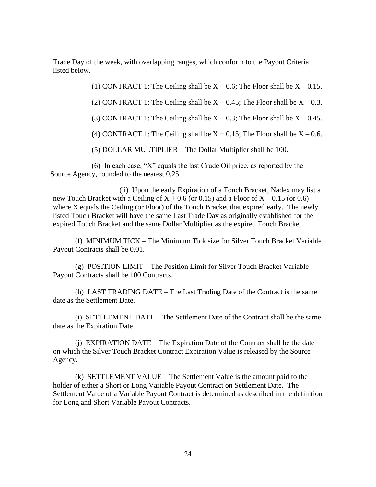Trade Day of the week, with overlapping ranges, which conform to the Payout Criteria listed below.

(1) CONTRACT 1: The Ceiling shall be  $X + 0.6$ ; The Floor shall be  $X - 0.15$ .

(2) CONTRACT 1: The Ceiling shall be  $X + 0.45$ ; The Floor shall be  $X - 0.3$ .

(3) CONTRACT 1: The Ceiling shall be  $X + 0.3$ ; The Floor shall be  $X - 0.45$ .

(4) CONTRACT 1: The Ceiling shall be  $X + 0.15$ ; The Floor shall be  $X - 0.6$ .

(5) DOLLAR MULTIPLIER – The Dollar Multiplier shall be 100.

(6) In each case, "X" equals the last Crude Oil price, as reported by the Source Agency, rounded to the nearest 0.25.

(ii) Upon the early Expiration of a Touch Bracket, Nadex may list a new Touch Bracket with a Ceiling of  $X + 0.6$  (or 0.15) and a Floor of  $X - 0.15$  (or 0.6) where X equals the Ceiling (or Floor) of the Touch Bracket that expired early. The newly listed Touch Bracket will have the same Last Trade Day as originally established for the expired Touch Bracket and the same Dollar Multiplier as the expired Touch Bracket.

(f) MINIMUM TICK – The Minimum Tick size for Silver Touch Bracket Variable Payout Contracts shall be 0.01.

(g) POSITION LIMIT – The Position Limit for Silver Touch Bracket Variable Payout Contracts shall be 100 Contracts.

(h) LAST TRADING DATE – The Last Trading Date of the Contract is the same date as the Settlement Date.

(i) SETTLEMENT DATE – The Settlement Date of the Contract shall be the same date as the Expiration Date.

(j) EXPIRATION DATE – The Expiration Date of the Contract shall be the date on which the Silver Touch Bracket Contract Expiration Value is released by the Source Agency.

(k) SETTLEMENT VALUE – The Settlement Value is the amount paid to the holder of either a Short or Long Variable Payout Contract on Settlement Date. The Settlement Value of a Variable Payout Contract is determined as described in the definition for Long and Short Variable Payout Contracts.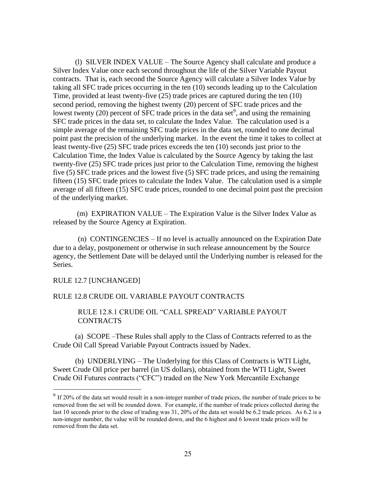(l) SILVER INDEX VALUE – The Source Agency shall calculate and produce a Silver Index Value once each second throughout the life of the Silver Variable Payout contracts. That is, each second the Source Agency will calculate a Silver Index Value by taking all SFC trade prices occurring in the ten (10) seconds leading up to the Calculation Time, provided at least twenty-five (25) trade prices are captured during the ten (10) second period, removing the highest twenty (20) percent of SFC trade prices and the lowest twenty (20) percent of SFC trade prices in the data set<sup>9</sup>, and using the remaining SFC trade prices in the data set, to calculate the Index Value. The calculation used is a simple average of the remaining SFC trade prices in the data set, rounded to one decimal point past the precision of the underlying market. In the event the time it takes to collect at least twenty-five (25) SFC trade prices exceeds the ten (10) seconds just prior to the Calculation Time, the Index Value is calculated by the Source Agency by taking the last twenty-five (25) SFC trade prices just prior to the Calculation Time, removing the highest five (5) SFC trade prices and the lowest five (5) SFC trade prices, and using the remaining fifteen (15) SFC trade prices to calculate the Index Value. The calculation used is a simple average of all fifteen (15) SFC trade prices, rounded to one decimal point past the precision of the underlying market.

(m) EXPIRATION VALUE – The Expiration Value is the Silver Index Value as released by the Source Agency at Expiration.

(n) CONTINGENCIES – If no level is actually announced on the Expiration Date due to a delay, postponement or otherwise in such release announcement by the Source agency, the Settlement Date will be delayed until the Underlying number is released for the Series.

#### RULE 12.7 [UNCHANGED]

#### RULE 12.8 CRUDE OIL VARIABLE PAYOUT CONTRACTS

## RULE 12.8.1 CRUDE OIL "CALL SPREAD" VARIABLE PAYOUT CONTRACTS

(a) SCOPE –These Rules shall apply to the Class of Contracts referred to as the Crude Oil Call Spread Variable Payout Contracts issued by Nadex.

(b) UNDERLYING – The Underlying for this Class of Contracts is WTI Light, Sweet Crude Oil price per barrel (in US dollars), obtained from the WTI Light, Sweet Crude Oil Futures contracts ("CFC") traded on the New York Mercantile Exchange

 $9$  If 20% of the data set would result in a non-integer number of trade prices, the number of trade prices to be removed from the set will be rounded down. For example, if the number of trade prices collected during the last 10 seconds prior to the close of trading was 31, 20% of the data set would be 6.2 trade prices. As 6.2 is a non-integer number, the value will be rounded down, and the 6 highest and 6 lowest trade prices will be removed from the data set.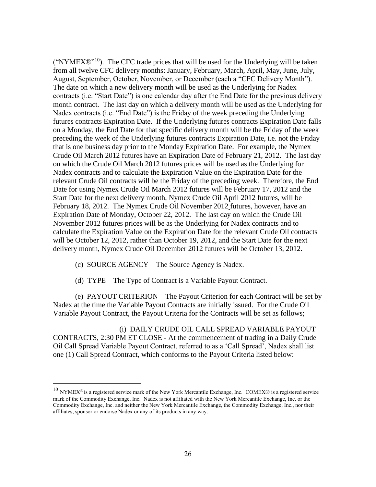("NYMEX $\mathbb{R}^{y}$ <sup>10</sup>). The CFC trade prices that will be used for the Underlying will be taken from all twelve CFC delivery months: January, February, March, April, May, June, July, August, September, October, November, or December (each a "CFC Delivery Month"). The date on which a new delivery month will be used as the Underlying for Nadex contracts (i.e. "Start Date") is one calendar day after the End Date for the previous delivery month contract. The last day on which a delivery month will be used as the Underlying for Nadex contracts (i.e. "End Date") is the Friday of the week preceding the Underlying futures contracts Expiration Date. If the Underlying futures contracts Expiration Date falls on a Monday, the End Date for that specific delivery month will be the Friday of the week preceding the week of the Underlying futures contracts Expiration Date, i.e. not the Friday that is one business day prior to the Monday Expiration Date. For example, the Nymex Crude Oil March 2012 futures have an Expiration Date of February 21, 2012. The last day on which the Crude Oil March 2012 futures prices will be used as the Underlying for Nadex contracts and to calculate the Expiration Value on the Expiration Date for the relevant Crude Oil contracts will be the Friday of the preceding week. Therefore, the End Date for using Nymex Crude Oil March 2012 futures will be February 17, 2012 and the Start Date for the next delivery month, Nymex Crude Oil April 2012 futures, will be February 18, 2012. The Nymex Crude Oil November 2012 futures, however, have an Expiration Date of Monday, October 22, 2012. The last day on which the Crude Oil November 2012 futures prices will be as the Underlying for Nadex contracts and to calculate the Expiration Value on the Expiration Date for the relevant Crude Oil contracts will be October 12, 2012, rather than October 19, 2012, and the Start Date for the next delivery month, Nymex Crude Oil December 2012 futures will be October 13, 2012.

- (c) SOURCE AGENCY The Source Agency is Nadex.
- (d) TYPE The Type of Contract is a Variable Payout Contract.

(e) PAYOUT CRITERION – The Payout Criterion for each Contract will be set by Nadex at the time the Variable Payout Contracts are initially issued. For the Crude Oil Variable Payout Contract, the Payout Criteria for the Contracts will be set as follows;

(i) DAILY CRUDE OIL CALL SPREAD VARIABLE PAYOUT CONTRACTS, 2:30 PM ET CLOSE - At the commencement of trading in a Daily Crude Oil Call Spread Variable Payout Contract, referred to as a 'Call Spread', Nadex shall list one (1) Call Spread Contract, which conforms to the Payout Criteria listed below:

 $10$  NYMEX<sup>®</sup> is a registered service mark of the New York Mercantile Exchange, Inc. COMEX<sup>®</sup> is a registered service mark of the Commodity Exchange, Inc. Nadex is not affiliated with the New York Mercantile Exchange, Inc. or the Commodity Exchange, Inc. and neither the New York Mercantile Exchange, the Commodity Exchange, Inc., nor their affiliates, sponsor or endorse Nadex or any of its products in any way.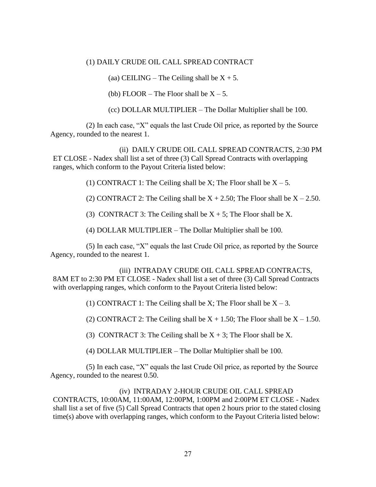## (1) DAILY CRUDE OIL CALL SPREAD CONTRACT

(aa) CEILING – The Ceiling shall be  $X + 5$ .

(bb) FLOOR – The Floor shall be  $X - 5$ .

(cc) DOLLAR MULTIPLIER – The Dollar Multiplier shall be 100.

(2) In each case, "X" equals the last Crude Oil price, as reported by the Source Agency, rounded to the nearest 1.

(ii) DAILY CRUDE OIL CALL SPREAD CONTRACTS, 2:30 PM ET CLOSE - Nadex shall list a set of three (3) Call Spread Contracts with overlapping ranges, which conform to the Payout Criteria listed below:

(1) CONTRACT 1: The Ceiling shall be X; The Floor shall be  $X - 5$ .

(2) CONTRACT 2: The Ceiling shall be  $X + 2.50$ ; The Floor shall be  $X - 2.50$ .

(3) CONTRACT 3: The Ceiling shall be  $X + 5$ ; The Floor shall be X.

(4) DOLLAR MULTIPLIER – The Dollar Multiplier shall be 100.

(5) In each case, "X" equals the last Crude Oil price, as reported by the Source Agency, rounded to the nearest 1.

(iii) INTRADAY CRUDE OIL CALL SPREAD CONTRACTS, 8AM ET to 2:30 PM ET CLOSE - Nadex shall list a set of three (3) Call Spread Contracts with overlapping ranges, which conform to the Payout Criteria listed below:

(1) CONTRACT 1: The Ceiling shall be X; The Floor shall be  $X - 3$ .

(2) CONTRACT 2: The Ceiling shall be  $X + 1.50$ ; The Floor shall be  $X - 1.50$ .

(3) CONTRACT 3: The Ceiling shall be  $X + 3$ ; The Floor shall be X.

(4) DOLLAR MULTIPLIER – The Dollar Multiplier shall be 100.

(5) In each case, "X" equals the last Crude Oil price, as reported by the Source Agency, rounded to the nearest 0.50.

(iv) INTRADAY 2-HOUR CRUDE OIL CALL SPREAD CONTRACTS, 10:00AM, 11:00AM, 12:00PM, 1:00PM and 2:00PM ET CLOSE - Nadex shall list a set of five (5) Call Spread Contracts that open 2 hours prior to the stated closing time(s) above with overlapping ranges, which conform to the Payout Criteria listed below: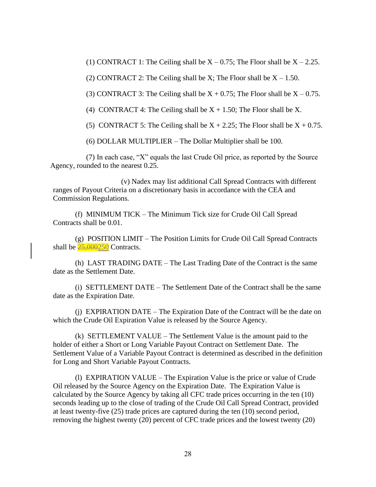(1) CONTRACT 1: The Ceiling shall be  $X - 0.75$ ; The Floor shall be  $X - 2.25$ .

(2) CONTRACT 2: The Ceiling shall be X; The Floor shall be  $X - 1.50$ .

(3) CONTRACT 3: The Ceiling shall be  $X + 0.75$ ; The Floor shall be  $X - 0.75$ .

(4) CONTRACT 4: The Ceiling shall be  $X + 1.50$ ; The Floor shall be X.

(5) CONTRACT 5: The Ceiling shall be  $X + 2.25$ ; The Floor shall be  $X + 0.75$ .

(6) DOLLAR MULTIPLIER – The Dollar Multiplier shall be 100.

(7) In each case, "X" equals the last Crude Oil price, as reported by the Source Agency, rounded to the nearest 0.25.

(v) Nadex may list additional Call Spread Contracts with different ranges of Payout Criteria on a discretionary basis in accordance with the CEA and Commission Regulations.

(f) MINIMUM TICK – The Minimum Tick size for Crude Oil Call Spread Contracts shall be 0.01.

(g) POSITION LIMIT – The Position Limits for Crude Oil Call Spread Contracts shall be  $25,000250$  Contracts.

(h) LAST TRADING DATE – The Last Trading Date of the Contract is the same date as the Settlement Date.

(i) SETTLEMENT DATE – The Settlement Date of the Contract shall be the same date as the Expiration Date.

(j) EXPIRATION DATE – The Expiration Date of the Contract will be the date on which the Crude Oil Expiration Value is released by the Source Agency.

(k) SETTLEMENT VALUE – The Settlement Value is the amount paid to the holder of either a Short or Long Variable Payout Contract on Settlement Date. The Settlement Value of a Variable Payout Contract is determined as described in the definition for Long and Short Variable Payout Contracts.

(l) EXPIRATION VALUE – The Expiration Value is the price or value of Crude Oil released by the Source Agency on the Expiration Date. The Expiration Value is calculated by the Source Agency by taking all CFC trade prices occurring in the ten (10) seconds leading up to the close of trading of the Crude Oil Call Spread Contract, provided at least twenty-five (25) trade prices are captured during the ten (10) second period, removing the highest twenty (20) percent of CFC trade prices and the lowest twenty (20)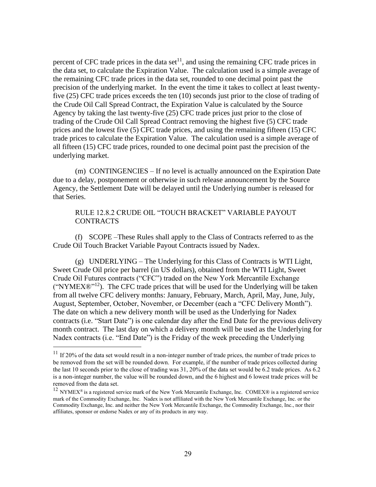percent of CFC trade prices in the data set $11$ , and using the remaining CFC trade prices in the data set, to calculate the Expiration Value. The calculation used is a simple average of the remaining CFC trade prices in the data set, rounded to one decimal point past the precision of the underlying market. In the event the time it takes to collect at least twentyfive (25) CFC trade prices exceeds the ten (10) seconds just prior to the close of trading of the Crude Oil Call Spread Contract, the Expiration Value is calculated by the Source Agency by taking the last twenty-five (25) CFC trade prices just prior to the close of trading of the Crude Oil Call Spread Contract removing the highest five (5) CFC trade prices and the lowest five (5) CFC trade prices, and using the remaining fifteen (15) CFC trade prices to calculate the Expiration Value. The calculation used is a simple average of all fifteen (15) CFC trade prices, rounded to one decimal point past the precision of the underlying market.

(m) CONTINGENCIES – If no level is actually announced on the Expiration Date due to a delay, postponement or otherwise in such release announcement by the Source Agency, the Settlement Date will be delayed until the Underlying number is released for that Series.

## RULE 12.8.2 CRUDE OIL "TOUCH BRACKET" VARIABLE PAYOUT **CONTRACTS**

(f) SCOPE –These Rules shall apply to the Class of Contracts referred to as the Crude Oil Touch Bracket Variable Payout Contracts issued by Nadex.

 $(g)$  UNDERLYING – The Underlying for this Class of Contracts is WTI Light, Sweet Crude Oil price per barrel (in US dollars), obtained from the WTI Light, Sweet Crude Oil Futures contracts ("CFC") traded on the New York Mercantile Exchange ("NYMEX $\mathbb{R}^{n+1}$ ). The CFC trade prices that will be used for the Underlying will be taken from all twelve CFC delivery months: January, February, March, April, May, June, July, August, September, October, November, or December (each a "CFC Delivery Month"). The date on which a new delivery month will be used as the Underlying for Nadex contracts (i.e. "Start Date") is one calendar day after the End Date for the previous delivery month contract. The last day on which a delivery month will be used as the Underlying for Nadex contracts (i.e. "End Date") is the Friday of the week preceding the Underlying

<sup>&</sup>lt;sup>11</sup> If 20% of the data set would result in a non-integer number of trade prices, the number of trade prices to be removed from the set will be rounded down. For example, if the number of trade prices collected during the last 10 seconds prior to the close of trading was 31, 20% of the data set would be 6.2 trade prices. As 6.2 is a non-integer number, the value will be rounded down, and the 6 highest and 6 lowest trade prices will be removed from the data set.

<sup>&</sup>lt;sup>12</sup> NYMEX<sup>®</sup> is a registered service mark of the New York Mercantile Exchange, Inc. COMEX® is a registered service mark of the Commodity Exchange, Inc. Nadex is not affiliated with the New York Mercantile Exchange, Inc. or the Commodity Exchange, Inc. and neither the New York Mercantile Exchange, the Commodity Exchange, Inc., nor their affiliates, sponsor or endorse Nadex or any of its products in any way.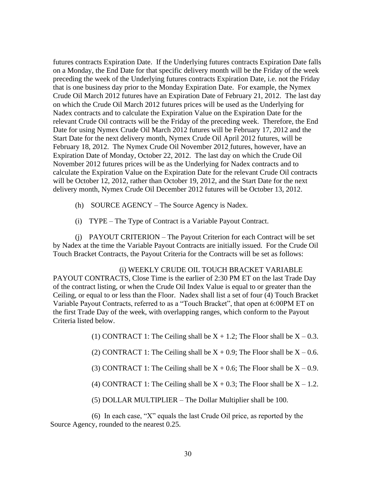futures contracts Expiration Date. If the Underlying futures contracts Expiration Date falls on a Monday, the End Date for that specific delivery month will be the Friday of the week preceding the week of the Underlying futures contracts Expiration Date, i.e. not the Friday that is one business day prior to the Monday Expiration Date. For example, the Nymex Crude Oil March 2012 futures have an Expiration Date of February 21, 2012. The last day on which the Crude Oil March 2012 futures prices will be used as the Underlying for Nadex contracts and to calculate the Expiration Value on the Expiration Date for the relevant Crude Oil contracts will be the Friday of the preceding week. Therefore, the End Date for using Nymex Crude Oil March 2012 futures will be February 17, 2012 and the Start Date for the next delivery month, Nymex Crude Oil April 2012 futures, will be February 18, 2012. The Nymex Crude Oil November 2012 futures, however, have an Expiration Date of Monday, October 22, 2012. The last day on which the Crude Oil November 2012 futures prices will be as the Underlying for Nadex contracts and to calculate the Expiration Value on the Expiration Date for the relevant Crude Oil contracts will be October 12, 2012, rather than October 19, 2012, and the Start Date for the next delivery month, Nymex Crude Oil December 2012 futures will be October 13, 2012.

- (h) SOURCE AGENCY The Source Agency is Nadex.
- (i) TYPE The Type of Contract is a Variable Payout Contract.

(j) PAYOUT CRITERION – The Payout Criterion for each Contract will be set by Nadex at the time the Variable Payout Contracts are initially issued. For the Crude Oil Touch Bracket Contracts, the Payout Criteria for the Contracts will be set as follows:

#### (i) WEEKLY CRUDE OIL TOUCH BRACKET VARIABLE

PAYOUT CONTRACTS, Close Time is the earlier of 2:30 PM ET on the last Trade Day of the contract listing, or when the Crude Oil Index Value is equal to or greater than the Ceiling, or equal to or less than the Floor. Nadex shall list a set of four (4) Touch Bracket Variable Payout Contracts, referred to as a "Touch Bracket", that open at 6:00PM ET on the first Trade Day of the week, with overlapping ranges, which conform to the Payout Criteria listed below.

(1) CONTRACT 1: The Ceiling shall be  $X + 1.2$ ; The Floor shall be  $X - 0.3$ .

(2) CONTRACT 1: The Ceiling shall be  $X + 0.9$ ; The Floor shall be  $X - 0.6$ .

- (3) CONTRACT 1: The Ceiling shall be  $X + 0.6$ ; The Floor shall be  $X 0.9$ .
- (4) CONTRACT 1: The Ceiling shall be  $X + 0.3$ ; The Floor shall be  $X 1.2$ .

(5) DOLLAR MULTIPLIER – The Dollar Multiplier shall be 100.

(6) In each case, "X" equals the last Crude Oil price, as reported by the Source Agency, rounded to the nearest 0.25.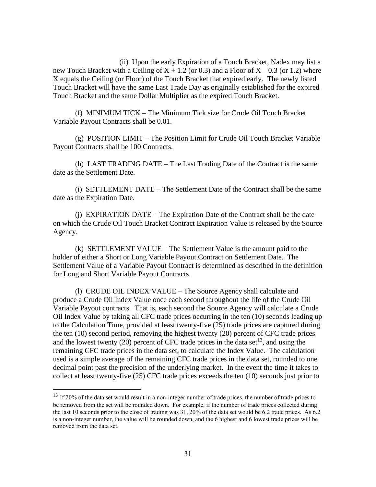(ii) Upon the early Expiration of a Touch Bracket, Nadex may list a new Touch Bracket with a Ceiling of  $X + 1.2$  (or 0.3) and a Floor of  $X - 0.3$  (or 1.2) where X equals the Ceiling (or Floor) of the Touch Bracket that expired early. The newly listed Touch Bracket will have the same Last Trade Day as originally established for the expired Touch Bracket and the same Dollar Multiplier as the expired Touch Bracket.

(f) MINIMUM TICK – The Minimum Tick size for Crude Oil Touch Bracket Variable Payout Contracts shall be 0.01.

(g) POSITION LIMIT – The Position Limit for Crude Oil Touch Bracket Variable Payout Contracts shall be 100 Contracts.

(h) LAST TRADING DATE – The Last Trading Date of the Contract is the same date as the Settlement Date.

(i) SETTLEMENT DATE – The Settlement Date of the Contract shall be the same date as the Expiration Date.

(j) EXPIRATION DATE – The Expiration Date of the Contract shall be the date on which the Crude Oil Touch Bracket Contract Expiration Value is released by the Source Agency.

(k) SETTLEMENT VALUE – The Settlement Value is the amount paid to the holder of either a Short or Long Variable Payout Contract on Settlement Date. The Settlement Value of a Variable Payout Contract is determined as described in the definition for Long and Short Variable Payout Contracts.

(l) CRUDE OIL INDEX VALUE – The Source Agency shall calculate and produce a Crude Oil Index Value once each second throughout the life of the Crude Oil Variable Payout contracts. That is, each second the Source Agency will calculate a Crude Oil Index Value by taking all CFC trade prices occurring in the ten (10) seconds leading up to the Calculation Time, provided at least twenty-five (25) trade prices are captured during the ten (10) second period, removing the highest twenty (20) percent of CFC trade prices and the lowest twenty (20) percent of CFC trade prices in the data set<sup>13</sup>, and using the remaining CFC trade prices in the data set, to calculate the Index Value. The calculation used is a simple average of the remaining CFC trade prices in the data set, rounded to one decimal point past the precision of the underlying market. In the event the time it takes to collect at least twenty-five (25) CFC trade prices exceeds the ten (10) seconds just prior to

<sup>&</sup>lt;sup>13</sup> If 20% of the data set would result in a non-integer number of trade prices, the number of trade prices to be removed from the set will be rounded down. For example, if the number of trade prices collected during the last 10 seconds prior to the close of trading was 31, 20% of the data set would be 6.2 trade prices. As  $6.2$ is a non-integer number, the value will be rounded down, and the 6 highest and 6 lowest trade prices will be removed from the data set.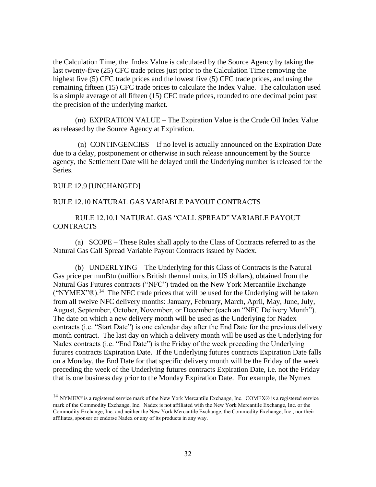the Calculation Time, the Index Value is calculated by the Source Agency by taking the last twenty-five (25) CFC trade prices just prior to the Calculation Time removing the highest five (5) CFC trade prices and the lowest five (5) CFC trade prices, and using the remaining fifteen (15) CFC trade prices to calculate the Index Value. The calculation used is a simple average of all fifteen (15) CFC trade prices, rounded to one decimal point past the precision of the underlying market.

(m) EXPIRATION VALUE – The Expiration Value is the Crude Oil Index Value as released by the Source Agency at Expiration.

(n) CONTINGENCIES – If no level is actually announced on the Expiration Date due to a delay, postponement or otherwise in such release announcement by the Source agency, the Settlement Date will be delayed until the Underlying number is released for the Series.

#### RULE 12.9 [UNCHANGED]

#### RULE 12.10 NATURAL GAS VARIABLE PAYOUT CONTRACTS

## RULE 12.10.1 NATURAL GAS "CALL SPREAD" VARIABLE PAYOUT CONTRACTS

(a) SCOPE – These Rules shall apply to the Class of Contracts referred to as the Natural Gas Call Spread Variable Payout Contracts issued by Nadex.

(b) UNDERLYING – The Underlying for this Class of Contracts is the Natural Gas price per mmBtu (millions British thermal units, in US dollars), obtained from the Natural Gas Futures contracts ("NFC") traded on the New York Mercantile Exchange  $("NYMEX"®).<sup>14</sup>$  The NFC trade prices that will be used for the Underlying will be taken from all twelve NFC delivery months: January, February, March, April, May, June, July, August, September, October, November, or December (each an "NFC Delivery Month"). The date on which a new delivery month will be used as the Underlying for Nadex contracts (i.e. "Start Date") is one calendar day after the End Date for the previous delivery month contract. The last day on which a delivery month will be used as the Underlying for Nadex contracts (i.e. "End Date") is the Friday of the week preceding the Underlying futures contracts Expiration Date. If the Underlying futures contracts Expiration Date falls on a Monday, the End Date for that specific delivery month will be the Friday of the week preceding the week of the Underlying futures contracts Expiration Date, i.e. not the Friday that is one business day prior to the Monday Expiration Date. For example, the Nymex

 $14$  NYMEX<sup>®</sup> is a registered service mark of the New York Mercantile Exchange, Inc. COMEX® is a registered service mark of the Commodity Exchange, Inc. Nadex is not affiliated with the New York Mercantile Exchange, Inc. or the Commodity Exchange, Inc. and neither the New York Mercantile Exchange, the Commodity Exchange, Inc., nor their affiliates, sponsor or endorse Nadex or any of its products in any way.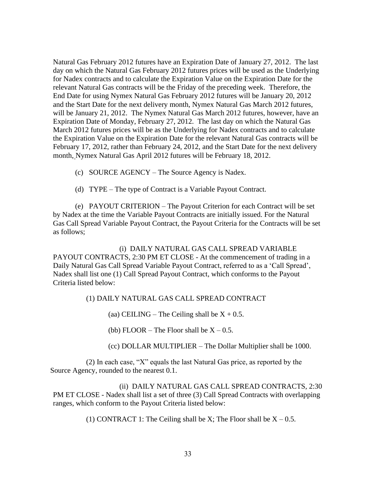Natural Gas February 2012 futures have an Expiration Date of January 27, 2012. The last day on which the Natural Gas February 2012 futures prices will be used as the Underlying for Nadex contracts and to calculate the Expiration Value on the Expiration Date for the relevant Natural Gas contracts will be the Friday of the preceding week. Therefore, the End Date for using Nymex Natural Gas February 2012 futures will be January 20, 2012 and the Start Date for the next delivery month, Nymex Natural Gas March 2012 futures, will be January 21, 2012. The Nymex Natural Gas March 2012 futures, however, have an Expiration Date of Monday, February 27, 2012. The last day on which the Natural Gas March 2012 futures prices will be as the Underlying for Nadex contracts and to calculate the Expiration Value on the Expiration Date for the relevant Natural Gas contracts will be February 17, 2012, rather than February 24, 2012, and the Start Date for the next delivery month, Nymex Natural Gas April 2012 futures will be February 18, 2012.

- (c) SOURCE AGENCY The Source Agency is Nadex.
- (d) TYPE The type of Contract is a Variable Payout Contract.

(e) PAYOUT CRITERION – The Payout Criterion for each Contract will be set by Nadex at the time the Variable Payout Contracts are initially issued. For the Natural Gas Call Spread Variable Payout Contract, the Payout Criteria for the Contracts will be set as follows;

(i) DAILY NATURAL GAS CALL SPREAD VARIABLE PAYOUT CONTRACTS, 2:30 PM ET CLOSE - At the commencement of trading in a Daily Natural Gas Call Spread Variable Payout Contract, referred to as a 'Call Spread', Nadex shall list one (1) Call Spread Payout Contract, which conforms to the Payout Criteria listed below:

(1) DAILY NATURAL GAS CALL SPREAD CONTRACT

(aa) CEILING – The Ceiling shall be  $X + 0.5$ .

(bb) FLOOR – The Floor shall be  $X - 0.5$ .

(cc) DOLLAR MULTIPLIER – The Dollar Multiplier shall be 1000.

(2) In each case, "X" equals the last Natural Gas price, as reported by the Source Agency, rounded to the nearest 0.1.

(ii) DAILY NATURAL GAS CALL SPREAD CONTRACTS, 2:30 PM ET CLOSE - Nadex shall list a set of three (3) Call Spread Contracts with overlapping ranges, which conform to the Payout Criteria listed below:

(1) CONTRACT 1: The Ceiling shall be X; The Floor shall be  $X - 0.5$ .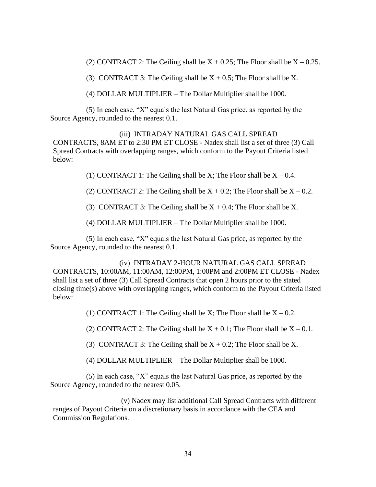(2) CONTRACT 2: The Ceiling shall be  $X + 0.25$ ; The Floor shall be  $X - 0.25$ .

(3) CONTRACT 3: The Ceiling shall be  $X + 0.5$ ; The Floor shall be X.

(4) DOLLAR MULTIPLIER – The Dollar Multiplier shall be 1000.

(5) In each case, "X" equals the last Natural Gas price, as reported by the Source Agency, rounded to the nearest 0.1.

(iii) INTRADAY NATURAL GAS CALL SPREAD CONTRACTS, 8AM ET to 2:30 PM ET CLOSE - Nadex shall list a set of three (3) Call Spread Contracts with overlapping ranges, which conform to the Payout Criteria listed below:

(1) CONTRACT 1: The Ceiling shall be X; The Floor shall be  $X - 0.4$ .

(2) CONTRACT 2: The Ceiling shall be  $X + 0.2$ ; The Floor shall be  $X - 0.2$ .

(3) CONTRACT 3: The Ceiling shall be  $X + 0.4$ ; The Floor shall be X.

(4) DOLLAR MULTIPLIER – The Dollar Multiplier shall be 1000.

(5) In each case, "X" equals the last Natural Gas price, as reported by the Source Agency, rounded to the nearest 0.1.

(iv) INTRADAY 2-HOUR NATURAL GAS CALL SPREAD CONTRACTS, 10:00AM, 11:00AM, 12:00PM, 1:00PM and 2:00PM ET CLOSE - Nadex shall list a set of three (3) Call Spread Contracts that open 2 hours prior to the stated closing time(s) above with overlapping ranges, which conform to the Payout Criteria listed below:

(1) CONTRACT 1: The Ceiling shall be X; The Floor shall be  $X - 0.2$ .

(2) CONTRACT 2: The Ceiling shall be  $X + 0.1$ ; The Floor shall be  $X - 0.1$ .

(3) CONTRACT 3: The Ceiling shall be  $X + 0.2$ ; The Floor shall be X.

(4) DOLLAR MULTIPLIER – The Dollar Multiplier shall be 1000.

(5) In each case, "X" equals the last Natural Gas price, as reported by the Source Agency, rounded to the nearest 0.05.

(v) Nadex may list additional Call Spread Contracts with different ranges of Payout Criteria on a discretionary basis in accordance with the CEA and Commission Regulations.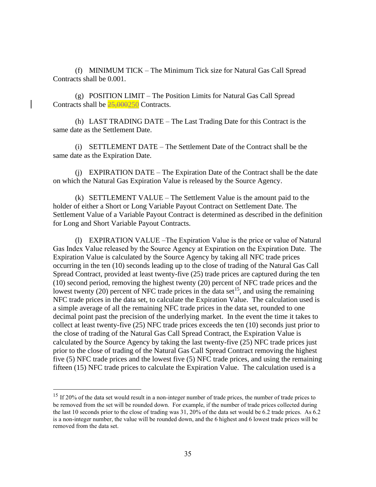(f) MINIMUM TICK – The Minimum Tick size for Natural Gas Call Spread Contracts shall be 0.001.

(g) POSITION LIMIT – The Position Limits for Natural Gas Call Spread Contracts shall be  $25,000250$  Contracts.

(h) LAST TRADING DATE – The Last Trading Date for this Contract is the same date as the Settlement Date.

(i) SETTLEMENT DATE – The Settlement Date of the Contract shall be the same date as the Expiration Date.

(j) EXPIRATION DATE – The Expiration Date of the Contract shall be the date on which the Natural Gas Expiration Value is released by the Source Agency.

(k) SETTLEMENT VALUE – The Settlement Value is the amount paid to the holder of either a Short or Long Variable Payout Contract on Settlement Date. The Settlement Value of a Variable Payout Contract is determined as described in the definition for Long and Short Variable Payout Contracts.

(l) EXPIRATION VALUE –The Expiration Value is the price or value of Natural Gas Index Value released by the Source Agency at Expiration on the Expiration Date. The Expiration Value is calculated by the Source Agency by taking all NFC trade prices occurring in the ten (10) seconds leading up to the close of trading of the Natural Gas Call Spread Contract, provided at least twenty-five (25) trade prices are captured during the ten (10) second period, removing the highest twenty (20) percent of NFC trade prices and the lowest twenty (20) percent of NFC trade prices in the data set<sup>15</sup>, and using the remaining NFC trade prices in the data set, to calculate the Expiration Value. The calculation used is a simple average of all the remaining NFC trade prices in the data set, rounded to one decimal point past the precision of the underlying market. In the event the time it takes to collect at least twenty-five (25) NFC trade prices exceeds the ten (10) seconds just prior to the close of trading of the Natural Gas Call Spread Contract, the Expiration Value is calculated by the Source Agency by taking the last twenty-five (25) NFC trade prices just prior to the close of trading of the Natural Gas Call Spread Contract removing the highest five (5) NFC trade prices and the lowest five (5) NFC trade prices, and using the remaining fifteen (15) NFC trade prices to calculate the Expiration Value. The calculation used is a

<sup>&</sup>lt;sup>15</sup> If 20% of the data set would result in a non-integer number of trade prices, the number of trade prices to be removed from the set will be rounded down. For example, if the number of trade prices collected during the last 10 seconds prior to the close of trading was 31, 20% of the data set would be 6.2 trade prices. As  $6.2$ is a non-integer number, the value will be rounded down, and the 6 highest and 6 lowest trade prices will be removed from the data set.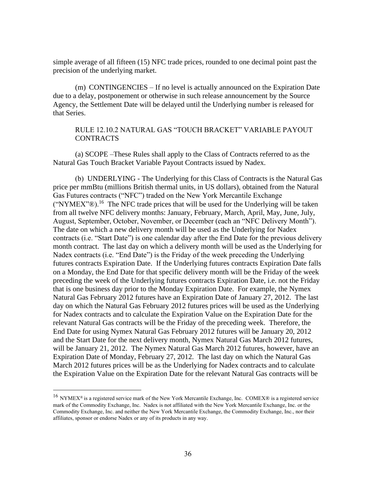simple average of all fifteen (15) NFC trade prices, rounded to one decimal point past the precision of the underlying market.

(m) CONTINGENCIES – If no level is actually announced on the Expiration Date due to a delay, postponement or otherwise in such release announcement by the Source Agency, the Settlement Date will be delayed until the Underlying number is released for that Series.

## RULE 12.10.2 NATURAL GAS "TOUCH BRACKET" VARIABLE PAYOUT **CONTRACTS**

(a) SCOPE –These Rules shall apply to the Class of Contracts referred to as the Natural Gas Touch Bracket Variable Payout Contracts issued by Nadex.

(b) UNDERLYING - The Underlying for this Class of Contracts is the Natural Gas price per mmBtu (millions British thermal units, in US dollars), obtained from the Natural Gas Futures contracts ("NFC") traded on the New York Mercantile Exchange ("NYMEX" $\mathbb{R}$ ).<sup>16</sup> The NFC trade prices that will be used for the Underlying will be taken from all twelve NFC delivery months: January, February, March, April, May, June, July, August, September, October, November, or December (each an "NFC Delivery Month"). The date on which a new delivery month will be used as the Underlying for Nadex contracts (i.e. "Start Date") is one calendar day after the End Date for the previous delivery month contract. The last day on which a delivery month will be used as the Underlying for Nadex contracts (i.e. "End Date") is the Friday of the week preceding the Underlying futures contracts Expiration Date. If the Underlying futures contracts Expiration Date falls on a Monday, the End Date for that specific delivery month will be the Friday of the week preceding the week of the Underlying futures contracts Expiration Date, i.e. not the Friday that is one business day prior to the Monday Expiration Date. For example, the Nymex Natural Gas February 2012 futures have an Expiration Date of January 27, 2012. The last day on which the Natural Gas February 2012 futures prices will be used as the Underlying for Nadex contracts and to calculate the Expiration Value on the Expiration Date for the relevant Natural Gas contracts will be the Friday of the preceding week. Therefore, the End Date for using Nymex Natural Gas February 2012 futures will be January 20, 2012 and the Start Date for the next delivery month, Nymex Natural Gas March 2012 futures, will be January 21, 2012. The Nymex Natural Gas March 2012 futures, however, have an Expiration Date of Monday, February 27, 2012. The last day on which the Natural Gas March 2012 futures prices will be as the Underlying for Nadex contracts and to calculate the Expiration Value on the Expiration Date for the relevant Natural Gas contracts will be

 $16$  NYMEX<sup>®</sup> is a registered service mark of the New York Mercantile Exchange, Inc. COMEX® is a registered service mark of the Commodity Exchange, Inc. Nadex is not affiliated with the New York Mercantile Exchange, Inc. or the Commodity Exchange, Inc. and neither the New York Mercantile Exchange, the Commodity Exchange, Inc., nor their affiliates, sponsor or endorse Nadex or any of its products in any way.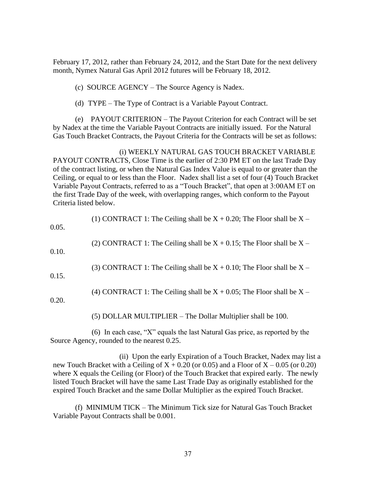February 17, 2012, rather than February 24, 2012, and the Start Date for the next delivery month, Nymex Natural Gas April 2012 futures will be February 18, 2012.

(c) SOURCE AGENCY – The Source Agency is Nadex.

(d) TYPE – The Type of Contract is a Variable Payout Contract.

(e) PAYOUT CRITERION – The Payout Criterion for each Contract will be set by Nadex at the time the Variable Payout Contracts are initially issued. For the Natural Gas Touch Bracket Contracts, the Payout Criteria for the Contracts will be set as follows:

(i) WEEKLY NATURAL GAS TOUCH BRACKET VARIABLE PAYOUT CONTRACTS, Close Time is the earlier of 2:30 PM ET on the last Trade Day of the contract listing, or when the Natural Gas Index Value is equal to or greater than the Ceiling, or equal to or less than the Floor. Nadex shall list a set of four (4) Touch Bracket Variable Payout Contracts, referred to as a "Touch Bracket", that open at 3:00AM ET on the first Trade Day of the week, with overlapping ranges, which conform to the Payout Criteria listed below.

| 0.05. | (1) CONTRACT 1: The Ceiling shall be $X + 0.20$ ; The Floor shall be $X -$ |
|-------|----------------------------------------------------------------------------|
| 0.10. | (2) CONTRACT 1: The Ceiling shall be $X + 0.15$ ; The Floor shall be $X -$ |
| 0.15. | (3) CONTRACT 1: The Ceiling shall be $X + 0.10$ ; The Floor shall be $X -$ |
| 0.20. | (4) CONTRACT 1: The Ceiling shall be $X + 0.05$ ; The Floor shall be $X -$ |

(5) DOLLAR MULTIPLIER – The Dollar Multiplier shall be 100.

(6) In each case, "X" equals the last Natural Gas price, as reported by the Source Agency, rounded to the nearest 0.25.

(ii) Upon the early Expiration of a Touch Bracket, Nadex may list a new Touch Bracket with a Ceiling of  $X + 0.20$  (or 0.05) and a Floor of  $X - 0.05$  (or 0.20) where X equals the Ceiling (or Floor) of the Touch Bracket that expired early. The newly listed Touch Bracket will have the same Last Trade Day as originally established for the expired Touch Bracket and the same Dollar Multiplier as the expired Touch Bracket.

(f) MINIMUM TICK – The Minimum Tick size for Natural Gas Touch Bracket Variable Payout Contracts shall be 0.001.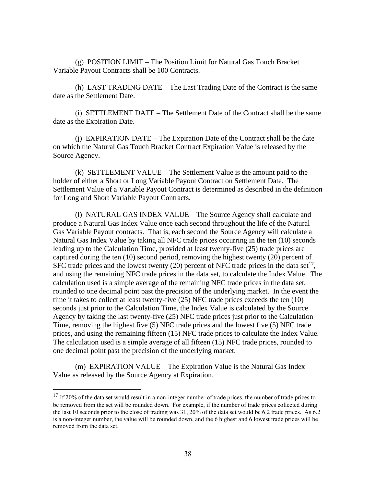(g) POSITION LIMIT – The Position Limit for Natural Gas Touch Bracket Variable Payout Contracts shall be 100 Contracts.

(h) LAST TRADING DATE – The Last Trading Date of the Contract is the same date as the Settlement Date.

(i) SETTLEMENT DATE – The Settlement Date of the Contract shall be the same date as the Expiration Date.

(j) EXPIRATION DATE – The Expiration Date of the Contract shall be the date on which the Natural Gas Touch Bracket Contract Expiration Value is released by the Source Agency.

(k) SETTLEMENT VALUE – The Settlement Value is the amount paid to the holder of either a Short or Long Variable Payout Contract on Settlement Date. The Settlement Value of a Variable Payout Contract is determined as described in the definition for Long and Short Variable Payout Contracts.

(l) NATURAL GAS INDEX VALUE – The Source Agency shall calculate and produce a Natural Gas Index Value once each second throughout the life of the Natural Gas Variable Payout contracts. That is, each second the Source Agency will calculate a Natural Gas Index Value by taking all NFC trade prices occurring in the ten (10) seconds leading up to the Calculation Time, provided at least twenty-five (25) trade prices are captured during the ten (10) second period, removing the highest twenty (20) percent of SFC trade prices and the lowest twenty (20) percent of NFC trade prices in the data set<sup>17</sup>, and using the remaining NFC trade prices in the data set, to calculate the Index Value. The calculation used is a simple average of the remaining NFC trade prices in the data set, rounded to one decimal point past the precision of the underlying market. In the event the time it takes to collect at least twenty-five (25) NFC trade prices exceeds the ten (10) seconds just prior to the Calculation Time, the Index Value is calculated by the Source Agency by taking the last twenty-five (25) NFC trade prices just prior to the Calculation Time, removing the highest five (5) NFC trade prices and the lowest five (5) NFC trade prices, and using the remaining fifteen (15) NFC trade prices to calculate the Index Value. The calculation used is a simple average of all fifteen (15) NFC trade prices, rounded to one decimal point past the precision of the underlying market.

(m) EXPIRATION VALUE – The Expiration Value is the Natural Gas Index Value as released by the Source Agency at Expiration.

<sup>&</sup>lt;sup>17</sup> If 20% of the data set would result in a non-integer number of trade prices, the number of trade prices to be removed from the set will be rounded down. For example, if the number of trade prices collected during the last 10 seconds prior to the close of trading was 31, 20% of the data set would be 6.2 trade prices. As  $6.2$ is a non-integer number, the value will be rounded down, and the 6 highest and 6 lowest trade prices will be removed from the data set.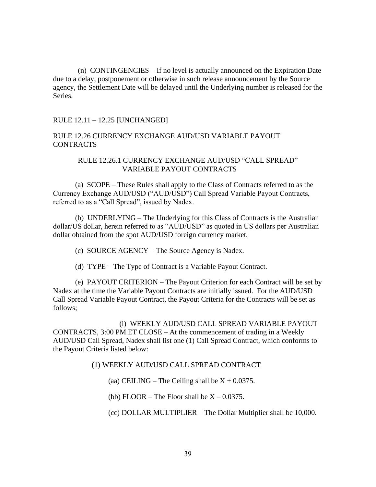(n) CONTINGENCIES – If no level is actually announced on the Expiration Date due to a delay, postponement or otherwise in such release announcement by the Source agency, the Settlement Date will be delayed until the Underlying number is released for the Series.

RULE 12.11 – 12.25 [UNCHANGED]

## RULE 12.26 CURRENCY EXCHANGE AUD/USD VARIABLE PAYOUT CONTRACTS

# RULE 12.26.1 CURRENCY EXCHANGE AUD/USD "CALL SPREAD" VARIABLE PAYOUT CONTRACTS

(a) SCOPE – These Rules shall apply to the Class of Contracts referred to as the Currency Exchange AUD/USD ("AUD/USD") Call Spread Variable Payout Contracts, referred to as a "Call Spread", issued by Nadex.

(b) UNDERLYING – The Underlying for this Class of Contracts is the Australian dollar/US dollar, herein referred to as "AUD/USD" as quoted in US dollars per Australian dollar obtained from the spot AUD/USD foreign currency market.

(c) SOURCE AGENCY – The Source Agency is Nadex.

(d) TYPE – The Type of Contract is a Variable Payout Contract.

(e) PAYOUT CRITERION – The Payout Criterion for each Contract will be set by Nadex at the time the Variable Payout Contracts are initially issued. For the AUD/USD Call Spread Variable Payout Contract, the Payout Criteria for the Contracts will be set as follows;

(i) WEEKLY AUD/USD CALL SPREAD VARIABLE PAYOUT CONTRACTS, 3:00 PM ET CLOSE – At the commencement of trading in a Weekly AUD/USD Call Spread, Nadex shall list one (1) Call Spread Contract, which conforms to the Payout Criteria listed below:

(1) WEEKLY AUD/USD CALL SPREAD CONTRACT

(aa) CEILING – The Ceiling shall be  $X + 0.0375$ .

(bb) FLOOR – The Floor shall be  $X - 0.0375$ .

(cc) DOLLAR MULTIPLIER – The Dollar Multiplier shall be 10,000.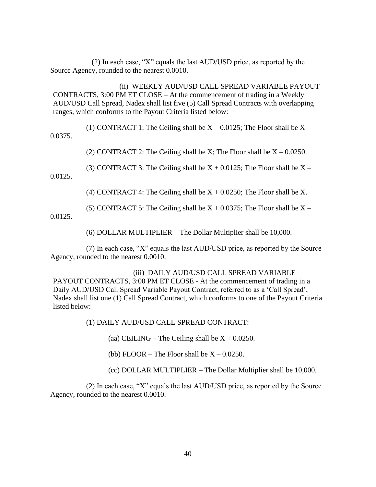(2) In each case, "X" equals the last AUD/USD price, as reported by the Source Agency, rounded to the nearest 0.0010.

(ii) WEEKLY AUD/USD CALL SPREAD VARIABLE PAYOUT CONTRACTS, 3:00 PM ET CLOSE – At the commencement of trading in a Weekly AUD/USD Call Spread, Nadex shall list five (5) Call Spread Contracts with overlapping ranges, which conforms to the Payout Criteria listed below:

(1) CONTRACT 1: The Ceiling shall be  $X - 0.0125$ ; The Floor shall be  $X -$ 0.0375.

(2) CONTRACT 2: The Ceiling shall be X; The Floor shall be  $X - 0.0250$ .

(3) CONTRACT 3: The Ceiling shall be  $X + 0.0125$ ; The Floor shall be  $X -$ 

0.0125.

(4) CONTRACT 4: The Ceiling shall be  $X + 0.0250$ ; The Floor shall be X.

(5) CONTRACT 5: The Ceiling shall be  $X + 0.0375$ ; The Floor shall be  $X -$ 

0.0125.

(6) DOLLAR MULTIPLIER – The Dollar Multiplier shall be 10,000.

(7) In each case, "X" equals the last AUD/USD price, as reported by the Source Agency, rounded to the nearest 0.0010.

(iii) DAILY AUD/USD CALL SPREAD VARIABLE PAYOUT CONTRACTS, 3:00 PM ET CLOSE - At the commencement of trading in a Daily AUD/USD Call Spread Variable Payout Contract, referred to as a 'Call Spread', Nadex shall list one (1) Call Spread Contract, which conforms to one of the Payout Criteria listed below:

(1) DAILY AUD/USD CALL SPREAD CONTRACT:

(aa) CEILING – The Ceiling shall be  $X + 0.0250$ .

(bb) FLOOR – The Floor shall be  $X - 0.0250$ .

(cc) DOLLAR MULTIPLIER – The Dollar Multiplier shall be 10,000.

(2) In each case, "X" equals the last AUD/USD price, as reported by the Source Agency, rounded to the nearest 0.0010.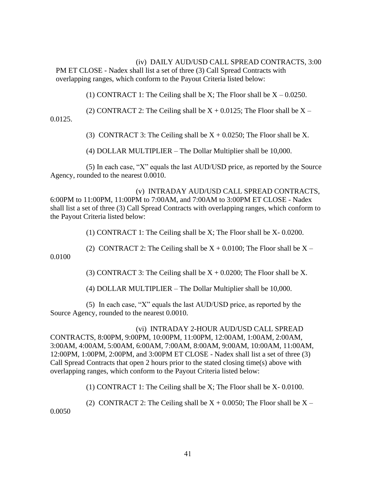#### (iv) DAILY AUD/USD CALL SPREAD CONTRACTS, 3:00

PM ET CLOSE - Nadex shall list a set of three (3) Call Spread Contracts with overlapping ranges, which conform to the Payout Criteria listed below:

(1) CONTRACT 1: The Ceiling shall be X; The Floor shall be  $X - 0.0250$ .

(2) CONTRACT 2: The Ceiling shall be  $X + 0.0125$ ; The Floor shall be  $X -$ 

0.0125.

(3) CONTRACT 3: The Ceiling shall be  $X + 0.0250$ ; The Floor shall be X.

(4) DOLLAR MULTIPLIER – The Dollar Multiplier shall be 10,000.

(5) In each case, "X" equals the last AUD/USD price, as reported by the Source Agency, rounded to the nearest 0.0010.

(v) INTRADAY AUD/USD CALL SPREAD CONTRACTS, 6:00PM to 11:00PM, 11:00PM to 7:00AM, and 7:00AM to 3:00PM ET CLOSE - Nadex shall list a set of three (3) Call Spread Contracts with overlapping ranges, which conform to the Payout Criteria listed below:

(1) CONTRACT 1: The Ceiling shall be X; The Floor shall be X- 0.0200.

(2) CONTRACT 2: The Ceiling shall be  $X + 0.0100$ ; The Floor shall be  $X -$ 0.0100

(3) CONTRACT 3: The Ceiling shall be  $X + 0.0200$ ; The Floor shall be X.

(4) DOLLAR MULTIPLIER – The Dollar Multiplier shall be 10,000.

(5) In each case, "X" equals the last AUD/USD price, as reported by the Source Agency, rounded to the nearest 0.0010.

(vi) INTRADAY 2-HOUR AUD/USD CALL SPREAD CONTRACTS, 8:00PM, 9:00PM, 10:00PM, 11:00PM, 12:00AM, 1:00AM, 2:00AM, 3:00AM, 4:00AM, 5:00AM, 6:00AM, 7:00AM, 8:00AM, 9:00AM, 10:00AM, 11:00AM, 12:00PM, 1:00PM, 2:00PM, and 3:00PM ET CLOSE - Nadex shall list a set of three (3) Call Spread Contracts that open 2 hours prior to the stated closing time(s) above with overlapping ranges, which conform to the Payout Criteria listed below:

(1) CONTRACT 1: The Ceiling shall be X; The Floor shall be X- 0.0100.

(2) CONTRACT 2: The Ceiling shall be  $X + 0.0050$ ; The Floor shall be  $X -$ 0.0050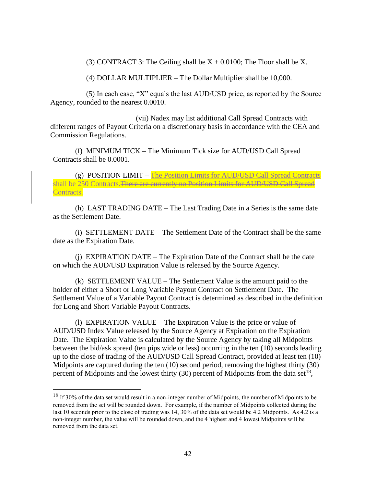(3) CONTRACT 3: The Ceiling shall be  $X + 0.0100$ ; The Floor shall be X.

(4) DOLLAR MULTIPLIER – The Dollar Multiplier shall be 10,000.

(5) In each case, "X" equals the last AUD/USD price, as reported by the Source Agency, rounded to the nearest 0.0010.

(vii) Nadex may list additional Call Spread Contracts with different ranges of Payout Criteria on a discretionary basis in accordance with the CEA and Commission Regulations.

(f) MINIMUM TICK – The Minimum Tick size for AUD/USD Call Spread Contracts shall be 0.0001.

(g) POSITION LIMIT – The Position Limits for AUD/USD Call Spread Contracts shall be 250 Contracts.There are currently no Position Limits for AUD/USD Call Spread Contracts.

(h) LAST TRADING DATE – The Last Trading Date in a Series is the same date as the Settlement Date.

(i) SETTLEMENT DATE – The Settlement Date of the Contract shall be the same date as the Expiration Date.

(j) EXPIRATION DATE – The Expiration Date of the Contract shall be the date on which the AUD/USD Expiration Value is released by the Source Agency.

(k) SETTLEMENT VALUE – The Settlement Value is the amount paid to the holder of either a Short or Long Variable Payout Contract on Settlement Date. The Settlement Value of a Variable Payout Contract is determined as described in the definition for Long and Short Variable Payout Contracts.

(l) EXPIRATION VALUE – The Expiration Value is the price or value of AUD/USD Index Value released by the Source Agency at Expiration on the Expiration Date. The Expiration Value is calculated by the Source Agency by taking all Midpoints between the bid/ask spread (ten pips wide or less) occurring in the ten (10) seconds leading up to the close of trading of the AUD/USD Call Spread Contract, provided at least ten (10) Midpoints are captured during the ten (10) second period, removing the highest thirty (30) percent of Midpoints and the lowest thirty  $(30)$  percent of Midpoints from the data set<sup>18</sup>,

<sup>&</sup>lt;sup>18</sup> If 30% of the data set would result in a non-integer number of Midpoints, the number of Midpoints to be removed from the set will be rounded down. For example, if the number of Midpoints collected during the last 10 seconds prior to the close of trading was 14, 30% of the data set would be 4.2 Midpoints. As 4.2 is a non-integer number, the value will be rounded down, and the 4 highest and 4 lowest Midpoints will be removed from the data set.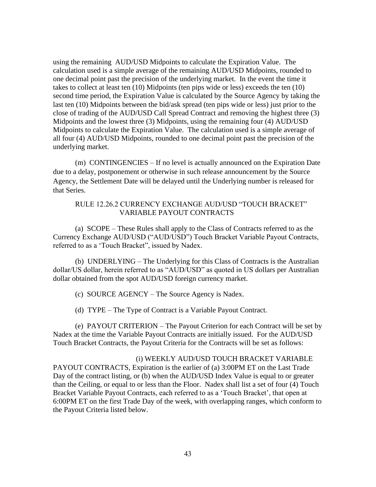using the remaining AUD/USD Midpoints to calculate the Expiration Value. The calculation used is a simple average of the remaining AUD/USD Midpoints, rounded to one decimal point past the precision of the underlying market. In the event the time it takes to collect at least ten (10) Midpoints (ten pips wide or less) exceeds the ten (10) second time period, the Expiration Value is calculated by the Source Agency by taking the last ten (10) Midpoints between the bid/ask spread (ten pips wide or less) just prior to the close of trading of the AUD/USD Call Spread Contract and removing the highest three (3) Midpoints and the lowest three (3) Midpoints, using the remaining four (4) AUD/USD Midpoints to calculate the Expiration Value. The calculation used is a simple average of all four (4) AUD/USD Midpoints, rounded to one decimal point past the precision of the underlying market.

(m) CONTINGENCIES – If no level is actually announced on the Expiration Date due to a delay, postponement or otherwise in such release announcement by the Source Agency, the Settlement Date will be delayed until the Underlying number is released for that Series.

# RULE 12.26.2 CURRENCY EXCHANGE AUD/USD "TOUCH BRACKET" VARIABLE PAYOUT CONTRACTS

(a) SCOPE – These Rules shall apply to the Class of Contracts referred to as the Currency Exchange AUD/USD ("AUD/USD") Touch Bracket Variable Payout Contracts, referred to as a 'Touch Bracket", issued by Nadex.

(b) UNDERLYING – The Underlying for this Class of Contracts is the Australian dollar/US dollar, herein referred to as "AUD/USD" as quoted in US dollars per Australian dollar obtained from the spot AUD/USD foreign currency market.

(c) SOURCE AGENCY – The Source Agency is Nadex.

(d) TYPE – The Type of Contract is a Variable Payout Contract.

(e) PAYOUT CRITERION – The Payout Criterion for each Contract will be set by Nadex at the time the Variable Payout Contracts are initially issued. For the AUD/USD Touch Bracket Contracts, the Payout Criteria for the Contracts will be set as follows:

(i) WEEKLY AUD/USD TOUCH BRACKET VARIABLE PAYOUT CONTRACTS, Expiration is the earlier of (a) 3:00PM ET on the Last Trade Day of the contract listing, or (b) when the AUD/USD Index Value is equal to or greater than the Ceiling, or equal to or less than the Floor. Nadex shall list a set of four (4) Touch Bracket Variable Payout Contracts, each referred to as a 'Touch Bracket', that open at 6:00PM ET on the first Trade Day of the week, with overlapping ranges, which conform to the Payout Criteria listed below.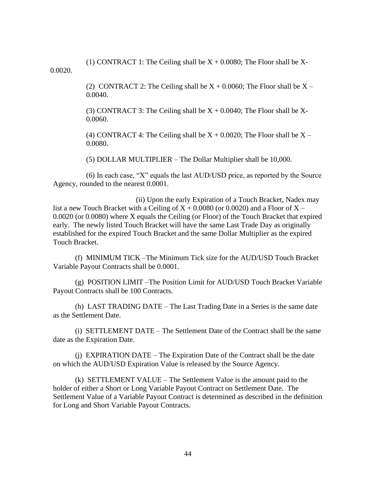(1) CONTRACT 1: The Ceiling shall be  $X + 0.0080$ ; The Floor shall be X-0.0020.

> (2) CONTRACT 2: The Ceiling shall be  $X + 0.0060$ ; The Floor shall be  $X -$ 0.0040.

(3) CONTRACT 3: The Ceiling shall be  $X + 0.0040$ ; The Floor shall be X-0.0060.

(4) CONTRACT 4: The Ceiling shall be  $X + 0.0020$ ; The Floor shall be  $X -$ 0.0080.

(5) DOLLAR MULTIPLIER – The Dollar Multiplier shall be 10,000.

(6) In each case, "X" equals the last AUD/USD price, as reported by the Source Agency, rounded to the nearest 0.0001.

(ii) Upon the early Expiration of a Touch Bracket, Nadex may list a new Touch Bracket with a Ceiling of  $X + 0.0080$  (or 0.0020) and a Floor of  $X -$ 0.0020 (or 0.0080) where X equals the Ceiling (or Floor) of the Touch Bracket that expired early. The newly listed Touch Bracket will have the same Last Trade Day as originally established for the expired Touch Bracket and the same Dollar Multiplier as the expired Touch Bracket.

(f) MINIMUM TICK –The Minimum Tick size for the AUD/USD Touch Bracket Variable Payout Contracts shall be 0.0001.

(g) POSITION LIMIT –The Position Limit for AUD/USD Touch Bracket Variable Payout Contracts shall be 100 Contracts.

(h) LAST TRADING DATE – The Last Trading Date in a Series is the same date as the Settlement Date.

(i) SETTLEMENT DATE – The Settlement Date of the Contract shall be the same date as the Expiration Date.

(j) EXPIRATION DATE – The Expiration Date of the Contract shall be the date on which the AUD/USD Expiration Value is released by the Source Agency.

(k) SETTLEMENT VALUE – The Settlement Value is the amount paid to the holder of either a Short or Long Variable Payout Contract on Settlement Date. The Settlement Value of a Variable Payout Contract is determined as described in the definition for Long and Short Variable Payout Contracts.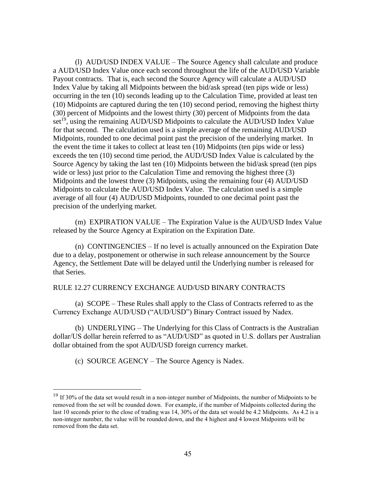(l) AUD/USD INDEX VALUE – The Source Agency shall calculate and produce a AUD/USD Index Value once each second throughout the life of the AUD/USD Variable Payout contracts. That is, each second the Source Agency will calculate a AUD/USD Index Value by taking all Midpoints between the bid/ask spread (ten pips wide or less) occurring in the ten (10) seconds leading up to the Calculation Time, provided at least ten (10) Midpoints are captured during the ten (10) second period, removing the highest thirty (30) percent of Midpoints and the lowest thirty (30) percent of Midpoints from the data set<sup>19</sup>, using the remaining AUD/USD Midpoints to calculate the AUD/USD Index Value for that second. The calculation used is a simple average of the remaining AUD/USD Midpoints, rounded to one decimal point past the precision of the underlying market. In the event the time it takes to collect at least ten (10) Midpoints (ten pips wide or less) exceeds the ten (10) second time period, the AUD/USD Index Value is calculated by the Source Agency by taking the last ten (10) Midpoints between the bid/ask spread (ten pips wide or less) just prior to the Calculation Time and removing the highest three (3) Midpoints and the lowest three (3) Midpoints, using the remaining four (4) AUD/USD Midpoints to calculate the AUD/USD Index Value. The calculation used is a simple average of all four (4) AUD/USD Midpoints, rounded to one decimal point past the precision of the underlying market.

(m) EXPIRATION VALUE – The Expiration Value is the AUD/USD Index Value released by the Source Agency at Expiration on the Expiration Date.

(n) CONTINGENCIES – If no level is actually announced on the Expiration Date due to a delay, postponement or otherwise in such release announcement by the Source Agency, the Settlement Date will be delayed until the Underlying number is released for that Series.

#### RULE 12.27 CURRENCY EXCHANGE AUD/USD BINARY CONTRACTS

(a) SCOPE – These Rules shall apply to the Class of Contracts referred to as the Currency Exchange AUD/USD ("AUD/USD") Binary Contract issued by Nadex.

(b) UNDERLYING – The Underlying for this Class of Contracts is the Australian dollar/US dollar herein referred to as "AUD/USD" as quoted in U.S. dollars per Australian dollar obtained from the spot AUD/USD foreign currency market.

(c) SOURCE AGENCY – The Source Agency is Nadex.

<sup>&</sup>lt;sup>19</sup> If 30% of the data set would result in a non-integer number of Midpoints, the number of Midpoints to be removed from the set will be rounded down. For example, if the number of Midpoints collected during the last 10 seconds prior to the close of trading was 14, 30% of the data set would be 4.2 Midpoints. As 4.2 is a non-integer number, the value will be rounded down, and the 4 highest and 4 lowest Midpoints will be removed from the data set.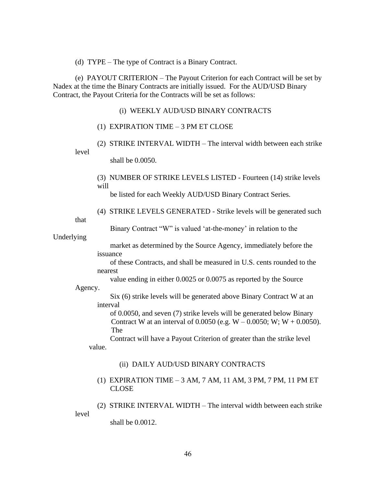(d) TYPE – The type of Contract is a Binary Contract.

(e) PAYOUT CRITERION – The Payout Criterion for each Contract will be set by Nadex at the time the Binary Contracts are initially issued. For the AUD/USD Binary Contract, the Payout Criteria for the Contracts will be set as follows:

- (i) WEEKLY AUD/USD BINARY CONTRACTS
- (1) EXPIRATION TIME 3 PM ET CLOSE
- (2) STRIKE INTERVAL WIDTH The interval width between each strike level

shall be 0.0050.

(3) NUMBER OF STRIKE LEVELS LISTED - Fourteen (14) strike levels will

be listed for each Weekly AUD/USD Binary Contract Series.

(4) STRIKE LEVELS GENERATED - Strike levels will be generated such

that

Binary Contract "W" is valued 'at-the-money' in relation to the

Underlying

 market as determined by the Source Agency, immediately before the issuance

 of these Contracts, and shall be measured in U.S. cents rounded to the nearest

value ending in either 0.0025 or 0.0075 as reported by the Source

Agency.

 Six (6) strike levels will be generated above Binary Contract W at an interval

 of 0.0050, and seven (7) strike levels will be generated below Binary Contract W at an interval of  $0.0050$  (e.g. W –  $0.0050$ ; W; W +  $0.0050$ ). The

 Contract will have a Payout Criterion of greater than the strike level value.

### (ii) DAILY AUD/USD BINARY CONTRACTS

- (1) EXPIRATION TIME 3 AM, 7 AM, 11 AM, 3 PM, 7 PM, 11 PM ET CLOSE
- (2) STRIKE INTERVAL WIDTH The interval width between each strike level

shall be 0.0012.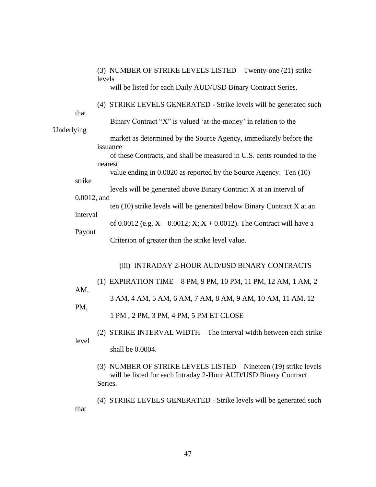| levels<br>will be listed for each Daily AUD/USD Binary Contract Series.                                                                        |  |
|------------------------------------------------------------------------------------------------------------------------------------------------|--|
|                                                                                                                                                |  |
| (4) STRIKE LEVELS GENERATED - Strike levels will be generated such<br>that                                                                     |  |
| Binary Contract "X" is valued 'at-the-money' in relation to the<br>Underlying                                                                  |  |
| market as determined by the Source Agency, immediately before the<br>issuance                                                                  |  |
| of these Contracts, and shall be measured in U.S. cents rounded to the<br>nearest                                                              |  |
| value ending in 0.0020 as reported by the Source Agency. Ten (10)<br>strike                                                                    |  |
| levels will be generated above Binary Contract X at an interval of<br>$0.0012$ , and                                                           |  |
| ten (10) strike levels will be generated below Binary Contract X at an<br>interval                                                             |  |
| of 0.0012 (e.g. $X - 0.0012$ ; $X$ ; $X + 0.0012$ ). The Contract will have a                                                                  |  |
| Payout<br>Criterion of greater than the strike level value.                                                                                    |  |
| (iii) INTRADAY 2-HOUR AUD/USD BINARY CONTRACTS                                                                                                 |  |
| (1) EXPIRATION TIME - 8 PM, 9 PM, 10 PM, 11 PM, 12 AM, 1 AM, 2                                                                                 |  |
| AM,<br>3 AM, 4 AM, 5 AM, 6 AM, 7 AM, 8 AM, 9 AM, 10 AM, 11 AM, 12                                                                              |  |
| PM,<br>1 PM, 2 PM, 3 PM, 4 PM, 5 PM ET CLOSE                                                                                                   |  |
| (2) STRIKE INTERVAL WIDTH - The interval width between each strike                                                                             |  |
| level<br>shall be 0.0004.                                                                                                                      |  |
| (3) NUMBER OF STRIKE LEVELS LISTED – Nineteen (19) strike levels<br>will be listed for each Intraday 2-Hour AUD/USD Binary Contract<br>Series. |  |

(4) STRIKE LEVELS GENERATED - Strike levels will be generated such that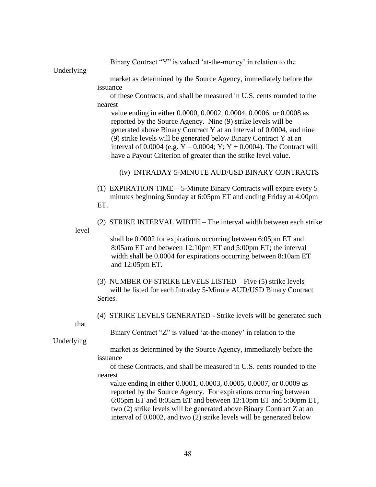Binary Contract "Y" is valued 'at-the-money' in relation to the

Underlying

 market as determined by the Source Agency, immediately before the issuance

 of these Contracts, and shall be measured in U.S. cents rounded to the nearest

value ending in either 0.0000, 0.0002, 0.0004, 0.0006, or 0.0008 as reported by the Source Agency. Nine (9) strike levels will be generated above Binary Contract Y at an interval of 0.0004, and nine (9) strike levels will be generated below Binary Contract Y at an interval of 0.0004 (e.g.  $Y - 0.0004$ ;  $Y$ ;  $Y + 0.0004$ ). The Contract will have a Payout Criterion of greater than the strike level value.

(iv) INTRADAY 5-MINUTE AUD/USD BINARY CONTRACTS

(1) EXPIRATION TIME – 5-Minute Binary Contracts will expire every 5 minutes beginning Sunday at 6:05pm ET and ending Friday at 4:00pm ET.

(2) STRIKE INTERVAL WIDTH – The interval width between each strike

 shall be 0.0002 for expirations occurring between 6:05pm ET and 8:05am ET and between 12:10pm ET and 5:00pm ET; the interval width shall be 0.0004 for expirations occurring between 8:10am ET and 12:05pm ET.

- (3) NUMBER OF STRIKE LEVELS LISTED Five (5) strike levels will be listed for each Intraday 5-Minute AUD/USD Binary Contract Series.
- (4) STRIKE LEVELS GENERATED Strike levels will be generated such

that

level

Binary Contract "Z" is valued 'at-the-money' in relation to the

Underlying

 market as determined by the Source Agency, immediately before the issuance

 of these Contracts, and shall be measured in U.S. cents rounded to the nearest

 value ending in either 0.0001, 0.0003, 0.0005, 0.0007, or 0.0009 as reported by the Source Agency. For expirations occurring between 6:05pm ET and 8:05am ET and between 12:10pm ET and 5:00pm ET, two (2) strike levels will be generated above Binary Contract Z at an interval of 0.0002, and two (2) strike levels will be generated below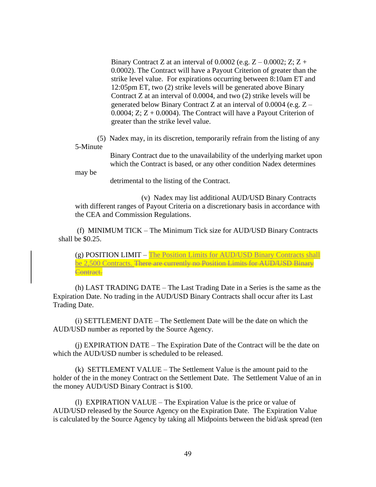Binary Contract Z at an interval of  $0.0002$  (e.g.  $Z - 0.0002$ ; Z; Z + 0.0002). The Contract will have a Payout Criterion of greater than the strike level value. For expirations occurring between 8:10am ET and 12:05pm ET, two (2) strike levels will be generated above Binary Contract Z at an interval of 0.0004, and two (2) strike levels will be generated below Binary Contract Z at an interval of  $0.0004$  (e.g.  $Z -$ 0.0004;  $Z$ ;  $Z + 0.0004$ ). The Contract will have a Payout Criterion of greater than the strike level value.

(5) Nadex may, in its discretion, temporarily refrain from the listing of any 5-Minute

> Binary Contract due to the unavailability of the underlying market upon which the Contract is based, or any other condition Nadex determines

may be

detrimental to the listing of the Contract.

(v) Nadex may list additional AUD/USD Binary Contracts with different ranges of Payout Criteria on a discretionary basis in accordance with the CEA and Commission Regulations.

(f) MINIMUM TICK – The Minimum Tick size for AUD/USD Binary Contracts shall be \$0.25.

(g) POSITION LIMIT – The Position Limits for AUD/USD Binary Contracts shall be 2,500 Contracts. There are currently no Position Limits for AUD/USD Binary Contract.

(h) LAST TRADING DATE – The Last Trading Date in a Series is the same as the Expiration Date. No trading in the AUD/USD Binary Contracts shall occur after its Last Trading Date.

(i) SETTLEMENT DATE – The Settlement Date will be the date on which the AUD/USD number as reported by the Source Agency.

(j) EXPIRATION DATE – The Expiration Date of the Contract will be the date on which the AUD/USD number is scheduled to be released.

(k) SETTLEMENT VALUE – The Settlement Value is the amount paid to the holder of the in the money Contract on the Settlement Date. The Settlement Value of an in the money AUD/USD Binary Contract is \$100.

(l) EXPIRATION VALUE – The Expiration Value is the price or value of AUD/USD released by the Source Agency on the Expiration Date. The Expiration Value is calculated by the Source Agency by taking all Midpoints between the bid/ask spread (ten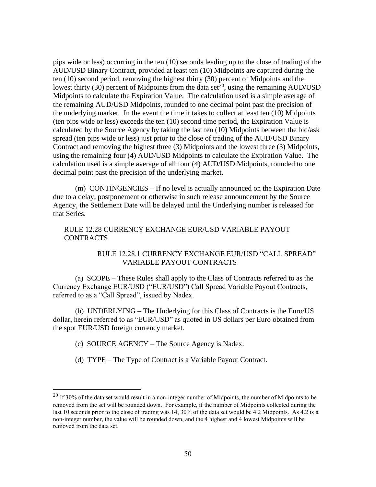pips wide or less) occurring in the ten (10) seconds leading up to the close of trading of the AUD/USD Binary Contract, provided at least ten (10) Midpoints are captured during the ten (10) second period, removing the highest thirty (30) percent of Midpoints and the lowest thirty (30) percent of Midpoints from the data set<sup>20</sup>, using the remaining AUD/USD Midpoints to calculate the Expiration Value. The calculation used is a simple average of the remaining AUD/USD Midpoints, rounded to one decimal point past the precision of the underlying market. In the event the time it takes to collect at least ten (10) Midpoints (ten pips wide or less) exceeds the ten (10) second time period, the Expiration Value is calculated by the Source Agency by taking the last ten (10) Midpoints between the bid/ask spread (ten pips wide or less) just prior to the close of trading of the AUD/USD Binary Contract and removing the highest three (3) Midpoints and the lowest three (3) Midpoints, using the remaining four (4) AUD/USD Midpoints to calculate the Expiration Value. The calculation used is a simple average of all four (4) AUD/USD Midpoints, rounded to one decimal point past the precision of the underlying market.

(m) CONTINGENCIES – If no level is actually announced on the Expiration Date due to a delay, postponement or otherwise in such release announcement by the Source Agency, the Settlement Date will be delayed until the Underlying number is released for that Series.

### RULE 12.28 CURRENCY EXCHANGE EUR/USD VARIABLE PAYOUT CONTRACTS

## RULE 12.28.1 CURRENCY EXCHANGE EUR/USD "CALL SPREAD" VARIABLE PAYOUT CONTRACTS

(a) SCOPE – These Rules shall apply to the Class of Contracts referred to as the Currency Exchange EUR/USD ("EUR/USD") Call Spread Variable Payout Contracts, referred to as a "Call Spread", issued by Nadex.

(b) UNDERLYING – The Underlying for this Class of Contracts is the Euro/US dollar, herein referred to as "EUR/USD" as quoted in US dollars per Euro obtained from the spot EUR/USD foreign currency market.

- (c) SOURCE AGENCY The Source Agency is Nadex.
- (d) TYPE The Type of Contract is a Variable Payout Contract.

 $20$  If 30% of the data set would result in a non-integer number of Midpoints, the number of Midpoints to be removed from the set will be rounded down. For example, if the number of Midpoints collected during the last 10 seconds prior to the close of trading was 14, 30% of the data set would be 4.2 Midpoints. As 4.2 is a non-integer number, the value will be rounded down, and the 4 highest and 4 lowest Midpoints will be removed from the data set.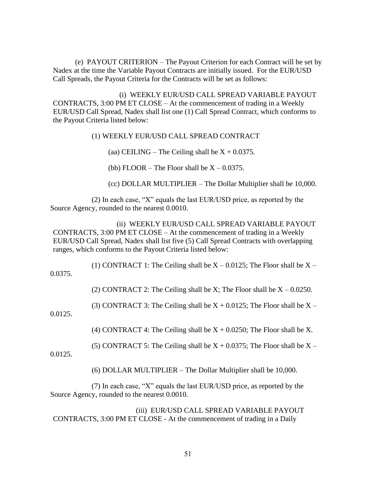(e) PAYOUT CRITERION – The Payout Criterion for each Contract will be set by Nadex at the time the Variable Payout Contracts are initially issued. For the EUR/USD Call Spreads, the Payout Criteria for the Contracts will be set as follows:

(i) WEEKLY EUR/USD CALL SPREAD VARIABLE PAYOUT CONTRACTS, 3:00 PM ET CLOSE – At the commencement of trading in a Weekly EUR/USD Call Spread, Nadex shall list one (1) Call Spread Contract, which conforms to the Payout Criteria listed below:

(1) WEEKLY EUR/USD CALL SPREAD CONTRACT

(aa) CEILING – The Ceiling shall be  $X + 0.0375$ .

(bb) FLOOR – The Floor shall be  $X - 0.0375$ .

(cc) DOLLAR MULTIPLIER – The Dollar Multiplier shall be 10,000.

(2) In each case, "X" equals the last EUR/USD price, as reported by the Source Agency, rounded to the nearest 0.0010.

(ii) WEEKLY EUR/USD CALL SPREAD VARIABLE PAYOUT CONTRACTS, 3:00 PM ET CLOSE – At the commencement of trading in a Weekly EUR/USD Call Spread, Nadex shall list five (5) Call Spread Contracts with overlapping ranges, which conforms to the Payout Criteria listed below:

(1) CONTRACT 1: The Ceiling shall be  $X - 0.0125$ ; The Floor shall be  $X -$ 0.0375.

(2) CONTRACT 2: The Ceiling shall be X; The Floor shall be  $X - 0.0250$ .

(3) CONTRACT 3: The Ceiling shall be  $X + 0.0125$ ; The Floor shall be  $X -$ 

0.0125.

(4) CONTRACT 4: The Ceiling shall be  $X + 0.0250$ ; The Floor shall be X.

(5) CONTRACT 5: The Ceiling shall be  $X + 0.0375$ ; The Floor shall be  $X -$ 

0.0125.

(6) DOLLAR MULTIPLIER – The Dollar Multiplier shall be 10,000.

(7) In each case, "X" equals the last EUR/USD price, as reported by the Source Agency, rounded to the nearest 0.0010.

(iii) EUR/USD CALL SPREAD VARIABLE PAYOUT CONTRACTS, 3:00 PM ET CLOSE - At the commencement of trading in a Daily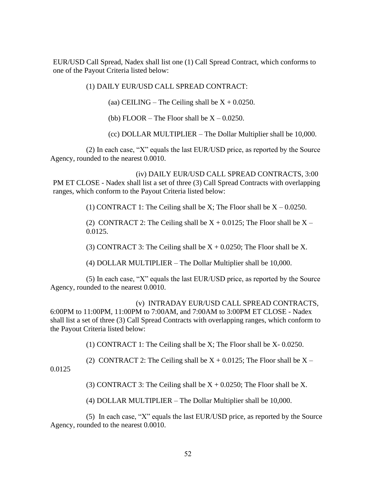EUR/USD Call Spread, Nadex shall list one (1) Call Spread Contract, which conforms to one of the Payout Criteria listed below:

(1) DAILY EUR/USD CALL SPREAD CONTRACT:

(aa) CEILING – The Ceiling shall be  $X + 0.0250$ .

(bb) FLOOR – The Floor shall be  $X - 0.0250$ .

(cc) DOLLAR MULTIPLIER – The Dollar Multiplier shall be 10,000.

(2) In each case, "X" equals the last EUR/USD price, as reported by the Source Agency, rounded to the nearest 0.0010.

(iv) DAILY EUR/USD CALL SPREAD CONTRACTS, 3:00 PM ET CLOSE - Nadex shall list a set of three (3) Call Spread Contracts with overlapping ranges, which conform to the Payout Criteria listed below:

(1) CONTRACT 1: The Ceiling shall be X; The Floor shall be  $X - 0.0250$ .

(2) CONTRACT 2: The Ceiling shall be  $X + 0.0125$ ; The Floor shall be  $X -$ 0.0125.

(3) CONTRACT 3: The Ceiling shall be  $X + 0.0250$ ; The Floor shall be X.

(4) DOLLAR MULTIPLIER – The Dollar Multiplier shall be 10,000.

(5) In each case, "X" equals the last EUR/USD price, as reported by the Source Agency, rounded to the nearest 0.0010.

(v) INTRADAY EUR/USD CALL SPREAD CONTRACTS, 6:00PM to 11:00PM, 11:00PM to 7:00AM, and 7:00AM to 3:00PM ET CLOSE - Nadex shall list a set of three (3) Call Spread Contracts with overlapping ranges, which conform to the Payout Criteria listed below:

(1) CONTRACT 1: The Ceiling shall be X; The Floor shall be X- 0.0250.

(2) CONTRACT 2: The Ceiling shall be  $X + 0.0125$ ; The Floor shall be  $X -$ 

0.0125

(3) CONTRACT 3: The Ceiling shall be  $X + 0.0250$ ; The Floor shall be X.

(4) DOLLAR MULTIPLIER – The Dollar Multiplier shall be 10,000.

(5) In each case, "X" equals the last EUR/USD price, as reported by the Source Agency, rounded to the nearest 0.0010.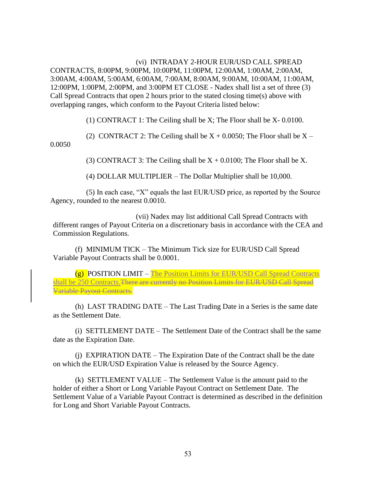### (vi) INTRADAY 2-HOUR EUR/USD CALL SPREAD

CONTRACTS, 8:00PM, 9:00PM, 10:00PM, 11:00PM, 12:00AM, 1:00AM, 2:00AM, 3:00AM, 4:00AM, 5:00AM, 6:00AM, 7:00AM, 8:00AM, 9:00AM, 10:00AM, 11:00AM, 12:00PM, 1:00PM, 2:00PM, and 3:00PM ET CLOSE - Nadex shall list a set of three (3) Call Spread Contracts that open 2 hours prior to the stated closing time(s) above with overlapping ranges, which conform to the Payout Criteria listed below:

(1) CONTRACT 1: The Ceiling shall be X; The Floor shall be X- 0.0100.

(2) CONTRACT 2: The Ceiling shall be  $X + 0.0050$ ; The Floor shall be  $X -$ 

0.0050

(3) CONTRACT 3: The Ceiling shall be  $X + 0.0100$ ; The Floor shall be X.

(4) DOLLAR MULTIPLIER – The Dollar Multiplier shall be 10,000.

(5) In each case, "X" equals the last EUR/USD price, as reported by the Source Agency, rounded to the nearest 0.0010.

(vii) Nadex may list additional Call Spread Contracts with different ranges of Payout Criteria on a discretionary basis in accordance with the CEA and Commission Regulations.

(f) MINIMUM TICK – The Minimum Tick size for EUR/USD Call Spread Variable Payout Contracts shall be 0.0001.

(g) POSITION LIMIT – The Position Limits for EUR/USD Call Spread Contracts shall be 250 Contracts.There are currently no Position Limits for EUR/USD Call Spread Variable Payout Contracts.

(h) LAST TRADING DATE – The Last Trading Date in a Series is the same date as the Settlement Date.

(i) SETTLEMENT DATE – The Settlement Date of the Contract shall be the same date as the Expiration Date.

(j) EXPIRATION DATE – The Expiration Date of the Contract shall be the date on which the EUR/USD Expiration Value is released by the Source Agency.

(k) SETTLEMENT VALUE – The Settlement Value is the amount paid to the holder of either a Short or Long Variable Payout Contract on Settlement Date. The Settlement Value of a Variable Payout Contract is determined as described in the definition for Long and Short Variable Payout Contracts.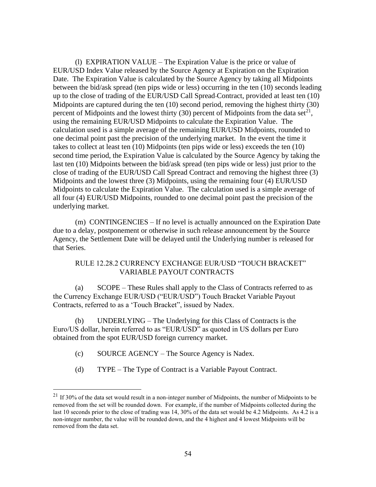(l) EXPIRATION VALUE – The Expiration Value is the price or value of EUR/USD Index Value released by the Source Agency at Expiration on the Expiration Date. The Expiration Value is calculated by the Source Agency by taking all Midpoints between the bid/ask spread (ten pips wide or less) occurring in the ten (10) seconds leading up to the close of trading of the EUR/USD Call Spread Contract, provided at least ten (10) Midpoints are captured during the ten (10) second period, removing the highest thirty (30) percent of Midpoints and the lowest thirty (30) percent of Midpoints from the data set $^{21}$ , using the remaining EUR/USD Midpoints to calculate the Expiration Value. The calculation used is a simple average of the remaining EUR/USD Midpoints, rounded to one decimal point past the precision of the underlying market. In the event the time it takes to collect at least ten (10) Midpoints (ten pips wide or less) exceeds the ten (10) second time period, the Expiration Value is calculated by the Source Agency by taking the last ten (10) Midpoints between the bid/ask spread (ten pips wide or less) just prior to the close of trading of the EUR/USD Call Spread Contract and removing the highest three (3) Midpoints and the lowest three (3) Midpoints, using the remaining four (4) EUR/USD Midpoints to calculate the Expiration Value. The calculation used is a simple average of all four (4) EUR/USD Midpoints, rounded to one decimal point past the precision of the underlying market.

(m) CONTINGENCIES – If no level is actually announced on the Expiration Date due to a delay, postponement or otherwise in such release announcement by the Source Agency, the Settlement Date will be delayed until the Underlying number is released for that Series.

### RULE 12.28.2 CURRENCY EXCHANGE EUR/USD "TOUCH BRACKET" VARIABLE PAYOUT CONTRACTS

(a) SCOPE – These Rules shall apply to the Class of Contracts referred to as the Currency Exchange EUR/USD ("EUR/USD") Touch Bracket Variable Payout Contracts, referred to as a 'Touch Bracket", issued by Nadex.

(b) UNDERLYING – The Underlying for this Class of Contracts is the Euro/US dollar, herein referred to as "EUR/USD" as quoted in US dollars per Euro obtained from the spot EUR/USD foreign currency market.

- (c) SOURCE AGENCY The Source Agency is Nadex.
- (d) TYPE The Type of Contract is a Variable Payout Contract.

 $21$  If 30% of the data set would result in a non-integer number of Midpoints, the number of Midpoints to be removed from the set will be rounded down. For example, if the number of Midpoints collected during the last 10 seconds prior to the close of trading was 14, 30% of the data set would be 4.2 Midpoints. As 4.2 is a non-integer number, the value will be rounded down, and the 4 highest and 4 lowest Midpoints will be removed from the data set.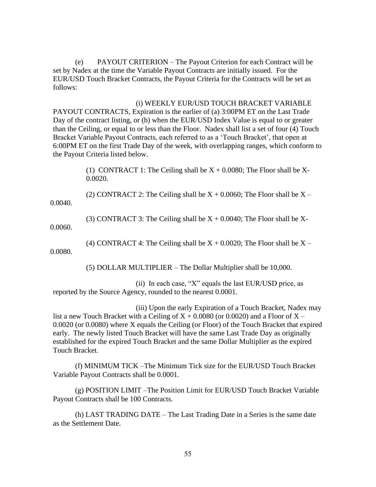(e) PAYOUT CRITERION – The Payout Criterion for each Contract will be set by Nadex at the time the Variable Payout Contracts are initially issued. For the EUR/USD Touch Bracket Contracts, the Payout Criteria for the Contracts will be set as follows:

#### (i) WEEKLY EUR/USD TOUCH BRACKET VARIABLE

PAYOUT CONTRACTS, Expiration is the earlier of (a) 3:00PM ET on the Last Trade Day of the contract listing, or (b) when the EUR/USD Index Value is equal to or greater than the Ceiling, or equal to or less than the Floor. Nadex shall list a set of four (4) Touch Bracket Variable Payout Contracts, each referred to as a 'Touch Bracket', that open at 6:00PM ET on the first Trade Day of the week, with overlapping ranges, which conform to the Payout Criteria listed below.

> (1) CONTRACT 1: The Ceiling shall be  $X + 0.0080$ ; The Floor shall be X-0.0020.

(2) CONTRACT 2: The Ceiling shall be  $X + 0.0060$ ; The Floor shall be  $X -$ 

0.0040.

(3) CONTRACT 3: The Ceiling shall be  $X + 0.0040$ ; The Floor shall be X-0.0060.

(4) CONTRACT 4: The Ceiling shall be  $X + 0.0020$ ; The Floor shall be  $X -$ 0.0080.

(5) DOLLAR MULTIPLIER – The Dollar Multiplier shall be 10,000.

(ii) In each case, "X" equals the last EUR/USD price, as reported by the Source Agency, rounded to the nearest 0.0001.

(iii) Upon the early Expiration of a Touch Bracket, Nadex may list a new Touch Bracket with a Ceiling of  $X + 0.0080$  (or 0.0020) and a Floor of  $X -$ 0.0020 (or 0.0080) where X equals the Ceiling (or Floor) of the Touch Bracket that expired early. The newly listed Touch Bracket will have the same Last Trade Day as originally established for the expired Touch Bracket and the same Dollar Multiplier as the expired Touch Bracket.

(f) MINIMUM TICK –The Minimum Tick size for the EUR/USD Touch Bracket Variable Payout Contracts shall be 0.0001.

(g) POSITION LIMIT –The Position Limit for EUR/USD Touch Bracket Variable Payout Contracts shall be 100 Contracts.

(h) LAST TRADING DATE – The Last Trading Date in a Series is the same date as the Settlement Date.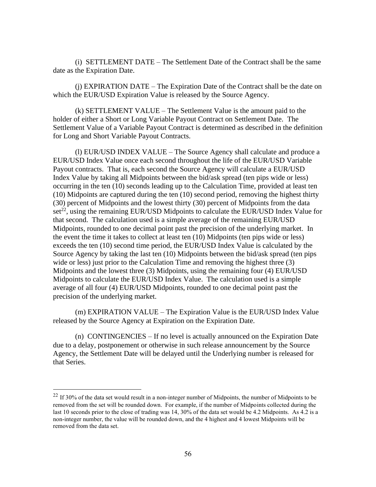(i) SETTLEMENT DATE – The Settlement Date of the Contract shall be the same date as the Expiration Date.

(j) EXPIRATION DATE – The Expiration Date of the Contract shall be the date on which the EUR/USD Expiration Value is released by the Source Agency.

(k) SETTLEMENT VALUE – The Settlement Value is the amount paid to the holder of either a Short or Long Variable Payout Contract on Settlement Date. The Settlement Value of a Variable Payout Contract is determined as described in the definition for Long and Short Variable Payout Contracts.

(l) EUR/USD INDEX VALUE – The Source Agency shall calculate and produce a EUR/USD Index Value once each second throughout the life of the EUR/USD Variable Payout contracts. That is, each second the Source Agency will calculate a EUR/USD Index Value by taking all Midpoints between the bid/ask spread (ten pips wide or less) occurring in the ten (10) seconds leading up to the Calculation Time, provided at least ten (10) Midpoints are captured during the ten (10) second period, removing the highest thirty (30) percent of Midpoints and the lowest thirty (30) percent of Midpoints from the data  $set<sup>22</sup>$ , using the remaining EUR/USD Midpoints to calculate the EUR/USD Index Value for that second. The calculation used is a simple average of the remaining EUR/USD Midpoints, rounded to one decimal point past the precision of the underlying market. In the event the time it takes to collect at least ten (10) Midpoints (ten pips wide or less) exceeds the ten (10) second time period, the EUR/USD Index Value is calculated by the Source Agency by taking the last ten (10) Midpoints between the bid/ask spread (ten pips wide or less) just prior to the Calculation Time and removing the highest three (3) Midpoints and the lowest three (3) Midpoints, using the remaining four (4) EUR/USD Midpoints to calculate the EUR/USD Index Value. The calculation used is a simple average of all four (4) EUR/USD Midpoints, rounded to one decimal point past the precision of the underlying market.

(m) EXPIRATION VALUE – The Expiration Value is the EUR/USD Index Value released by the Source Agency at Expiration on the Expiration Date.

(n) CONTINGENCIES – If no level is actually announced on the Expiration Date due to a delay, postponement or otherwise in such release announcement by the Source Agency, the Settlement Date will be delayed until the Underlying number is released for that Series.

 $22$  If 30% of the data set would result in a non-integer number of Midpoints, the number of Midpoints to be removed from the set will be rounded down. For example, if the number of Midpoints collected during the last 10 seconds prior to the close of trading was 14, 30% of the data set would be 4.2 Midpoints. As 4.2 is a non-integer number, the value will be rounded down, and the 4 highest and 4 lowest Midpoints will be removed from the data set.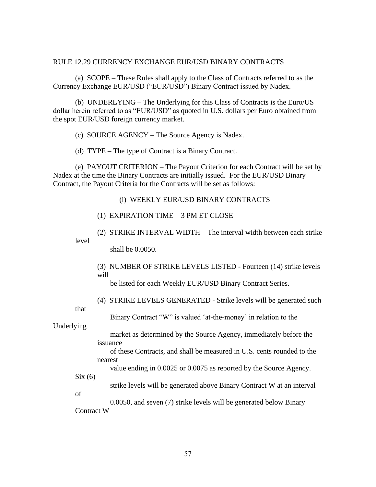#### RULE 12.29 CURRENCY EXCHANGE EUR/USD BINARY CONTRACTS

(a) SCOPE – These Rules shall apply to the Class of Contracts referred to as the Currency Exchange EUR/USD ("EUR/USD") Binary Contract issued by Nadex.

(b) UNDERLYING – The Underlying for this Class of Contracts is the Euro/US dollar herein referred to as "EUR/USD" as quoted in U.S. dollars per Euro obtained from the spot EUR/USD foreign currency market.

(c) SOURCE AGENCY – The Source Agency is Nadex.

(d) TYPE – The type of Contract is a Binary Contract.

(e) PAYOUT CRITERION – The Payout Criterion for each Contract will be set by Nadex at the time the Binary Contracts are initially issued. For the EUR/USD Binary Contract, the Payout Criteria for the Contracts will be set as follows:

#### (i) WEEKLY EUR/USD BINARY CONTRACTS

(1) EXPIRATION TIME – 3 PM ET CLOSE

(2) STRIKE INTERVAL WIDTH – The interval width between each strike level

shall be 0.0050.

(3) NUMBER OF STRIKE LEVELS LISTED - Fourteen (14) strike levels will

be listed for each Weekly EUR/USD Binary Contract Series.

(4) STRIKE LEVELS GENERATED - Strike levels will be generated such

that

Binary Contract "W" is valued 'at-the-money' in relation to the

Underlying

 market as determined by the Source Agency, immediately before the issuance

 of these Contracts, and shall be measured in U.S. cents rounded to the nearest

value ending in 0.0025 or 0.0075 as reported by the Source Agency.

 $Six(6)$ 

of

strike levels will be generated above Binary Contract W at an interval

 0.0050, and seven (7) strike levels will be generated below Binary Contract W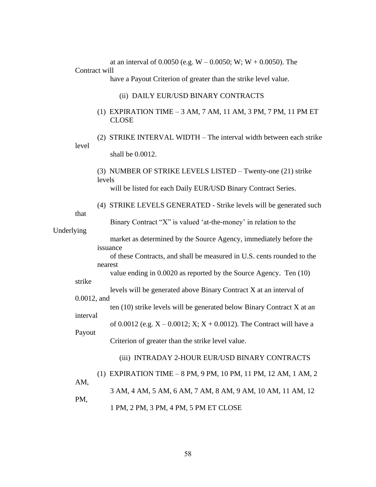at an interval of 0.0050 (e.g.  $W - 0.0050$ ; W;  $W + 0.0050$ ). The Contract will have a Payout Criterion of greater than the strike level value. (ii) DAILY EUR/USD BINARY CONTRACTS (1) EXPIRATION TIME – 3 AM, 7 AM, 11 AM, 3 PM, 7 PM, 11 PM ET CLOSE (2) STRIKE INTERVAL WIDTH – The interval width between each strike level shall be 0.0012. (3) NUMBER OF STRIKE LEVELS LISTED – Twenty-one (21) strike levels will be listed for each Daily EUR/USD Binary Contract Series. (4) STRIKE LEVELS GENERATED - Strike levels will be generated such that Binary Contract "X" is valued 'at-the-money' in relation to the Underlying market as determined by the Source Agency, immediately before the issuance of these Contracts, and shall be measured in U.S. cents rounded to the nearest value ending in 0.0020 as reported by the Source Agency. Ten (10) strike levels will be generated above Binary Contract X at an interval of 0.0012, and ten (10) strike levels will be generated below Binary Contract X at an interval of 0.0012 (e.g.  $X - 0.0012$ ;  $X$ ;  $X + 0.0012$ ). The Contract will have a Payout Criterion of greater than the strike level value. (iii) INTRADAY 2-HOUR EUR/USD BINARY CONTRACTS (1) EXPIRATION TIME – 8 PM, 9 PM, 10 PM, 11 PM, 12 AM, 1 AM, 2 AM, 3 AM, 4 AM, 5 AM, 6 AM, 7 AM, 8 AM, 9 AM, 10 AM, 11 AM, 12 PM, 1 PM, 2 PM, 3 PM, 4 PM, 5 PM ET CLOSE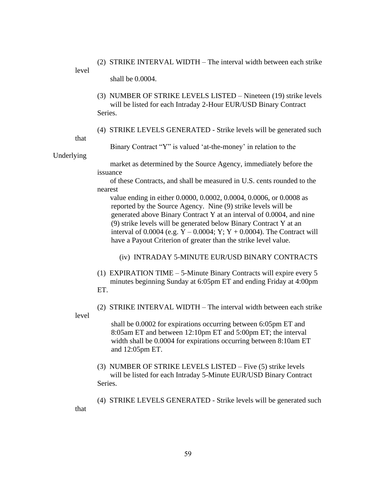(2) STRIKE INTERVAL WIDTH – The interval width between each strike level

shall be 0.0004.

- (3) NUMBER OF STRIKE LEVELS LISTED Nineteen (19) strike levels will be listed for each Intraday 2-Hour EUR/USD Binary Contract Series.
- (4) STRIKE LEVELS GENERATED Strike levels will be generated such

that

Binary Contract "Y" is valued 'at-the-money' in relation to the

Underlying

 market as determined by the Source Agency, immediately before the issuance

 of these Contracts, and shall be measured in U.S. cents rounded to the nearest

 value ending in either 0.0000, 0.0002, 0.0004, 0.0006, or 0.0008 as reported by the Source Agency. Nine (9) strike levels will be generated above Binary Contract Y at an interval of 0.0004, and nine (9) strike levels will be generated below Binary Contract Y at an interval of 0.0004 (e.g.  $Y - 0.0004$ ;  $Y$ ;  $Y + 0.0004$ ). The Contract will have a Payout Criterion of greater than the strike level value.

(iv) INTRADAY 5-MINUTE EUR/USD BINARY CONTRACTS

(1) EXPIRATION TIME – 5-Minute Binary Contracts will expire every 5 minutes beginning Sunday at 6:05pm ET and ending Friday at 4:00pm ET.

(2) STRIKE INTERVAL WIDTH – The interval width between each strike level

> shall be 0.0002 for expirations occurring between 6:05pm ET and 8:05am ET and between 12:10pm ET and 5:00pm ET; the interval width shall be 0.0004 for expirations occurring between 8:10am ET and 12:05pm ET.

(3) NUMBER OF STRIKE LEVELS LISTED – Five (5) strike levels will be listed for each Intraday 5-Minute EUR/USD Binary Contract Series.

(4) STRIKE LEVELS GENERATED - Strike levels will be generated such that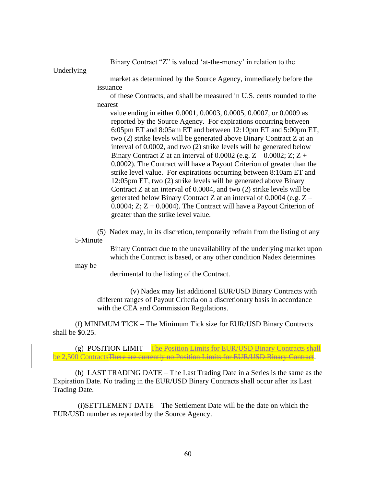Binary Contract "Z" is valued 'at-the-money' in relation to the

Underlying

 market as determined by the Source Agency, immediately before the issuance

 of these Contracts, and shall be measured in U.S. cents rounded to the nearest

 value ending in either 0.0001, 0.0003, 0.0005, 0.0007, or 0.0009 as reported by the Source Agency. For expirations occurring between 6:05pm ET and 8:05am ET and between 12:10pm ET and 5:00pm ET, two (2) strike levels will be generated above Binary Contract Z at an interval of 0.0002, and two (2) strike levels will be generated below Binary Contract Z at an interval of 0.0002 (e.g.  $Z - 0.0002$ ;  $Z$ ;  $Z +$ 0.0002). The Contract will have a Payout Criterion of greater than the strike level value. For expirations occurring between 8:10am ET and 12:05pm ET, two (2) strike levels will be generated above Binary Contract Z at an interval of 0.0004, and two (2) strike levels will be generated below Binary Contract Z at an interval of  $0.0004$  (e.g.  $Z -$ 0.0004;  $Z$ ;  $Z + 0.0004$ ). The Contract will have a Payout Criterion of greater than the strike level value.

(5) Nadex may, in its discretion, temporarily refrain from the listing of any 5-Minute

> Binary Contract due to the unavailability of the underlying market upon which the Contract is based, or any other condition Nadex determines

may be

detrimental to the listing of the Contract.

(v) Nadex may list additional EUR/USD Binary Contracts with different ranges of Payout Criteria on a discretionary basis in accordance with the CEA and Commission Regulations.

(f) MINIMUM TICK – The Minimum Tick size for EUR/USD Binary Contracts shall be \$0.25.

(g) POSITION LIMIT – The Position Limits for EUR/USD Binary Contracts shall be 2,500 Contracts There are currently no Position Limits for EUR/USD Binary Contract.

(h) LAST TRADING DATE – The Last Trading Date in a Series is the same as the Expiration Date. No trading in the EUR/USD Binary Contracts shall occur after its Last Trading Date.

(i)SETTLEMENT DATE – The Settlement Date will be the date on which the EUR/USD number as reported by the Source Agency.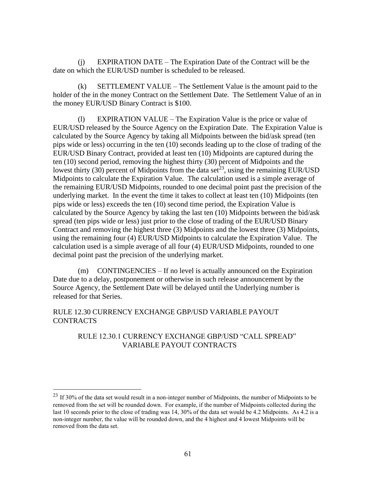(j) EXPIRATION DATE – The Expiration Date of the Contract will be the date on which the EUR/USD number is scheduled to be released.

(k) SETTLEMENT VALUE – The Settlement Value is the amount paid to the holder of the in the money Contract on the Settlement Date. The Settlement Value of an in the money EUR/USD Binary Contract is \$100.

(l) EXPIRATION VALUE – The Expiration Value is the price or value of EUR/USD released by the Source Agency on the Expiration Date. The Expiration Value is calculated by the Source Agency by taking all Midpoints between the bid/ask spread (ten pips wide or less) occurring in the ten (10) seconds leading up to the close of trading of the EUR/USD Binary Contract, provided at least ten (10) Midpoints are captured during the ten (10) second period, removing the highest thirty (30) percent of Midpoints and the lowest thirty (30) percent of Midpoints from the data set<sup>23</sup>, using the remaining EUR/USD Midpoints to calculate the Expiration Value. The calculation used is a simple average of the remaining EUR/USD Midpoints, rounded to one decimal point past the precision of the underlying market. In the event the time it takes to collect at least ten (10) Midpoints (ten pips wide or less) exceeds the ten (10) second time period, the Expiration Value is calculated by the Source Agency by taking the last ten (10) Midpoints between the bid/ask spread (ten pips wide or less) just prior to the close of trading of the EUR/USD Binary Contract and removing the highest three (3) Midpoints and the lowest three (3) Midpoints, using the remaining four (4) EUR/USD Midpoints to calculate the Expiration Value. The calculation used is a simple average of all four (4) EUR/USD Midpoints, rounded to one decimal point past the precision of the underlying market.

(m) CONTINGENCIES – If no level is actually announced on the Expiration Date due to a delay, postponement or otherwise in such release announcement by the Source Agency, the Settlement Date will be delayed until the Underlying number is released for that Series.

# RULE 12.30 CURRENCY EXCHANGE GBP/USD VARIABLE PAYOUT **CONTRACTS**

# RULE 12.30.1 CURRENCY EXCHANGE GBP/USD "CALL SPREAD" VARIABLE PAYOUT CONTRACTS

<sup>&</sup>lt;sup>23</sup> If 30% of the data set would result in a non-integer number of Midpoints, the number of Midpoints to be removed from the set will be rounded down. For example, if the number of Midpoints collected during the last 10 seconds prior to the close of trading was 14, 30% of the data set would be 4.2 Midpoints. As 4.2 is a non-integer number, the value will be rounded down, and the 4 highest and 4 lowest Midpoints will be removed from the data set.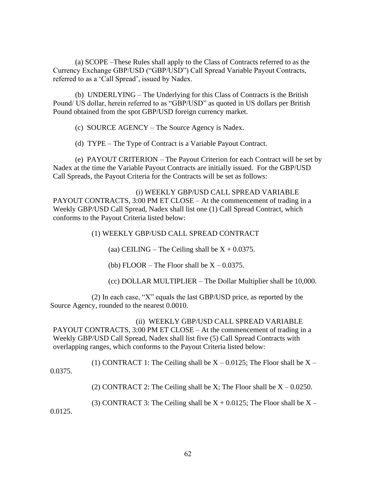(a) SCOPE –These Rules shall apply to the Class of Contracts referred to as the Currency Exchange GBP/USD ("GBP/USD") Call Spread Variable Payout Contracts, referred to as a 'Call Spread', issued by Nadex.

(b) UNDERLYING – The Underlying for this Class of Contracts is the British Pound/ US dollar, herein referred to as "GBP/USD" as quoted in US dollars per British Pound obtained from the spot GBP/USD foreign currency market.

(c) SOURCE AGENCY – The Source Agency is Nadex.

(d) TYPE – The Type of Contract is a Variable Payout Contract.

(e) PAYOUT CRITERION – The Payout Criterion for each Contract will be set by Nadex at the time the Variable Payout Contracts are initially issued. For the GBP/USD Call Spreads, the Payout Criteria for the Contracts will be set as follows:

(i) WEEKLY GBP/USD CALL SPREAD VARIABLE PAYOUT CONTRACTS, 3:00 PM ET CLOSE – At the commencement of trading in a Weekly GBP/USD Call Spread, Nadex shall list one (1) Call Spread Contract, which conforms to the Payout Criteria listed below:

(1) WEEKLY GBP/USD CALL SPREAD CONTRACT

(aa) CEILING – The Ceiling shall be  $X + 0.0375$ .

(bb) FLOOR – The Floor shall be  $X - 0.0375$ .

(cc) DOLLAR MULTIPLIER – The Dollar Multiplier shall be 10,000.

(2) In each case, "X" equals the last GBP/USD price, as reported by the Source Agency, rounded to the nearest 0.0010.

(ii) WEEKLY GBP/USD CALL SPREAD VARIABLE PAYOUT CONTRACTS, 3:00 PM ET CLOSE – At the commencement of trading in a Weekly GBP/USD Call Spread, Nadex shall list five (5) Call Spread Contracts with overlapping ranges, which conforms to the Payout Criteria listed below:

(1) CONTRACT 1: The Ceiling shall be  $X - 0.0125$ ; The Floor shall be  $X - 0.0125$ 0.0375.

(2) CONTRACT 2: The Ceiling shall be X; The Floor shall be  $X - 0.0250$ .

(3) CONTRACT 3: The Ceiling shall be  $X + 0.0125$ ; The Floor shall be  $X -$ 

0.0125.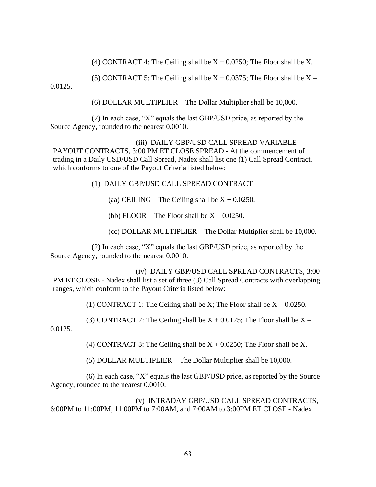(4) CONTRACT 4: The Ceiling shall be  $X + 0.0250$ ; The Floor shall be X.

(5) CONTRACT 5: The Ceiling shall be  $X + 0.0375$ ; The Floor shall be  $X -$ 

0.0125.

(6) DOLLAR MULTIPLIER – The Dollar Multiplier shall be 10,000.

(7) In each case, "X" equals the last GBP/USD price, as reported by the Source Agency, rounded to the nearest 0.0010.

(iii) DAILY GBP/USD CALL SPREAD VARIABLE

PAYOUT CONTRACTS, 3:00 PM ET CLOSE SPREAD - At the commencement of trading in a Daily USD/USD Call Spread, Nadex shall list one (1) Call Spread Contract, which conforms to one of the Payout Criteria listed below:

(1) DAILY GBP/USD CALL SPREAD CONTRACT

(aa) CEILING – The Ceiling shall be  $X + 0.0250$ .

(bb) FLOOR – The Floor shall be  $X - 0.0250$ .

(cc) DOLLAR MULTIPLIER – The Dollar Multiplier shall be 10,000.

(2) In each case, "X" equals the last GBP/USD price, as reported by the Source Agency, rounded to the nearest 0.0010.

(iv) DAILY GBP/USD CALL SPREAD CONTRACTS, 3:00 PM ET CLOSE - Nadex shall list a set of three (3) Call Spread Contracts with overlapping ranges, which conform to the Payout Criteria listed below:

(1) CONTRACT 1: The Ceiling shall be X; The Floor shall be  $X - 0.0250$ .

(3) CONTRACT 2: The Ceiling shall be  $X + 0.0125$ ; The Floor shall be  $X -$ 

0.0125.

(4) CONTRACT 3: The Ceiling shall be  $X + 0.0250$ ; The Floor shall be X.

(5) DOLLAR MULTIPLIER – The Dollar Multiplier shall be 10,000.

(6) In each case, "X" equals the last GBP/USD price, as reported by the Source Agency, rounded to the nearest 0.0010.

(v) INTRADAY GBP/USD CALL SPREAD CONTRACTS, 6:00PM to 11:00PM, 11:00PM to 7:00AM, and 7:00AM to 3:00PM ET CLOSE - Nadex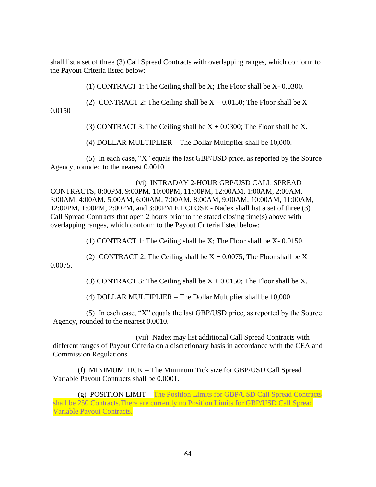shall list a set of three (3) Call Spread Contracts with overlapping ranges, which conform to the Payout Criteria listed below:

(1) CONTRACT 1: The Ceiling shall be X; The Floor shall be X- 0.0300.

(2) CONTRACT 2: The Ceiling shall be  $X + 0.0150$ ; The Floor shall be  $X -$ 

0.0150

(3) CONTRACT 3: The Ceiling shall be  $X + 0.0300$ ; The Floor shall be X.

(4) DOLLAR MULTIPLIER – The Dollar Multiplier shall be 10,000.

(5) In each case, "X" equals the last GBP/USD price, as reported by the Source Agency, rounded to the nearest 0.0010.

(vi) INTRADAY 2-HOUR GBP/USD CALL SPREAD CONTRACTS, 8:00PM, 9:00PM, 10:00PM, 11:00PM, 12:00AM, 1:00AM, 2:00AM, 3:00AM, 4:00AM, 5:00AM, 6:00AM, 7:00AM, 8:00AM, 9:00AM, 10:00AM, 11:00AM, 12:00PM, 1:00PM, 2:00PM, and 3:00PM ET CLOSE - Nadex shall list a set of three (3) Call Spread Contracts that open 2 hours prior to the stated closing time(s) above with overlapping ranges, which conform to the Payout Criteria listed below:

(1) CONTRACT 1: The Ceiling shall be X; The Floor shall be X- 0.0150.

(2) CONTRACT 2: The Ceiling shall be  $X + 0.0075$ ; The Floor shall be  $X -$ 0.0075.

(3) CONTRACT 3: The Ceiling shall be  $X + 0.0150$ ; The Floor shall be X.

(4) DOLLAR MULTIPLIER – The Dollar Multiplier shall be 10,000.

(5) In each case, "X" equals the last GBP/USD price, as reported by the Source Agency, rounded to the nearest 0.0010.

 (vii) Nadex may list additional Call Spread Contracts with different ranges of Payout Criteria on a discretionary basis in accordance with the CEA and Commission Regulations.

(f) MINIMUM TICK – The Minimum Tick size for GBP/USD Call Spread Variable Payout Contracts shall be 0.0001.

(g) POSITION LIMIT – The Position Limits for GBP/USD Call Spread Contracts shall be 250 Contracts. There are currently no Position Limits for GBP/USD Call Spread Variable Payout Contracts.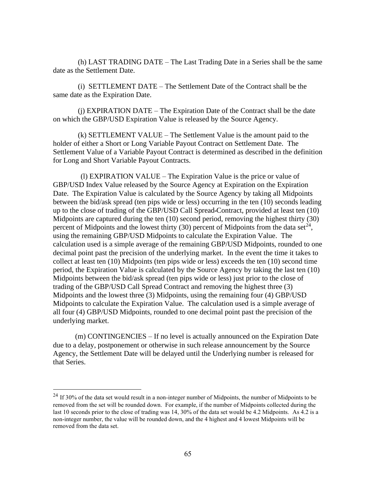(h) LAST TRADING DATE – The Last Trading Date in a Series shall be the same date as the Settlement Date.

(i) SETTLEMENT DATE – The Settlement Date of the Contract shall be the same date as the Expiration Date.

(j) EXPIRATION DATE – The Expiration Date of the Contract shall be the date on which the GBP/USD Expiration Value is released by the Source Agency.

(k) SETTLEMENT VALUE – The Settlement Value is the amount paid to the holder of either a Short or Long Variable Payout Contract on Settlement Date. The Settlement Value of a Variable Payout Contract is determined as described in the definition for Long and Short Variable Payout Contracts.

(l) EXPIRATION VALUE – The Expiration Value is the price or value of GBP/USD Index Value released by the Source Agency at Expiration on the Expiration Date. The Expiration Value is calculated by the Source Agency by taking all Midpoints between the bid/ask spread (ten pips wide or less) occurring in the ten (10) seconds leading up to the close of trading of the GBP/USD Call Spread Contract, provided at least ten (10) Midpoints are captured during the ten (10) second period, removing the highest thirty (30) percent of Midpoints and the lowest thirty (30) percent of Midpoints from the data set<sup>24</sup>, using the remaining GBP/USD Midpoints to calculate the Expiration Value. The calculation used is a simple average of the remaining GBP/USD Midpoints, rounded to one decimal point past the precision of the underlying market. In the event the time it takes to collect at least ten (10) Midpoints (ten pips wide or less) exceeds the ten (10) second time period, the Expiration Value is calculated by the Source Agency by taking the last ten (10) Midpoints between the bid/ask spread (ten pips wide or less) just prior to the close of trading of the GBP/USD Call Spread Contract and removing the highest three (3) Midpoints and the lowest three (3) Midpoints, using the remaining four (4) GBP/USD Midpoints to calculate the Expiration Value. The calculation used is a simple average of all four (4) GBP/USD Midpoints, rounded to one decimal point past the precision of the underlying market.

(m) CONTINGENCIES – If no level is actually announced on the Expiration Date due to a delay, postponement or otherwise in such release announcement by the Source Agency, the Settlement Date will be delayed until the Underlying number is released for that Series.

<sup>&</sup>lt;sup>24</sup> If 30% of the data set would result in a non-integer number of Midpoints, the number of Midpoints to be removed from the set will be rounded down. For example, if the number of Midpoints collected during the last 10 seconds prior to the close of trading was 14, 30% of the data set would be 4.2 Midpoints. As 4.2 is a non-integer number, the value will be rounded down, and the 4 highest and 4 lowest Midpoints will be removed from the data set.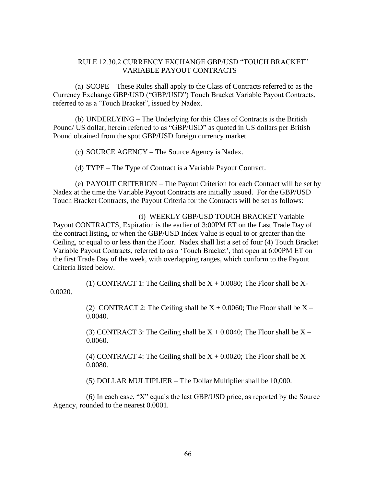### RULE 12.30.2 CURRENCY EXCHANGE GBP/USD "TOUCH BRACKET" VARIABLE PAYOUT CONTRACTS

(a) SCOPE – These Rules shall apply to the Class of Contracts referred to as the Currency Exchange GBP/USD ("GBP/USD") Touch Bracket Variable Payout Contracts, referred to as a 'Touch Bracket", issued by Nadex.

(b) UNDERLYING – The Underlying for this Class of Contracts is the British Pound/ US dollar, herein referred to as "GBP/USD" as quoted in US dollars per British Pound obtained from the spot GBP/USD foreign currency market.

(c) SOURCE AGENCY – The Source Agency is Nadex.

(d) TYPE – The Type of Contract is a Variable Payout Contract.

(e) PAYOUT CRITERION – The Payout Criterion for each Contract will be set by Nadex at the time the Variable Payout Contracts are initially issued. For the GBP/USD Touch Bracket Contracts, the Payout Criteria for the Contracts will be set as follows:

(i) WEEKLY GBP/USD TOUCH BRACKET Variable Payout CONTRACTS, Expiration is the earlier of 3:00PM ET on the Last Trade Day of the contract listing, or when the GBP/USD Index Value is equal to or greater than the Ceiling, or equal to or less than the Floor. Nadex shall list a set of four (4) Touch Bracket Variable Payout Contracts, referred to as a 'Touch Bracket', that open at 6:00PM ET on the first Trade Day of the week, with overlapping ranges, which conform to the Payout Criteria listed below.

(1) CONTRACT 1: The Ceiling shall be  $X + 0.0080$ ; The Floor shall be X-0.0020.

> (2) CONTRACT 2: The Ceiling shall be  $X + 0.0060$ ; The Floor shall be  $X -$ 0.0040.

> (3) CONTRACT 3: The Ceiling shall be  $X + 0.0040$ ; The Floor shall be  $X -$ 0.0060.

> (4) CONTRACT 4: The Ceiling shall be  $X + 0.0020$ ; The Floor shall be  $X -$ 0.0080.

(5) DOLLAR MULTIPLIER – The Dollar Multiplier shall be 10,000.

(6) In each case, "X" equals the last GBP/USD price, as reported by the Source Agency, rounded to the nearest 0.0001.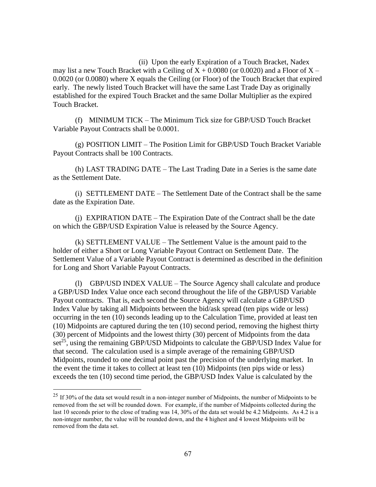(ii) Upon the early Expiration of a Touch Bracket, Nadex may list a new Touch Bracket with a Ceiling of  $X + 0.0080$  (or 0.0020) and a Floor of  $X -$ 0.0020 (or 0.0080) where X equals the Ceiling (or Floor) of the Touch Bracket that expired early. The newly listed Touch Bracket will have the same Last Trade Day as originally established for the expired Touch Bracket and the same Dollar Multiplier as the expired Touch Bracket.

(f) MINIMUM TICK – The Minimum Tick size for GBP/USD Touch Bracket Variable Payout Contracts shall be 0.0001.

(g) POSITION LIMIT – The Position Limit for GBP/USD Touch Bracket Variable Payout Contracts shall be 100 Contracts.

(h) LAST TRADING DATE – The Last Trading Date in a Series is the same date as the Settlement Date.

(i) SETTLEMENT DATE – The Settlement Date of the Contract shall be the same date as the Expiration Date.

(j) EXPIRATION DATE – The Expiration Date of the Contract shall be the date on which the GBP/USD Expiration Value is released by the Source Agency.

(k) SETTLEMENT VALUE – The Settlement Value is the amount paid to the holder of either a Short or Long Variable Payout Contract on Settlement Date. The Settlement Value of a Variable Payout Contract is determined as described in the definition for Long and Short Variable Payout Contracts.

(l) GBP/USD INDEX VALUE – The Source Agency shall calculate and produce a GBP/USD Index Value once each second throughout the life of the GBP/USD Variable Payout contracts. That is, each second the Source Agency will calculate a GBP/USD Index Value by taking all Midpoints between the bid/ask spread (ten pips wide or less) occurring in the ten (10) seconds leading up to the Calculation Time, provided at least ten (10) Midpoints are captured during the ten (10) second period, removing the highest thirty (30) percent of Midpoints and the lowest thirty (30) percent of Midpoints from the data set<sup>25</sup>, using the remaining GBP/USD Midpoints to calculate the GBP/USD Index Value for that second. The calculation used is a simple average of the remaining GBP/USD Midpoints, rounded to one decimal point past the precision of the underlying market. In the event the time it takes to collect at least ten (10) Midpoints (ten pips wide or less) exceeds the ten (10) second time period, the GBP/USD Index Value is calculated by the

 $25$  If 30% of the data set would result in a non-integer number of Midpoints, the number of Midpoints to be removed from the set will be rounded down. For example, if the number of Midpoints collected during the last 10 seconds prior to the close of trading was 14, 30% of the data set would be 4.2 Midpoints. As 4.2 is a non-integer number, the value will be rounded down, and the 4 highest and 4 lowest Midpoints will be removed from the data set.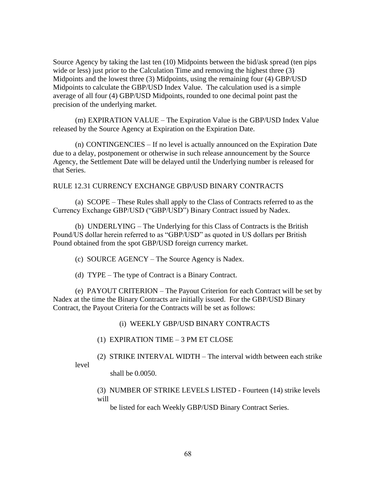Source Agency by taking the last ten (10) Midpoints between the bid/ask spread (ten pips wide or less) just prior to the Calculation Time and removing the highest three (3) Midpoints and the lowest three (3) Midpoints, using the remaining four (4) GBP/USD Midpoints to calculate the GBP/USD Index Value. The calculation used is a simple average of all four (4) GBP/USD Midpoints, rounded to one decimal point past the precision of the underlying market.

(m) EXPIRATION VALUE – The Expiration Value is the GBP/USD Index Value released by the Source Agency at Expiration on the Expiration Date.

(n) CONTINGENCIES – If no level is actually announced on the Expiration Date due to a delay, postponement or otherwise in such release announcement by the Source Agency, the Settlement Date will be delayed until the Underlying number is released for that Series.

RULE 12.31 CURRENCY EXCHANGE GBP/USD BINARY CONTRACTS

(a) SCOPE – These Rules shall apply to the Class of Contracts referred to as the Currency Exchange GBP/USD ("GBP/USD") Binary Contract issued by Nadex.

(b) UNDERLYING – The Underlying for this Class of Contracts is the British Pound/US dollar herein referred to as "GBP/USD" as quoted in US dollars per British Pound obtained from the spot GBP/USD foreign currency market.

(c) SOURCE AGENCY – The Source Agency is Nadex.

(d) TYPE – The type of Contract is a Binary Contract.

(e) PAYOUT CRITERION – The Payout Criterion for each Contract will be set by Nadex at the time the Binary Contracts are initially issued. For the GBP/USD Binary Contract, the Payout Criteria for the Contracts will be set as follows:

(i) WEEKLY GBP/USD BINARY CONTRACTS

(1) EXPIRATION TIME – 3 PM ET CLOSE

(2) STRIKE INTERVAL WIDTH – The interval width between each strike

level

shall be 0.0050.

(3) NUMBER OF STRIKE LEVELS LISTED - Fourteen (14) strike levels will

be listed for each Weekly GBP/USD Binary Contract Series.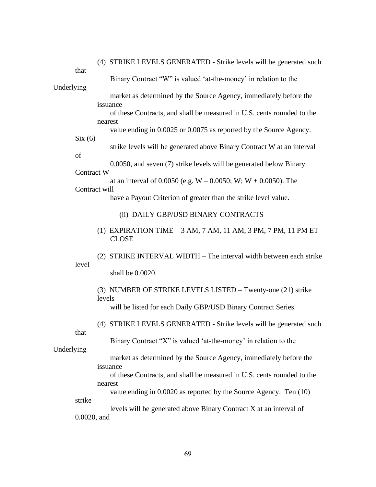| (4) STRIKE LEVELS GENERATED - Strike levels will be generated such |
|--------------------------------------------------------------------|
|--------------------------------------------------------------------|

| that         |                                                                                       |  |  |
|--------------|---------------------------------------------------------------------------------------|--|--|
| Underlying   | Binary Contract "W" is valued 'at-the-money' in relation to the                       |  |  |
|              | market as determined by the Source Agency, immediately before the<br>issuance         |  |  |
|              | of these Contracts, and shall be measured in U.S. cents rounded to the<br>nearest     |  |  |
|              | value ending in 0.0025 or 0.0075 as reported by the Source Agency.                    |  |  |
| Six(6)<br>of | strike levels will be generated above Binary Contract W at an interval                |  |  |
|              | 0.0050, and seven (7) strike levels will be generated below Binary<br>Contract W      |  |  |
|              | at an interval of 0.0050 (e.g. $W - 0.0050$ ; W; $W + 0.0050$ ). The<br>Contract will |  |  |
|              | have a Payout Criterion of greater than the strike level value.                       |  |  |
|              | (ii) DAILY GBP/USD BINARY CONTRACTS                                                   |  |  |
|              | (1) EXPIRATION TIME - 3 AM, 7 AM, 11 AM, 3 PM, 7 PM, 11 PM ET<br><b>CLOSE</b>         |  |  |
| level        | (2) STRIKE INTERVAL WIDTH - The interval width between each strike                    |  |  |
|              | shall be 0.0020.                                                                      |  |  |
|              | (3) NUMBER OF STRIKE LEVELS LISTED – Twenty-one (21) strike<br>levels                 |  |  |
|              | will be listed for each Daily GBP/USD Binary Contract Series.                         |  |  |
| that         | (4) STRIKE LEVELS GENERATED - Strike levels will be generated such                    |  |  |
| Underlying   | Binary Contract "X" is valued 'at-the-money' in relation to the                       |  |  |
|              | market as determined by the Source Agency, immediately before the<br>issuance         |  |  |
|              | of these Contracts, and shall be measured in U.S. cents rounded to the<br>nearest     |  |  |
| strike       | value ending in 0.0020 as reported by the Source Agency. Ten (10)                     |  |  |
|              | levels will be generated above Binary Contract X at an interval of                    |  |  |
|              | $0.0020$ , and                                                                        |  |  |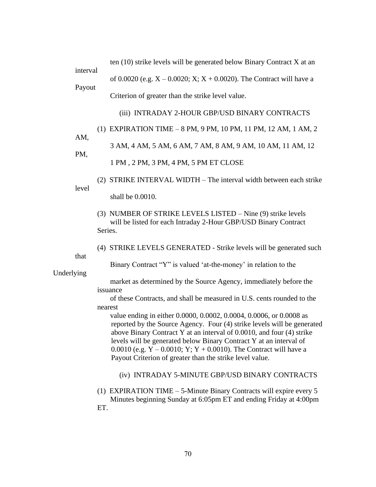|            | interval | ten (10) strike levels will be generated below Binary Contract X at an                                                                                                                                                                                                                                                                                                                                                                             |
|------------|----------|----------------------------------------------------------------------------------------------------------------------------------------------------------------------------------------------------------------------------------------------------------------------------------------------------------------------------------------------------------------------------------------------------------------------------------------------------|
|            |          | of 0.0020 (e.g. $X - 0.0020$ ; $X$ ; $X + 0.0020$ ). The Contract will have a                                                                                                                                                                                                                                                                                                                                                                      |
| Payout     |          | Criterion of greater than the strike level value.                                                                                                                                                                                                                                                                                                                                                                                                  |
|            |          | (iii) INTRADAY 2-HOUR GBP/USD BINARY CONTRACTS                                                                                                                                                                                                                                                                                                                                                                                                     |
| AM,<br>PM, |          | (1) EXPIRATION TIME – 8 PM, 9 PM, 10 PM, 11 PM, 12 AM, 1 AM, 2                                                                                                                                                                                                                                                                                                                                                                                     |
|            |          | 3 AM, 4 AM, 5 AM, 6 AM, 7 AM, 8 AM, 9 AM, 10 AM, 11 AM, 12                                                                                                                                                                                                                                                                                                                                                                                         |
|            |          | 1 PM, 2 PM, 3 PM, 4 PM, 5 PM ET CLOSE                                                                                                                                                                                                                                                                                                                                                                                                              |
|            | level    | (2) STRIKE INTERVAL WIDTH – The interval width between each strike                                                                                                                                                                                                                                                                                                                                                                                 |
|            |          | shall be 0.0010.                                                                                                                                                                                                                                                                                                                                                                                                                                   |
| Underlying |          | (3) NUMBER OF STRIKE LEVELS LISTED - Nine (9) strike levels<br>will be listed for each Intraday 2-Hour GBP/USD Binary Contract<br>Series.                                                                                                                                                                                                                                                                                                          |
|            | that     | (4) STRIKE LEVELS GENERATED - Strike levels will be generated such                                                                                                                                                                                                                                                                                                                                                                                 |
|            |          | Binary Contract "Y" is valued 'at-the-money' in relation to the                                                                                                                                                                                                                                                                                                                                                                                    |
|            |          | market as determined by the Source Agency, immediately before the<br>issuance<br>of these Contracts, and shall be measured in U.S. cents rounded to the                                                                                                                                                                                                                                                                                            |
|            |          | nearest<br>value ending in either 0.0000, 0.0002, 0.0004, 0.0006, or 0.0008 as<br>reported by the Source Agency. Four (4) strike levels will be generated<br>above Binary Contract Y at an interval of 0.0010, and four (4) strike<br>levels will be generated below Binary Contract Y at an interval of<br>0.0010 (e.g. $Y - 0.0010$ ; $Y$ ; $Y + 0.0010$ ). The Contract will have a<br>Payout Criterion of greater than the strike level value. |
|            |          | (iv) INTRADAY 5-MINUTE GBP/USD BINARY CONTRACTS                                                                                                                                                                                                                                                                                                                                                                                                    |
|            |          | (1) EXPIRATION TIME $-$ 5-Minute Binary Contracts will expire every 5<br>Minutes beginning Sunday at 6:05pm ET and ending Friday at 4:00pm<br>ET.                                                                                                                                                                                                                                                                                                  |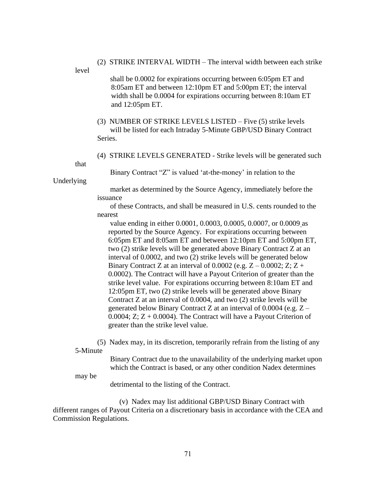(2) STRIKE INTERVAL WIDTH – The interval width between each strike

level

 shall be 0.0002 for expirations occurring between 6:05pm ET and 8:05am ET and between 12:10pm ET and 5:00pm ET; the interval width shall be 0.0004 for expirations occurring between 8:10am ET and 12:05pm ET.

- (3) NUMBER OF STRIKE LEVELS LISTED Five (5) strike levels will be listed for each Intraday 5-Minute GBP/USD Binary Contract Series.
- (4) STRIKE LEVELS GENERATED Strike levels will be generated such

Binary Contract "Z" is valued 'at-the-money' in relation to the

Underlying

that

 market as determined by the Source Agency, immediately before the issuance

 of these Contracts, and shall be measured in U.S. cents rounded to the nearest

 value ending in either 0.0001, 0.0003, 0.0005, 0.0007, or 0.0009 as reported by the Source Agency. For expirations occurring between 6:05pm ET and 8:05am ET and between 12:10pm ET and 5:00pm ET, two (2) strike levels will be generated above Binary Contract Z at an interval of 0.0002, and two (2) strike levels will be generated below Binary Contract Z at an interval of 0.0002 (e.g.  $Z - 0.0002$ ;  $Z$ ;  $Z +$ 0.0002). The Contract will have a Payout Criterion of greater than the strike level value. For expirations occurring between 8:10am ET and 12:05pm ET, two (2) strike levels will be generated above Binary Contract Z at an interval of 0.0004, and two (2) strike levels will be generated below Binary Contract Z at an interval of  $0.0004$  (e.g.  $Z -$ 0.0004;  $Z$ ;  $Z + 0.0004$ ). The Contract will have a Payout Criterion of greater than the strike level value.

(5) Nadex may, in its discretion, temporarily refrain from the listing of any 5-Minute

> Binary Contract due to the unavailability of the underlying market upon which the Contract is based, or any other condition Nadex determines

may be

detrimental to the listing of the Contract.

(v) Nadex may list additional GBP/USD Binary Contract with different ranges of Payout Criteria on a discretionary basis in accordance with the CEA and Commission Regulations.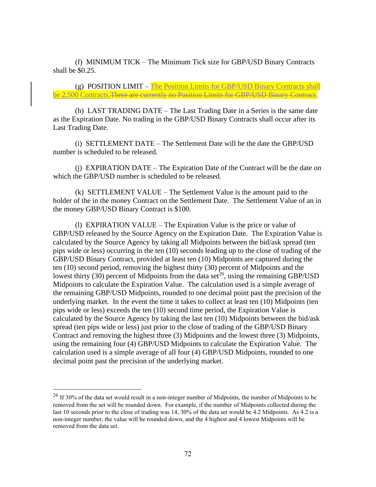(f) MINIMUM TICK – The Minimum Tick size for GBP/USD Binary Contracts shall be \$0.25.

(g) POSITION LIMIT – The Position Limits for GBP/USD Binary Contracts shall be 2,500 Contracts. There are currently no Position Limits for GBP/USD Binary Contract.

(h) LAST TRADING DATE – The Last Trading Date in a Series is the same date as the Expiration Date. No trading in the GBP/USD Binary Contracts shall occur after its Last Trading Date.

(i) SETTLEMENT DATE – The Settlement Date will be the date the GBP/USD number is scheduled to be released.

(j) EXPIRATION DATE – The Expiration Date of the Contract will be the date on which the GBP/USD number is scheduled to be released.

(k) SETTLEMENT VALUE – The Settlement Value is the amount paid to the holder of the in the money Contract on the Settlement Date. The Settlement Value of an in the money GBP/USD Binary Contract is \$100.

(l) EXPIRATION VALUE – The Expiration Value is the price or value of GBP/USD released by the Source Agency on the Expiration Date. The Expiration Value is calculated by the Source Agency by taking all Midpoints between the bid/ask spread (ten pips wide or less) occurring in the ten (10) seconds leading up to the close of trading of the GBP/USD Binary Contract, provided at least ten (10) Midpoints are captured during the ten (10) second period, removing the highest thirty (30) percent of Midpoints and the lowest thirty (30) percent of Midpoints from the data set<sup> $26$ </sup>, using the remaining GBP/USD Midpoints to calculate the Expiration Value. The calculation used is a simple average of the remaining GBP/USD Midpoints, rounded to one decimal point past the precision of the underlying market. In the event the time it takes to collect at least ten (10) Midpoints (ten pips wide or less) exceeds the ten (10) second time period, the Expiration Value is calculated by the Source Agency by taking the last ten (10) Midpoints between the bid/ask spread (ten pips wide or less) just prior to the close of trading of the GBP/USD Binary Contract and removing the highest three (3) Midpoints and the lowest three (3) Midpoints, using the remaining four (4) GBP/USD Midpoints to calculate the Expiration Value. The calculation used is a simple average of all four (4) GBP/USD Midpoints, rounded to one decimal point past the precision of the underlying market.

 $26$  If 30% of the data set would result in a non-integer number of Midpoints, the number of Midpoints to be removed from the set will be rounded down. For example, if the number of Midpoints collected during the last 10 seconds prior to the close of trading was 14, 30% of the data set would be 4.2 Midpoints. As 4.2 is a non-integer number, the value will be rounded down, and the 4 highest and 4 lowest Midpoints will be removed from the data set.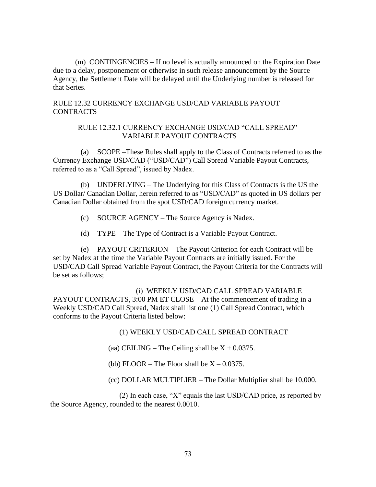(m) CONTINGENCIES – If no level is actually announced on the Expiration Date due to a delay, postponement or otherwise in such release announcement by the Source Agency, the Settlement Date will be delayed until the Underlying number is released for that Series.

# RULE 12.32 CURRENCY EXCHANGE USD/CAD VARIABLE PAYOUT **CONTRACTS**

# RULE 12.32.1 CURRENCY EXCHANGE USD/CAD "CALL SPREAD" VARIABLE PAYOUT CONTRACTS

(a) SCOPE –These Rules shall apply to the Class of Contracts referred to as the Currency Exchange USD/CAD ("USD/CAD") Call Spread Variable Payout Contracts, referred to as a "Call Spread", issued by Nadex.

(b) UNDERLYING – The Underlying for this Class of Contracts is the US the US Dollar/ Canadian Dollar, herein referred to as "USD/CAD" as quoted in US dollars per Canadian Dollar obtained from the spot USD/CAD foreign currency market.

- (c) SOURCE AGENCY The Source Agency is Nadex.
- (d) TYPE The Type of Contract is a Variable Payout Contract.

(e) PAYOUT CRITERION – The Payout Criterion for each Contract will be set by Nadex at the time the Variable Payout Contracts are initially issued. For the USD/CAD Call Spread Variable Payout Contract, the Payout Criteria for the Contracts will be set as follows;

(i) WEEKLY USD/CAD CALL SPREAD VARIABLE PAYOUT CONTRACTS, 3:00 PM ET CLOSE – At the commencement of trading in a Weekly USD/CAD Call Spread, Nadex shall list one (1) Call Spread Contract, which conforms to the Payout Criteria listed below:

(1) WEEKLY USD/CAD CALL SPREAD CONTRACT

(aa) CEILING – The Ceiling shall be  $X + 0.0375$ .

(bb) FLOOR – The Floor shall be  $X - 0.0375$ .

(cc) DOLLAR MULTIPLIER – The Dollar Multiplier shall be 10,000.

(2) In each case, "X" equals the last USD/CAD price, as reported by the Source Agency, rounded to the nearest 0.0010.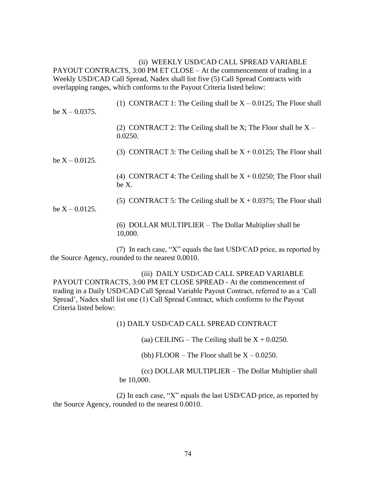# (ii) WEEKLY USD/CAD CALL SPREAD VARIABLE

PAYOUT CONTRACTS, 3:00 PM ET CLOSE – At the commencement of trading in a Weekly USD/CAD Call Spread, Nadex shall list five (5) Call Spread Contracts with overlapping ranges, which conforms to the Payout Criteria listed below:

| be $X - 0.0375$ . | (1) CONTRACT 1: The Ceiling shall be $X - 0.0125$ ; The Floor shall          |
|-------------------|------------------------------------------------------------------------------|
|                   | (2) CONTRACT 2: The Ceiling shall be X; The Floor shall be $X -$<br>0.0250.  |
| be $X - 0.0125$ . | (3) CONTRACT 3: The Ceiling shall be $X + 0.0125$ ; The Floor shall          |
|                   | (4) CONTRACT 4: The Ceiling shall be $X + 0.0250$ ; The Floor shall<br>be X. |
| be $X - 0.0125$ . | (5) CONTRACT 5: The Ceiling shall be $X + 0.0375$ ; The Floor shall          |
|                   | (6) DOLLAR MULTIPLIER – The Dollar Multiplier shall be<br>10,000.            |

(7) In each case, "X" equals the last USD/CAD price, as reported by the Source Agency, rounded to the nearest 0.0010.

(iii) DAILY USD/CAD CALL SPREAD VARIABLE PAYOUT CONTRACTS, 3:00 PM ET CLOSE SPREAD - At the commencement of trading in a Daily USD/CAD Call Spread Variable Payout Contract, referred to as a 'Call Spread', Nadex shall list one (1) Call Spread Contract, which conforms to the Payout Criteria listed below:

# (1) DAILY USD/CAD CALL SPREAD CONTRACT

(aa) CEILING – The Ceiling shall be  $X + 0.0250$ .

(bb) FLOOR – The Floor shall be  $X - 0.0250$ .

(cc) DOLLAR MULTIPLIER – The Dollar Multiplier shall be 10,000.

(2) In each case, "X" equals the last USD/CAD price, as reported by the Source Agency, rounded to the nearest 0.0010.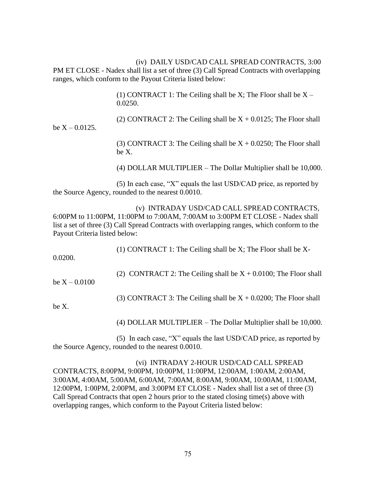(iv) DAILY USD/CAD CALL SPREAD CONTRACTS, 3:00 PM ET CLOSE - Nadex shall list a set of three (3) Call Spread Contracts with overlapping ranges, which conform to the Payout Criteria listed below:

> (1) CONTRACT 1: The Ceiling shall be X; The Floor shall be  $X -$ 0.0250.

be  $X - 0.0125$ .

(2) CONTRACT 2: The Ceiling shall be  $X + 0.0125$ ; The Floor shall

(3) CONTRACT 3: The Ceiling shall be  $X + 0.0250$ ; The Floor shall be X.

(4) DOLLAR MULTIPLIER – The Dollar Multiplier shall be 10,000.

(5) In each case, "X" equals the last USD/CAD price, as reported by the Source Agency, rounded to the nearest 0.0010.

(v) INTRADAY USD/CAD CALL SPREAD CONTRACTS, 6:00PM to 11:00PM, 11:00PM to 7:00AM, 7:00AM to 3:00PM ET CLOSE - Nadex shall list a set of three (3) Call Spread Contracts with overlapping ranges, which conform to the Payout Criteria listed below:

(1) CONTRACT 1: The Ceiling shall be X; The Floor shall be X-

0.0200.

be  $X - 0.0100$ 

(3) CONTRACT 3: The Ceiling shall be  $X + 0.0200$ ; The Floor shall

(2) CONTRACT 2: The Ceiling shall be  $X + 0.0100$ ; The Floor shall

be X.

(4) DOLLAR MULTIPLIER – The Dollar Multiplier shall be 10,000.

(5) In each case, "X" equals the last USD/CAD price, as reported by the Source Agency, rounded to the nearest 0.0010.

(vi) INTRADAY 2-HOUR USD/CAD CALL SPREAD CONTRACTS, 8:00PM, 9:00PM, 10:00PM, 11:00PM, 12:00AM, 1:00AM, 2:00AM, 3:00AM, 4:00AM, 5:00AM, 6:00AM, 7:00AM, 8:00AM, 9:00AM, 10:00AM, 11:00AM, 12:00PM, 1:00PM, 2:00PM, and 3:00PM ET CLOSE - Nadex shall list a set of three (3) Call Spread Contracts that open 2 hours prior to the stated closing time(s) above with overlapping ranges, which conform to the Payout Criteria listed below: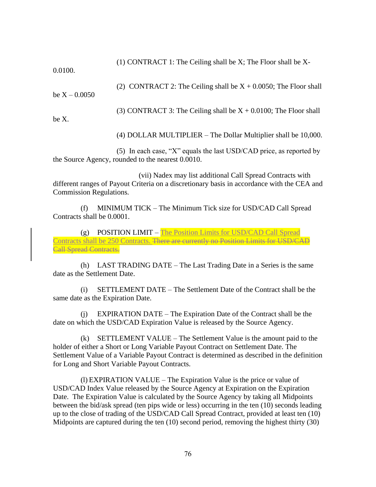(1) CONTRACT 1: The Ceiling shall be X; The Floor shall be X-

0.0100.

(2) CONTRACT 2: The Ceiling shall be  $X + 0.0050$ ; The Floor shall be  $X - 0.0050$ 

(3) CONTRACT 3: The Ceiling shall be  $X + 0.0100$ ; The Floor shall

be X.

(4) DOLLAR MULTIPLIER – The Dollar Multiplier shall be 10,000.

(5) In each case, "X" equals the last USD/CAD price, as reported by the Source Agency, rounded to the nearest 0.0010.

(vii) Nadex may list additional Call Spread Contracts with different ranges of Payout Criteria on a discretionary basis in accordance with the CEA and Commission Regulations.

(f) MINIMUM TICK – The Minimum Tick size for USD/CAD Call Spread Contracts shall be 0.0001.

(g) POSITION LIMIT – The Position Limits for USD/CAD Call Spread Contracts shall be 250 Contracts. There are currently no Position Limits for USD/CAD Call Spread Contracts.

(h) LAST TRADING DATE – The Last Trading Date in a Series is the same date as the Settlement Date.

(i) SETTLEMENT DATE – The Settlement Date of the Contract shall be the same date as the Expiration Date.

(j) EXPIRATION DATE – The Expiration Date of the Contract shall be the date on which the USD/CAD Expiration Value is released by the Source Agency.

(k) SETTLEMENT VALUE – The Settlement Value is the amount paid to the holder of either a Short or Long Variable Payout Contract on Settlement Date. The Settlement Value of a Variable Payout Contract is determined as described in the definition for Long and Short Variable Payout Contracts.

(l) EXPIRATION VALUE – The Expiration Value is the price or value of USD/CAD Index Value released by the Source Agency at Expiration on the Expiration Date. The Expiration Value is calculated by the Source Agency by taking all Midpoints between the bid/ask spread (ten pips wide or less) occurring in the ten (10) seconds leading up to the close of trading of the USD/CAD Call Spread Contract, provided at least ten (10) Midpoints are captured during the ten (10) second period, removing the highest thirty (30)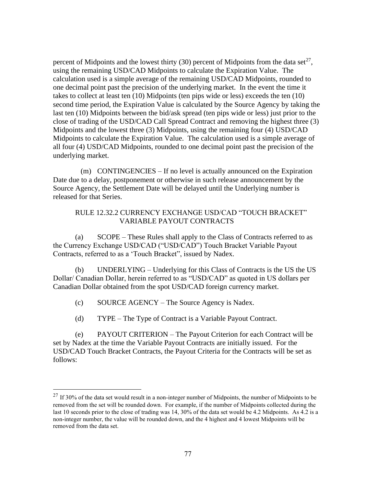percent of Midpoints and the lowest thirty (30) percent of Midpoints from the data set<sup>27</sup>, using the remaining USD/CAD Midpoints to calculate the Expiration Value. The calculation used is a simple average of the remaining USD/CAD Midpoints, rounded to one decimal point past the precision of the underlying market. In the event the time it takes to collect at least ten (10) Midpoints (ten pips wide or less) exceeds the ten (10) second time period, the Expiration Value is calculated by the Source Agency by taking the last ten (10) Midpoints between the bid/ask spread (ten pips wide or less) just prior to the close of trading of the USD/CAD Call Spread Contract and removing the highest three (3) Midpoints and the lowest three (3) Midpoints, using the remaining four (4) USD/CAD Midpoints to calculate the Expiration Value. The calculation used is a simple average of all four (4) USD/CAD Midpoints, rounded to one decimal point past the precision of the underlying market.

(m) CONTINGENCIES – If no level is actually announced on the Expiration Date due to a delay, postponement or otherwise in such release announcement by the Source Agency, the Settlement Date will be delayed until the Underlying number is released for that Series.

# RULE 12.32.2 CURRENCY EXCHANGE USD/CAD "TOUCH BRACKET" VARIABLE PAYOUT CONTRACTS

(a) SCOPE – These Rules shall apply to the Class of Contracts referred to as the Currency Exchange USD/CAD ("USD/CAD") Touch Bracket Variable Payout Contracts, referred to as a 'Touch Bracket", issued by Nadex.

(b) UNDERLYING – Underlying for this Class of Contracts is the US the US Dollar/ Canadian Dollar, herein referred to as "USD/CAD" as quoted in US dollars per Canadian Dollar obtained from the spot USD/CAD foreign currency market.

- (c) SOURCE AGENCY The Source Agency is Nadex.
- (d) TYPE The Type of Contract is a Variable Payout Contract.

(e) PAYOUT CRITERION – The Payout Criterion for each Contract will be set by Nadex at the time the Variable Payout Contracts are initially issued. For the USD/CAD Touch Bracket Contracts, the Payout Criteria for the Contracts will be set as follows:

 $27$  If 30% of the data set would result in a non-integer number of Midpoints, the number of Midpoints to be removed from the set will be rounded down. For example, if the number of Midpoints collected during the last 10 seconds prior to the close of trading was 14, 30% of the data set would be 4.2 Midpoints. As 4.2 is a non-integer number, the value will be rounded down, and the 4 highest and 4 lowest Midpoints will be removed from the data set.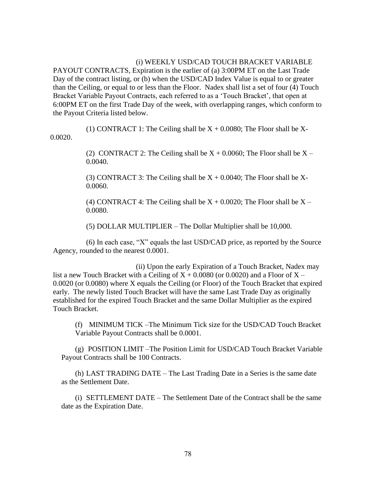## (i) WEEKLY USD/CAD TOUCH BRACKET VARIABLE

PAYOUT CONTRACTS, Expiration is the earlier of (a) 3:00PM ET on the Last Trade Day of the contract listing, or (b) when the USD/CAD Index Value is equal to or greater than the Ceiling, or equal to or less than the Floor. Nadex shall list a set of four (4) Touch Bracket Variable Payout Contracts, each referred to as a 'Touch Bracket', that open at 6:00PM ET on the first Trade Day of the week, with overlapping ranges, which conform to the Payout Criteria listed below.

(1) CONTRACT 1: The Ceiling shall be  $X + 0.0080$ ; The Floor shall be X-0.0020.

> (2) CONTRACT 2: The Ceiling shall be  $X + 0.0060$ ; The Floor shall be  $X -$ 0.0040.

(3) CONTRACT 3: The Ceiling shall be  $X + 0.0040$ ; The Floor shall be X-0.0060.

(4) CONTRACT 4: The Ceiling shall be  $X + 0.0020$ ; The Floor shall be  $X -$ 0.0080.

(5) DOLLAR MULTIPLIER – The Dollar Multiplier shall be 10,000.

(6) In each case, "X" equals the last USD/CAD price, as reported by the Source Agency, rounded to the nearest 0.0001.

(ii) Upon the early Expiration of a Touch Bracket, Nadex may list a new Touch Bracket with a Ceiling of  $X + 0.0080$  (or 0.0020) and a Floor of  $X -$ 0.0020 (or 0.0080) where X equals the Ceiling (or Floor) of the Touch Bracket that expired early. The newly listed Touch Bracket will have the same Last Trade Day as originally established for the expired Touch Bracket and the same Dollar Multiplier as the expired Touch Bracket.

(f) MINIMUM TICK –The Minimum Tick size for the USD/CAD Touch Bracket Variable Payout Contracts shall be 0.0001.

(g) POSITION LIMIT –The Position Limit for USD/CAD Touch Bracket Variable Payout Contracts shall be 100 Contracts.

(h) LAST TRADING DATE – The Last Trading Date in a Series is the same date as the Settlement Date.

(i) SETTLEMENT DATE – The Settlement Date of the Contract shall be the same date as the Expiration Date.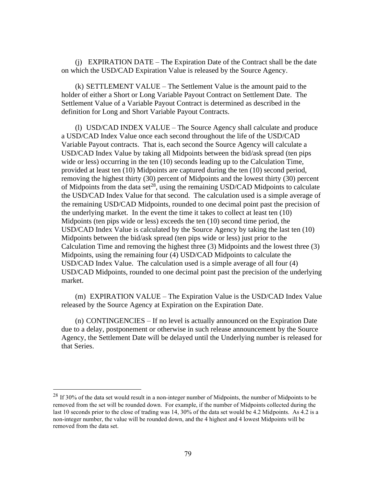(j) EXPIRATION DATE – The Expiration Date of the Contract shall be the date on which the USD/CAD Expiration Value is released by the Source Agency.

(k) SETTLEMENT VALUE – The Settlement Value is the amount paid to the holder of either a Short or Long Variable Payout Contract on Settlement Date. The Settlement Value of a Variable Payout Contract is determined as described in the definition for Long and Short Variable Payout Contracts.

(l) USD/CAD INDEX VALUE – The Source Agency shall calculate and produce a USD/CAD Index Value once each second throughout the life of the USD/CAD Variable Payout contracts. That is, each second the Source Agency will calculate a USD/CAD Index Value by taking all Midpoints between the bid/ask spread (ten pips wide or less) occurring in the ten (10) seconds leading up to the Calculation Time, provided at least ten (10) Midpoints are captured during the ten (10) second period, removing the highest thirty (30) percent of Midpoints and the lowest thirty (30) percent of Midpoints from the data set<sup>28</sup>, using the remaining USD/CAD Midpoints to calculate the USD/CAD Index Value for that second. The calculation used is a simple average of the remaining USD/CAD Midpoints, rounded to one decimal point past the precision of the underlying market. In the event the time it takes to collect at least ten (10) Midpoints (ten pips wide or less) exceeds the ten (10) second time period, the USD/CAD Index Value is calculated by the Source Agency by taking the last ten (10) Midpoints between the bid/ask spread (ten pips wide or less) just prior to the Calculation Time and removing the highest three (3) Midpoints and the lowest three (3) Midpoints, using the remaining four (4) USD/CAD Midpoints to calculate the USD/CAD Index Value. The calculation used is a simple average of all four (4) USD/CAD Midpoints, rounded to one decimal point past the precision of the underlying market.

(m) EXPIRATION VALUE – The Expiration Value is the USD/CAD Index Value released by the Source Agency at Expiration on the Expiration Date.

(n) CONTINGENCIES – If no level is actually announced on the Expiration Date due to a delay, postponement or otherwise in such release announcement by the Source Agency, the Settlement Date will be delayed until the Underlying number is released for that Series.

<sup>&</sup>lt;sup>28</sup> If 30% of the data set would result in a non-integer number of Midpoints, the number of Midpoints to be removed from the set will be rounded down. For example, if the number of Midpoints collected during the last 10 seconds prior to the close of trading was 14, 30% of the data set would be 4.2 Midpoints. As 4.2 is a non-integer number, the value will be rounded down, and the 4 highest and 4 lowest Midpoints will be removed from the data set.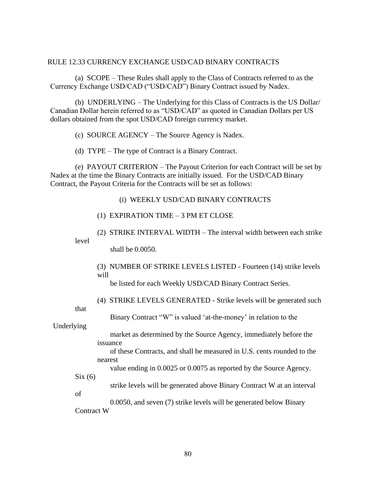#### RULE 12.33 CURRENCY EXCHANGE USD/CAD BINARY CONTRACTS

(a) SCOPE – These Rules shall apply to the Class of Contracts referred to as the Currency Exchange USD/CAD ("USD/CAD") Binary Contract issued by Nadex.

(b) UNDERLYING – The Underlying for this Class of Contracts is the US Dollar/ Canadian Dollar herein referred to as "USD/CAD" as quoted in Canadian Dollars per US dollars obtained from the spot USD/CAD foreign currency market.

(c) SOURCE AGENCY – The Source Agency is Nadex.

(d) TYPE – The type of Contract is a Binary Contract.

(e) PAYOUT CRITERION – The Payout Criterion for each Contract will be set by Nadex at the time the Binary Contracts are initially issued. For the USD/CAD Binary Contract, the Payout Criteria for the Contracts will be set as follows:

### (i) WEEKLY USD/CAD BINARY CONTRACTS

(1) EXPIRATION TIME – 3 PM ET CLOSE

(2) STRIKE INTERVAL WIDTH – The interval width between each strike level

shall be 0.0050.

(3) NUMBER OF STRIKE LEVELS LISTED - Fourteen (14) strike levels will

be listed for each Weekly USD/CAD Binary Contract Series.

(4) STRIKE LEVELS GENERATED - Strike levels will be generated such

that

Binary Contract "W" is valued 'at-the-money' in relation to the

Underlying

 market as determined by the Source Agency, immediately before the issuance

 of these Contracts, and shall be measured in U.S. cents rounded to the nearest

value ending in 0.0025 or 0.0075 as reported by the Source Agency.

 $Six(6)$ 

of

strike levels will be generated above Binary Contract W at an interval

0.0050, and seven (7) strike levels will be generated below Binary

Contract W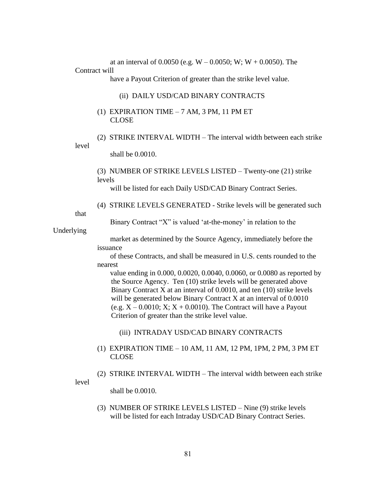at an interval of 0.0050 (e.g.  $W - 0.0050$ ; W;  $W + 0.0050$ ). The Contract will

have a Payout Criterion of greater than the strike level value.

### (ii) DAILY USD/CAD BINARY CONTRACTS

## (1) EXPIRATION TIME  $-7$  AM, 3 PM, 11 PM ET CLOSE

(2) STRIKE INTERVAL WIDTH – The interval width between each strike

level

shall be 0.0010.

#### (3) NUMBER OF STRIKE LEVELS LISTED – Twenty-one (21) strike levels

will be listed for each Daily USD/CAD Binary Contract Series.

(4) STRIKE LEVELS GENERATED - Strike levels will be generated such

that

level

Binary Contract "X" is valued 'at-the-money' in relation to the

Underlying

 market as determined by the Source Agency, immediately before the issuance

 of these Contracts, and shall be measured in U.S. cents rounded to the nearest

 value ending in 0.000, 0.0020, 0.0040, 0.0060, or 0.0080 as reported by the Source Agency. Ten (10) strike levels will be generated above Binary Contract X at an interval of 0.0010, and ten (10) strike levels will be generated below Binary Contract X at an interval of  $0.0010$ (e.g.  $X - 0.0010$ ;  $X$ ;  $X + 0.0010$ ). The Contract will have a Payout Criterion of greater than the strike level value.

(iii) INTRADAY USD/CAD BINARY CONTRACTS

(1) EXPIRATION TIME – 10 AM, 11 AM, 12 PM, 1PM, 2 PM, 3 PM ET CLOSE

(2) STRIKE INTERVAL WIDTH – The interval width between each strike

shall be 0.0010.

(3) NUMBER OF STRIKE LEVELS LISTED – Nine (9) strike levels will be listed for each Intraday USD/CAD Binary Contract Series.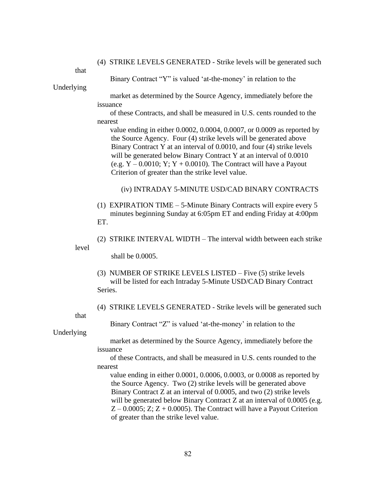#### (4) STRIKE LEVELS GENERATED - Strike levels will be generated such

that

# Binary Contract "Y" is valued 'at-the-money' in relation to the

Underlying

 market as determined by the Source Agency, immediately before the issuance

 of these Contracts, and shall be measured in U.S. cents rounded to the nearest

 value ending in either 0.0002, 0.0004, 0.0007, or 0.0009 as reported by the Source Agency. Four (4) strike levels will be generated above Binary Contract Y at an interval of 0.0010, and four (4) strike levels will be generated below Binary Contract Y at an interval of  $0.0010$ (e.g.  $Y - 0.0010$ ;  $Y$ ;  $Y + 0.0010$ ). The Contract will have a Payout Criterion of greater than the strike level value.

(iv) INTRADAY 5-MINUTE USD/CAD BINARY CONTRACTS

(1) EXPIRATION TIME – 5-Minute Binary Contracts will expire every 5 minutes beginning Sunday at 6:05pm ET and ending Friday at 4:00pm ET.

(2) STRIKE INTERVAL WIDTH – The interval width between each strike level

shall be 0.0005.

- (3) NUMBER OF STRIKE LEVELS LISTED Five (5) strike levels will be listed for each Intraday 5-Minute USD/CAD Binary Contract Series.
- (4) STRIKE LEVELS GENERATED Strike levels will be generated such

that

Binary Contract "Z" is valued 'at-the-money' in relation to the

Underlying

 market as determined by the Source Agency, immediately before the issuance

 of these Contracts, and shall be measured in U.S. cents rounded to the nearest

 value ending in either 0.0001, 0.0006, 0.0003, or 0.0008 as reported by the Source Agency. Two (2) strike levels will be generated above Binary Contract Z at an interval of 0.0005, and two (2) strike levels will be generated below Binary Contract Z at an interval of 0.0005 (e.g.  $Z - 0.0005$ ;  $Z$ ;  $Z + 0.0005$ ). The Contract will have a Payout Criterion of greater than the strike level value.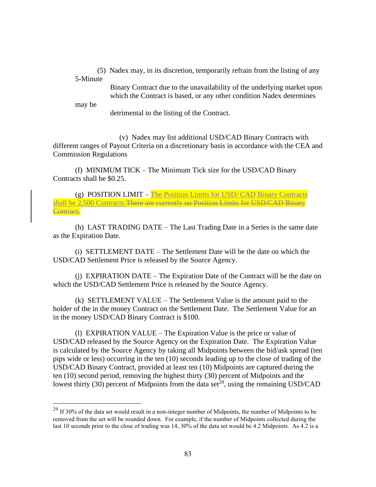(5) Nadex may, in its discretion, temporarily refrain from the listing of any 5-Minute

> Binary Contract due to the unavailability of the underlying market upon which the Contract is based, or any other condition Nadex determines

may be

detrimental to the listing of the Contract.

(v) Nadex may list additional USD/CAD Binary Contracts with different ranges of Payout Criteria on a discretionary basis in accordance with the CEA and Commission Regulations

(f) MINIMUM TICK – The Minimum Tick size for the USD/CAD Binary Contracts shall be \$0.25.

(g) POSITION LIMIT – The Position Limits for USD/ CAD Binary Contracts shall be 2,500 Contracts. There are currently no Position Limits for USD/CAD Binary Contract.

(h) LAST TRADING DATE – The Last Trading Date in a Series is the same date as the Expiration Date.

(i) SETTLEMENT DATE – The Settlement Date will be the date on which the USD/CAD Settlement Price is released by the Source Agency.

(j) EXPIRATION DATE – The Expiration Date of the Contract will be the date on which the USD/CAD Settlement Price is released by the Source Agency.

(k) SETTLEMENT VALUE – The Settlement Value is the amount paid to the holder of the in the money Contract on the Settlement Date. The Settlement Value for an in the money USD/CAD Binary Contract is \$100.

(l) EXPIRATION VALUE – The Expiration Value is the price or value of USD/CAD released by the Source Agency on the Expiration Date. The Expiration Value is calculated by the Source Agency by taking all Midpoints between the bid/ask spread (ten pips wide or less) occurring in the ten (10) seconds leading up to the close of trading of the USD/CAD Binary Contract, provided at least ten (10) Midpoints are captured during the ten (10) second period, removing the highest thirty (30) percent of Midpoints and the lowest thirty (30) percent of Midpoints from the data set<sup>29</sup>, using the remaining USD/CAD

<sup>&</sup>lt;sup>29</sup> If 30% of the data set would result in a non-integer number of Midpoints, the number of Midpoints to be removed from the set will be rounded down. For example, if the number of Midpoints collected during the last 10 seconds prior to the close of trading was 14, 30% of the data set would be 4.2 Midpoints. As 4.2 is a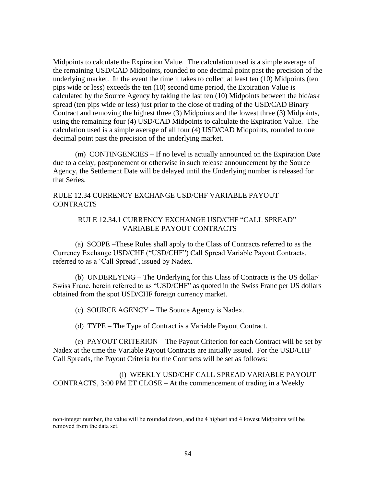Midpoints to calculate the Expiration Value. The calculation used is a simple average of the remaining USD/CAD Midpoints, rounded to one decimal point past the precision of the underlying market. In the event the time it takes to collect at least ten (10) Midpoints (ten pips wide or less) exceeds the ten (10) second time period, the Expiration Value is calculated by the Source Agency by taking the last ten (10) Midpoints between the bid/ask spread (ten pips wide or less) just prior to the close of trading of the USD/CAD Binary Contract and removing the highest three (3) Midpoints and the lowest three (3) Midpoints, using the remaining four (4) USD/CAD Midpoints to calculate the Expiration Value. The calculation used is a simple average of all four (4) USD/CAD Midpoints, rounded to one decimal point past the precision of the underlying market.

(m) CONTINGENCIES – If no level is actually announced on the Expiration Date due to a delay, postponement or otherwise in such release announcement by the Source Agency, the Settlement Date will be delayed until the Underlying number is released for that Series.

# RULE 12.34 CURRENCY EXCHANGE USD/CHF VARIABLE PAYOUT **CONTRACTS**

# RULE 12.34.1 CURRENCY EXCHANGE USD/CHF "CALL SPREAD" VARIABLE PAYOUT CONTRACTS

(a) SCOPE –These Rules shall apply to the Class of Contracts referred to as the Currency Exchange USD/CHF ("USD/CHF") Call Spread Variable Payout Contracts, referred to as a 'Call Spread', issued by Nadex.

(b) UNDERLYING – The Underlying for this Class of Contracts is the US dollar/ Swiss Franc, herein referred to as "USD/CHF" as quoted in the Swiss Franc per US dollars obtained from the spot USD/CHF foreign currency market.

(c) SOURCE AGENCY – The Source Agency is Nadex.

(d) TYPE – The Type of Contract is a Variable Payout Contract.

(e) PAYOUT CRITERION – The Payout Criterion for each Contract will be set by Nadex at the time the Variable Payout Contracts are initially issued. For the USD/CHF Call Spreads, the Payout Criteria for the Contracts will be set as follows:

(i) WEEKLY USD/CHF CALL SPREAD VARIABLE PAYOUT CONTRACTS, 3:00 PM ET CLOSE – At the commencement of trading in a Weekly

non-integer number, the value will be rounded down, and the 4 highest and 4 lowest Midpoints will be removed from the data set.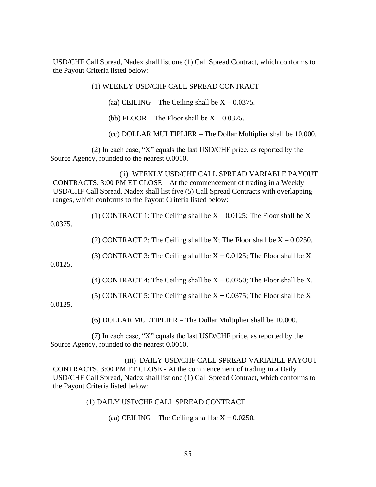USD/CHF Call Spread, Nadex shall list one (1) Call Spread Contract, which conforms to the Payout Criteria listed below:

(1) WEEKLY USD/CHF CALL SPREAD CONTRACT

(aa) CEILING – The Ceiling shall be  $X + 0.0375$ .

(bb) FLOOR – The Floor shall be  $X - 0.0375$ .

(cc) DOLLAR MULTIPLIER – The Dollar Multiplier shall be 10,000.

(2) In each case, "X" equals the last USD/CHF price, as reported by the Source Agency, rounded to the nearest 0.0010.

(ii) WEEKLY USD/CHF CALL SPREAD VARIABLE PAYOUT CONTRACTS, 3:00 PM ET CLOSE – At the commencement of trading in a Weekly USD/CHF Call Spread, Nadex shall list five (5) Call Spread Contracts with overlapping ranges, which conforms to the Payout Criteria listed below:

(1) CONTRACT 1: The Ceiling shall be  $X - 0.0125$ ; The Floor shall be  $X -$ 0.0375.

(2) CONTRACT 2: The Ceiling shall be X; The Floor shall be  $X - 0.0250$ .

(3) CONTRACT 3: The Ceiling shall be  $X + 0.0125$ ; The Floor shall be  $X -$ 

0.0125.

(4) CONTRACT 4: The Ceiling shall be  $X + 0.0250$ ; The Floor shall be X.

(5) CONTRACT 5: The Ceiling shall be  $X + 0.0375$ ; The Floor shall be  $X -$ 

0.0125.

(6) DOLLAR MULTIPLIER – The Dollar Multiplier shall be 10,000.

(7) In each case, "X" equals the last USD/CHF price, as reported by the Source Agency, rounded to the nearest 0.0010.

(iii) DAILY USD/CHF CALL SPREAD VARIABLE PAYOUT CONTRACTS, 3:00 PM ET CLOSE - At the commencement of trading in a Daily USD/CHF Call Spread, Nadex shall list one (1) Call Spread Contract, which conforms to the Payout Criteria listed below:

(1) DAILY USD/CHF CALL SPREAD CONTRACT

(aa) CEILING – The Ceiling shall be  $X + 0.0250$ .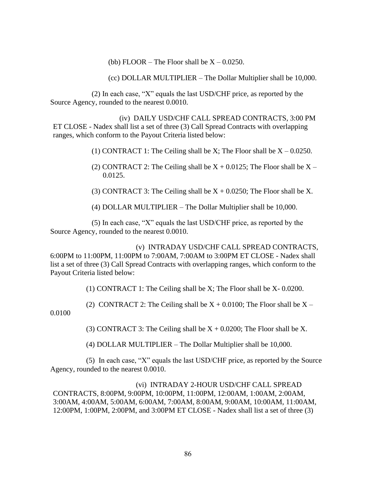(bb) FLOOR – The Floor shall be  $X - 0.0250$ .

(cc) DOLLAR MULTIPLIER – The Dollar Multiplier shall be 10,000.

(2) In each case, "X" equals the last USD/CHF price, as reported by the Source Agency, rounded to the nearest 0.0010.

(iv) DAILY USD/CHF CALL SPREAD CONTRACTS, 3:00 PM ET CLOSE - Nadex shall list a set of three (3) Call Spread Contracts with overlapping ranges, which conform to the Payout Criteria listed below:

- (1) CONTRACT 1: The Ceiling shall be X; The Floor shall be  $X 0.0250$ .
- (2) CONTRACT 2: The Ceiling shall be  $X + 0.0125$ ; The Floor shall be  $X -$ 0.0125.
- (3) CONTRACT 3: The Ceiling shall be  $X + 0.0250$ ; The Floor shall be X.

(4) DOLLAR MULTIPLIER – The Dollar Multiplier shall be 10,000.

(5) In each case, "X" equals the last USD/CHF price, as reported by the Source Agency, rounded to the nearest 0.0010.

(v) INTRADAY USD/CHF CALL SPREAD CONTRACTS, 6:00PM to 11:00PM, 11:00PM to 7:00AM, 7:00AM to 3:00PM ET CLOSE - Nadex shall list a set of three (3) Call Spread Contracts with overlapping ranges, which conform to the Payout Criteria listed below:

(1) CONTRACT 1: The Ceiling shall be X; The Floor shall be X- 0.0200.

(2) CONTRACT 2: The Ceiling shall be  $X + 0.0100$ ; The Floor shall be  $X -$ 

0.0100

(3) CONTRACT 3: The Ceiling shall be  $X + 0.0200$ ; The Floor shall be X.

(4) DOLLAR MULTIPLIER – The Dollar Multiplier shall be 10,000.

(5) In each case, "X" equals the last USD/CHF price, as reported by the Source Agency, rounded to the nearest 0.0010.

(vi) INTRADAY 2-HOUR USD/CHF CALL SPREAD CONTRACTS, 8:00PM, 9:00PM, 10:00PM, 11:00PM, 12:00AM, 1:00AM, 2:00AM, 3:00AM, 4:00AM, 5:00AM, 6:00AM, 7:00AM, 8:00AM, 9:00AM, 10:00AM, 11:00AM, 12:00PM, 1:00PM, 2:00PM, and 3:00PM ET CLOSE - Nadex shall list a set of three (3)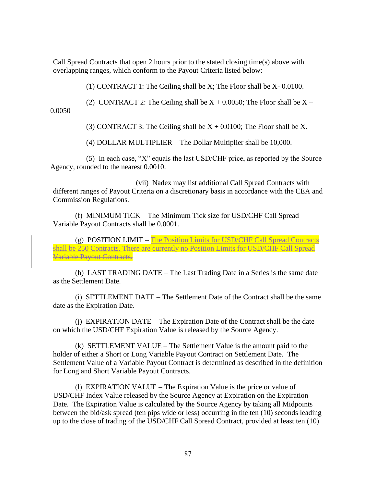Call Spread Contracts that open 2 hours prior to the stated closing time(s) above with overlapping ranges, which conform to the Payout Criteria listed below:

(1) CONTRACT 1: The Ceiling shall be X; The Floor shall be X- 0.0100.

(2) CONTRACT 2: The Ceiling shall be  $X + 0.0050$ ; The Floor shall be  $X -$ 

0.0050

(3) CONTRACT 3: The Ceiling shall be  $X + 0.0100$ ; The Floor shall be X.

(4) DOLLAR MULTIPLIER – The Dollar Multiplier shall be 10,000.

(5) In each case, "X" equals the last USD/CHF price, as reported by the Source Agency, rounded to the nearest 0.0010.

(vii) Nadex may list additional Call Spread Contracts with different ranges of Payout Criteria on a discretionary basis in accordance with the CEA and Commission Regulations.

(f) MINIMUM TICK – The Minimum Tick size for USD/CHF Call Spread Variable Payout Contracts shall be 0.0001.

(g) POSITION LIMIT – The Position Limits for USD/CHF Call Spread Contracts shall be 250 Contracts. There are currently no Position Limits for USD/CHF Call Spread Variable Payout Contracts.

(h) LAST TRADING DATE – The Last Trading Date in a Series is the same date as the Settlement Date.

(i) SETTLEMENT DATE – The Settlement Date of the Contract shall be the same date as the Expiration Date.

(j) EXPIRATION DATE – The Expiration Date of the Contract shall be the date on which the USD/CHF Expiration Value is released by the Source Agency.

(k) SETTLEMENT VALUE – The Settlement Value is the amount paid to the holder of either a Short or Long Variable Payout Contract on Settlement Date. The Settlement Value of a Variable Payout Contract is determined as described in the definition for Long and Short Variable Payout Contracts.

(l) EXPIRATION VALUE – The Expiration Value is the price or value of USD/CHF Index Value released by the Source Agency at Expiration on the Expiration Date. The Expiration Value is calculated by the Source Agency by taking all Midpoints between the bid/ask spread (ten pips wide or less) occurring in the ten (10) seconds leading up to the close of trading of the USD/CHF Call Spread Contract, provided at least ten (10)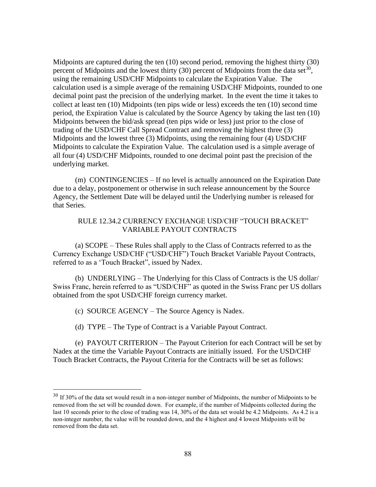Midpoints are captured during the ten (10) second period, removing the highest thirty (30) percent of Midpoints and the lowest thirty  $(30)$  percent of Midpoints from the data set<sup>30</sup>, using the remaining USD/CHF Midpoints to calculate the Expiration Value. The calculation used is a simple average of the remaining USD/CHF Midpoints, rounded to one decimal point past the precision of the underlying market. In the event the time it takes to collect at least ten (10) Midpoints (ten pips wide or less) exceeds the ten (10) second time period, the Expiration Value is calculated by the Source Agency by taking the last ten (10) Midpoints between the bid/ask spread (ten pips wide or less) just prior to the close of trading of the USD/CHF Call Spread Contract and removing the highest three (3) Midpoints and the lowest three (3) Midpoints, using the remaining four (4) USD/CHF Midpoints to calculate the Expiration Value. The calculation used is a simple average of all four (4) USD/CHF Midpoints, rounded to one decimal point past the precision of the underlying market.

(m) CONTINGENCIES – If no level is actually announced on the Expiration Date due to a delay, postponement or otherwise in such release announcement by the Source Agency, the Settlement Date will be delayed until the Underlying number is released for that Series.

## RULE 12.34.2 CURRENCY EXCHANGE USD/CHF "TOUCH BRACKET" VARIABLE PAYOUT CONTRACTS

(a) SCOPE – These Rules shall apply to the Class of Contracts referred to as the Currency Exchange USD/CHF ("USD/CHF") Touch Bracket Variable Payout Contracts, referred to as a 'Touch Bracket", issued by Nadex.

(b) UNDERLYING – The Underlying for this Class of Contracts is the US dollar/ Swiss Franc, herein referred to as "USD/CHF" as quoted in the Swiss Franc per US dollars obtained from the spot USD/CHF foreign currency market.

(c) SOURCE AGENCY – The Source Agency is Nadex.

(d) TYPE – The Type of Contract is a Variable Payout Contract.

(e) PAYOUT CRITERION – The Payout Criterion for each Contract will be set by Nadex at the time the Variable Payout Contracts are initially issued. For the USD/CHF Touch Bracket Contracts, the Payout Criteria for the Contracts will be set as follows:

 $30$  If 30% of the data set would result in a non-integer number of Midpoints, the number of Midpoints to be removed from the set will be rounded down. For example, if the number of Midpoints collected during the last 10 seconds prior to the close of trading was 14, 30% of the data set would be 4.2 Midpoints. As 4.2 is a non-integer number, the value will be rounded down, and the 4 highest and 4 lowest Midpoints will be removed from the data set.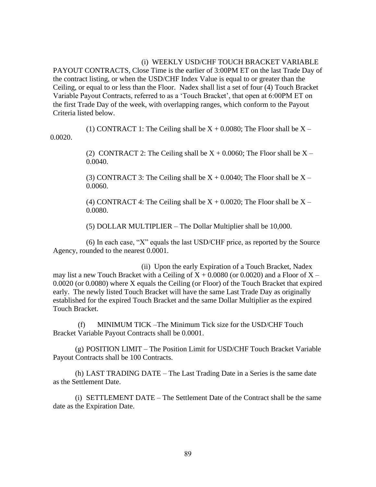## (i) WEEKLY USD/CHF TOUCH BRACKET VARIABLE

PAYOUT CONTRACTS, Close Time is the earlier of 3:00PM ET on the last Trade Day of the contract listing, or when the USD/CHF Index Value is equal to or greater than the Ceiling, or equal to or less than the Floor. Nadex shall list a set of four (4) Touch Bracket Variable Payout Contracts, referred to as a 'Touch Bracket', that open at 6:00PM ET on the first Trade Day of the week, with overlapping ranges, which conform to the Payout Criteria listed below.

(1) CONTRACT 1: The Ceiling shall be  $X + 0.0080$ ; The Floor shall be  $X -$ 0.0020.

> (2) CONTRACT 2: The Ceiling shall be  $X + 0.0060$ ; The Floor shall be  $X -$ 0.0040.

> (3) CONTRACT 3: The Ceiling shall be  $X + 0.0040$ ; The Floor shall be  $X -$ 0.0060.

> (4) CONTRACT 4: The Ceiling shall be  $X + 0.0020$ ; The Floor shall be  $X -$ 0.0080.

(5) DOLLAR MULTIPLIER – The Dollar Multiplier shall be 10,000.

(6) In each case, "X" equals the last USD/CHF price, as reported by the Source Agency, rounded to the nearest 0.0001.

(ii) Upon the early Expiration of a Touch Bracket, Nadex may list a new Touch Bracket with a Ceiling of  $X + 0.0080$  (or 0.0020) and a Floor of  $X -$ 0.0020 (or 0.0080) where X equals the Ceiling (or Floor) of the Touch Bracket that expired early. The newly listed Touch Bracket will have the same Last Trade Day as originally established for the expired Touch Bracket and the same Dollar Multiplier as the expired Touch Bracket.

(f) MINIMUM TICK –The Minimum Tick size for the USD/CHF Touch Bracket Variable Payout Contracts shall be 0.0001.

(g) POSITION LIMIT – The Position Limit for USD/CHF Touch Bracket Variable Payout Contracts shall be 100 Contracts.

(h) LAST TRADING DATE – The Last Trading Date in a Series is the same date as the Settlement Date.

(i) SETTLEMENT DATE – The Settlement Date of the Contract shall be the same date as the Expiration Date.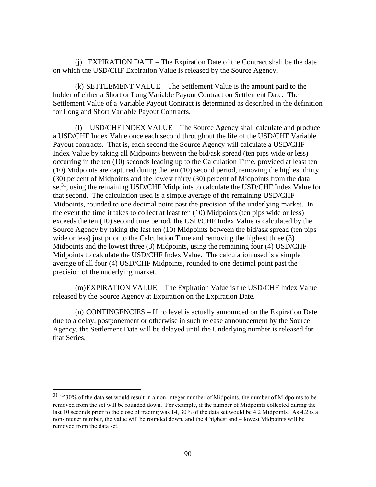(j) EXPIRATION DATE – The Expiration Date of the Contract shall be the date on which the USD/CHF Expiration Value is released by the Source Agency.

(k) SETTLEMENT VALUE – The Settlement Value is the amount paid to the holder of either a Short or Long Variable Payout Contract on Settlement Date. The Settlement Value of a Variable Payout Contract is determined as described in the definition for Long and Short Variable Payout Contracts.

(l) USD/CHF INDEX VALUE – The Source Agency shall calculate and produce a USD/CHF Index Value once each second throughout the life of the USD/CHF Variable Payout contracts. That is, each second the Source Agency will calculate a USD/CHF Index Value by taking all Midpoints between the bid/ask spread (ten pips wide or less) occurring in the ten (10) seconds leading up to the Calculation Time, provided at least ten (10) Midpoints are captured during the ten (10) second period, removing the highest thirty (30) percent of Midpoints and the lowest thirty (30) percent of Midpoints from the data  $set<sup>31</sup>$ , using the remaining USD/CHF Midpoints to calculate the USD/CHF Index Value for that second. The calculation used is a simple average of the remaining USD/CHF Midpoints, rounded to one decimal point past the precision of the underlying market. In the event the time it takes to collect at least ten (10) Midpoints (ten pips wide or less) exceeds the ten (10) second time period, the USD/CHF Index Value is calculated by the Source Agency by taking the last ten (10) Midpoints between the bid/ask spread (ten pips wide or less) just prior to the Calculation Time and removing the highest three (3) Midpoints and the lowest three (3) Midpoints, using the remaining four (4) USD/CHF Midpoints to calculate the USD/CHF Index Value. The calculation used is a simple average of all four (4) USD/CHF Midpoints, rounded to one decimal point past the precision of the underlying market.

(m)EXPIRATION VALUE – The Expiration Value is the USD/CHF Index Value released by the Source Agency at Expiration on the Expiration Date.

(n) CONTINGENCIES – If no level is actually announced on the Expiration Date due to a delay, postponement or otherwise in such release announcement by the Source Agency, the Settlement Date will be delayed until the Underlying number is released for that Series.

 $31$  If 30% of the data set would result in a non-integer number of Midpoints, the number of Midpoints to be removed from the set will be rounded down. For example, if the number of Midpoints collected during the last 10 seconds prior to the close of trading was 14, 30% of the data set would be 4.2 Midpoints. As 4.2 is a non-integer number, the value will be rounded down, and the 4 highest and 4 lowest Midpoints will be removed from the data set.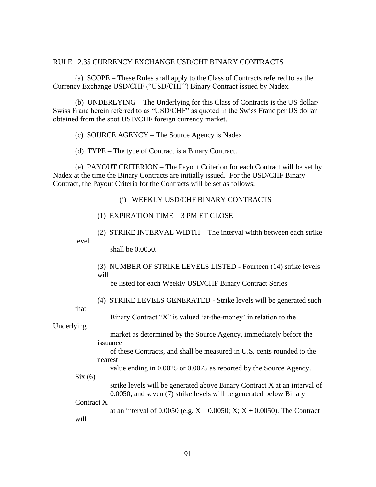#### RULE 12.35 CURRENCY EXCHANGE USD/CHF BINARY CONTRACTS

(a) SCOPE – These Rules shall apply to the Class of Contracts referred to as the Currency Exchange USD/CHF ("USD/CHF") Binary Contract issued by Nadex.

(b) UNDERLYING – The Underlying for this Class of Contracts is the US dollar/ Swiss Franc herein referred to as "USD/CHF" as quoted in the Swiss Franc per US dollar obtained from the spot USD/CHF foreign currency market.

(c) SOURCE AGENCY – The Source Agency is Nadex.

(d) TYPE – The type of Contract is a Binary Contract.

(e) PAYOUT CRITERION – The Payout Criterion for each Contract will be set by Nadex at the time the Binary Contracts are initially issued. For the USD/CHF Binary Contract, the Payout Criteria for the Contracts will be set as follows:

### (i) WEEKLY USD/CHF BINARY CONTRACTS

(1) EXPIRATION TIME – 3 PM ET CLOSE

(2) STRIKE INTERVAL WIDTH – The interval width between each strike level

shall be 0.0050.

|      | (3) NUMBER OF STRIKE LEVELS LISTED - Fourteen (14) strike levels |  |  |
|------|------------------------------------------------------------------|--|--|
| will |                                                                  |  |  |

be listed for each Weekly USD/CHF Binary Contract Series.

(4) STRIKE LEVELS GENERATED - Strike levels will be generated such

that

|  |  |  |  | Binary Contract "X" is valued 'at-the-money' in relation to the |
|--|--|--|--|-----------------------------------------------------------------|
|--|--|--|--|-----------------------------------------------------------------|

Underlying

 market as determined by the Source Agency, immediately before the issuance

 of these Contracts, and shall be measured in U.S. cents rounded to the nearest

value ending in 0.0025 or 0.0075 as reported by the Source Agency.

 $Six(6)$ 

will

 strike levels will be generated above Binary Contract X at an interval of 0.0050, and seven (7) strike levels will be generated below Binary

Contract X

at an interval of 0.0050 (e.g.  $X - 0.0050$ ;  $X: X + 0.0050$ ). The Contract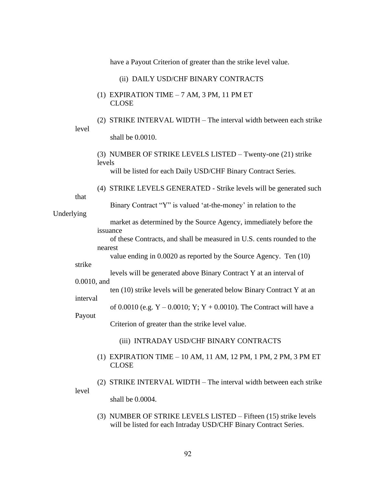have a Payout Criterion of greater than the strike level value.

|            |                | (ii) DAILY USD/CHF BINARY CONTRACTS                                             |
|------------|----------------|---------------------------------------------------------------------------------|
|            |                | (1) EXPIRATION TIME $-7$ AM, 3 PM, 11 PM ET<br><b>CLOSE</b>                     |
|            | level          | (2) STRIKE INTERVAL WIDTH – The interval width between each strike              |
|            |                | shall be 0.0010.                                                                |
|            |                | (3) NUMBER OF STRIKE LEVELS LISTED – Twenty-one (21) strike<br>levels           |
|            |                | will be listed for each Daily USD/CHF Binary Contract Series.                   |
|            | that           | (4) STRIKE LEVELS GENERATED - Strike levels will be generated such              |
| Underlying |                | Binary Contract "Y" is valued 'at-the-money' in relation to the                 |
|            |                | market as determined by the Source Agency, immediately before the<br>issuance   |
|            |                | of these Contracts, and shall be measured in U.S. cents rounded to the          |
|            |                | nearest<br>value ending in 0.0020 as reported by the Source Agency. Ten (10)    |
|            | strike         | levels will be generated above Binary Contract Y at an interval of              |
|            | $0.0010$ , and | ten (10) strike levels will be generated below Binary Contract Y at an          |
|            | interval       | of 0.0010 (e.g. $Y - 0.0010$ ; $Y$ ; $Y + 0.0010$ ). The Contract will have a   |
|            | Payout         | Criterion of greater than the strike level value.                               |
|            |                | (iii) INTRADAY USD/CHF BINARY CONTRACTS                                         |
|            |                | (1) EXPIRATION TIME $-10$ AM, 11 AM, 12 PM, 1 PM, 2 PM, 3 PM ET<br><b>CLOSE</b> |
|            | level          | (2) STRIKE INTERVAL WIDTH – The interval width between each strike              |
|            |                | shall be 0.0004.                                                                |
|            |                |                                                                                 |

(3) NUMBER OF STRIKE LEVELS LISTED – Fifteen (15) strike levels will be listed for each Intraday USD/CHF Binary Contract Series.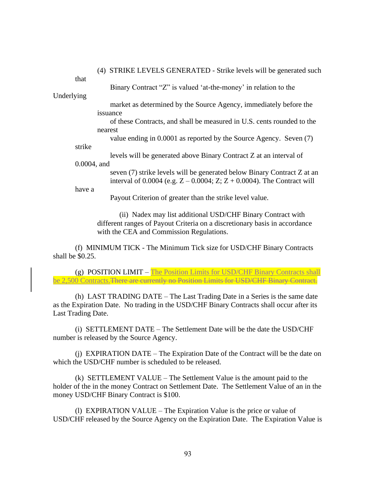| (4) STRIKE LEVELS GENERATED - Strike levels will be generated such |  |
|--------------------------------------------------------------------|--|
|--------------------------------------------------------------------|--|

that

| Binary Contract "Z" is valued 'at-the-money' in relation to the |  |
|-----------------------------------------------------------------|--|
|-----------------------------------------------------------------|--|

Underlying

 market as determined by the Source Agency, immediately before the issuance

 of these Contracts, and shall be measured in U.S. cents rounded to the nearest

value ending in 0.0001 as reported by the Source Agency. Seven (7)

strike

levels will be generated above Binary Contract Z at an interval of

0.0004, and

 seven (7) strike levels will be generated below Binary Contract Z at an interval of 0.0004 (e.g.  $Z - 0.0004$ ;  $Z$ ;  $Z + 0.0004$ ). The Contract will

have a

Payout Criterion of greater than the strike level value.

(ii) Nadex may list additional USD/CHF Binary Contract with different ranges of Payout Criteria on a discretionary basis in accordance with the CEA and Commission Regulations.

(f) MINIMUM TICK - The Minimum Tick size for USD/CHF Binary Contracts shall be \$0.25.

(g) POSITION LIMIT – The Position Limits for USD/CHF Binary Contracts shall be 2,500 Contracts. There are currently no Position Limits for USD/CHF Binary Contract.

(h) LAST TRADING DATE – The Last Trading Date in a Series is the same date as the Expiration Date. No trading in the USD/CHF Binary Contracts shall occur after its Last Trading Date.

(i) SETTLEMENT DATE – The Settlement Date will be the date the USD/CHF number is released by the Source Agency.

(j) EXPIRATION DATE – The Expiration Date of the Contract will be the date on which the USD/CHF number is scheduled to be released.

(k) SETTLEMENT VALUE – The Settlement Value is the amount paid to the holder of the in the money Contract on Settlement Date. The Settlement Value of an in the money USD/CHF Binary Contract is \$100.

(l) EXPIRATION VALUE – The Expiration Value is the price or value of USD/CHF released by the Source Agency on the Expiration Date. The Expiration Value is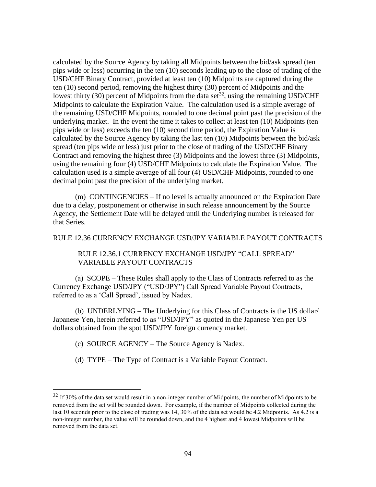calculated by the Source Agency by taking all Midpoints between the bid/ask spread (ten pips wide or less) occurring in the ten (10) seconds leading up to the close of trading of the USD/CHF Binary Contract, provided at least ten (10) Midpoints are captured during the ten (10) second period, removing the highest thirty (30) percent of Midpoints and the lowest thirty (30) percent of Midpoints from the data set<sup>32</sup>, using the remaining USD/CHF Midpoints to calculate the Expiration Value. The calculation used is a simple average of the remaining USD/CHF Midpoints, rounded to one decimal point past the precision of the underlying market. In the event the time it takes to collect at least ten (10) Midpoints (ten pips wide or less) exceeds the ten (10) second time period, the Expiration Value is calculated by the Source Agency by taking the last ten (10) Midpoints between the bid/ask spread (ten pips wide or less) just prior to the close of trading of the USD/CHF Binary Contract and removing the highest three (3) Midpoints and the lowest three (3) Midpoints, using the remaining four (4) USD/CHF Midpoints to calculate the Expiration Value. The calculation used is a simple average of all four (4) USD/CHF Midpoints, rounded to one decimal point past the precision of the underlying market.

(m) CONTINGENCIES – If no level is actually announced on the Expiration Date due to a delay, postponement or otherwise in such release announcement by the Source Agency, the Settlement Date will be delayed until the Underlying number is released for that Series.

### RULE 12.36 CURRENCY EXCHANGE USD/JPY VARIABLE PAYOUT CONTRACTS

# RULE 12.36.1 CURRENCY EXCHANGE USD/JPY "CALL SPREAD" VARIABLE PAYOUT CONTRACTS

(a) SCOPE – These Rules shall apply to the Class of Contracts referred to as the Currency Exchange USD/JPY ("USD/JPY") Call Spread Variable Payout Contracts, referred to as a 'Call Spread', issued by Nadex.

(b) UNDERLYING – The Underlying for this Class of Contracts is the US dollar/ Japanese Yen, herein referred to as "USD/JPY" as quoted in the Japanese Yen per US dollars obtained from the spot USD/JPY foreign currency market.

- (c) SOURCE AGENCY The Source Agency is Nadex.
- (d) TYPE The Type of Contract is a Variable Payout Contract.

<sup>&</sup>lt;sup>32</sup> If 30% of the data set would result in a non-integer number of Midpoints, the number of Midpoints to be removed from the set will be rounded down. For example, if the number of Midpoints collected during the last 10 seconds prior to the close of trading was 14, 30% of the data set would be 4.2 Midpoints. As 4.2 is a non-integer number, the value will be rounded down, and the 4 highest and 4 lowest Midpoints will be removed from the data set.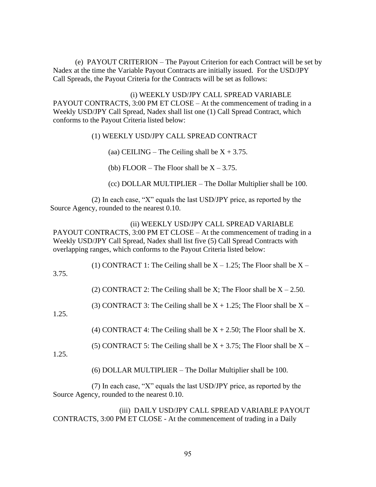(e) PAYOUT CRITERION – The Payout Criterion for each Contract will be set by Nadex at the time the Variable Payout Contracts are initially issued. For the USD/JPY Call Spreads, the Payout Criteria for the Contracts will be set as follows:

(i) WEEKLY USD/JPY CALL SPREAD VARIABLE PAYOUT CONTRACTS, 3:00 PM ET CLOSE – At the commencement of trading in a Weekly USD/JPY Call Spread, Nadex shall list one (1) Call Spread Contract, which conforms to the Payout Criteria listed below:

(1) WEEKLY USD/JPY CALL SPREAD CONTRACT

(aa) CEILING – The Ceiling shall be  $X + 3.75$ .

(bb) FLOOR – The Floor shall be  $X - 3.75$ .

(cc) DOLLAR MULTIPLIER – The Dollar Multiplier shall be 100.

(2) In each case, "X" equals the last USD/JPY price, as reported by the Source Agency, rounded to the nearest 0.10.

(ii) WEEKLY USD/JPY CALL SPREAD VARIABLE

PAYOUT CONTRACTS, 3:00 PM ET CLOSE – At the commencement of trading in a Weekly USD/JPY Call Spread, Nadex shall list five (5) Call Spread Contracts with overlapping ranges, which conforms to the Payout Criteria listed below:

(1) CONTRACT 1: The Ceiling shall be  $X - 1.25$ ; The Floor shall be  $X - 1.25$ 

3.75.

(2) CONTRACT 2: The Ceiling shall be X; The Floor shall be  $X - 2.50$ .

(3) CONTRACT 3: The Ceiling shall be  $X + 1.25$ ; The Floor shall be  $X -$ 

1.25.

(4) CONTRACT 4: The Ceiling shall be  $X + 2.50$ ; The Floor shall be X.

(5) CONTRACT 5: The Ceiling shall be  $X + 3.75$ ; The Floor shall be  $X -$ 

1.25.

(6) DOLLAR MULTIPLIER – The Dollar Multiplier shall be 100.

(7) In each case, "X" equals the last USD/JPY price, as reported by the Source Agency, rounded to the nearest 0.10.

(iii) DAILY USD/JPY CALL SPREAD VARIABLE PAYOUT CONTRACTS, 3:00 PM ET CLOSE - At the commencement of trading in a Daily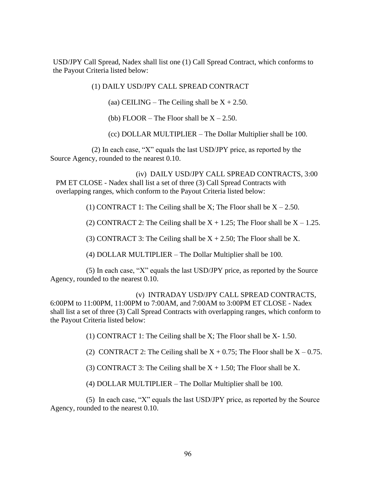USD/JPY Call Spread, Nadex shall list one (1) Call Spread Contract, which conforms to the Payout Criteria listed below:

(1) DAILY USD/JPY CALL SPREAD CONTRACT

(aa) CEILING – The Ceiling shall be  $X + 2.50$ .

(bb) FLOOR – The Floor shall be  $X - 2.50$ .

(cc) DOLLAR MULTIPLIER – The Dollar Multiplier shall be 100.

(2) In each case, "X" equals the last USD/JPY price, as reported by the Source Agency, rounded to the nearest 0.10.

(iv) DAILY USD/JPY CALL SPREAD CONTRACTS, 3:00 PM ET CLOSE - Nadex shall list a set of three (3) Call Spread Contracts with overlapping ranges, which conform to the Payout Criteria listed below:

(1) CONTRACT 1: The Ceiling shall be X; The Floor shall be  $X - 2.50$ .

(2) CONTRACT 2: The Ceiling shall be  $X + 1.25$ ; The Floor shall be  $X - 1.25$ .

(3) CONTRACT 3: The Ceiling shall be  $X + 2.50$ ; The Floor shall be X.

(4) DOLLAR MULTIPLIER – The Dollar Multiplier shall be 100.

(5) In each case, "X" equals the last USD/JPY price, as reported by the Source Agency, rounded to the nearest 0.10.

(v) INTRADAY USD/JPY CALL SPREAD CONTRACTS, 6:00PM to 11:00PM, 11:00PM to 7:00AM, and 7:00AM to 3:00PM ET CLOSE - Nadex shall list a set of three (3) Call Spread Contracts with overlapping ranges, which conform to the Payout Criteria listed below:

(1) CONTRACT 1: The Ceiling shall be X; The Floor shall be X- 1.50.

(2) CONTRACT 2: The Ceiling shall be  $X + 0.75$ ; The Floor shall be  $X - 0.75$ .

(3) CONTRACT 3: The Ceiling shall be  $X + 1.50$ ; The Floor shall be X.

(4) DOLLAR MULTIPLIER – The Dollar Multiplier shall be 100.

(5) In each case, "X" equals the last USD/JPY price, as reported by the Source Agency, rounded to the nearest 0.10.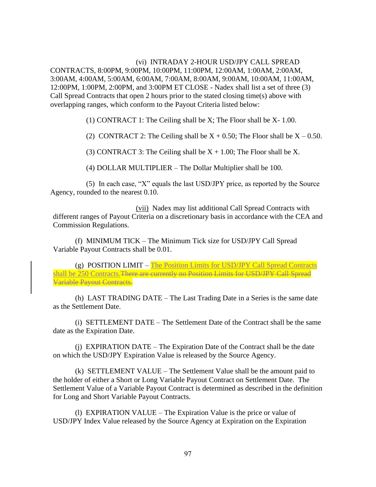## (vi) INTRADAY 2-HOUR USD/JPY CALL SPREAD

CONTRACTS, 8:00PM, 9:00PM, 10:00PM, 11:00PM, 12:00AM, 1:00AM, 2:00AM, 3:00AM, 4:00AM, 5:00AM, 6:00AM, 7:00AM, 8:00AM, 9:00AM, 10:00AM, 11:00AM, 12:00PM, 1:00PM, 2:00PM, and 3:00PM ET CLOSE - Nadex shall list a set of three (3) Call Spread Contracts that open 2 hours prior to the stated closing time(s) above with overlapping ranges, which conform to the Payout Criteria listed below:

(1) CONTRACT 1: The Ceiling shall be X; The Floor shall be X- 1.00.

(2) CONTRACT 2: The Ceiling shall be  $X + 0.50$ ; The Floor shall be  $X - 0.50$ .

(3) CONTRACT 3: The Ceiling shall be  $X + 1.00$ ; The Floor shall be X.

(4) DOLLAR MULTIPLIER – The Dollar Multiplier shall be 100.

(5) In each case, "X" equals the last USD/JPY price, as reported by the Source Agency, rounded to the nearest 0.10.

(vii) Nadex may list additional Call Spread Contracts with different ranges of Payout Criteria on a discretionary basis in accordance with the CEA and Commission Regulations.

(f) MINIMUM TICK – The Minimum Tick size for USD/JPY Call Spread Variable Payout Contracts shall be 0.01.

(g) POSITION LIMIT – The Position Limits for USD/JPY Call Spread Contracts shall be 250 Contracts. There are currently no Position Limits for USD/JPY Call Spread Variable Payout Contracts.

(h) LAST TRADING DATE – The Last Trading Date in a Series is the same date as the Settlement Date.

(i) SETTLEMENT DATE – The Settlement Date of the Contract shall be the same date as the Expiration Date.

(j) EXPIRATION DATE – The Expiration Date of the Contract shall be the date on which the USD/JPY Expiration Value is released by the Source Agency.

(k) SETTLEMENT VALUE – The Settlement Value shall be the amount paid to the holder of either a Short or Long Variable Payout Contract on Settlement Date. The Settlement Value of a Variable Payout Contract is determined as described in the definition for Long and Short Variable Payout Contracts.

(l) EXPIRATION VALUE – The Expiration Value is the price or value of USD/JPY Index Value released by the Source Agency at Expiration on the Expiration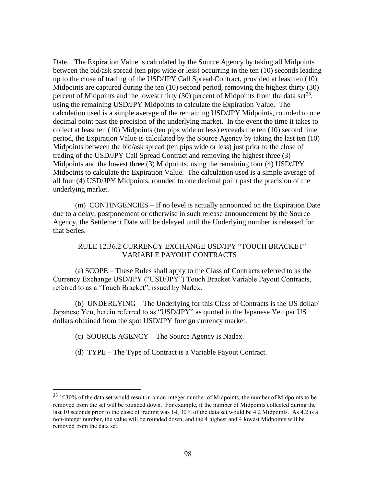Date. The Expiration Value is calculated by the Source Agency by taking all Midpoints between the bid/ask spread (ten pips wide or less) occurring in the ten (10) seconds leading up to the close of trading of the USD/JPY Call Spread Contract, provided at least ten (10) Midpoints are captured during the ten (10) second period, removing the highest thirty (30) percent of Midpoints and the lowest thirty (30) percent of Midpoints from the data set<sup>33</sup>, using the remaining USD/JPY Midpoints to calculate the Expiration Value. The calculation used is a simple average of the remaining USD/JPY Midpoints, rounded to one decimal point past the precision of the underlying market. In the event the time it takes to collect at least ten (10) Midpoints (ten pips wide or less) exceeds the ten (10) second time period, the Expiration Value is calculated by the Source Agency by taking the last ten (10) Midpoints between the bid/ask spread (ten pips wide or less) just prior to the close of trading of the USD/JPY Call Spread Contract and removing the highest three (3) Midpoints and the lowest three (3) Midpoints, using the remaining four (4) USD/JPY Midpoints to calculate the Expiration Value. The calculation used is a simple average of all four (4) USD/JPY Midpoints, rounded to one decimal point past the precision of the underlying market.

(m) CONTINGENCIES – If no level is actually announced on the Expiration Date due to a delay, postponement or otherwise in such release announcement by the Source Agency, the Settlement Date will be delayed until the Underlying number is released for that Series.

# RULE 12.36.2 CURRENCY EXCHANGE USD/JPY "TOUCH BRACKET" VARIABLE PAYOUT CONTRACTS

(a) SCOPE – These Rules shall apply to the Class of Contracts referred to as the Currency Exchange USD/JPY ("USD/JPY") Touch Bracket Variable Payout Contracts, referred to as a 'Touch Bracket", issued by Nadex.

(b) UNDERLYING – The Underlying for this Class of Contracts is the US dollar/ Japanese Yen, herein referred to as "USD/JPY" as quoted in the Japanese Yen per US dollars obtained from the spot USD/JPY foreign currency market.

- (c) SOURCE AGENCY The Source Agency is Nadex.
- (d) TYPE The Type of Contract is a Variable Payout Contract.

<sup>&</sup>lt;sup>33</sup> If 30% of the data set would result in a non-integer number of Midpoints, the number of Midpoints to be removed from the set will be rounded down. For example, if the number of Midpoints collected during the last 10 seconds prior to the close of trading was 14, 30% of the data set would be 4.2 Midpoints. As 4.2 is a non-integer number, the value will be rounded down, and the 4 highest and 4 lowest Midpoints will be removed from the data set.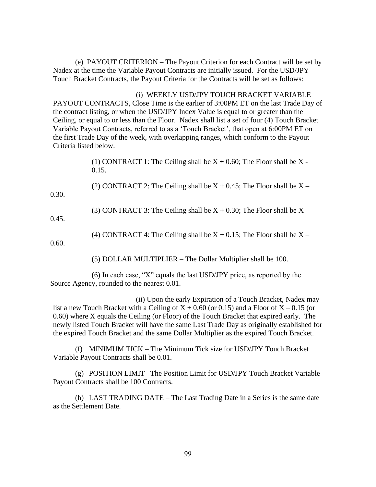(e) PAYOUT CRITERION – The Payout Criterion for each Contract will be set by Nadex at the time the Variable Payout Contracts are initially issued. For the USD/JPY Touch Bracket Contracts, the Payout Criteria for the Contracts will be set as follows:

(i) WEEKLY USD/JPY TOUCH BRACKET VARIABLE PAYOUT CONTRACTS, Close Time is the earlier of 3:00PM ET on the last Trade Day of the contract listing, or when the USD/JPY Index Value is equal to or greater than the Ceiling, or equal to or less than the Floor. Nadex shall list a set of four (4) Touch Bracket Variable Payout Contracts, referred to as a 'Touch Bracket', that open at 6:00PM ET on the first Trade Day of the week, with overlapping ranges, which conform to the Payout Criteria listed below.

> (1) CONTRACT 1: The Ceiling shall be  $X + 0.60$ ; The Floor shall be  $X -$ 0.15.

(2) CONTRACT 2: The Ceiling shall be  $X + 0.45$ ; The Floor shall be  $X -$ 0.30.

(3) CONTRACT 3: The Ceiling shall be  $X + 0.30$ ; The Floor shall be  $X -$ 

0.45.

(4) CONTRACT 4: The Ceiling shall be  $X + 0.15$ ; The Floor shall be  $X -$ 

0.60.

(5) DOLLAR MULTIPLIER – The Dollar Multiplier shall be 100.

(6) In each case, "X" equals the last USD/JPY price, as reported by the Source Agency, rounded to the nearest 0.01.

(ii) Upon the early Expiration of a Touch Bracket, Nadex may list a new Touch Bracket with a Ceiling of  $X + 0.60$  (or 0.15) and a Floor of  $X - 0.15$  (or 0.60) where X equals the Ceiling (or Floor) of the Touch Bracket that expired early. The newly listed Touch Bracket will have the same Last Trade Day as originally established for the expired Touch Bracket and the same Dollar Multiplier as the expired Touch Bracket.

(f) MINIMUM TICK – The Minimum Tick size for USD/JPY Touch Bracket Variable Payout Contracts shall be 0.01.

(g) POSITION LIMIT –The Position Limit for USD/JPY Touch Bracket Variable Payout Contracts shall be 100 Contracts.

(h) LAST TRADING DATE – The Last Trading Date in a Series is the same date as the Settlement Date.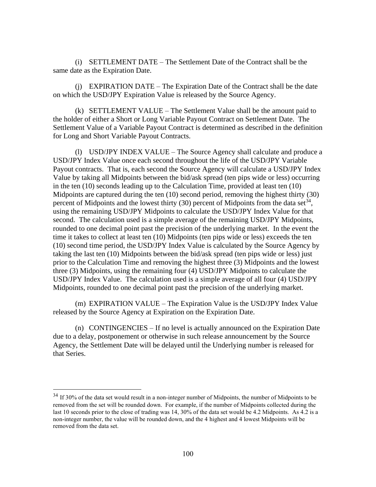(i) SETTLEMENT DATE – The Settlement Date of the Contract shall be the same date as the Expiration Date.

(j) EXPIRATION DATE – The Expiration Date of the Contract shall be the date on which the USD/JPY Expiration Value is released by the Source Agency.

(k) SETTLEMENT VALUE – The Settlement Value shall be the amount paid to the holder of either a Short or Long Variable Payout Contract on Settlement Date. The Settlement Value of a Variable Payout Contract is determined as described in the definition for Long and Short Variable Payout Contracts.

(l) USD/JPY INDEX VALUE – The Source Agency shall calculate and produce a USD/JPY Index Value once each second throughout the life of the USD/JPY Variable Payout contracts. That is, each second the Source Agency will calculate a USD/JPY Index Value by taking all Midpoints between the bid/ask spread (ten pips wide or less) occurring in the ten (10) seconds leading up to the Calculation Time, provided at least ten (10) Midpoints are captured during the ten (10) second period, removing the highest thirty (30) percent of Midpoints and the lowest thirty  $(30)$  percent of Midpoints from the data set<sup>34</sup>, using the remaining USD/JPY Midpoints to calculate the USD/JPY Index Value for that second. The calculation used is a simple average of the remaining USD/JPY Midpoints, rounded to one decimal point past the precision of the underlying market. In the event the time it takes to collect at least ten (10) Midpoints (ten pips wide or less) exceeds the ten (10) second time period, the USD/JPY Index Value is calculated by the Source Agency by taking the last ten (10) Midpoints between the bid/ask spread (ten pips wide or less) just prior to the Calculation Time and removing the highest three (3) Midpoints and the lowest three (3) Midpoints, using the remaining four (4) USD/JPY Midpoints to calculate the USD/JPY Index Value. The calculation used is a simple average of all four (4) USD/JPY Midpoints, rounded to one decimal point past the precision of the underlying market.

(m) EXPIRATION VALUE – The Expiration Value is the USD/JPY Index Value released by the Source Agency at Expiration on the Expiration Date.

(n) CONTINGENCIES – If no level is actually announced on the Expiration Date due to a delay, postponement or otherwise in such release announcement by the Source Agency, the Settlement Date will be delayed until the Underlying number is released for that Series.

<sup>&</sup>lt;sup>34</sup> If 30% of the data set would result in a non-integer number of Midpoints, the number of Midpoints to be removed from the set will be rounded down. For example, if the number of Midpoints collected during the last 10 seconds prior to the close of trading was 14, 30% of the data set would be 4.2 Midpoints. As 4.2 is a non-integer number, the value will be rounded down, and the 4 highest and 4 lowest Midpoints will be removed from the data set.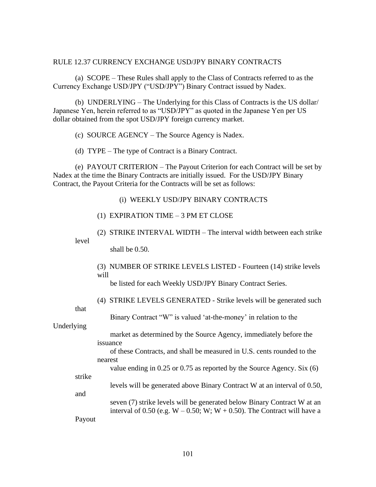#### RULE 12.37 CURRENCY EXCHANGE USD/JPY BINARY CONTRACTS

(a) SCOPE – These Rules shall apply to the Class of Contracts referred to as the Currency Exchange USD/JPY ("USD/JPY") Binary Contract issued by Nadex.

(b) UNDERLYING – The Underlying for this Class of Contracts is the US dollar/ Japanese Yen, herein referred to as "USD/JPY" as quoted in the Japanese Yen per US dollar obtained from the spot USD/JPY foreign currency market.

(c) SOURCE AGENCY – The Source Agency is Nadex.

(d) TYPE – The type of Contract is a Binary Contract.

(e) PAYOUT CRITERION – The Payout Criterion for each Contract will be set by Nadex at the time the Binary Contracts are initially issued. For the USD/JPY Binary Contract, the Payout Criteria for the Contracts will be set as follows:

### (i) WEEKLY USD/JPY BINARY CONTRACTS

(2) STRIKE INTERVAL WIDTH – The interval width between each strike level

shall be 0.50.

| (3) NUMBER OF STRIKE LEVELS LISTED - Fourteen (14) strike levels |  |
|------------------------------------------------------------------|--|
| will                                                             |  |

be listed for each Weekly USD/JPY Binary Contract Series.

(4) STRIKE LEVELS GENERATED - Strike levels will be generated such

that

|  | Binary Contract "W" is valued 'at-the-money' in relation to the |  |  |  |
|--|-----------------------------------------------------------------|--|--|--|
|--|-----------------------------------------------------------------|--|--|--|

Underlying

|          |  |  | market as determined by the Source Agency, immediately before the |  |
|----------|--|--|-------------------------------------------------------------------|--|
| 1ssuance |  |  |                                                                   |  |

 of these Contracts, and shall be measured in U.S. cents rounded to the nearest

value ending in 0.25 or 0.75 as reported by the Source Agency. Six (6)

levels will be generated above Binary Contract W at an interval of 0.50,

strike

and

Payout

 seven (7) strike levels will be generated below Binary Contract W at an interval of 0.50 (e.g.  $W - 0.50$ ; W;  $W + 0.50$ ). The Contract will have a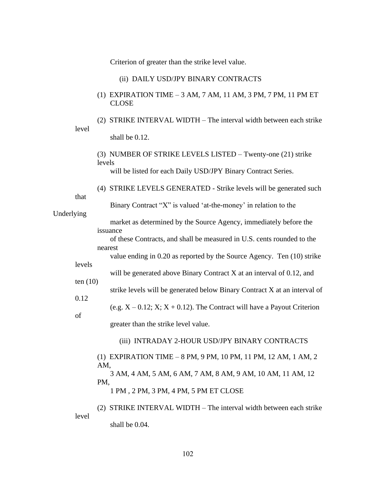Criterion of greater than the strike level value.

|            |            | (ii) DAILY USD/JPY BINARY CONTRACTS                                               |
|------------|------------|-----------------------------------------------------------------------------------|
|            |            | (1) EXPIRATION TIME - 3 AM, 7 AM, 11 AM, 3 PM, 7 PM, 11 PM ET<br><b>CLOSE</b>     |
|            | level      | (2) STRIKE INTERVAL WIDTH – The interval width between each strike                |
|            |            | shall be 0.12.                                                                    |
|            |            | (3) NUMBER OF STRIKE LEVELS LISTED – Twenty-one (21) strike<br>levels             |
|            |            | will be listed for each Daily USD/JPY Binary Contract Series.                     |
|            | that       | (4) STRIKE LEVELS GENERATED - Strike levels will be generated such                |
|            |            | Binary Contract "X" is valued 'at-the-money' in relation to the                   |
| Underlying |            | market as determined by the Source Agency, immediately before the<br>issuance     |
|            |            | of these Contracts, and shall be measured in U.S. cents rounded to the<br>nearest |
|            |            | value ending in 0.20 as reported by the Source Agency. Ten (10) strike            |
|            | levels     | will be generated above Binary Contract X at an interval of 0.12, and             |
|            | ten $(10)$ | strike levels will be generated below Binary Contract X at an interval of         |
|            | 0.12       | (e.g. $X - 0.12$ ; $X$ ; $X + 0.12$ ). The Contract will have a Payout Criterion  |
|            | of         | greater than the strike level value.                                              |
|            |            | (iii) INTRADAY 2-HOUR USD/JPY BINARY CONTRACTS                                    |
|            |            | (1) EXPIRATION TIME – 8 PM, 9 PM, 10 PM, 11 PM, 12 AM, 1 AM, 2                    |
|            |            | AM,<br>3 AM, 4 AM, 5 AM, 6 AM, 7 AM, 8 AM, 9 AM, 10 AM, 11 AM, 12                 |
|            | PM,        | 1 PM, 2 PM, 3 PM, 4 PM, 5 PM ET CLOSE                                             |
|            | level      | (2) STRIKE INTERVAL WIDTH – The interval width between each strike                |

shall be 0.04.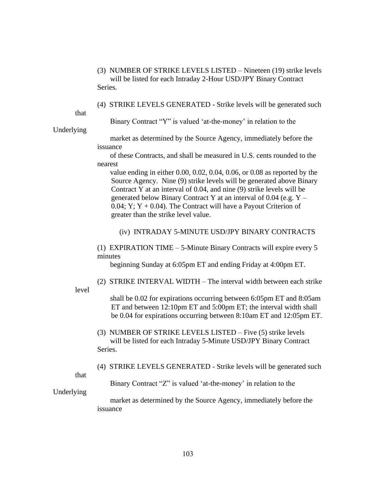(3) NUMBER OF STRIKE LEVELS LISTED – Nineteen (19) strike levels will be listed for each Intraday 2-Hour USD/JPY Binary Contract Series.

(4) STRIKE LEVELS GENERATED - Strike levels will be generated such

that

Binary Contract "Y" is valued 'at-the-money' in relation to the

Underlying

 market as determined by the Source Agency, immediately before the issuance

 of these Contracts, and shall be measured in U.S. cents rounded to the nearest

 value ending in either 0.00, 0.02, 0.04, 0.06, or 0.08 as reported by the Source Agency. Nine (9) strike levels will be generated above Binary Contract Y at an interval of 0.04, and nine (9) strike levels will be generated below Binary Contract Y at an interval of 0.04 (e.g. Y – 0.04; Y; Y  $+$  0.04). The Contract will have a Payout Criterion of greater than the strike level value.

(iv) INTRADAY 5-MINUTE USD/JPY BINARY CONTRACTS

(1) EXPIRATION TIME – 5-Minute Binary Contracts will expire every 5 minutes

beginning Sunday at 6:05pm ET and ending Friday at 4:00pm ET.

level

(2) STRIKE INTERVAL WIDTH – The interval width between each strike

 shall be 0.02 for expirations occurring between 6:05pm ET and 8:05am ET and between 12:10pm ET and 5:00pm ET; the interval width shall be 0.04 for expirations occurring between 8:10am ET and 12:05pm ET.

(3) NUMBER OF STRIKE LEVELS LISTED – Five (5) strike levels will be listed for each Intraday 5-Minute USD/JPY Binary Contract Series.

(4) STRIKE LEVELS GENERATED - Strike levels will be generated such

that

Binary Contract "Z" is valued 'at-the-money' in relation to the

Underlying

 market as determined by the Source Agency, immediately before the issuance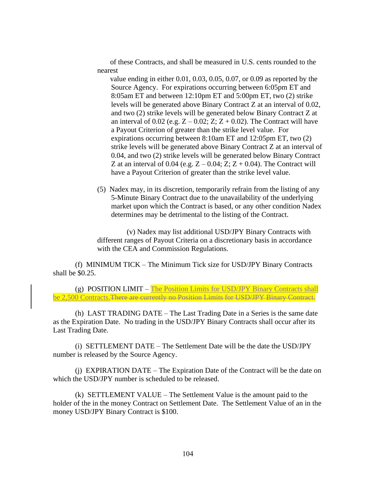of these Contracts, and shall be measured in U.S. cents rounded to the nearest

 value ending in either 0.01, 0.03, 0.05, 0.07, or 0.09 as reported by the Source Agency. For expirations occurring between 6:05pm ET and 8:05am ET and between 12:10pm ET and 5:00pm ET, two (2) strike levels will be generated above Binary Contract Z at an interval of 0.02, and two (2) strike levels will be generated below Binary Contract Z at an interval of 0.02 (e.g.  $Z - 0.02$ ;  $Z$ ;  $Z + 0.02$ ). The Contract will have a Payout Criterion of greater than the strike level value. For expirations occurring between 8:10am ET and 12:05pm ET, two (2) strike levels will be generated above Binary Contract Z at an interval of 0.04, and two (2) strike levels will be generated below Binary Contract Z at an interval of 0.04 (e.g.  $Z - 0.04$ ; Z;  $Z + 0.04$ ). The Contract will have a Payout Criterion of greater than the strike level value.

(5) Nadex may, in its discretion, temporarily refrain from the listing of any 5-Minute Binary Contract due to the unavailability of the underlying market upon which the Contract is based, or any other condition Nadex determines may be detrimental to the listing of the Contract.

(v) Nadex may list additional USD/JPY Binary Contracts with different ranges of Payout Criteria on a discretionary basis in accordance with the CEA and Commission Regulations.

(f) MINIMUM TICK – The Minimum Tick size for USD/JPY Binary Contracts shall be \$0.25.

(g) POSITION LIMIT – The Position Limits for USD/JPY Binary Contracts shall be 2,500 Contracts. There are currently no Position Limits for USD/JPY Binary Contract.

(h) LAST TRADING DATE – The Last Trading Date in a Series is the same date as the Expiration Date. No trading in the USD/JPY Binary Contracts shall occur after its Last Trading Date.

(i) SETTLEMENT DATE – The Settlement Date will be the date the USD/JPY number is released by the Source Agency.

(j) EXPIRATION DATE – The Expiration Date of the Contract will be the date on which the USD/JPY number is scheduled to be released.

(k) SETTLEMENT VALUE – The Settlement Value is the amount paid to the holder of the in the money Contract on Settlement Date. The Settlement Value of an in the money USD/JPY Binary Contract is \$100.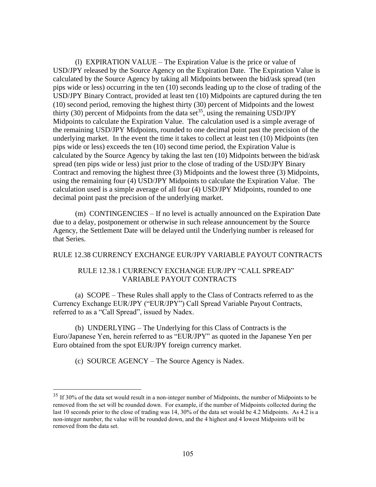(l) EXPIRATION VALUE – The Expiration Value is the price or value of USD/JPY released by the Source Agency on the Expiration Date. The Expiration Value is calculated by the Source Agency by taking all Midpoints between the bid/ask spread (ten pips wide or less) occurring in the ten (10) seconds leading up to the close of trading of the USD/JPY Binary Contract, provided at least ten (10) Midpoints are captured during the ten (10) second period, removing the highest thirty (30) percent of Midpoints and the lowest thirty (30) percent of Midpoints from the data set<sup>35</sup>, using the remaining USD/JPY Midpoints to calculate the Expiration Value. The calculation used is a simple average of the remaining USD/JPY Midpoints, rounded to one decimal point past the precision of the underlying market. In the event the time it takes to collect at least ten (10) Midpoints (ten pips wide or less) exceeds the ten (10) second time period, the Expiration Value is calculated by the Source Agency by taking the last ten (10) Midpoints between the bid/ask spread (ten pips wide or less) just prior to the close of trading of the USD/JPY Binary Contract and removing the highest three (3) Midpoints and the lowest three (3) Midpoints, using the remaining four (4) USD/JPY Midpoints to calculate the Expiration Value. The calculation used is a simple average of all four (4) USD/JPY Midpoints, rounded to one decimal point past the precision of the underlying market.

(m) CONTINGENCIES – If no level is actually announced on the Expiration Date due to a delay, postponement or otherwise in such release announcement by the Source Agency, the Settlement Date will be delayed until the Underlying number is released for that Series.

### RULE 12.38 CURRENCY EXCHANGE EUR/JPY VARIABLE PAYOUT CONTRACTS

### RULE 12.38.1 CURRENCY EXCHANGE EUR/JPY "CALL SPREAD" VARIABLE PAYOUT CONTRACTS

(a) SCOPE – These Rules shall apply to the Class of Contracts referred to as the Currency Exchange EUR/JPY ("EUR/JPY") Call Spread Variable Payout Contracts, referred to as a "Call Spread", issued by Nadex.

(b) UNDERLYING – The Underlying for this Class of Contracts is the Euro/Japanese Yen, herein referred to as "EUR/JPY" as quoted in the Japanese Yen per Euro obtained from the spot EUR/JPY foreign currency market.

(c) SOURCE AGENCY – The Source Agency is Nadex.

<sup>&</sup>lt;sup>35</sup> If 30% of the data set would result in a non-integer number of Midpoints, the number of Midpoints to be removed from the set will be rounded down. For example, if the number of Midpoints collected during the last 10 seconds prior to the close of trading was 14, 30% of the data set would be 4.2 Midpoints. As 4.2 is a non-integer number, the value will be rounded down, and the 4 highest and 4 lowest Midpoints will be removed from the data set.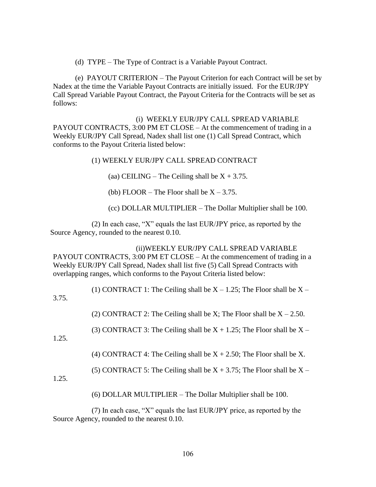(d) TYPE – The Type of Contract is a Variable Payout Contract.

(e) PAYOUT CRITERION – The Payout Criterion for each Contract will be set by Nadex at the time the Variable Payout Contracts are initially issued. For the EUR/JPY Call Spread Variable Payout Contract, the Payout Criteria for the Contracts will be set as follows:

(i) WEEKLY EUR/JPY CALL SPREAD VARIABLE PAYOUT CONTRACTS, 3:00 PM ET CLOSE – At the commencement of trading in a Weekly EUR/JPY Call Spread, Nadex shall list one (1) Call Spread Contract, which conforms to the Payout Criteria listed below:

(1) WEEKLY EUR/JPY CALL SPREAD CONTRACT

(aa) CEILING – The Ceiling shall be  $X + 3.75$ .

(bb) FLOOR – The Floor shall be  $X - 3.75$ .

(cc) DOLLAR MULTIPLIER – The Dollar Multiplier shall be 100.

(2) In each case, "X" equals the last EUR/JPY price, as reported by the Source Agency, rounded to the nearest 0.10.

(ii)WEEKLY EUR/JPY CALL SPREAD VARIABLE PAYOUT CONTRACTS, 3:00 PM ET CLOSE – At the commencement of trading in a Weekly EUR/JPY Call Spread, Nadex shall list five (5) Call Spread Contracts with overlapping ranges, which conforms to the Payout Criteria listed below:

(1) CONTRACT 1: The Ceiling shall be  $X - 1.25$ ; The Floor shall be  $X - 1.25$ 

3.75.

(2) CONTRACT 2: The Ceiling shall be X; The Floor shall be  $X - 2.50$ .

(3) CONTRACT 3: The Ceiling shall be  $X + 1.25$ ; The Floor shall be  $X -$ 

1.25.

(4) CONTRACT 4: The Ceiling shall be  $X + 2.50$ ; The Floor shall be X.

(5) CONTRACT 5: The Ceiling shall be  $X + 3.75$ ; The Floor shall be  $X -$ 

1.25.

(6) DOLLAR MULTIPLIER – The Dollar Multiplier shall be 100.

(7) In each case, "X" equals the last EUR/JPY price, as reported by the Source Agency, rounded to the nearest 0.10.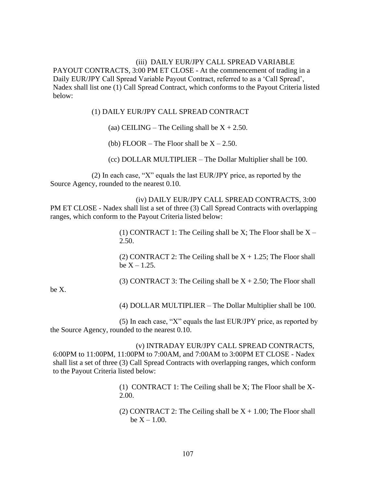# (iii) DAILY EUR/JPY CALL SPREAD VARIABLE

PAYOUT CONTRACTS, 3:00 PM ET CLOSE - At the commencement of trading in a Daily EUR/JPY Call Spread Variable Payout Contract, referred to as a 'Call Spread', Nadex shall list one (1) Call Spread Contract, which conforms to the Payout Criteria listed below:

#### (1) DAILY EUR/JPY CALL SPREAD CONTRACT

(aa) CEILING – The Ceiling shall be  $X + 2.50$ .

(bb) FLOOR – The Floor shall be  $X - 2.50$ .

(cc) DOLLAR MULTIPLIER – The Dollar Multiplier shall be 100.

(2) In each case, "X" equals the last EUR/JPY price, as reported by the Source Agency, rounded to the nearest 0.10.

(iv) DAILY EUR/JPY CALL SPREAD CONTRACTS, 3:00 PM ET CLOSE - Nadex shall list a set of three (3) Call Spread Contracts with overlapping ranges, which conform to the Payout Criteria listed below:

> (1) CONTRACT 1: The Ceiling shall be X; The Floor shall be  $X -$ 2.50.

> (2) CONTRACT 2: The Ceiling shall be  $X + 1.25$ ; The Floor shall be  $X - 1.25$ .

> (3) CONTRACT 3: The Ceiling shall be  $X + 2.50$ ; The Floor shall

be X.

(4) DOLLAR MULTIPLIER – The Dollar Multiplier shall be 100.

(5) In each case, "X" equals the last EUR/JPY price, as reported by the Source Agency, rounded to the nearest 0.10.

(v) INTRADAY EUR/JPY CALL SPREAD CONTRACTS, 6:00PM to 11:00PM, 11:00PM to 7:00AM, and 7:00AM to 3:00PM ET CLOSE - Nadex shall list a set of three (3) Call Spread Contracts with overlapping ranges, which conform to the Payout Criteria listed below:

> (1) CONTRACT 1: The Ceiling shall be X; The Floor shall be X-2.00.

> (2) CONTRACT 2: The Ceiling shall be  $X + 1.00$ ; The Floor shall be  $X - 1.00$ .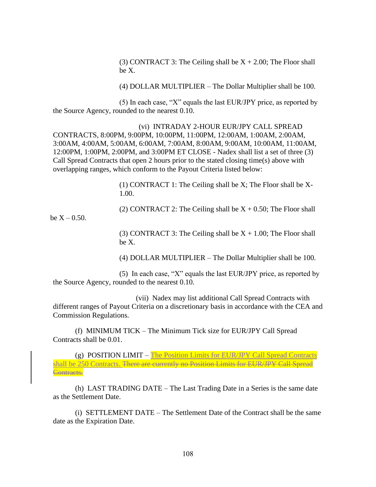(3) CONTRACT 3: The Ceiling shall be  $X + 2.00$ ; The Floor shall be X.

(4) DOLLAR MULTIPLIER – The Dollar Multiplier shall be 100.

(5) In each case, "X" equals the last EUR/JPY price, as reported by the Source Agency, rounded to the nearest 0.10.

(vi) INTRADAY 2-HOUR EUR/JPY CALL SPREAD CONTRACTS, 8:00PM, 9:00PM, 10:00PM, 11:00PM, 12:00AM, 1:00AM, 2:00AM, 3:00AM, 4:00AM, 5:00AM, 6:00AM, 7:00AM, 8:00AM, 9:00AM, 10:00AM, 11:00AM, 12:00PM, 1:00PM, 2:00PM, and 3:00PM ET CLOSE - Nadex shall list a set of three (3) Call Spread Contracts that open 2 hours prior to the stated closing time(s) above with overlapping ranges, which conform to the Payout Criteria listed below:

> (1) CONTRACT 1: The Ceiling shall be X; The Floor shall be X-1.00.

(2) CONTRACT 2: The Ceiling shall be  $X + 0.50$ ; The Floor shall

 $be X - 0.50.$ 

(3) CONTRACT 3: The Ceiling shall be  $X + 1.00$ ; The Floor shall be X.

(4) DOLLAR MULTIPLIER – The Dollar Multiplier shall be 100.

(5) In each case, "X" equals the last EUR/JPY price, as reported by the Source Agency, rounded to the nearest 0.10.

(vii) Nadex may list additional Call Spread Contracts with different ranges of Payout Criteria on a discretionary basis in accordance with the CEA and Commission Regulations.

(f) MINIMUM TICK – The Minimum Tick size for EUR/JPY Call Spread Contracts shall be 0.01.

(g) POSITION LIMIT – The Position Limits for EUR/JPY Call Spread Contracts shall be 250 Contracts. There are currently no Position Limits for EUR/JPY Call Spread Contracts.

(h) LAST TRADING DATE – The Last Trading Date in a Series is the same date as the Settlement Date.

(i) SETTLEMENT DATE – The Settlement Date of the Contract shall be the same date as the Expiration Date.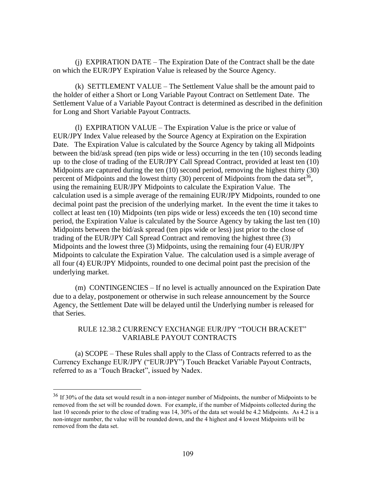(j) EXPIRATION DATE – The Expiration Date of the Contract shall be the date on which the EUR/JPY Expiration Value is released by the Source Agency.

(k) SETTLEMENT VALUE – The Settlement Value shall be the amount paid to the holder of either a Short or Long Variable Payout Contract on Settlement Date. The Settlement Value of a Variable Payout Contract is determined as described in the definition for Long and Short Variable Payout Contracts.

(l) EXPIRATION VALUE – The Expiration Value is the price or value of EUR/JPY Index Value released by the Source Agency at Expiration on the Expiration Date. The Expiration Value is calculated by the Source Agency by taking all Midpoints between the bid/ask spread (ten pips wide or less) occurring in the ten (10) seconds leading up to the close of trading of the EUR/JPY Call Spread Contract, provided at least ten (10) Midpoints are captured during the ten (10) second period, removing the highest thirty (30) percent of Midpoints and the lowest thirty  $(30)$  percent of Midpoints from the data set<sup>36</sup>, using the remaining EUR/JPY Midpoints to calculate the Expiration Value. The calculation used is a simple average of the remaining EUR/JPY Midpoints, rounded to one decimal point past the precision of the underlying market. In the event the time it takes to collect at least ten (10) Midpoints (ten pips wide or less) exceeds the ten (10) second time period, the Expiration Value is calculated by the Source Agency by taking the last ten (10) Midpoints between the bid/ask spread (ten pips wide or less) just prior to the close of trading of the EUR/JPY Call Spread Contract and removing the highest three (3) Midpoints and the lowest three (3) Midpoints, using the remaining four (4) EUR/JPY Midpoints to calculate the Expiration Value. The calculation used is a simple average of all four (4) EUR/JPY Midpoints, rounded to one decimal point past the precision of the underlying market.

(m) CONTINGENCIES – If no level is actually announced on the Expiration Date due to a delay, postponement or otherwise in such release announcement by the Source Agency, the Settlement Date will be delayed until the Underlying number is released for that Series.

## RULE 12.38.2 CURRENCY EXCHANGE EUR/JPY "TOUCH BRACKET" VARIABLE PAYOUT CONTRACTS

(a) SCOPE – These Rules shall apply to the Class of Contracts referred to as the Currency Exchange EUR/JPY ("EUR/JPY") Touch Bracket Variable Payout Contracts, referred to as a 'Touch Bracket", issued by Nadex.

<sup>36</sup> If 30% of the data set would result in a non-integer number of Midpoints, the number of Midpoints to be removed from the set will be rounded down. For example, if the number of Midpoints collected during the last 10 seconds prior to the close of trading was 14, 30% of the data set would be 4.2 Midpoints. As 4.2 is a non-integer number, the value will be rounded down, and the 4 highest and 4 lowest Midpoints will be removed from the data set.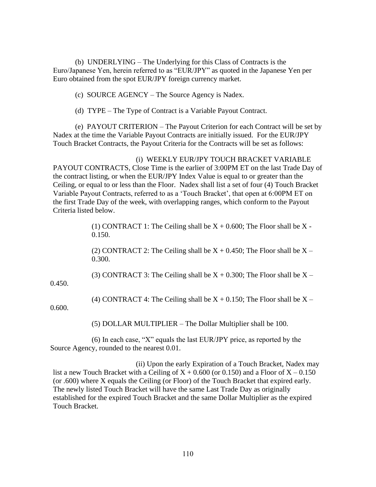(b) UNDERLYING – The Underlying for this Class of Contracts is the Euro/Japanese Yen, herein referred to as "EUR/JPY" as quoted in the Japanese Yen per Euro obtained from the spot EUR/JPY foreign currency market.

(c) SOURCE AGENCY – The Source Agency is Nadex.

(d) TYPE – The Type of Contract is a Variable Payout Contract.

(e) PAYOUT CRITERION – The Payout Criterion for each Contract will be set by Nadex at the time the Variable Payout Contracts are initially issued. For the EUR/JPY Touch Bracket Contracts, the Payout Criteria for the Contracts will be set as follows:

(i) WEEKLY EUR/JPY TOUCH BRACKET VARIABLE PAYOUT CONTRACTS, Close Time is the earlier of 3:00PM ET on the last Trade Day of the contract listing, or when the EUR/JPY Index Value is equal to or greater than the Ceiling, or equal to or less than the Floor. Nadex shall list a set of four (4) Touch Bracket Variable Payout Contracts, referred to as a 'Touch Bracket', that open at 6:00PM ET on the first Trade Day of the week, with overlapping ranges, which conform to the Payout Criteria listed below.

> (1) CONTRACT 1: The Ceiling shall be  $X + 0.600$ ; The Floor shall be  $X -$ 0.150.

> (2) CONTRACT 2: The Ceiling shall be  $X + 0.450$ ; The Floor shall be  $X -$ 0.300.

(3) CONTRACT 3: The Ceiling shall be  $X + 0.300$ ; The Floor shall be  $X -$ 

0.450.

(4) CONTRACT 4: The Ceiling shall be  $X + 0.150$ ; The Floor shall be  $X -$ 

0.600.

(5) DOLLAR MULTIPLIER – The Dollar Multiplier shall be 100.

(6) In each case, "X" equals the last EUR/JPY price, as reported by the Source Agency, rounded to the nearest 0.01.

(ii) Upon the early Expiration of a Touch Bracket, Nadex may list a new Touch Bracket with a Ceiling of  $X + 0.600$  (or 0.150) and a Floor of  $X - 0.150$ (or .600) where X equals the Ceiling (or Floor) of the Touch Bracket that expired early. The newly listed Touch Bracket will have the same Last Trade Day as originally established for the expired Touch Bracket and the same Dollar Multiplier as the expired Touch Bracket.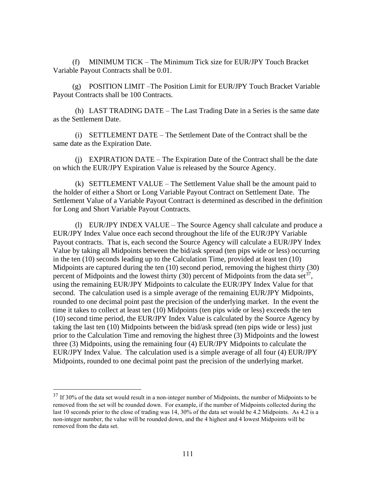(f) MINIMUM TICK – The Minimum Tick size for EUR/JPY Touch Bracket Variable Payout Contracts shall be 0.01.

(g) POSITION LIMIT –The Position Limit for EUR/JPY Touch Bracket Variable Payout Contracts shall be 100 Contracts.

(h) LAST TRADING DATE – The Last Trading Date in a Series is the same date as the Settlement Date.

(i) SETTLEMENT DATE – The Settlement Date of the Contract shall be the same date as the Expiration Date.

(j) EXPIRATION DATE – The Expiration Date of the Contract shall be the date on which the EUR/JPY Expiration Value is released by the Source Agency.

(k) SETTLEMENT VALUE – The Settlement Value shall be the amount paid to the holder of either a Short or Long Variable Payout Contract on Settlement Date. The Settlement Value of a Variable Payout Contract is determined as described in the definition for Long and Short Variable Payout Contracts.

(l) EUR/JPY INDEX VALUE – The Source Agency shall calculate and produce a EUR/JPY Index Value once each second throughout the life of the EUR/JPY Variable Payout contracts. That is, each second the Source Agency will calculate a EUR/JPY Index Value by taking all Midpoints between the bid/ask spread (ten pips wide or less) occurring in the ten (10) seconds leading up to the Calculation Time, provided at least ten (10) Midpoints are captured during the ten (10) second period, removing the highest thirty (30) percent of Midpoints and the lowest thirty (30) percent of Midpoints from the data set<sup>37</sup>, using the remaining EUR/JPY Midpoints to calculate the EUR/JPY Index Value for that second. The calculation used is a simple average of the remaining EUR/JPY Midpoints, rounded to one decimal point past the precision of the underlying market. In the event the time it takes to collect at least ten (10) Midpoints (ten pips wide or less) exceeds the ten (10) second time period, the EUR/JPY Index Value is calculated by the Source Agency by taking the last ten (10) Midpoints between the bid/ask spread (ten pips wide or less) just prior to the Calculation Time and removing the highest three (3) Midpoints and the lowest three (3) Midpoints, using the remaining four (4) EUR/JPY Midpoints to calculate the EUR/JPY Index Value. The calculation used is a simple average of all four (4) EUR/JPY Midpoints, rounded to one decimal point past the precision of the underlying market.

 $37$  If 30% of the data set would result in a non-integer number of Midpoints, the number of Midpoints to be removed from the set will be rounded down. For example, if the number of Midpoints collected during the last 10 seconds prior to the close of trading was 14, 30% of the data set would be 4.2 Midpoints. As 4.2 is a non-integer number, the value will be rounded down, and the 4 highest and 4 lowest Midpoints will be removed from the data set.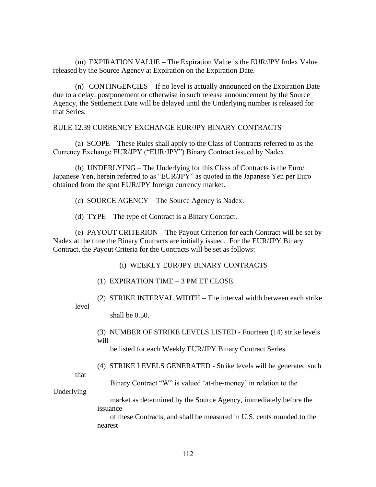(m) EXPIRATION VALUE – The Expiration Value is the EUR/JPY Index Value released by the Source Agency at Expiration on the Expiration Date.

(n) CONTINGENCIES – If no level is actually announced on the Expiration Date due to a delay, postponement or otherwise in such release announcement by the Source Agency, the Settlement Date will be delayed until the Underlying number is released for that Series.

#### RULE 12.39 CURRENCY EXCHANGE EUR/JPY BINARY CONTRACTS

(a) SCOPE – These Rules shall apply to the Class of Contracts referred to as the Currency Exchange EUR/JPY ("EUR/JPY") Binary Contract issued by Nadex.

(b) UNDERLYING – The Underlying for this Class of Contracts is the Euro/ Japanese Yen, herein referred to as "EUR/JPY" as quoted in the Japanese Yen per Euro obtained from the spot EUR/JPY foreign currency market.

- (c) SOURCE AGENCY The Source Agency is Nadex.
- (d) TYPE The type of Contract is a Binary Contract.

(e) PAYOUT CRITERION – The Payout Criterion for each Contract will be set by Nadex at the time the Binary Contracts are initially issued. For the EUR/JPY Binary Contract, the Payout Criteria for the Contracts will be set as follows:

(i) WEEKLY EUR/JPY BINARY CONTRACTS

(1) EXPIRATION TIME – 3 PM ET CLOSE

(2) STRIKE INTERVAL WIDTH – The interval width between each strike level

shall be 0.50.

(3) NUMBER OF STRIKE LEVELS LISTED - Fourteen (14) strike levels will

be listed for each Weekly EUR/JPY Binary Contract Series.

(4) STRIKE LEVELS GENERATED - Strike levels will be generated such

that

Binary Contract "W" is valued 'at-the-money' in relation to the

Underlying

 market as determined by the Source Agency, immediately before the issuance

 of these Contracts, and shall be measured in U.S. cents rounded to the nearest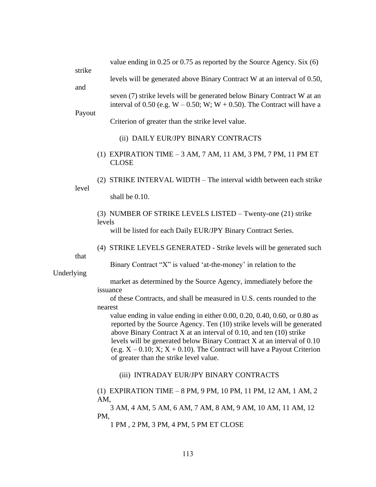|            | strike | value ending in $0.25$ or $0.75$ as reported by the Source Agency. Six $(6)$                                                                                                                                                                                                                                                                                                                                                                    |  |  |
|------------|--------|-------------------------------------------------------------------------------------------------------------------------------------------------------------------------------------------------------------------------------------------------------------------------------------------------------------------------------------------------------------------------------------------------------------------------------------------------|--|--|
|            | and    | levels will be generated above Binary Contract W at an interval of 0.50,                                                                                                                                                                                                                                                                                                                                                                        |  |  |
|            |        | seven (7) strike levels will be generated below Binary Contract W at an<br>interval of 0.50 (e.g. $W - 0.50$ ; $W$ ; $W + 0.50$ ). The Contract will have a                                                                                                                                                                                                                                                                                     |  |  |
|            | Payout | Criterion of greater than the strike level value.                                                                                                                                                                                                                                                                                                                                                                                               |  |  |
|            |        | (ii) DAILY EUR/JPY BINARY CONTRACTS                                                                                                                                                                                                                                                                                                                                                                                                             |  |  |
|            | level  | (1) EXPIRATION TIME $-3$ AM, 7 AM, 11 AM, 3 PM, 7 PM, 11 PM ET<br><b>CLOSE</b>                                                                                                                                                                                                                                                                                                                                                                  |  |  |
|            |        | (2) STRIKE INTERVAL WIDTH – The interval width between each strike                                                                                                                                                                                                                                                                                                                                                                              |  |  |
|            |        | shall be 0.10.                                                                                                                                                                                                                                                                                                                                                                                                                                  |  |  |
|            |        | (3) NUMBER OF STRIKE LEVELS LISTED – Twenty-one (21) strike<br>levels                                                                                                                                                                                                                                                                                                                                                                           |  |  |
|            |        | will be listed for each Daily EUR/JPY Binary Contract Series.                                                                                                                                                                                                                                                                                                                                                                                   |  |  |
|            | that   | (4) STRIKE LEVELS GENERATED - Strike levels will be generated such                                                                                                                                                                                                                                                                                                                                                                              |  |  |
| Underlying |        | Binary Contract "X" is valued 'at-the-money' in relation to the                                                                                                                                                                                                                                                                                                                                                                                 |  |  |
|            |        | market as determined by the Source Agency, immediately before the<br>issuance                                                                                                                                                                                                                                                                                                                                                                   |  |  |
|            |        | of these Contracts, and shall be measured in U.S. cents rounded to the<br>nearest                                                                                                                                                                                                                                                                                                                                                               |  |  |
|            |        | value ending in value ending in either $0.00, 0.20, 0.40, 0.60$ , or $0.80$ as<br>reported by the Source Agency. Ten (10) strike levels will be generated<br>above Binary Contract X at an interval of $0.10$ , and ten $(10)$ strike<br>levels will be generated below Binary Contract X at an interval of 0.10<br>(e.g. $X - 0.10$ ; $X$ ; $X + 0.10$ ). The Contract will have a Payout Criterion<br>of greater than the strike level value. |  |  |
|            |        | (iii) INTRADAY EUR/JPY BINARY CONTRACTS                                                                                                                                                                                                                                                                                                                                                                                                         |  |  |
|            |        | (1) EXPIRATION TIME $-8$ PM, 9 PM, 10 PM, 11 PM, 12 AM, 1 AM, 2<br>AM,                                                                                                                                                                                                                                                                                                                                                                          |  |  |
|            |        | 3 AM, 4 AM, 5 AM, 6 AM, 7 AM, 8 AM, 9 AM, 10 AM, 11 AM, 12<br>PM,                                                                                                                                                                                                                                                                                                                                                                               |  |  |
|            |        | 1 PM, 2 PM, 3 PM, 4 PM, 5 PM ET CLOSE                                                                                                                                                                                                                                                                                                                                                                                                           |  |  |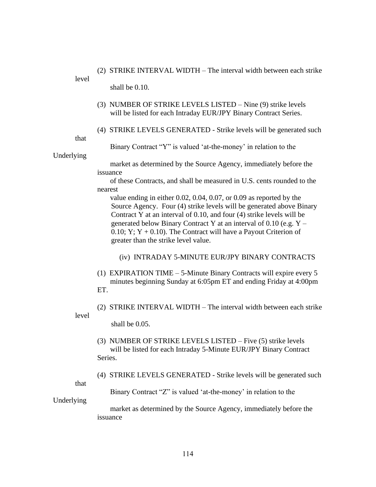(2) STRIKE INTERVAL WIDTH – The interval width between each strike

level

shall be 0.10.

- (3) NUMBER OF STRIKE LEVELS LISTED Nine (9) strike levels will be listed for each Intraday EUR/JPY Binary Contract Series.
- (4) STRIKE LEVELS GENERATED Strike levels will be generated such

that

Binary Contract "Y" is valued 'at-the-money' in relation to the

Underlying

 market as determined by the Source Agency, immediately before the issuance

 of these Contracts, and shall be measured in U.S. cents rounded to the nearest

 value ending in either 0.02, 0.04, 0.07, or 0.09 as reported by the Source Agency. Four (4) strike levels will be generated above Binary Contract Y at an interval of 0.10, and four (4) strike levels will be generated below Binary Contract Y at an interval of 0.10 (e.g.  $Y -$ 0.10; Y; Y  $+$  0.10). The Contract will have a Payout Criterion of greater than the strike level value.

- (iv) INTRADAY 5-MINUTE EUR/JPY BINARY CONTRACTS
- (1) EXPIRATION TIME 5-Minute Binary Contracts will expire every 5 minutes beginning Sunday at 6:05pm ET and ending Friday at 4:00pm ET.

(2) STRIKE INTERVAL WIDTH – The interval width between each strike level

shall be 0.05.

- (3) NUMBER OF STRIKE LEVELS LISTED Five (5) strike levels will be listed for each Intraday 5-Minute EUR/JPY Binary Contract Series.
- (4) STRIKE LEVELS GENERATED Strike levels will be generated such

that

Binary Contract "Z" is valued 'at-the-money' in relation to the

Underlying

 market as determined by the Source Agency, immediately before the issuance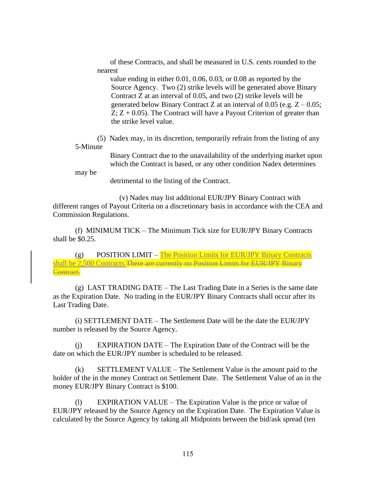of these Contracts, and shall be measured in U.S. cents rounded to the nearest

 value ending in either 0.01, 0.06, 0.03, or 0.08 as reported by the Source Agency. Two (2) strike levels will be generated above Binary Contract Z at an interval of 0.05, and two (2) strike levels will be generated below Binary Contract Z at an interval of 0.05 (e.g.  $Z - 0.05$ ;  $Z$ ;  $Z + 0.05$ ). The Contract will have a Payout Criterion of greater than the strike level value.

(5) Nadex may, in its discretion, temporarily refrain from the listing of any 5-Minute

> Binary Contract due to the unavailability of the underlying market upon which the Contract is based, or any other condition Nadex determines

may be

detrimental to the listing of the Contract.

(v) Nadex may list additional EUR/JPY Binary Contract with different ranges of Payout Criteria on a discretionary basis in accordance with the CEA and Commission Regulations.

(f) MINIMUM TICK – The Minimum Tick size for EUR/JPY Binary Contracts shall be \$0.25.

(g) POSITION LIMIT – The Position Limits for EUR/JPY Binary Contracts shall be 2,500 Contracts. There are currently no Position Limits for EUR/JPY Binary Contract.

(g) LAST TRADING DATE – The Last Trading Date in a Series is the same date as the Expiration Date. No trading in the EUR/JPY Binary Contracts shall occur after its Last Trading Date.

(i) SETTLEMENT DATE – The Settlement Date will be the date the EUR/JPY number is released by the Source Agency.

(j) EXPIRATION DATE – The Expiration Date of the Contract will be the date on which the EUR/JPY number is scheduled to be released.

(k) SETTLEMENT VALUE – The Settlement Value is the amount paid to the holder of the in the money Contract on Settlement Date. The Settlement Value of an in the money EUR/JPY Binary Contract is \$100.

(l) EXPIRATION VALUE – The Expiration Value is the price or value of EUR/JPY released by the Source Agency on the Expiration Date. The Expiration Value is calculated by the Source Agency by taking all Midpoints between the bid/ask spread (ten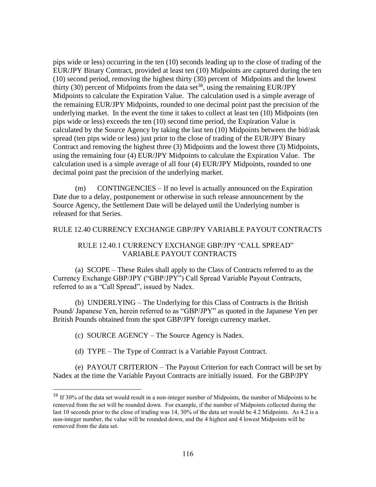pips wide or less) occurring in the ten (10) seconds leading up to the close of trading of the EUR/JPY Binary Contract, provided at least ten (10) Midpoints are captured during the ten (10) second period, removing the highest thirty (30) percent of Midpoints and the lowest thirty (30) percent of Midpoints from the data set<sup>38</sup>, using the remaining EUR/JPY Midpoints to calculate the Expiration Value. The calculation used is a simple average of the remaining EUR/JPY Midpoints, rounded to one decimal point past the precision of the underlying market. In the event the time it takes to collect at least ten (10) Midpoints (ten pips wide or less) exceeds the ten (10) second time period, the Expiration Value is calculated by the Source Agency by taking the last ten (10) Midpoints between the bid/ask spread (ten pips wide or less) just prior to the close of trading of the EUR/JPY Binary Contract and removing the highest three (3) Midpoints and the lowest three (3) Midpoints, using the remaining four (4) EUR/JPY Midpoints to calculate the Expiration Value. The calculation used is a simple average of all four (4) EUR/JPY Midpoints, rounded to one decimal point past the precision of the underlying market.

(m) CONTINGENCIES – If no level is actually announced on the Expiration Date due to a delay, postponement or otherwise in such release announcement by the Source Agency, the Settlement Date will be delayed until the Underlying number is released for that Series.

### RULE 12.40 CURRENCY EXCHANGE GBP/JPY VARIABLE PAYOUT CONTRACTS

## RULE 12.40.1 CURRENCY EXCHANGE GBP/JPY "CALL SPREAD" VARIABLE PAYOUT CONTRACTS

(a) SCOPE – These Rules shall apply to the Class of Contracts referred to as the Currency Exchange GBP/JPY ("GBP/JPY") Call Spread Variable Payout Contracts, referred to as a "Call Spread", issued by Nadex.

(b) UNDERLYING – The Underlying for this Class of Contracts is the British Pound/ Japanese Yen, herein referred to as "GBP/JPY" as quoted in the Japanese Yen per British Pounds obtained from the spot GBP/JPY foreign currency market.

(c) SOURCE AGENCY – The Source Agency is Nadex.

(d) TYPE – The Type of Contract is a Variable Payout Contract.

(e) PAYOUT CRITERION – The Payout Criterion for each Contract will be set by Nadex at the time the Variable Payout Contracts are initially issued. For the GBP/JPY

<sup>&</sup>lt;sup>38</sup> If 30% of the data set would result in a non-integer number of Midpoints, the number of Midpoints to be removed from the set will be rounded down. For example, if the number of Midpoints collected during the last 10 seconds prior to the close of trading was 14, 30% of the data set would be 4.2 Midpoints. As 4.2 is a non-integer number, the value will be rounded down, and the 4 highest and 4 lowest Midpoints will be removed from the data set.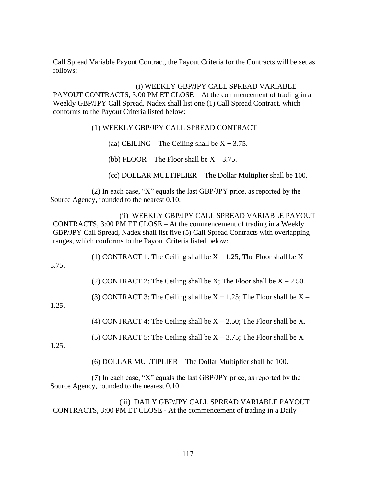Call Spread Variable Payout Contract, the Payout Criteria for the Contracts will be set as follows;

(i) WEEKLY GBP/JPY CALL SPREAD VARIABLE PAYOUT CONTRACTS, 3:00 PM ET CLOSE – At the commencement of trading in a Weekly GBP/JPY Call Spread, Nadex shall list one (1) Call Spread Contract, which conforms to the Payout Criteria listed below:

(1) WEEKLY GBP/JPY CALL SPREAD CONTRACT

(aa) CEILING – The Ceiling shall be  $X + 3.75$ .

(bb) FLOOR – The Floor shall be  $X - 3.75$ .

(cc) DOLLAR MULTIPLIER – The Dollar Multiplier shall be 100.

(2) In each case, "X" equals the last GBP/JPY price, as reported by the Source Agency, rounded to the nearest 0.10.

(ii) WEEKLY GBP/JPY CALL SPREAD VARIABLE PAYOUT CONTRACTS, 3:00 PM ET CLOSE – At the commencement of trading in a Weekly GBP/JPY Call Spread, Nadex shall list five (5) Call Spread Contracts with overlapping ranges, which conforms to the Payout Criteria listed below:

(1) CONTRACT 1: The Ceiling shall be  $X - 1.25$ ; The Floor shall be  $X - 1.25$ 

3.75.

(2) CONTRACT 2: The Ceiling shall be X; The Floor shall be  $X - 2.50$ .

(3) CONTRACT 3: The Ceiling shall be  $X + 1.25$ ; The Floor shall be  $X -$ 

1.25.

(4) CONTRACT 4: The Ceiling shall be  $X + 2.50$ ; The Floor shall be X.

(5) CONTRACT 5: The Ceiling shall be  $X + 3.75$ ; The Floor shall be  $X -$ 

1.25.

(6) DOLLAR MULTIPLIER – The Dollar Multiplier shall be 100.

(7) In each case, "X" equals the last GBP/JPY price, as reported by the Source Agency, rounded to the nearest 0.10.

(iii) DAILY GBP/JPY CALL SPREAD VARIABLE PAYOUT CONTRACTS, 3:00 PM ET CLOSE - At the commencement of trading in a Daily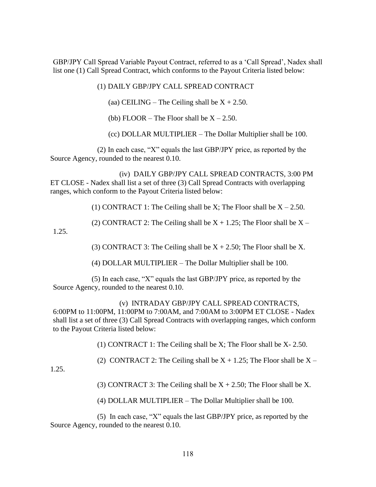GBP/JPY Call Spread Variable Payout Contract, referred to as a 'Call Spread', Nadex shall list one (1) Call Spread Contract, which conforms to the Payout Criteria listed below:

(1) DAILY GBP/JPY CALL SPREAD CONTRACT

(aa) CEILING – The Ceiling shall be  $X + 2.50$ .

(bb) FLOOR – The Floor shall be  $X - 2.50$ .

(cc) DOLLAR MULTIPLIER – The Dollar Multiplier shall be 100.

(2) In each case, "X" equals the last GBP/JPY price, as reported by the Source Agency, rounded to the nearest 0.10.

(iv) DAILY GBP/JPY CALL SPREAD CONTRACTS, 3:00 PM ET CLOSE - Nadex shall list a set of three (3) Call Spread Contracts with overlapping ranges, which conform to the Payout Criteria listed below:

(1) CONTRACT 1: The Ceiling shall be X; The Floor shall be  $X - 2.50$ .

(2) CONTRACT 2: The Ceiling shall be  $X + 1.25$ ; The Floor shall be  $X -$ 1.25.

(3) CONTRACT 3: The Ceiling shall be  $X + 2.50$ ; The Floor shall be X.

(4) DOLLAR MULTIPLIER – The Dollar Multiplier shall be 100.

(5) In each case, "X" equals the last GBP/JPY price, as reported by the Source Agency, rounded to the nearest 0.10.

(v) INTRADAY GBP/JPY CALL SPREAD CONTRACTS, 6:00PM to 11:00PM, 11:00PM to 7:00AM, and 7:00AM to 3:00PM ET CLOSE - Nadex shall list a set of three (3) Call Spread Contracts with overlapping ranges, which conform to the Payout Criteria listed below:

(1) CONTRACT 1: The Ceiling shall be X; The Floor shall be X- 2.50.

(2) CONTRACT 2: The Ceiling shall be  $X + 1.25$ ; The Floor shall be  $X -$ 

1.25.

(3) CONTRACT 3: The Ceiling shall be  $X + 2.50$ ; The Floor shall be X.

(4) DOLLAR MULTIPLIER – The Dollar Multiplier shall be 100.

(5) In each case, "X" equals the last GBP/JPY price, as reported by the Source Agency, rounded to the nearest 0.10.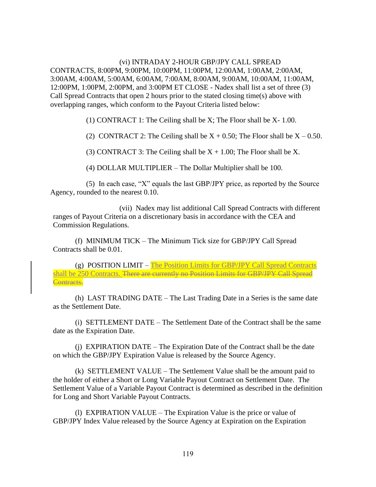### (vi) INTRADAY 2-HOUR GBP/JPY CALL SPREAD

CONTRACTS, 8:00PM, 9:00PM, 10:00PM, 11:00PM, 12:00AM, 1:00AM, 2:00AM, 3:00AM, 4:00AM, 5:00AM, 6:00AM, 7:00AM, 8:00AM, 9:00AM, 10:00AM, 11:00AM, 12:00PM, 1:00PM, 2:00PM, and 3:00PM ET CLOSE - Nadex shall list a set of three (3) Call Spread Contracts that open 2 hours prior to the stated closing time(s) above with overlapping ranges, which conform to the Payout Criteria listed below:

(1) CONTRACT 1: The Ceiling shall be X; The Floor shall be X- 1.00.

(2) CONTRACT 2: The Ceiling shall be  $X + 0.50$ ; The Floor shall be  $X - 0.50$ .

(3) CONTRACT 3: The Ceiling shall be  $X + 1.00$ ; The Floor shall be X.

(4) DOLLAR MULTIPLIER – The Dollar Multiplier shall be 100.

(5) In each case, "X" equals the last GBP/JPY price, as reported by the Source Agency, rounded to the nearest 0.10.

(vii) Nadex may list additional Call Spread Contracts with different ranges of Payout Criteria on a discretionary basis in accordance with the CEA and Commission Regulations.

(f) MINIMUM TICK – The Minimum Tick size for GBP/JPY Call Spread Contracts shall be 0.01.

(g) POSITION LIMIT – The Position Limits for GBP/JPY Call Spread Contracts shall be 250 Contracts. There are currently no Position Limits for GBP/JPY Call Spread Contracts.

(h) LAST TRADING DATE – The Last Trading Date in a Series is the same date as the Settlement Date.

(i) SETTLEMENT DATE – The Settlement Date of the Contract shall be the same date as the Expiration Date.

(j) EXPIRATION DATE – The Expiration Date of the Contract shall be the date on which the GBP/JPY Expiration Value is released by the Source Agency.

(k) SETTLEMENT VALUE – The Settlement Value shall be the amount paid to the holder of either a Short or Long Variable Payout Contract on Settlement Date. The Settlement Value of a Variable Payout Contract is determined as described in the definition for Long and Short Variable Payout Contracts.

(l) EXPIRATION VALUE – The Expiration Value is the price or value of GBP/JPY Index Value released by the Source Agency at Expiration on the Expiration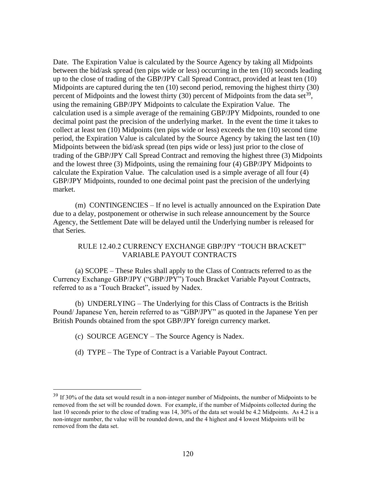Date. The Expiration Value is calculated by the Source Agency by taking all Midpoints between the bid/ask spread (ten pips wide or less) occurring in the ten (10) seconds leading up to the close of trading of the GBP/JPY Call Spread Contract, provided at least ten (10) Midpoints are captured during the ten (10) second period, removing the highest thirty (30) percent of Midpoints and the lowest thirty  $(30)$  percent of Midpoints from the data set<sup>39</sup>, using the remaining GBP/JPY Midpoints to calculate the Expiration Value. The calculation used is a simple average of the remaining GBP/JPY Midpoints, rounded to one decimal point past the precision of the underlying market. In the event the time it takes to collect at least ten (10) Midpoints (ten pips wide or less) exceeds the ten (10) second time period, the Expiration Value is calculated by the Source Agency by taking the last ten (10) Midpoints between the bid/ask spread (ten pips wide or less) just prior to the close of trading of the GBP/JPY Call Spread Contract and removing the highest three (3) Midpoints and the lowest three (3) Midpoints, using the remaining four (4) GBP/JPY Midpoints to calculate the Expiration Value. The calculation used is a simple average of all four (4) GBP/JPY Midpoints, rounded to one decimal point past the precision of the underlying market.

(m) CONTINGENCIES – If no level is actually announced on the Expiration Date due to a delay, postponement or otherwise in such release announcement by the Source Agency, the Settlement Date will be delayed until the Underlying number is released for that Series.

### RULE 12.40.2 CURRENCY EXCHANGE GBP/JPY "TOUCH BRACKET" VARIABLE PAYOUT CONTRACTS

(a) SCOPE – These Rules shall apply to the Class of Contracts referred to as the Currency Exchange GBP/JPY ("GBP/JPY") Touch Bracket Variable Payout Contracts, referred to as a 'Touch Bracket", issued by Nadex.

(b) UNDERLYING – The Underlying for this Class of Contracts is the British Pound/ Japanese Yen, herein referred to as "GBP/JPY" as quoted in the Japanese Yen per British Pounds obtained from the spot GBP/JPY foreign currency market.

- (c) SOURCE AGENCY The Source Agency is Nadex.
- (d) TYPE The Type of Contract is a Variable Payout Contract.

<sup>&</sup>lt;sup>39</sup> If 30% of the data set would result in a non-integer number of Midpoints, the number of Midpoints to be removed from the set will be rounded down. For example, if the number of Midpoints collected during the last 10 seconds prior to the close of trading was 14, 30% of the data set would be 4.2 Midpoints. As 4.2 is a non-integer number, the value will be rounded down, and the 4 highest and 4 lowest Midpoints will be removed from the data set.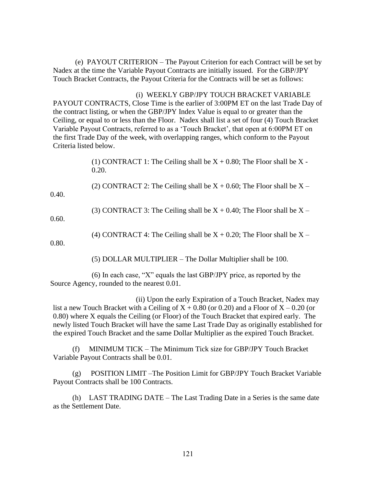(e) PAYOUT CRITERION – The Payout Criterion for each Contract will be set by Nadex at the time the Variable Payout Contracts are initially issued. For the GBP/JPY Touch Bracket Contracts, the Payout Criteria for the Contracts will be set as follows:

(i) WEEKLY GBP/JPY TOUCH BRACKET VARIABLE PAYOUT CONTRACTS, Close Time is the earlier of 3:00PM ET on the last Trade Day of the contract listing, or when the GBP/JPY Index Value is equal to or greater than the Ceiling, or equal to or less than the Floor. Nadex shall list a set of four (4) Touch Bracket Variable Payout Contracts, referred to as a 'Touch Bracket', that open at 6:00PM ET on the first Trade Day of the week, with overlapping ranges, which conform to the Payout Criteria listed below.

> (1) CONTRACT 1: The Ceiling shall be  $X + 0.80$ ; The Floor shall be  $X -$ 0.20.

(2) CONTRACT 2: The Ceiling shall be  $X + 0.60$ ; The Floor shall be  $X -$ 0.40.

(3) CONTRACT 3: The Ceiling shall be  $X + 0.40$ ; The Floor shall be  $X -$ 

0.60.

(4) CONTRACT 4: The Ceiling shall be  $X + 0.20$ ; The Floor shall be  $X -$ 

0.80.

(5) DOLLAR MULTIPLIER – The Dollar Multiplier shall be 100.

(6) In each case, "X" equals the last GBP/JPY price, as reported by the Source Agency, rounded to the nearest 0.01.

(ii) Upon the early Expiration of a Touch Bracket, Nadex may list a new Touch Bracket with a Ceiling of  $X + 0.80$  (or 0.20) and a Floor of  $X - 0.20$  (or 0.80) where X equals the Ceiling (or Floor) of the Touch Bracket that expired early. The newly listed Touch Bracket will have the same Last Trade Day as originally established for the expired Touch Bracket and the same Dollar Multiplier as the expired Touch Bracket.

(f) MINIMUM TICK – The Minimum Tick size for GBP/JPY Touch Bracket Variable Payout Contracts shall be 0.01.

(g) POSITION LIMIT –The Position Limit for GBP/JPY Touch Bracket Variable Payout Contracts shall be 100 Contracts.

(h) LAST TRADING DATE – The Last Trading Date in a Series is the same date as the Settlement Date.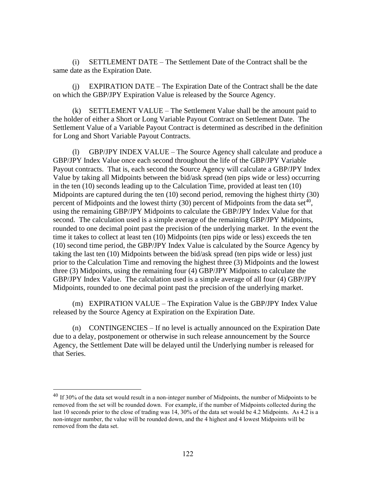(i) SETTLEMENT DATE – The Settlement Date of the Contract shall be the same date as the Expiration Date.

(j) EXPIRATION DATE – The Expiration Date of the Contract shall be the date on which the GBP/JPY Expiration Value is released by the Source Agency.

(k) SETTLEMENT VALUE – The Settlement Value shall be the amount paid to the holder of either a Short or Long Variable Payout Contract on Settlement Date. The Settlement Value of a Variable Payout Contract is determined as described in the definition for Long and Short Variable Payout Contracts.

(l) GBP/JPY INDEX VALUE – The Source Agency shall calculate and produce a GBP/JPY Index Value once each second throughout the life of the GBP/JPY Variable Payout contracts. That is, each second the Source Agency will calculate a GBP/JPY Index Value by taking all Midpoints between the bid/ask spread (ten pips wide or less) occurring in the ten (10) seconds leading up to the Calculation Time, provided at least ten (10) Midpoints are captured during the ten (10) second period, removing the highest thirty (30) percent of Midpoints and the lowest thirty  $(30)$  percent of Midpoints from the data set<sup>40</sup>, using the remaining GBP/JPY Midpoints to calculate the GBP/JPY Index Value for that second. The calculation used is a simple average of the remaining GBP/JPY Midpoints, rounded to one decimal point past the precision of the underlying market. In the event the time it takes to collect at least ten (10) Midpoints (ten pips wide or less) exceeds the ten (10) second time period, the GBP/JPY Index Value is calculated by the Source Agency by taking the last ten (10) Midpoints between the bid/ask spread (ten pips wide or less) just prior to the Calculation Time and removing the highest three (3) Midpoints and the lowest three (3) Midpoints, using the remaining four (4) GBP/JPY Midpoints to calculate the GBP/JPY Index Value. The calculation used is a simple average of all four (4) GBP/JPY Midpoints, rounded to one decimal point past the precision of the underlying market.

(m) EXPIRATION VALUE – The Expiration Value is the GBP/JPY Index Value released by the Source Agency at Expiration on the Expiration Date.

(n) CONTINGENCIES – If no level is actually announced on the Expiration Date due to a delay, postponement or otherwise in such release announcement by the Source Agency, the Settlement Date will be delayed until the Underlying number is released for that Series.

<sup>40</sup> If 30% of the data set would result in a non-integer number of Midpoints, the number of Midpoints to be removed from the set will be rounded down. For example, if the number of Midpoints collected during the last 10 seconds prior to the close of trading was 14, 30% of the data set would be 4.2 Midpoints. As 4.2 is a non-integer number, the value will be rounded down, and the 4 highest and 4 lowest Midpoints will be removed from the data set.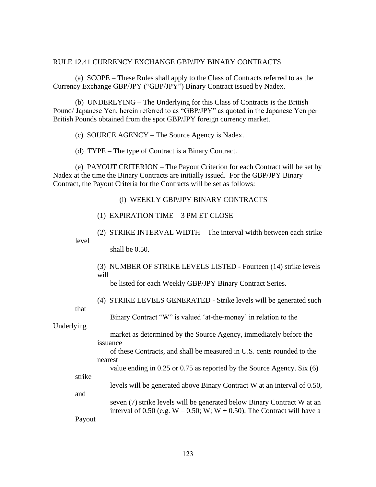#### RULE 12.41 CURRENCY EXCHANGE GBP/JPY BINARY CONTRACTS

(a) SCOPE – These Rules shall apply to the Class of Contracts referred to as the Currency Exchange GBP/JPY ("GBP/JPY") Binary Contract issued by Nadex.

(b) UNDERLYING – The Underlying for this Class of Contracts is the British Pound/ Japanese Yen, herein referred to as "GBP/JPY" as quoted in the Japanese Yen per British Pounds obtained from the spot GBP/JPY foreign currency market.

(c) SOURCE AGENCY – The Source Agency is Nadex.

(d) TYPE – The type of Contract is a Binary Contract.

(e) PAYOUT CRITERION – The Payout Criterion for each Contract will be set by Nadex at the time the Binary Contracts are initially issued. For the GBP/JPY Binary Contract, the Payout Criteria for the Contracts will be set as follows:

### (i) WEEKLY GBP/JPY BINARY CONTRACTS

(2) STRIKE INTERVAL WIDTH – The interval width between each strike level

shall be 0.50.

| (3) NUMBER OF STRIKE LEVELS LISTED - Fourteen (14) strike levels |
|------------------------------------------------------------------|
| will                                                             |

be listed for each Weekly GBP/JPY Binary Contract Series.

(4) STRIKE LEVELS GENERATED - Strike levels will be generated such

that

|  | Binary Contract "W" is valued 'at-the-money' in relation to the |  |  |  |
|--|-----------------------------------------------------------------|--|--|--|
|--|-----------------------------------------------------------------|--|--|--|

Underlying

|          |  |  | market as determined by the Source Agency, immediately before the |  |
|----------|--|--|-------------------------------------------------------------------|--|
| 1ssuance |  |  |                                                                   |  |

 of these Contracts, and shall be measured in U.S. cents rounded to the nearest

value ending in 0.25 or 0.75 as reported by the Source Agency. Six (6)

levels will be generated above Binary Contract W at an interval of 0.50,

strike

and

Payout

 seven (7) strike levels will be generated below Binary Contract W at an interval of 0.50 (e.g.  $W - 0.50$ ; W;  $W + 0.50$ ). The Contract will have a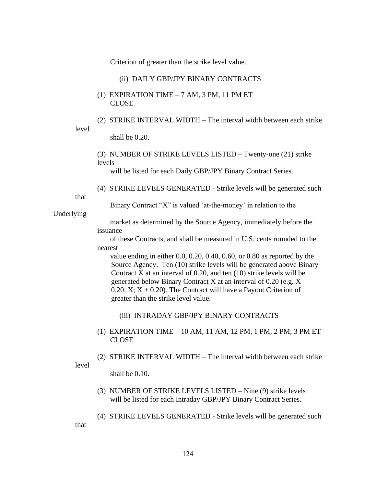Criterion of greater than the strike level value.

#### (ii) DAILY GBP/JPY BINARY CONTRACTS

- (1) EXPIRATION TIME  $-7$  AM, 3 PM, 11 PM ET CLOSE
- (2) STRIKE INTERVAL WIDTH The interval width between each strike

level

shall be 0.20.

(3) NUMBER OF STRIKE LEVELS LISTED – Twenty-one (21) strike levels

will be listed for each Daily GBP/JPY Binary Contract Series.

(4) STRIKE LEVELS GENERATED - Strike levels will be generated such

that

that

Binary Contract "X" is valued 'at-the-money' in relation to the

Underlying

 market as determined by the Source Agency, immediately before the issuance

 of these Contracts, and shall be measured in U.S. cents rounded to the nearest

 value ending in either 0.0, 0.20, 0.40, 0.60, or 0.80 as reported by the Source Agency. Ten (10) strike levels will be generated above Binary Contract X at an interval of 0.20, and ten (10) strike levels will be generated below Binary Contract X at an interval of  $0.20$  (e.g.  $X -$ 0.20; X;  $X + 0.20$ ). The Contract will have a Payout Criterion of greater than the strike level value.

(iii) INTRADAY GBP/JPY BINARY CONTRACTS

- (1) EXPIRATION TIME 10 AM, 11 AM, 12 PM, 1 PM, 2 PM, 3 PM ET CLOSE
- (2) STRIKE INTERVAL WIDTH The interval width between each strike level

shall be 0.10.

- (3) NUMBER OF STRIKE LEVELS LISTED Nine (9) strike levels will be listed for each Intraday GBP/JPY Binary Contract Series.
- (4) STRIKE LEVELS GENERATED Strike levels will be generated such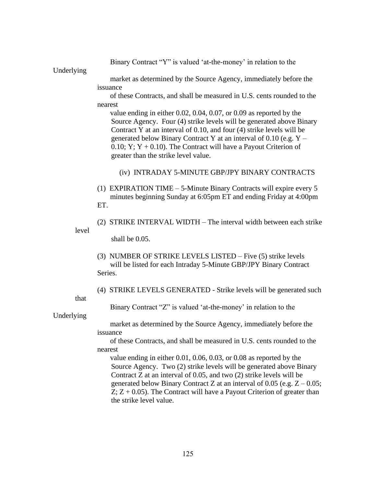Binary Contract "Y" is valued 'at-the-money' in relation to the

Underlying

 market as determined by the Source Agency, immediately before the issuance

 of these Contracts, and shall be measured in U.S. cents rounded to the nearest

 value ending in either 0.02, 0.04, 0.07, or 0.09 as reported by the Source Agency. Four (4) strike levels will be generated above Binary Contract Y at an interval of 0.10, and four (4) strike levels will be generated below Binary Contract Y at an interval of 0.10 (e.g.  $Y -$ 0.10; Y; Y  $+$  0.10). The Contract will have a Payout Criterion of greater than the strike level value.

- (iv) INTRADAY 5-MINUTE GBP/JPY BINARY CONTRACTS
- (1) EXPIRATION TIME 5-Minute Binary Contracts will expire every 5 minutes beginning Sunday at 6:05pm ET and ending Friday at 4:00pm ET.

(2) STRIKE INTERVAL WIDTH – The interval width between each strike level

shall be 0.05.

- (3) NUMBER OF STRIKE LEVELS LISTED Five (5) strike levels will be listed for each Intraday 5-Minute GBP/JPY Binary Contract Series.
- (4) STRIKE LEVELS GENERATED Strike levels will be generated such

that

Binary Contract "Z" is valued 'at-the-money' in relation to the

Underlying

 market as determined by the Source Agency, immediately before the issuance

 of these Contracts, and shall be measured in U.S. cents rounded to the nearest

 value ending in either 0.01, 0.06, 0.03, or 0.08 as reported by the Source Agency. Two (2) strike levels will be generated above Binary Contract Z at an interval of 0.05, and two (2) strike levels will be generated below Binary Contract Z at an interval of 0.05 (e.g.  $Z - 0.05$ ;  $Z$ ;  $Z + 0.05$ ). The Contract will have a Payout Criterion of greater than the strike level value.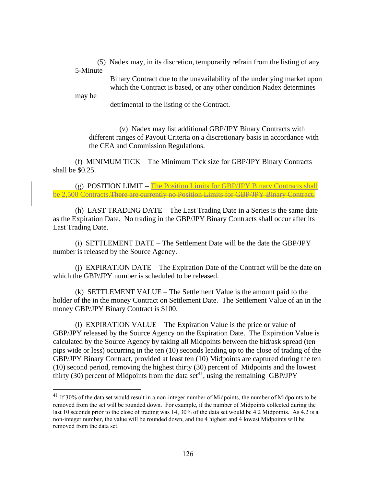(5) Nadex may, in its discretion, temporarily refrain from the listing of any 5-Minute

> Binary Contract due to the unavailability of the underlying market upon which the Contract is based, or any other condition Nadex determines

may be

detrimental to the listing of the Contract.

(v) Nadex may list additional GBP/JPY Binary Contracts with different ranges of Payout Criteria on a discretionary basis in accordance with the CEA and Commission Regulations.

(f) MINIMUM TICK – The Minimum Tick size for GBP/JPY Binary Contracts shall be \$0.25.

(g) POSITION LIMIT – The Position Limits for GBP/JPY Binary Contracts shall be 2,500 Contracts. There are currently no Position Limits for GBP/JPY Binary Contract.

(h) LAST TRADING DATE – The Last Trading Date in a Series is the same date as the Expiration Date. No trading in the GBP/JPY Binary Contracts shall occur after its Last Trading Date.

(i) SETTLEMENT DATE – The Settlement Date will be the date the GBP/JPY number is released by the Source Agency.

(j) EXPIRATION DATE – The Expiration Date of the Contract will be the date on which the GBP/JPY number is scheduled to be released.

(k) SETTLEMENT VALUE – The Settlement Value is the amount paid to the holder of the in the money Contract on Settlement Date. The Settlement Value of an in the money GBP/JPY Binary Contract is \$100.

(l) EXPIRATION VALUE – The Expiration Value is the price or value of GBP/JPY released by the Source Agency on the Expiration Date. The Expiration Value is calculated by the Source Agency by taking all Midpoints between the bid/ask spread (ten pips wide or less) occurring in the ten (10) seconds leading up to the close of trading of the GBP/JPY Binary Contract, provided at least ten (10) Midpoints are captured during the ten (10) second period, removing the highest thirty (30) percent of Midpoints and the lowest thirty (30) percent of Midpoints from the data set<sup>41</sup>, using the remaining GBP/JPY

<sup>41</sup> If 30% of the data set would result in a non-integer number of Midpoints, the number of Midpoints to be removed from the set will be rounded down. For example, if the number of Midpoints collected during the last 10 seconds prior to the close of trading was 14, 30% of the data set would be 4.2 Midpoints. As 4.2 is a non-integer number, the value will be rounded down, and the 4 highest and 4 lowest Midpoints will be removed from the data set.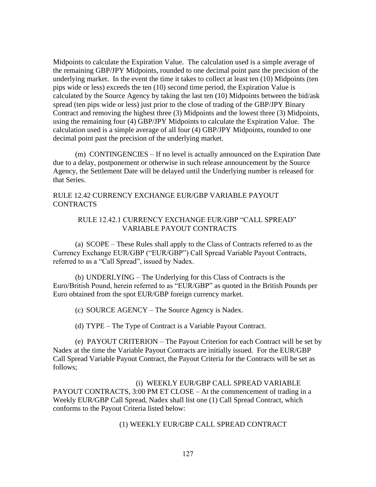Midpoints to calculate the Expiration Value. The calculation used is a simple average of the remaining GBP/JPY Midpoints, rounded to one decimal point past the precision of the underlying market. In the event the time it takes to collect at least ten (10) Midpoints (ten pips wide or less) exceeds the ten (10) second time period, the Expiration Value is calculated by the Source Agency by taking the last ten (10) Midpoints between the bid/ask spread (ten pips wide or less) just prior to the close of trading of the GBP/JPY Binary Contract and removing the highest three (3) Midpoints and the lowest three (3) Midpoints, using the remaining four (4) GBP/JPY Midpoints to calculate the Expiration Value. The calculation used is a simple average of all four (4) GBP/JPY Midpoints, rounded to one decimal point past the precision of the underlying market.

(m) CONTINGENCIES – If no level is actually announced on the Expiration Date due to a delay, postponement or otherwise in such release announcement by the Source Agency, the Settlement Date will be delayed until the Underlying number is released for that Series.

## RULE 12.42 CURRENCY EXCHANGE EUR/GBP VARIABLE PAYOUT **CONTRACTS**

## RULE 12.42.1 CURRENCY EXCHANGE EUR/GBP "CALL SPREAD" VARIABLE PAYOUT CONTRACTS

(a) SCOPE – These Rules shall apply to the Class of Contracts referred to as the Currency Exchange EUR/GBP ("EUR/GBP") Call Spread Variable Payout Contracts, referred to as a "Call Spread", issued by Nadex.

(b) UNDERLYING – The Underlying for this Class of Contracts is the Euro/British Pound, herein referred to as "EUR/GBP" as quoted in the British Pounds per Euro obtained from the spot EUR/GBP foreign currency market.

(c) SOURCE AGENCY – The Source Agency is Nadex.

(d) TYPE – The Type of Contract is a Variable Payout Contract.

(e) PAYOUT CRITERION – The Payout Criterion for each Contract will be set by Nadex at the time the Variable Payout Contracts are initially issued. For the EUR/GBP Call Spread Variable Payout Contract, the Payout Criteria for the Contracts will be set as follows;

(i) WEEKLY EUR/GBP CALL SPREAD VARIABLE PAYOUT CONTRACTS, 3:00 PM ET CLOSE – At the commencement of trading in a Weekly EUR/GBP Call Spread, Nadex shall list one (1) Call Spread Contract, which conforms to the Payout Criteria listed below:

(1) WEEKLY EUR/GBP CALL SPREAD CONTRACT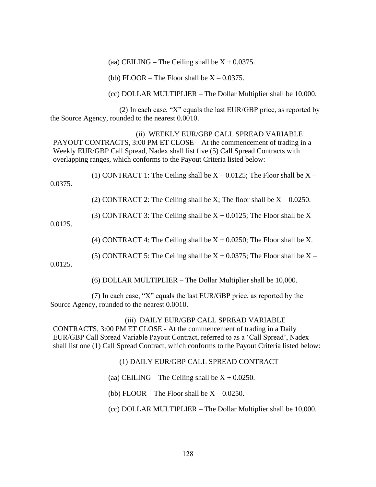(aa) CEILING – The Ceiling shall be  $X + 0.0375$ .

(bb) FLOOR – The Floor shall be  $X - 0.0375$ .

(cc) DOLLAR MULTIPLIER – The Dollar Multiplier shall be 10,000.

(2) In each case, "X" equals the last EUR/GBP price, as reported by the Source Agency, rounded to the nearest 0.0010.

(ii) WEEKLY EUR/GBP CALL SPREAD VARIABLE PAYOUT CONTRACTS, 3:00 PM ET CLOSE – At the commencement of trading in a Weekly EUR/GBP Call Spread, Nadex shall list five (5) Call Spread Contracts with overlapping ranges, which conforms to the Payout Criteria listed below:

(1) CONTRACT 1: The Ceiling shall be  $X - 0.0125$ ; The Floor shall be  $X -$ 

0.0375.

(2) CONTRACT 2: The Ceiling shall be X; The floor shall be  $X - 0.0250$ .

(3) CONTRACT 3: The Ceiling shall be  $X + 0.0125$ ; The Floor shall be  $X -$ 

0.0125.

(4) CONTRACT 4: The Ceiling shall be  $X + 0.0250$ ; The Floor shall be X.

(5) CONTRACT 5: The Ceiling shall be  $X + 0.0375$ ; The Floor shall be  $X -$ 

0.0125.

(6) DOLLAR MULTIPLIER – The Dollar Multiplier shall be 10,000.

(7) In each case, "X" equals the last EUR/GBP price, as reported by the Source Agency, rounded to the nearest 0.0010.

(iii) DAILY EUR/GBP CALL SPREAD VARIABLE CONTRACTS, 3:00 PM ET CLOSE - At the commencement of trading in a Daily EUR/GBP Call Spread Variable Payout Contract, referred to as a 'Call Spread', Nadex shall list one (1) Call Spread Contract, which conforms to the Payout Criteria listed below:

(1) DAILY EUR/GBP CALL SPREAD CONTRACT

(aa) CEILING – The Ceiling shall be  $X + 0.0250$ .

(bb) FLOOR – The Floor shall be  $X - 0.0250$ .

(cc) DOLLAR MULTIPLIER – The Dollar Multiplier shall be 10,000.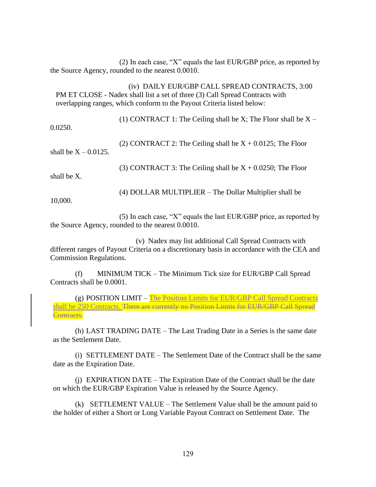(2) In each case, "X" equals the last EUR/GBP price, as reported by the Source Agency, rounded to the nearest 0.0010.

 (iv) DAILY EUR/GBP CALL SPREAD CONTRACTS, 3:00 PM ET CLOSE - Nadex shall list a set of three (3) Call Spread Contracts with overlapping ranges, which conform to the Payout Criteria listed below:

(1) CONTRACT 1: The Ceiling shall be X; The Floor shall be  $X -$ 0.0250. (2) CONTRACT 2: The Ceiling shall be  $X + 0.0125$ ; The Floor shall be  $X - 0.0125$ . (3) CONTRACT 3: The Ceiling shall be  $X + 0.0250$ ; The Floor shall be X.

(4) DOLLAR MULTIPLIER – The Dollar Multiplier shall be 10,000.

(5) In each case, "X" equals the last EUR/GBP price, as reported by the Source Agency, rounded to the nearest 0.0010.

(v) Nadex may list additional Call Spread Contracts with different ranges of Payout Criteria on a discretionary basis in accordance with the CEA and Commission Regulations.

(f) MINIMUM TICK – The Minimum Tick size for EUR/GBP Call Spread Contracts shall be 0.0001.

(g) POSITION LIMIT – The Position Limits for EUR/GBP Call Spread Contracts shall be 250 Contracts. There are currently no Position Limits for EUR/GBP Call Spread Contracts.

(h) LAST TRADING DATE – The Last Trading Date in a Series is the same date as the Settlement Date.

(i) SETTLEMENT DATE – The Settlement Date of the Contract shall be the same date as the Expiration Date.

(j) EXPIRATION DATE – The Expiration Date of the Contract shall be the date on which the EUR/GBP Expiration Value is released by the Source Agency.

(k) SETTLEMENT VALUE – The Settlement Value shall be the amount paid to the holder of either a Short or Long Variable Payout Contract on Settlement Date. The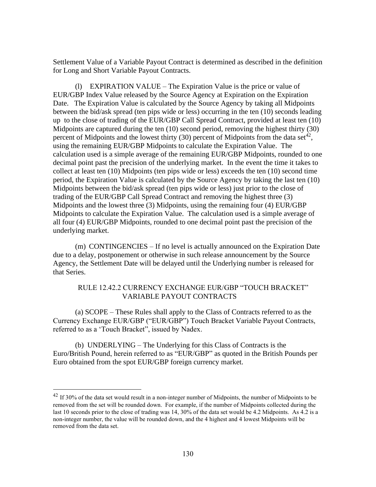Settlement Value of a Variable Payout Contract is determined as described in the definition for Long and Short Variable Payout Contracts.

(l) EXPIRATION VALUE – The Expiration Value is the price or value of EUR/GBP Index Value released by the Source Agency at Expiration on the Expiration Date. The Expiration Value is calculated by the Source Agency by taking all Midpoints between the bid/ask spread (ten pips wide or less) occurring in the ten (10) seconds leading up to the close of trading of the EUR/GBP Call Spread Contract, provided at least ten (10) Midpoints are captured during the ten (10) second period, removing the highest thirty (30) percent of Midpoints and the lowest thirty (30) percent of Midpoints from the data set<sup>42</sup>, using the remaining EUR/GBP Midpoints to calculate the Expiration Value. The calculation used is a simple average of the remaining EUR/GBP Midpoints, rounded to one decimal point past the precision of the underlying market. In the event the time it takes to collect at least ten (10) Midpoints (ten pips wide or less) exceeds the ten (10) second time period, the Expiration Value is calculated by the Source Agency by taking the last ten (10) Midpoints between the bid/ask spread (ten pips wide or less) just prior to the close of trading of the EUR/GBP Call Spread Contract and removing the highest three (3) Midpoints and the lowest three (3) Midpoints, using the remaining four (4) EUR/GBP Midpoints to calculate the Expiration Value. The calculation used is a simple average of all four (4) EUR/GBP Midpoints, rounded to one decimal point past the precision of the underlying market.

(m) CONTINGENCIES – If no level is actually announced on the Expiration Date due to a delay, postponement or otherwise in such release announcement by the Source Agency, the Settlement Date will be delayed until the Underlying number is released for that Series.

## RULE 12.42.2 CURRENCY EXCHANGE EUR/GBP "TOUCH BRACKET" VARIABLE PAYOUT CONTRACTS

(a) SCOPE – These Rules shall apply to the Class of Contracts referred to as the Currency Exchange EUR/GBP ("EUR/GBP") Touch Bracket Variable Payout Contracts, referred to as a 'Touch Bracket", issued by Nadex.

(b) UNDERLYING – The Underlying for this Class of Contracts is the Euro/British Pound, herein referred to as "EUR/GBP" as quoted in the British Pounds per Euro obtained from the spot EUR/GBP foreign currency market.

<sup>&</sup>lt;sup>42</sup> If 30% of the data set would result in a non-integer number of Midpoints, the number of Midpoints to be removed from the set will be rounded down. For example, if the number of Midpoints collected during the last 10 seconds prior to the close of trading was 14, 30% of the data set would be 4.2 Midpoints. As 4.2 is a non-integer number, the value will be rounded down, and the 4 highest and 4 lowest Midpoints will be removed from the data set.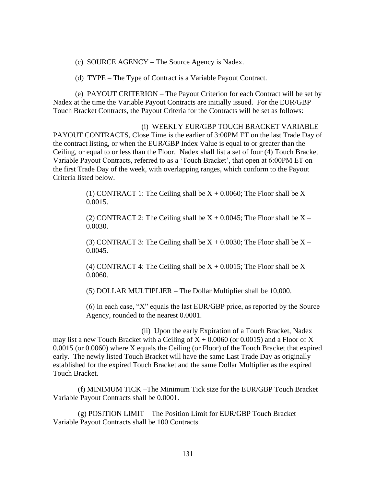(c) SOURCE AGENCY – The Source Agency is Nadex.

(d) TYPE – The Type of Contract is a Variable Payout Contract.

(e) PAYOUT CRITERION – The Payout Criterion for each Contract will be set by Nadex at the time the Variable Payout Contracts are initially issued. For the EUR/GBP Touch Bracket Contracts, the Payout Criteria for the Contracts will be set as follows:

(i) WEEKLY EUR/GBP TOUCH BRACKET VARIABLE PAYOUT CONTRACTS, Close Time is the earlier of 3:00PM ET on the last Trade Day of the contract listing, or when the EUR/GBP Index Value is equal to or greater than the Ceiling, or equal to or less than the Floor. Nadex shall list a set of four (4) Touch Bracket Variable Payout Contracts, referred to as a 'Touch Bracket', that open at 6:00PM ET on the first Trade Day of the week, with overlapping ranges, which conform to the Payout Criteria listed below.

> (1) CONTRACT 1: The Ceiling shall be  $X + 0.0060$ ; The Floor shall be  $X -$ 0.0015.

> (2) CONTRACT 2: The Ceiling shall be  $X + 0.0045$ ; The Floor shall be  $X -$ 0.0030.

> (3) CONTRACT 3: The Ceiling shall be  $X + 0.0030$ ; The Floor shall be  $X -$ 0.0045.

> (4) CONTRACT 4: The Ceiling shall be  $X + 0.0015$ ; The Floor shall be  $X -$ 0.0060.

(5) DOLLAR MULTIPLIER – The Dollar Multiplier shall be 10,000.

(6) In each case, "X" equals the last EUR/GBP price, as reported by the Source Agency, rounded to the nearest 0.0001.

(ii) Upon the early Expiration of a Touch Bracket, Nadex may list a new Touch Bracket with a Ceiling of  $X + 0.0060$  (or 0.0015) and a Floor of  $X -$ 0.0015 (or 0.0060) where X equals the Ceiling (or Floor) of the Touch Bracket that expired early. The newly listed Touch Bracket will have the same Last Trade Day as originally established for the expired Touch Bracket and the same Dollar Multiplier as the expired Touch Bracket.

(f) MINIMUM TICK –The Minimum Tick size for the EUR/GBP Touch Bracket Variable Payout Contracts shall be 0.0001.

(g) POSITION LIMIT – The Position Limit for EUR/GBP Touch Bracket Variable Payout Contracts shall be 100 Contracts.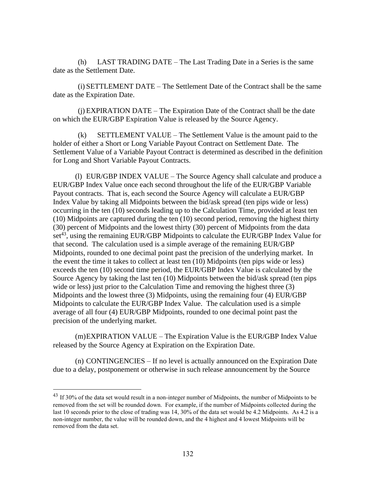(h) LAST TRADING DATE – The Last Trading Date in a Series is the same date as the Settlement Date.

(i) SETTLEMENT DATE – The Settlement Date of the Contract shall be the same date as the Expiration Date.

(j) EXPIRATION DATE – The Expiration Date of the Contract shall be the date on which the EUR/GBP Expiration Value is released by the Source Agency.

(k) SETTLEMENT VALUE – The Settlement Value is the amount paid to the holder of either a Short or Long Variable Payout Contract on Settlement Date. The Settlement Value of a Variable Payout Contract is determined as described in the definition for Long and Short Variable Payout Contracts.

(l) EUR/GBP INDEX VALUE – The Source Agency shall calculate and produce a EUR/GBP Index Value once each second throughout the life of the EUR/GBP Variable Payout contracts. That is, each second the Source Agency will calculate a EUR/GBP Index Value by taking all Midpoints between the bid/ask spread (ten pips wide or less) occurring in the ten (10) seconds leading up to the Calculation Time, provided at least ten (10) Midpoints are captured during the ten (10) second period, removing the highest thirty (30) percent of Midpoints and the lowest thirty (30) percent of Midpoints from the data set<sup>43</sup>, using the remaining EUR/GBP Midpoints to calculate the EUR/GBP Index Value for that second. The calculation used is a simple average of the remaining EUR/GBP Midpoints, rounded to one decimal point past the precision of the underlying market. In the event the time it takes to collect at least ten (10) Midpoints (ten pips wide or less) exceeds the ten (10) second time period, the EUR/GBP Index Value is calculated by the Source Agency by taking the last ten (10) Midpoints between the bid/ask spread (ten pips wide or less) just prior to the Calculation Time and removing the highest three (3) Midpoints and the lowest three (3) Midpoints, using the remaining four (4) EUR/GBP Midpoints to calculate the EUR/GBP Index Value. The calculation used is a simple average of all four (4) EUR/GBP Midpoints, rounded to one decimal point past the precision of the underlying market.

(m)EXPIRATION VALUE – The Expiration Value is the EUR/GBP Index Value released by the Source Agency at Expiration on the Expiration Date.

(n) CONTINGENCIES – If no level is actually announced on the Expiration Date due to a delay, postponement or otherwise in such release announcement by the Source

<sup>43</sup> If 30% of the data set would result in a non-integer number of Midpoints, the number of Midpoints to be removed from the set will be rounded down. For example, if the number of Midpoints collected during the last 10 seconds prior to the close of trading was 14, 30% of the data set would be 4.2 Midpoints. As 4.2 is a non-integer number, the value will be rounded down, and the 4 highest and 4 lowest Midpoints will be removed from the data set.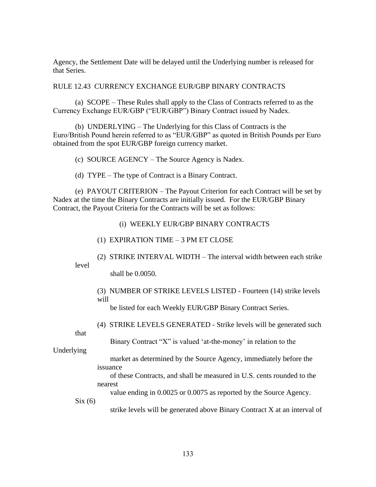Agency, the Settlement Date will be delayed until the Underlying number is released for that Series.

RULE 12.43 CURRENCY EXCHANGE EUR/GBP BINARY CONTRACTS

(a) SCOPE – These Rules shall apply to the Class of Contracts referred to as the Currency Exchange EUR/GBP ("EUR/GBP") Binary Contract issued by Nadex.

(b) UNDERLYING – The Underlying for this Class of Contracts is the Euro/British Pound herein referred to as "EUR/GBP" as quoted in British Pounds per Euro obtained from the spot EUR/GBP foreign currency market.

(c) SOURCE AGENCY – The Source Agency is Nadex.

(d) TYPE – The type of Contract is a Binary Contract.

(e) PAYOUT CRITERION – The Payout Criterion for each Contract will be set by Nadex at the time the Binary Contracts are initially issued. For the EUR/GBP Binary Contract, the Payout Criteria for the Contracts will be set as follows:

(i) WEEKLY EUR/GBP BINARY CONTRACTS

(1) EXPIRATION TIME – 3 PM ET CLOSE

(2) STRIKE INTERVAL WIDTH – The interval width between each strike level

shall be 0.0050.

(3) NUMBER OF STRIKE LEVELS LISTED - Fourteen (14) strike levels will

be listed for each Weekly EUR/GBP Binary Contract Series.

(4) STRIKE LEVELS GENERATED - Strike levels will be generated such

that

Binary Contract "X" is valued 'at-the-money' in relation to the

Underlying

 market as determined by the Source Agency, immediately before the issuance

 of these Contracts, and shall be measured in U.S. cents rounded to the nearest

value ending in 0.0025 or 0.0075 as reported by the Source Agency.

 $Six(6)$ 

strike levels will be generated above Binary Contract X at an interval of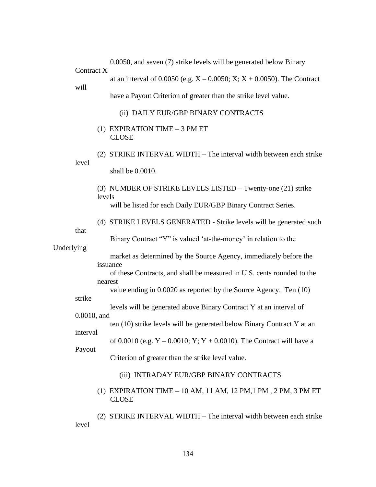0.0050, and seven (7) strike levels will be generated below Binary Contract X at an interval of 0.0050 (e.g.  $X - 0.0050$ ;  $X$ ;  $X + 0.0050$ ). The Contract will have a Payout Criterion of greater than the strike level value. (ii) DAILY EUR/GBP BINARY CONTRACTS (1) EXPIRATION TIME – 3 PM ET CLOSE (2) STRIKE INTERVAL WIDTH – The interval width between each strike level shall be 0.0010. (3) NUMBER OF STRIKE LEVELS LISTED – Twenty-one (21) strike levels will be listed for each Daily EUR/GBP Binary Contract Series. (4) STRIKE LEVELS GENERATED - Strike levels will be generated such that Binary Contract "Y" is valued 'at-the-money' in relation to the Underlying market as determined by the Source Agency, immediately before the issuance of these Contracts, and shall be measured in U.S. cents rounded to the nearest value ending in 0.0020 as reported by the Source Agency. Ten (10) strike levels will be generated above Binary Contract Y at an interval of 0.0010, and ten (10) strike levels will be generated below Binary Contract Y at an interval of 0.0010 (e.g.  $Y - 0.0010$ ;  $Y$ ;  $Y + 0.0010$ ). The Contract will have a Payout Criterion of greater than the strike level value. (iii) INTRADAY EUR/GBP BINARY CONTRACTS (1) EXPIRATION TIME – 10 AM, 11 AM, 12 PM,1 PM , 2 PM, 3 PM ET CLOSE (2) STRIKE INTERVAL WIDTH – The interval width between each strike

level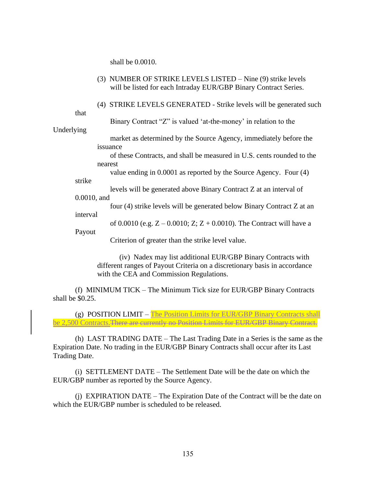shall be 0.0010.

|                | (3) NUMBER OF STRIKE LEVELS LISTED - Nine (9) strike levels<br>will be listed for each Intraday EUR/GBP Binary Contract Series. |
|----------------|---------------------------------------------------------------------------------------------------------------------------------|
| that           | (4) STRIKE LEVELS GENERATED - Strike levels will be generated such                                                              |
| Underlying     | Binary Contract "Z" is valued 'at-the-money' in relation to the                                                                 |
|                | market as determined by the Source Agency, immediately before the<br>issuance                                                   |
|                | of these Contracts, and shall be measured in U.S. cents rounded to the<br>nearest                                               |
| strike         | value ending in 0.0001 as reported by the Source Agency. Four (4)                                                               |
|                | levels will be generated above Binary Contract Z at an interval of                                                              |
| $0.0010$ , and | four (4) strike levels will be generated below Binary Contract Z at an                                                          |
| interval       | of 0.0010 (e.g. $Z - 0.0010$ ; $Z$ ; $Z + 0.0010$ ). The Contract will have a                                                   |
| Payout         | Criterion of greater than the strike level value.                                                                               |
|                | (iv) Nadex may list additional EUR/GBP Binary Contracts with                                                                    |

different ranges of Payout Criteria on a discretionary basis in accordance with the CEA and Commission Regulations.

(f) MINIMUM TICK – The Minimum Tick size for EUR/GBP Binary Contracts shall be \$0.25.

(g) POSITION LIMIT – The Position Limits for EUR/GBP Binary Contracts shall be 2,500 Contracts. There are currently no Position Limits for EUR/GBP Binary Contract.

(h) LAST TRADING DATE – The Last Trading Date in a Series is the same as the Expiration Date. No trading in the EUR/GBP Binary Contracts shall occur after its Last Trading Date.

(i) SETTLEMENT DATE – The Settlement Date will be the date on which the EUR/GBP number as reported by the Source Agency.

(j) EXPIRATION DATE – The Expiration Date of the Contract will be the date on which the EUR/GBP number is scheduled to be released.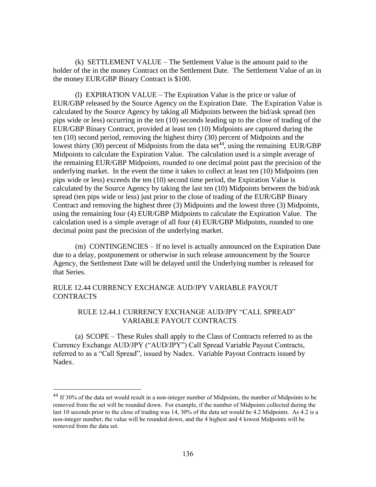(k) SETTLEMENT VALUE – The Settlement Value is the amount paid to the holder of the in the money Contract on the Settlement Date. The Settlement Value of an in the money EUR/GBP Binary Contract is \$100.

(l) EXPIRATION VALUE – The Expiration Value is the price or value of EUR/GBP released by the Source Agency on the Expiration Date. The Expiration Value is calculated by the Source Agency by taking all Midpoints between the bid/ask spread (ten pips wide or less) occurring in the ten (10) seconds leading up to the close of trading of the EUR/GBP Binary Contract, provided at least ten (10) Midpoints are captured during the ten (10) second period, removing the highest thirty (30) percent of Midpoints and the lowest thirty (30) percent of Midpoints from the data set<sup> $44$ </sup>, using the remaining EUR/GBP Midpoints to calculate the Expiration Value. The calculation used is a simple average of the remaining EUR/GBP Midpoints, rounded to one decimal point past the precision of the underlying market. In the event the time it takes to collect at least ten (10) Midpoints (ten pips wide or less) exceeds the ten (10) second time period, the Expiration Value is calculated by the Source Agency by taking the last ten (10) Midpoints between the bid/ask spread (ten pips wide or less) just prior to the close of trading of the EUR/GBP Binary Contract and removing the highest three (3) Midpoints and the lowest three (3) Midpoints, using the remaining four (4) EUR/GBP Midpoints to calculate the Expiration Value. The calculation used is a simple average of all four (4) EUR/GBP Midpoints, rounded to one decimal point past the precision of the underlying market.

(m) CONTINGENCIES – If no level is actually announced on the Expiration Date due to a delay, postponement or otherwise in such release announcement by the Source Agency, the Settlement Date will be delayed until the Underlying number is released for that Series.

# RULE 12.44 CURRENCY EXCHANGE AUD/JPY VARIABLE PAYOUT **CONTRACTS**

## RULE 12.44.1 CURRENCY EXCHANGE AUD/JPY "CALL SPREAD" VARIABLE PAYOUT CONTRACTS

(a) SCOPE – These Rules shall apply to the Class of Contracts referred to as the Currency Exchange AUD/JPY ("AUD/JPY") Call Spread Variable Payout Contracts, referred to as a "Call Spread", issued by Nadex. Variable Payout Contracts issued by Nadex.

<sup>44</sup> If 30% of the data set would result in a non-integer number of Midpoints, the number of Midpoints to be removed from the set will be rounded down. For example, if the number of Midpoints collected during the last 10 seconds prior to the close of trading was 14, 30% of the data set would be 4.2 Midpoints. As 4.2 is a non-integer number, the value will be rounded down, and the 4 highest and 4 lowest Midpoints will be removed from the data set.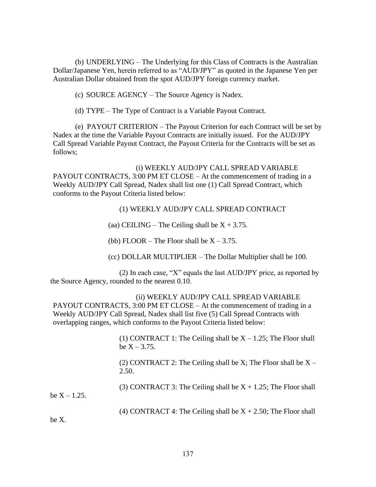(b) UNDERLYING – The Underlying for this Class of Contracts is the Australian Dollar/Japanese Yen, herein referred to as "AUD/JPY" as quoted in the Japanese Yen per Australian Dollar obtained from the spot AUD/JPY foreign currency market.

(c) SOURCE AGENCY – The Source Agency is Nadex.

(d) TYPE – The Type of Contract is a Variable Payout Contract.

(e) PAYOUT CRITERION – The Payout Criterion for each Contract will be set by Nadex at the time the Variable Payout Contracts are initially issued. For the AUD/JPY Call Spread Variable Payout Contract, the Payout Criteria for the Contracts will be set as follows;

(i) WEEKLY AUD/JPY CALL SPREAD VARIABLE PAYOUT CONTRACTS, 3:00 PM ET CLOSE – At the commencement of trading in a Weekly AUD/JPY Call Spread, Nadex shall list one (1) Call Spread Contract, which conforms to the Payout Criteria listed below:

### (1) WEEKLY AUD/JPY CALL SPREAD CONTRACT

(aa) CEILING – The Ceiling shall be  $X + 3.75$ .

(bb) FLOOR – The Floor shall be  $X - 3.75$ .

(cc) DOLLAR MULTIPLIER – The Dollar Multiplier shall be 100.

(2) In each case, "X" equals the last AUD/JPY price, as reported by the Source Agency, rounded to the nearest 0.10.

(ii) WEEKLY AUD/JPY CALL SPREAD VARIABLE PAYOUT CONTRACTS, 3:00 PM ET CLOSE – At the commencement of trading in a Weekly AUD/JPY Call Spread, Nadex shall list five (5) Call Spread Contracts with overlapping ranges, which conforms to the Payout Criteria listed below:

> (1) CONTRACT 1: The Ceiling shall be  $X - 1.25$ ; The Floor shall be  $X - 3.75$ .

> (2) CONTRACT 2: The Ceiling shall be X; The Floor shall be  $X -$ 2.50.

> (3) CONTRACT 3: The Ceiling shall be  $X + 1.25$ ; The Floor shall

be  $X - 1.25$ .

(4) CONTRACT 4: The Ceiling shall be  $X + 2.50$ ; The Floor shall

be X.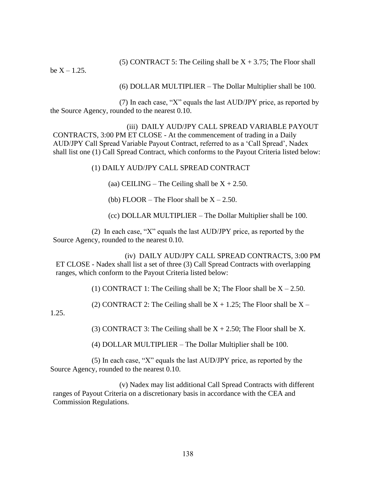(5) CONTRACT 5: The Ceiling shall be  $X + 3.75$ ; The Floor shall

be  $X - 1.25$ .

(6) DOLLAR MULTIPLIER – The Dollar Multiplier shall be 100.

(7) In each case, "X" equals the last AUD/JPY price, as reported by the Source Agency, rounded to the nearest 0.10.

(iii) DAILY AUD/JPY CALL SPREAD VARIABLE PAYOUT CONTRACTS, 3:00 PM ET CLOSE - At the commencement of trading in a Daily AUD/JPY Call Spread Variable Payout Contract, referred to as a 'Call Spread', Nadex shall list one (1) Call Spread Contract, which conforms to the Payout Criteria listed below:

(1) DAILY AUD/JPY CALL SPREAD CONTRACT

(aa) CEILING – The Ceiling shall be  $X + 2.50$ .

(bb) FLOOR – The Floor shall be  $X - 2.50$ .

(cc) DOLLAR MULTIPLIER – The Dollar Multiplier shall be 100.

(2) In each case, "X" equals the last AUD/JPY price, as reported by the Source Agency, rounded to the nearest 0.10.

(iv) DAILY AUD/JPY CALL SPREAD CONTRACTS, 3:00 PM ET CLOSE - Nadex shall list a set of three (3) Call Spread Contracts with overlapping ranges, which conform to the Payout Criteria listed below:

(1) CONTRACT 1: The Ceiling shall be X; The Floor shall be  $X - 2.50$ .

(2) CONTRACT 2: The Ceiling shall be  $X + 1.25$ ; The Floor shall be  $X -$ 

1.25.

(3) CONTRACT 3: The Ceiling shall be  $X + 2.50$ ; The Floor shall be X.

(4) DOLLAR MULTIPLIER – The Dollar Multiplier shall be 100.

(5) In each case, "X" equals the last AUD/JPY price, as reported by the Source Agency, rounded to the nearest 0.10.

(v) Nadex may list additional Call Spread Contracts with different ranges of Payout Criteria on a discretionary basis in accordance with the CEA and Commission Regulations.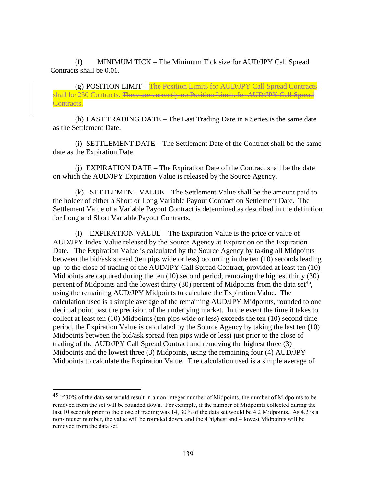(f) MINIMUM TICK – The Minimum Tick size for AUD/JPY Call Spread Contracts shall be 0.01.

(g) POSITION LIMIT – The Position Limits for AUD/JPY Call Spread Contracts shall be 250 Contracts. There are currently no Position Limits for AUD/JPY Call Spread Contracts.

(h) LAST TRADING DATE – The Last Trading Date in a Series is the same date as the Settlement Date.

(i) SETTLEMENT DATE – The Settlement Date of the Contract shall be the same date as the Expiration Date.

(j) EXPIRATION DATE – The Expiration Date of the Contract shall be the date on which the AUD/JPY Expiration Value is released by the Source Agency.

(k) SETTLEMENT VALUE – The Settlement Value shall be the amount paid to the holder of either a Short or Long Variable Payout Contract on Settlement Date. The Settlement Value of a Variable Payout Contract is determined as described in the definition for Long and Short Variable Payout Contracts.

(l) EXPIRATION VALUE – The Expiration Value is the price or value of AUD/JPY Index Value released by the Source Agency at Expiration on the Expiration Date. The Expiration Value is calculated by the Source Agency by taking all Midpoints between the bid/ask spread (ten pips wide or less) occurring in the ten (10) seconds leading up to the close of trading of the AUD/JPY Call Spread Contract, provided at least ten (10) Midpoints are captured during the ten (10) second period, removing the highest thirty (30) percent of Midpoints and the lowest thirty  $(30)$  percent of Midpoints from the data set<sup>45</sup>, using the remaining AUD/JPY Midpoints to calculate the Expiration Value. The calculation used is a simple average of the remaining AUD/JPY Midpoints, rounded to one decimal point past the precision of the underlying market. In the event the time it takes to collect at least ten (10) Midpoints (ten pips wide or less) exceeds the ten (10) second time period, the Expiration Value is calculated by the Source Agency by taking the last ten (10) Midpoints between the bid/ask spread (ten pips wide or less) just prior to the close of trading of the AUD/JPY Call Spread Contract and removing the highest three (3) Midpoints and the lowest three (3) Midpoints, using the remaining four (4) AUD/JPY Midpoints to calculate the Expiration Value. The calculation used is a simple average of

<sup>45</sup> If 30% of the data set would result in a non-integer number of Midpoints, the number of Midpoints to be removed from the set will be rounded down. For example, if the number of Midpoints collected during the last 10 seconds prior to the close of trading was 14, 30% of the data set would be 4.2 Midpoints. As 4.2 is a non-integer number, the value will be rounded down, and the 4 highest and 4 lowest Midpoints will be removed from the data set.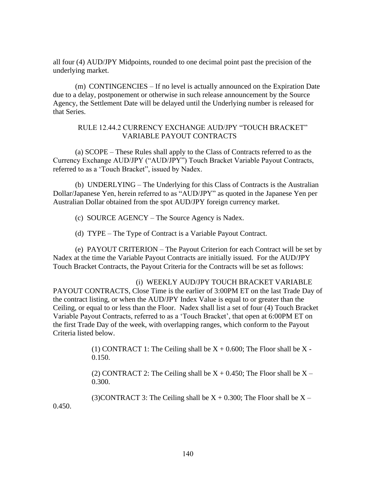all four (4) AUD/JPY Midpoints, rounded to one decimal point past the precision of the underlying market.

(m) CONTINGENCIES – If no level is actually announced on the Expiration Date due to a delay, postponement or otherwise in such release announcement by the Source Agency, the Settlement Date will be delayed until the Underlying number is released for that Series.

## RULE 12.44.2 CURRENCY EXCHANGE AUD/JPY "TOUCH BRACKET" VARIABLE PAYOUT CONTRACTS

(a) SCOPE – These Rules shall apply to the Class of Contracts referred to as the Currency Exchange AUD/JPY ("AUD/JPY") Touch Bracket Variable Payout Contracts, referred to as a 'Touch Bracket", issued by Nadex.

(b) UNDERLYING – The Underlying for this Class of Contracts is the Australian Dollar/Japanese Yen, herein referred to as "AUD/JPY" as quoted in the Japanese Yen per Australian Dollar obtained from the spot AUD/JPY foreign currency market.

(c) SOURCE AGENCY – The Source Agency is Nadex.

(d) TYPE – The Type of Contract is a Variable Payout Contract.

(e) PAYOUT CRITERION – The Payout Criterion for each Contract will be set by Nadex at the time the Variable Payout Contracts are initially issued. For the AUD/JPY Touch Bracket Contracts, the Payout Criteria for the Contracts will be set as follows:

(i) WEEKLY AUD/JPY TOUCH BRACKET VARIABLE PAYOUT CONTRACTS, Close Time is the earlier of 3:00PM ET on the last Trade Day of the contract listing, or when the AUD/JPY Index Value is equal to or greater than the Ceiling, or equal to or less than the Floor. Nadex shall list a set of four (4) Touch Bracket Variable Payout Contracts, referred to as a 'Touch Bracket', that open at 6:00PM ET on the first Trade Day of the week, with overlapping ranges, which conform to the Payout Criteria listed below.

> (1) CONTRACT 1: The Ceiling shall be  $X + 0.600$ ; The Floor shall be X -0.150.

> (2) CONTRACT 2: The Ceiling shall be  $X + 0.450$ ; The Floor shall be  $X -$ 0.300.

(3)CONTRACT 3: The Ceiling shall be  $X + 0.300$ ; The Floor shall be  $X -$ 0.450.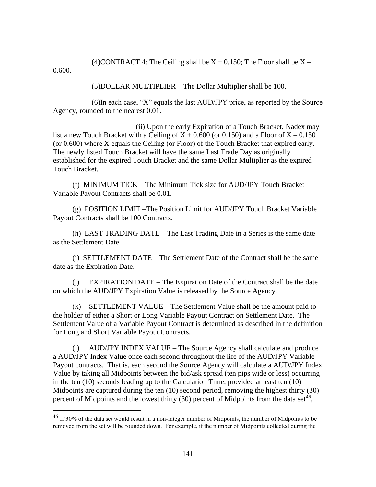(4)CONTRACT 4: The Ceiling shall be  $X + 0.150$ ; The Floor shall be  $X -$ 

0.600.

(5)DOLLAR MULTIPLIER – The Dollar Multiplier shall be 100.

(6)In each case, "X" equals the last AUD/JPY price, as reported by the Source Agency, rounded to the nearest 0.01.

(ii) Upon the early Expiration of a Touch Bracket, Nadex may list a new Touch Bracket with a Ceiling of  $X + 0.600$  (or 0.150) and a Floor of  $X - 0.150$ (or 0.600) where X equals the Ceiling (or Floor) of the Touch Bracket that expired early. The newly listed Touch Bracket will have the same Last Trade Day as originally established for the expired Touch Bracket and the same Dollar Multiplier as the expired Touch Bracket.

(f) MINIMUM TICK – The Minimum Tick size for AUD/JPY Touch Bracket Variable Payout Contracts shall be 0.01.

(g) POSITION LIMIT –The Position Limit for AUD/JPY Touch Bracket Variable Payout Contracts shall be 100 Contracts.

(h) LAST TRADING DATE – The Last Trading Date in a Series is the same date as the Settlement Date.

(i) SETTLEMENT DATE – The Settlement Date of the Contract shall be the same date as the Expiration Date.

(j) EXPIRATION DATE – The Expiration Date of the Contract shall be the date on which the AUD/JPY Expiration Value is released by the Source Agency.

(k) SETTLEMENT VALUE – The Settlement Value shall be the amount paid to the holder of either a Short or Long Variable Payout Contract on Settlement Date. The Settlement Value of a Variable Payout Contract is determined as described in the definition for Long and Short Variable Payout Contracts.

(l) AUD/JPY INDEX VALUE – The Source Agency shall calculate and produce a AUD/JPY Index Value once each second throughout the life of the AUD/JPY Variable Payout contracts. That is, each second the Source Agency will calculate a AUD/JPY Index Value by taking all Midpoints between the bid/ask spread (ten pips wide or less) occurring in the ten (10) seconds leading up to the Calculation Time, provided at least ten (10) Midpoints are captured during the ten (10) second period, removing the highest thirty (30) percent of Midpoints and the lowest thirty  $(30)$  percent of Midpoints from the data set<sup>46</sup>,

<sup>46</sup> If 30% of the data set would result in a non-integer number of Midpoints, the number of Midpoints to be removed from the set will be rounded down. For example, if the number of Midpoints collected during the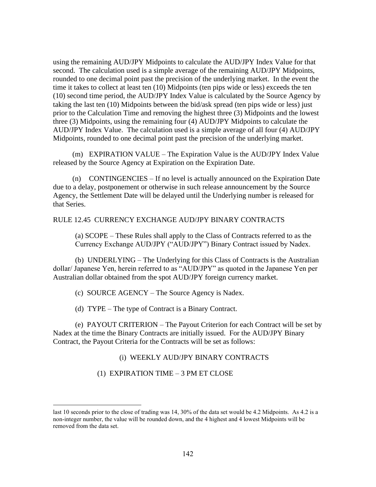using the remaining AUD/JPY Midpoints to calculate the AUD/JPY Index Value for that second. The calculation used is a simple average of the remaining AUD/JPY Midpoints, rounded to one decimal point past the precision of the underlying market. In the event the time it takes to collect at least ten (10) Midpoints (ten pips wide or less) exceeds the ten (10) second time period, the AUD/JPY Index Value is calculated by the Source Agency by taking the last ten (10) Midpoints between the bid/ask spread (ten pips wide or less) just prior to the Calculation Time and removing the highest three (3) Midpoints and the lowest three (3) Midpoints, using the remaining four (4) AUD/JPY Midpoints to calculate the AUD/JPY Index Value. The calculation used is a simple average of all four (4) AUD/JPY Midpoints, rounded to one decimal point past the precision of the underlying market.

(m) EXPIRATION VALUE – The Expiration Value is the AUD/JPY Index Value released by the Source Agency at Expiration on the Expiration Date.

(n) CONTINGENCIES – If no level is actually announced on the Expiration Date due to a delay, postponement or otherwise in such release announcement by the Source Agency, the Settlement Date will be delayed until the Underlying number is released for that Series.

RULE 12.45 CURRENCY EXCHANGE AUD/JPY BINARY CONTRACTS

(a) SCOPE – These Rules shall apply to the Class of Contracts referred to as the Currency Exchange AUD/JPY ("AUD/JPY") Binary Contract issued by Nadex.

(b) UNDERLYING – The Underlying for this Class of Contracts is the Australian dollar/ Japanese Yen, herein referred to as "AUD/JPY" as quoted in the Japanese Yen per Australian dollar obtained from the spot AUD/JPY foreign currency market.

(c) SOURCE AGENCY – The Source Agency is Nadex.

(d) TYPE – The type of Contract is a Binary Contract.

(e) PAYOUT CRITERION – The Payout Criterion for each Contract will be set by Nadex at the time the Binary Contracts are initially issued. For the AUD/JPY Binary Contract, the Payout Criteria for the Contracts will be set as follows:

#### (i) WEEKLY AUD/JPY BINARY CONTRACTS

(1) EXPIRATION TIME – 3 PM ET CLOSE

last 10 seconds prior to the close of trading was 14, 30% of the data set would be 4.2 Midpoints. As 4.2 is a non-integer number, the value will be rounded down, and the 4 highest and 4 lowest Midpoints will be removed from the data set.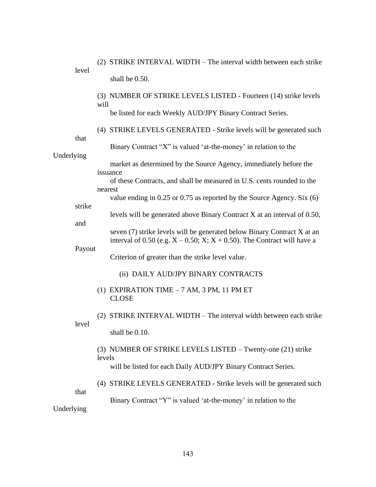|            | level<br>that<br>Underlying<br>strike<br>and<br>Payout<br>level | (2) STRIKE INTERVAL WIDTH – The interval width between each strike                                                                                          |
|------------|-----------------------------------------------------------------|-------------------------------------------------------------------------------------------------------------------------------------------------------------|
|            |                                                                 | shall be 0.50.                                                                                                                                              |
|            |                                                                 | (3) NUMBER OF STRIKE LEVELS LISTED - Fourteen (14) strike levels<br>will                                                                                    |
|            |                                                                 | be listed for each Weekly AUD/JPY Binary Contract Series.                                                                                                   |
|            |                                                                 | (4) STRIKE LEVELS GENERATED - Strike levels will be generated such                                                                                          |
|            |                                                                 | Binary Contract "X" is valued 'at-the-money' in relation to the                                                                                             |
|            |                                                                 | market as determined by the Source Agency, immediately before the<br>issuance                                                                               |
|            |                                                                 | of these Contracts, and shall be measured in U.S. cents rounded to the<br>nearest                                                                           |
|            |                                                                 | value ending in $0.25$ or $0.75$ as reported by the Source Agency. Six $(6)$                                                                                |
|            |                                                                 | levels will be generated above Binary Contract X at an interval of 0.50,                                                                                    |
|            |                                                                 | seven (7) strike levels will be generated below Binary Contract X at an<br>interval of 0.50 (e.g. $X - 0.50$ ; $X$ ; $X + 0.50$ ). The Contract will have a |
|            |                                                                 | Criterion of greater than the strike level value.                                                                                                           |
|            |                                                                 | (ii) DAILY AUD/JPY BINARY CONTRACTS                                                                                                                         |
|            |                                                                 | (1) EXPIRATION TIME $-7$ AM, 3 PM, 11 PM ET<br><b>CLOSE</b>                                                                                                 |
|            |                                                                 | (2) STRIKE INTERVAL WIDTH – The interval width between each strike                                                                                          |
|            |                                                                 | shall be 0.10.                                                                                                                                              |
|            |                                                                 | (3) NUMBER OF STRIKE LEVELS LISTED – Twenty-one (21) strike<br>levels                                                                                       |
|            |                                                                 | will be listed for each Daily AUD/JPY Binary Contract Series.                                                                                               |
|            |                                                                 | (4) STRIKE LEVELS GENERATED - Strike levels will be generated such                                                                                          |
| Underlying | that                                                            | Binary Contract "Y" is valued 'at-the-money' in relation to the                                                                                             |
|            |                                                                 |                                                                                                                                                             |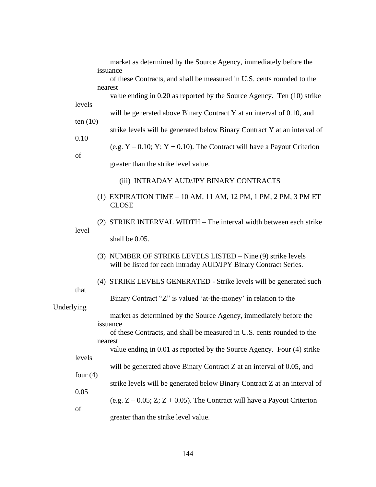|            |            |         | market as determined by the Source Agency, immediately before the                                                               |
|------------|------------|---------|---------------------------------------------------------------------------------------------------------------------------------|
|            |            |         | issuance<br>of these Contracts, and shall be measured in U.S. cents rounded to the                                              |
|            | levels     | nearest | value ending in 0.20 as reported by the Source Agency. Ten (10) strike                                                          |
|            |            |         | will be generated above Binary Contract Y at an interval of 0.10, and                                                           |
|            | ten $(10)$ |         | strike levels will be generated below Binary Contract Y at an interval of                                                       |
|            | 0.10       |         | (e.g. $Y - 0.10$ ; $Y$ ; $Y + 0.10$ ). The Contract will have a Payout Criterion                                                |
|            | of         |         | greater than the strike level value.                                                                                            |
|            |            |         | (iii) INTRADAY AUD/JPY BINARY CONTRACTS                                                                                         |
|            |            |         | (1) EXPIRATION TIME - 10 AM, 11 AM, 12 PM, 1 PM, 2 PM, 3 PM ET<br><b>CLOSE</b>                                                  |
|            | level      |         | (2) STRIKE INTERVAL WIDTH – The interval width between each strike                                                              |
|            |            |         | shall be 0.05.                                                                                                                  |
|            |            |         | (3) NUMBER OF STRIKE LEVELS LISTED – Nine (9) strike levels<br>will be listed for each Intraday AUD/JPY Binary Contract Series. |
|            | that       |         | (4) STRIKE LEVELS GENERATED - Strike levels will be generated such                                                              |
|            |            |         | Binary Contract "Z" is valued 'at-the-money' in relation to the                                                                 |
| Underlying |            |         | market as determined by the Source Agency, immediately before the<br>issuance                                                   |
|            |            | nearest | of these Contracts, and shall be measured in U.S. cents rounded to the                                                          |
|            | levels     |         | value ending in 0.01 as reported by the Source Agency. Four (4) strike                                                          |
|            | four $(4)$ |         | will be generated above Binary Contract Z at an interval of 0.05, and                                                           |
|            | 0.05       |         | strike levels will be generated below Binary Contract Z at an interval of                                                       |
|            |            |         | (e.g. $Z - 0.05$ ; Z; $Z + 0.05$ ). The Contract will have a Payout Criterion                                                   |
|            | of         |         | greater than the strike level value.                                                                                            |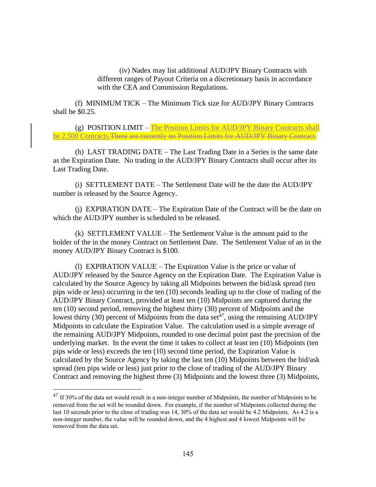(iv) Nadex may list additional AUD/JPY Binary Contracts with different ranges of Payout Criteria on a discretionary basis in accordance with the CEA and Commission Regulations.

(f) MINIMUM TICK – The Minimum Tick size for AUD/JPY Binary Contracts shall be \$0.25.

(g) POSITION LIMIT – The Position Limits for AUD/JPY Binary Contracts shall be 2,500 Contracts. There are currently no Position Limits for AUD/JPY Binary Contract.

(h) LAST TRADING DATE – The Last Trading Date in a Series is the same date as the Expiration Date. No trading in the AUD/JPY Binary Contracts shall occur after its Last Trading Date.

(i) SETTLEMENT DATE – The Settlement Date will be the date the AUD/JPY number is released by the Source Agency.

(j) EXPIRATION DATE – The Expiration Date of the Contract will be the date on which the AUD/JPY number is scheduled to be released.

(k) SETTLEMENT VALUE – The Settlement Value is the amount paid to the holder of the in the money Contract on Settlement Date. The Settlement Value of an in the money AUD/JPY Binary Contract is \$100.

(l) EXPIRATION VALUE – The Expiration Value is the price or value of AUD/JPY released by the Source Agency on the Expiration Date. The Expiration Value is calculated by the Source Agency by taking all Midpoints between the bid/ask spread (ten pips wide or less) occurring in the ten (10) seconds leading up to the close of trading of the AUD/JPY Binary Contract, provided at least ten (10) Midpoints are captured during the ten (10) second period, removing the highest thirty (30) percent of Midpoints and the lowest thirty  $(30)$  percent of Midpoints from the data set<sup>47</sup>, using the remaining AUD/JPY Midpoints to calculate the Expiration Value. The calculation used is a simple average of the remaining AUD/JPY Midpoints, rounded to one decimal point past the precision of the underlying market. In the event the time it takes to collect at least ten (10) Midpoints (ten pips wide or less) exceeds the ten (10) second time period, the Expiration Value is calculated by the Source Agency by taking the last ten (10) Midpoints between the bid/ask spread (ten pips wide or less) just prior to the close of trading of the AUD/JPY Binary Contract and removing the highest three (3) Midpoints and the lowest three (3) Midpoints,

<sup>47</sup> If 30% of the data set would result in a non-integer number of Midpoints, the number of Midpoints to be removed from the set will be rounded down. For example, if the number of Midpoints collected during the last 10 seconds prior to the close of trading was 14, 30% of the data set would be 4.2 Midpoints. As 4.2 is a non-integer number, the value will be rounded down, and the 4 highest and 4 lowest Midpoints will be removed from the data set.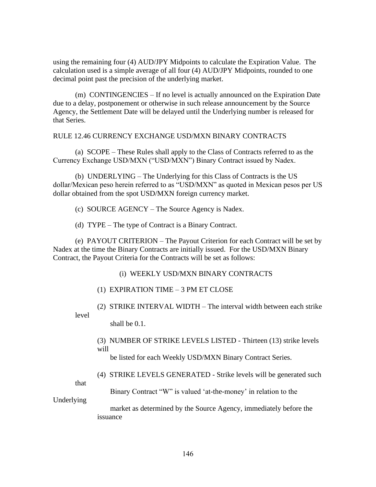using the remaining four (4) AUD/JPY Midpoints to calculate the Expiration Value. The calculation used is a simple average of all four (4) AUD/JPY Midpoints, rounded to one decimal point past the precision of the underlying market.

(m) CONTINGENCIES – If no level is actually announced on the Expiration Date due to a delay, postponement or otherwise in such release announcement by the Source Agency, the Settlement Date will be delayed until the Underlying number is released for that Series.

#### RULE 12.46 CURRENCY EXCHANGE USD/MXN BINARY CONTRACTS

(a) SCOPE – These Rules shall apply to the Class of Contracts referred to as the Currency Exchange USD/MXN ("USD/MXN") Binary Contract issued by Nadex.

(b) UNDERLYING – The Underlying for this Class of Contracts is the US dollar/Mexican peso herein referred to as "USD/MXN" as quoted in Mexican pesos per US dollar obtained from the spot USD/MXN foreign currency market.

(c) SOURCE AGENCY – The Source Agency is Nadex.

(d) TYPE – The type of Contract is a Binary Contract.

(e) PAYOUT CRITERION – The Payout Criterion for each Contract will be set by Nadex at the time the Binary Contracts are initially issued. For the USD/MXN Binary Contract, the Payout Criteria for the Contracts will be set as follows:

(i) WEEKLY USD/MXN BINARY CONTRACTS

(1) EXPIRATION TIME – 3 PM ET CLOSE

(2) STRIKE INTERVAL WIDTH – The interval width between each strike level

shall be 0.1.

(3) NUMBER OF STRIKE LEVELS LISTED - Thirteen (13) strike levels will

be listed for each Weekly USD/MXN Binary Contract Series.

(4) STRIKE LEVELS GENERATED - Strike levels will be generated such

that

Binary Contract "W" is valued 'at-the-money' in relation to the

Underlying

 market as determined by the Source Agency, immediately before the issuance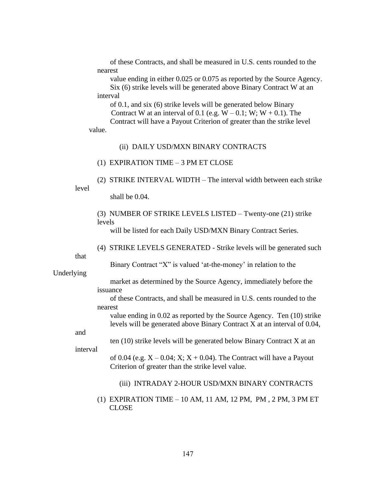of these Contracts, and shall be measured in U.S. cents rounded to the nearest

 value ending in either 0.025 or 0.075 as reported by the Source Agency. Six (6) strike levels will be generated above Binary Contract W at an interval

 of 0.1, and six (6) strike levels will be generated below Binary Contract W at an interval of 0.1 (e.g.  $W - 0.1$ ; W;  $W + 0.1$ ). The Contract will have a Payout Criterion of greater than the strike level

value.

#### (ii) DAILY USD/MXN BINARY CONTRACTS

# (1) EXPIRATION TIME – 3 PM ET CLOSE

(2) STRIKE INTERVAL WIDTH – The interval width between each strike level

shall be 0.04.

(3) NUMBER OF STRIKE LEVELS LISTED – Twenty-one (21) strike levels

will be listed for each Daily USD/MXN Binary Contract Series.

(4) STRIKE LEVELS GENERATED - Strike levels will be generated such

that

Binary Contract "X" is valued 'at-the-money' in relation to the

Underlying

|          | market as determined by the Source Agency, immediately before the              |
|----------|--------------------------------------------------------------------------------|
|          | issuance                                                                       |
|          | of these Contracts, and shall be measured in U.S. cents rounded to the         |
|          | nearest                                                                        |
|          | value ending in 0.02 as reported by the Source Agency. Ten (10) strike         |
|          | levels will be generated above Binary Contract X at an interval of 0.04,       |
| and      |                                                                                |
|          | ten (10) strike levels will be generated below Binary Contract X at an         |
| interval |                                                                                |
|          | of 0.04 (e.g. $X - 0.04$ ; $X$ ; $X + 0.04$ ). The Contract will have a Payout |
|          | Criterion of greater than the strike level value.                              |
|          |                                                                                |

(iii) INTRADAY 2-HOUR USD/MXN BINARY CONTRACTS

(1) EXPIRATION TIME – 10 AM, 11 AM, 12 PM, PM , 2 PM, 3 PM ET CLOSE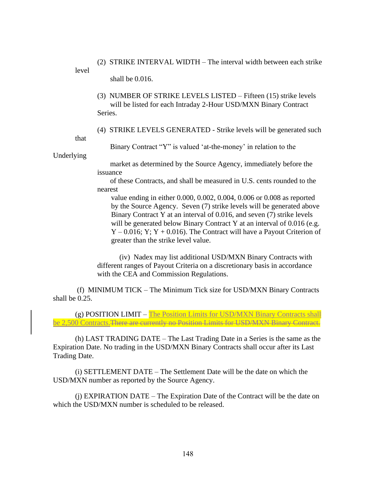(2) STRIKE INTERVAL WIDTH – The interval width between each strike level

shall be 0.016.

- (3) NUMBER OF STRIKE LEVELS LISTED Fifteen (15) strike levels will be listed for each Intraday 2-Hour USD/MXN Binary Contract Series.
- (4) STRIKE LEVELS GENERATED Strike levels will be generated such

that

Binary Contract "Y" is valued 'at-the-money' in relation to the

Underlying

 market as determined by the Source Agency, immediately before the issuance

 of these Contracts, and shall be measured in U.S. cents rounded to the nearest

value ending in either 0.000, 0.002, 0.004, 0.006 or 0.008 as reported by the Source Agency. Seven (7) strike levels will be generated above Binary Contract Y at an interval of 0.016, and seven (7) strike levels will be generated below Binary Contract Y at an interval of 0.016 (e.g.  $Y - 0.016$ ;  $Y$ ;  $Y + 0.016$ ). The Contract will have a Payout Criterion of greater than the strike level value.

(iv) Nadex may list additional USD/MXN Binary Contracts with different ranges of Payout Criteria on a discretionary basis in accordance with the CEA and Commission Regulations.

(f) MINIMUM TICK – The Minimum Tick size for USD/MXN Binary Contracts shall be 0.25.

(g) POSITION LIMIT – The Position Limits for USD/MXN Binary Contracts shall be 2,500 Contracts. There are currently no Position Limits for USD/MXN Binary Contract.

(h) LAST TRADING DATE – The Last Trading Date in a Series is the same as the Expiration Date. No trading in the USD/MXN Binary Contracts shall occur after its Last Trading Date.

(i) SETTLEMENT DATE – The Settlement Date will be the date on which the USD/MXN number as reported by the Source Agency.

(j) EXPIRATION DATE – The Expiration Date of the Contract will be the date on which the USD/MXN number is scheduled to be released.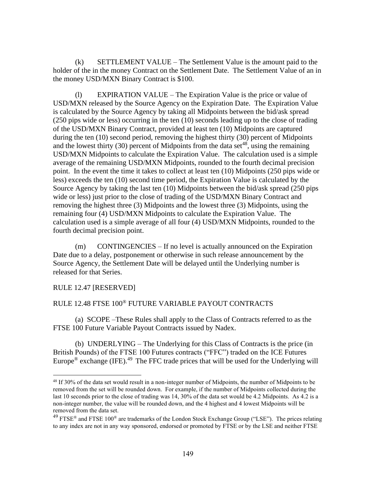(k) SETTLEMENT VALUE – The Settlement Value is the amount paid to the holder of the in the money Contract on the Settlement Date. The Settlement Value of an in the money USD/MXN Binary Contract is \$100.

(l) EXPIRATION VALUE – The Expiration Value is the price or value of USD/MXN released by the Source Agency on the Expiration Date. The Expiration Value is calculated by the Source Agency by taking all Midpoints between the bid/ask spread (250 pips wide or less) occurring in the ten (10) seconds leading up to the close of trading of the USD/MXN Binary Contract, provided at least ten (10) Midpoints are captured during the ten (10) second period, removing the highest thirty (30) percent of Midpoints and the lowest thirty (30) percent of Midpoints from the data set<sup>48</sup>, using the remaining USD/MXN Midpoints to calculate the Expiration Value. The calculation used is a simple average of the remaining USD/MXN Midpoints, rounded to the fourth decimal precision point. In the event the time it takes to collect at least ten (10) Midpoints (250 pips wide or less) exceeds the ten (10) second time period, the Expiration Value is calculated by the Source Agency by taking the last ten (10) Midpoints between the bid/ask spread (250 pips wide or less) just prior to the close of trading of the USD/MXN Binary Contract and removing the highest three (3) Midpoints and the lowest three (3) Midpoints, using the remaining four (4) USD/MXN Midpoints to calculate the Expiration Value. The calculation used is a simple average of all four (4) USD/MXN Midpoints, rounded to the fourth decimal precision point.

(m) CONTINGENCIES – If no level is actually announced on the Expiration Date due to a delay, postponement or otherwise in such release announcement by the Source Agency, the Settlement Date will be delayed until the Underlying number is released for that Series.

# RULE 12.47 [RESERVED]

# RULE 12.48 FTSE 100® FUTURE VARIABLE PAYOUT CONTRACTS

(a) SCOPE –These Rules shall apply to the Class of Contracts referred to as the FTSE 100 Future Variable Payout Contracts issued by Nadex.

(b) UNDERLYING – The Underlying for this Class of Contracts is the price (in British Pounds) of the FTSE 100 Futures contracts ("FFC") traded on the ICE Futures Europe<sup>®</sup> exchange (IFE).<sup>49</sup> The FFC trade prices that will be used for the Underlying will

<sup>48</sup> If 30% of the data set would result in a non-integer number of Midpoints, the number of Midpoints to be removed from the set will be rounded down. For example, if the number of Midpoints collected during the last 10 seconds prior to the close of trading was 14, 30% of the data set would be 4.2 Midpoints. As 4.2 is a non-integer number, the value will be rounded down, and the 4 highest and 4 lowest Midpoints will be removed from the data set.

<sup>49</sup> FTSE® and FTSE 100® are trademarks of the London Stock Exchange Group ("LSE"). The prices relating to any index are not in any way sponsored, endorsed or promoted by FTSE or by the LSE and neither FTSE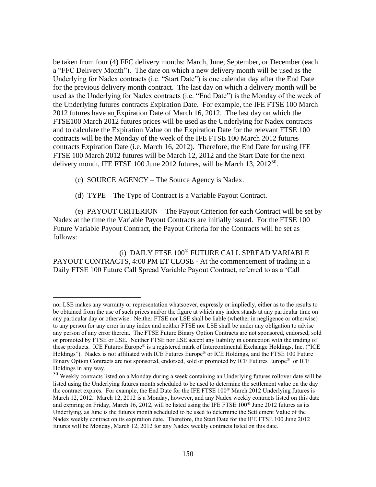be taken from four (4) FFC delivery months: March, June, September, or December (each a "FFC Delivery Month"). The date on which a new delivery month will be used as the Underlying for Nadex contracts (i.e. "Start Date") is one calendar day after the End Date for the previous delivery month contract. The last day on which a delivery month will be used as the Underlying for Nadex contracts (i.e. "End Date") is the Monday of the week of the Underlying futures contracts Expiration Date. For example, the IFE FTSE 100 March 2012 futures have an Expiration Date of March 16, 2012. The last day on which the FTSE100 March 2012 futures prices will be used as the Underlying for Nadex contracts and to calculate the Expiration Value on the Expiration Date for the relevant FTSE 100 contracts will be the Monday of the week of the IFE FTSE 100 March 2012 futures contracts Expiration Date (i.e. March 16, 2012). Therefore, the End Date for using IFE FTSE 100 March 2012 futures will be March 12, 2012 and the Start Date for the next delivery month, IFE FTSE 100 June 2012 futures, will be March 13,  $2012^{50}$ .

- (c) SOURCE AGENCY The Source Agency is Nadex.
- (d) TYPE The Type of Contract is a Variable Payout Contract.

(e) PAYOUT CRITERION – The Payout Criterion for each Contract will be set by Nadex at the time the Variable Payout Contracts are initially issued. For the FTSE 100 Future Variable Payout Contract, the Payout Criteria for the Contracts will be set as follows:

(i) DAILY FTSE 100® FUTURE CALL SPREAD VARIABLE PAYOUT CONTRACTS, 4:00 PM ET CLOSE - At the commencement of trading in a Daily FTSE 100 Future Call Spread Variable Payout Contract, referred to as a 'Call

nor LSE makes any warranty or representation whatsoever, expressly or impliedly, either as to the results to be obtained from the use of such prices and/or the figure at which any index stands at any particular time on any particular day or otherwise. Neither FTSE nor LSE shall be liable (whether in negligence or otherwise) to any person for any error in any index and neither FTSE nor LSE shall be under any obligation to advise any person of any error therein. The FTSE Future Binary Option Contracts are not sponsored, endorsed, sold or promoted by FTSE or LSE. Neither FTSE nor LSE accept any liability in connection with the trading of these products. ICE Futures Europe® is a registered mark of Intercontinental Exchange Holdings, Inc. ("ICE Holdings"). Nadex is not affiliated with ICE Futures Europe® or ICE Holdings, and the FTSE 100 Future Binary Option Contracts are not sponsored, endorsed, sold or promoted by ICE Futures Europe® or ICE Holdings in any way.

<sup>50</sup> Weekly contracts listed on a Monday during a week containing an Underlying futures rollover date will be listed using the Underlying futures month scheduled to be used to determine the settlement value on the day the contract expires. For example, the End Date for the IFE FTSE 100® March 2012 Underlying futures is March 12, 2012. March 12, 2012 is a Monday, however, and any Nadex weekly contracts listed on this date and expiring on Friday, March 16, 2012, will be listed using the IFE FTSE 100® June 2012 futures as its Underlying, as June is the futures month scheduled to be used to determine the Settlement Value of the Nadex weekly contract on its expiration date. Therefore, the Start Date for the IFE FTSE 100 June 2012 futures will be Monday, March 12, 2012 for any Nadex weekly contracts listed on this date.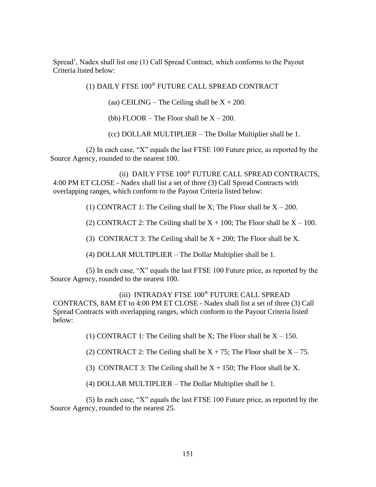Spread', Nadex shall list one (1) Call Spread Contract, which conforms to the Payout Criteria listed below:

(1) DAILY FTSE 100® FUTURE CALL SPREAD CONTRACT

(aa) CEILING – The Ceiling shall be  $X + 200$ .

(bb) FLOOR – The Floor shall be  $X - 200$ .

(cc) DOLLAR MULTIPLIER – The Dollar Multiplier shall be 1.

(2) In each case, "X" equals the last FTSE 100 Future price, as reported by the Source Agency, rounded to the nearest 100.

(ii) DAILY FTSE 100® FUTURE CALL SPREAD CONTRACTS, 4:00 PM ET CLOSE - Nadex shall list a set of three (3) Call Spread Contracts with overlapping ranges, which conform to the Payout Criteria listed below:

(1) CONTRACT 1: The Ceiling shall be X; The Floor shall be  $X - 200$ .

(2) CONTRACT 2: The Ceiling shall be  $X + 100$ ; The Floor shall be  $X - 100$ .

(3) CONTRACT 3: The Ceiling shall be  $X + 200$ ; The Floor shall be X.

(4) DOLLAR MULTIPLIER – The Dollar Multiplier shall be 1.

(5) In each case, "X" equals the last FTSE 100 Future price, as reported by the Source Agency, rounded to the nearest 100.

(iii) INTRADAY FTSE 100® FUTURE CALL SPREAD CONTRACTS, 8AM ET to 4:00 PM ET CLOSE - Nadex shall list a set of three (3) Call Spread Contracts with overlapping ranges, which conform to the Payout Criteria listed below:

(1) CONTRACT 1: The Ceiling shall be X; The Floor shall be  $X - 150$ .

(2) CONTRACT 2: The Ceiling shall be  $X + 75$ ; The Floor shall be  $X - 75$ .

(3) CONTRACT 3: The Ceiling shall be  $X + 150$ ; The Floor shall be X.

(4) DOLLAR MULTIPLIER – The Dollar Multiplier shall be 1.

(5) In each case, "X" equals the last FTSE 100 Future price, as reported by the Source Agency, rounded to the nearest 25.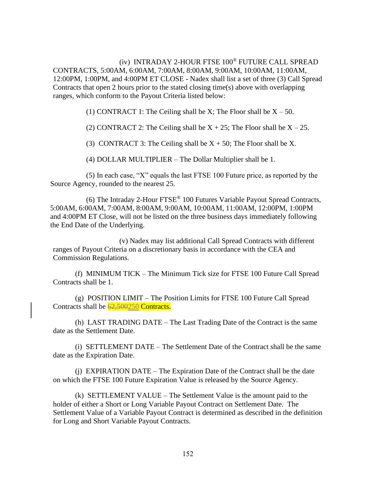(iv) INTRADAY 2-HOUR FTSE 100® FUTURE CALL SPREAD CONTRACTS, 5:00AM, 6:00AM, 7:00AM, 8:00AM, 9:00AM, 10:00AM, 11:00AM, 12:00PM, 1:00PM, and 4:00PM ET CLOSE - Nadex shall list a set of three (3) Call Spread Contracts that open 2 hours prior to the stated closing time(s) above with overlapping ranges, which conform to the Payout Criteria listed below:

(1) CONTRACT 1: The Ceiling shall be X; The Floor shall be  $X - 50$ .

(2) CONTRACT 2: The Ceiling shall be  $X + 25$ ; The Floor shall be  $X - 25$ .

(3) CONTRACT 3: The Ceiling shall be  $X + 50$ ; The Floor shall be X.

(4) DOLLAR MULTIPLIER – The Dollar Multiplier shall be 1.

(5) In each case, "X" equals the last FTSE 100 Future price, as reported by the Source Agency, rounded to the nearest 25.

(6) The Intraday 2-Hour FTSE® 100 Futures Variable Payout Spread Contracts, 5:00AM, 6:00AM, 7:00AM, 8:00AM, 9:00AM, 10:00AM, 11:00AM, 12:00PM, 1:00PM and 4:00PM ET Close, will not be listed on the three business days immediately following the End Date of the Underlying.

(v) Nadex may list additional Call Spread Contracts with different ranges of Payout Criteria on a discretionary basis in accordance with the CEA and Commission Regulations.

(f) MINIMUM TICK – The Minimum Tick size for FTSE 100 Future Call Spread Contracts shall be 1.

 $(g)$  POSITION LIMIT – The Position Limits for FTSE 100 Future Call Spread Contracts shall be 62,500250 Contracts.

(h) LAST TRADING DATE – The Last Trading Date of the Contract is the same date as the Settlement Date.

(i) SETTLEMENT DATE – The Settlement Date of the Contract shall be the same date as the Expiration Date.

(j) EXPIRATION DATE – The Expiration Date of the Contract shall be the date on which the FTSE 100 Future Expiration Value is released by the Source Agency.

(k) SETTLEMENT VALUE – The Settlement Value is the amount paid to the holder of either a Short or Long Variable Payout Contract on Settlement Date. The Settlement Value of a Variable Payout Contract is determined as described in the definition for Long and Short Variable Payout Contracts.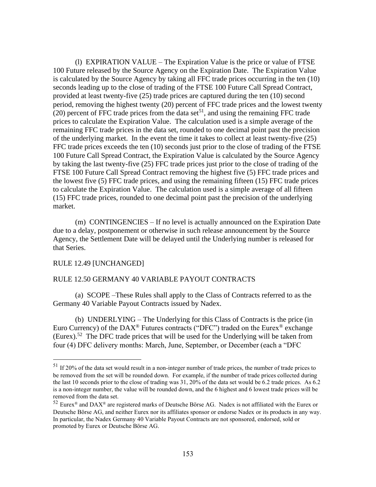(l) EXPIRATION VALUE – The Expiration Value is the price or value of FTSE 100 Future released by the Source Agency on the Expiration Date. The Expiration Value is calculated by the Source Agency by taking all FFC trade prices occurring in the ten (10) seconds leading up to the close of trading of the FTSE 100 Future Call Spread Contract, provided at least twenty-five (25) trade prices are captured during the ten (10) second period, removing the highest twenty (20) percent of FFC trade prices and the lowest twenty  $(20)$  percent of FFC trade prices from the data set<sup>51</sup>, and using the remaining FFC trade prices to calculate the Expiration Value. The calculation used is a simple average of the remaining FFC trade prices in the data set, rounded to one decimal point past the precision of the underlying market. In the event the time it takes to collect at least twenty-five (25) FFC trade prices exceeds the ten (10) seconds just prior to the close of trading of the FTSE 100 Future Call Spread Contract, the Expiration Value is calculated by the Source Agency by taking the last twenty-five (25) FFC trade prices just prior to the close of trading of the FTSE 100 Future Call Spread Contract removing the highest five (5) FFC trade prices and the lowest five (5) FFC trade prices, and using the remaining fifteen (15) FFC trade prices to calculate the Expiration Value. The calculation used is a simple average of all fifteen (15) FFC trade prices, rounded to one decimal point past the precision of the underlying market.

(m) CONTINGENCIES – If no level is actually announced on the Expiration Date due to a delay, postponement or otherwise in such release announcement by the Source Agency, the Settlement Date will be delayed until the Underlying number is released for that Series.

# RULE 12.49 [UNCHANGED]

#### RULE 12.50 GERMANY 40 VARIABLE PAYOUT CONTRACTS

(a) SCOPE –These Rules shall apply to the Class of Contracts referred to as the Germany 40 Variable Payout Contracts issued by Nadex.

(b) UNDERLYING – The Underlying for this Class of Contracts is the price (in Euro Currency) of the DAX<sup>®</sup> Futures contracts ("DFC") traded on the Eurex<sup>®</sup> exchange  $(Eurex).$ <sup>52</sup> The DFC trade prices that will be used for the Underlying will be taken from four (4) DFC delivery months: March, June, September, or December (each a "DFC

<sup>51</sup> If 20% of the data set would result in a non-integer number of trade prices, the number of trade prices to be removed from the set will be rounded down. For example, if the number of trade prices collected during the last 10 seconds prior to the close of trading was 31, 20% of the data set would be 6.2 trade prices. As 6.2 is a non-integer number, the value will be rounded down, and the 6 highest and 6 lowest trade prices will be removed from the data set.

 $52$  Eurex<sup>®</sup> and DAX<sup>®</sup> are registered marks of Deutsche Börse AG. Nadex is not affiliated with the Eurex or Deutsche Börse AG, and neither Eurex nor its affiliates sponsor or endorse Nadex or its products in any way. In particular, the Nadex Germany 40 Variable Payout Contracts are not sponsored, endorsed, sold or promoted by Eurex or Deutsche Börse AG.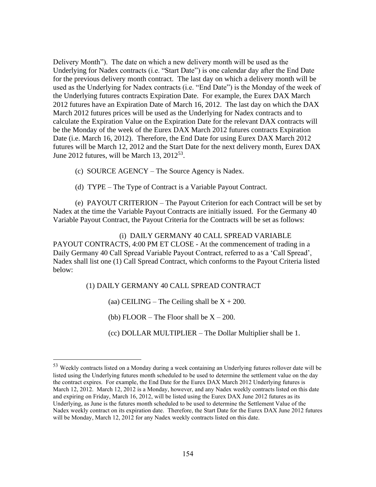Delivery Month"). The date on which a new delivery month will be used as the Underlying for Nadex contracts (i.e. "Start Date") is one calendar day after the End Date for the previous delivery month contract. The last day on which a delivery month will be used as the Underlying for Nadex contracts (i.e. "End Date") is the Monday of the week of the Underlying futures contracts Expiration Date. For example, the Eurex DAX March 2012 futures have an Expiration Date of March 16, 2012. The last day on which the DAX March 2012 futures prices will be used as the Underlying for Nadex contracts and to calculate the Expiration Value on the Expiration Date for the relevant DAX contracts will be the Monday of the week of the Eurex DAX March 2012 futures contracts Expiration Date (i.e. March 16, 2012). Therefore, the End Date for using Eurex DAX March 2012 futures will be March 12, 2012 and the Start Date for the next delivery month, Eurex DAX June 2012 futures, will be March 13,  $2012^{53}$ .

- (c) SOURCE AGENCY The Source Agency is Nadex.
- (d) TYPE The Type of Contract is a Variable Payout Contract.

(e) PAYOUT CRITERION – The Payout Criterion for each Contract will be set by Nadex at the time the Variable Payout Contracts are initially issued. For the Germany 40 Variable Payout Contract, the Payout Criteria for the Contracts will be set as follows:

(i) DAILY GERMANY 40 CALL SPREAD VARIABLE PAYOUT CONTRACTS, 4:00 PM ET CLOSE - At the commencement of trading in a Daily Germany 40 Call Spread Variable Payout Contract, referred to as a 'Call Spread', Nadex shall list one (1) Call Spread Contract, which conforms to the Payout Criteria listed below:

(1) DAILY GERMANY 40 CALL SPREAD CONTRACT

(aa) CEILING – The Ceiling shall be  $X + 200$ .

(bb) FLOOR – The Floor shall be  $X - 200$ .

(cc) DOLLAR MULTIPLIER – The Dollar Multiplier shall be 1.

<sup>53</sup> Weekly contracts listed on a Monday during a week containing an Underlying futures rollover date will be listed using the Underlying futures month scheduled to be used to determine the settlement value on the day the contract expires. For example, the End Date for the Eurex DAX March 2012 Underlying futures is March 12, 2012. March 12, 2012 is a Monday, however, and any Nadex weekly contracts listed on this date and expiring on Friday, March 16, 2012, will be listed using the Eurex DAX June 2012 futures as its Underlying, as June is the futures month scheduled to be used to determine the Settlement Value of the Nadex weekly contract on its expiration date. Therefore, the Start Date for the Eurex DAX June 2012 futures will be Monday, March 12, 2012 for any Nadex weekly contracts listed on this date.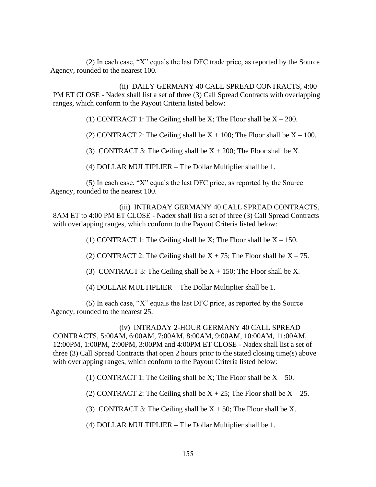(2) In each case, "X" equals the last DFC trade price, as reported by the Source Agency, rounded to the nearest 100.

(ii) DAILY GERMANY 40 CALL SPREAD CONTRACTS, 4:00 PM ET CLOSE - Nadex shall list a set of three (3) Call Spread Contracts with overlapping ranges, which conform to the Payout Criteria listed below:

(1) CONTRACT 1: The Ceiling shall be X; The Floor shall be  $X - 200$ .

(2) CONTRACT 2: The Ceiling shall be  $X + 100$ ; The Floor shall be  $X - 100$ .

(3) CONTRACT 3: The Ceiling shall be  $X + 200$ ; The Floor shall be X.

(4) DOLLAR MULTIPLIER – The Dollar Multiplier shall be 1.

(5) In each case, "X" equals the last DFC price, as reported by the Source Agency, rounded to the nearest 100.

(iii) INTRADAY GERMANY 40 CALL SPREAD CONTRACTS, 8AM ET to 4:00 PM ET CLOSE - Nadex shall list a set of three (3) Call Spread Contracts with overlapping ranges, which conform to the Payout Criteria listed below:

(1) CONTRACT 1: The Ceiling shall be X; The Floor shall be  $X - 150$ .

(2) CONTRACT 2: The Ceiling shall be  $X + 75$ ; The Floor shall be  $X - 75$ .

(3) CONTRACT 3: The Ceiling shall be  $X + 150$ ; The Floor shall be X.

(4) DOLLAR MULTIPLIER – The Dollar Multiplier shall be 1.

(5) In each case, "X" equals the last DFC price, as reported by the Source Agency, rounded to the nearest 25.

(iv) INTRADAY 2-HOUR GERMANY 40 CALL SPREAD CONTRACTS, 5:00AM, 6:00AM, 7:00AM, 8:00AM, 9:00AM, 10:00AM, 11:00AM, 12:00PM, 1:00PM, 2:00PM, 3:00PM and 4:00PM ET CLOSE - Nadex shall list a set of three (3) Call Spread Contracts that open 2 hours prior to the stated closing time(s) above with overlapping ranges, which conform to the Payout Criteria listed below:

(1) CONTRACT 1: The Ceiling shall be X; The Floor shall be  $X - 50$ .

(2) CONTRACT 2: The Ceiling shall be  $X + 25$ ; The Floor shall be  $X - 25$ .

(3) CONTRACT 3: The Ceiling shall be  $X + 50$ ; The Floor shall be X.

(4) DOLLAR MULTIPLIER – The Dollar Multiplier shall be 1.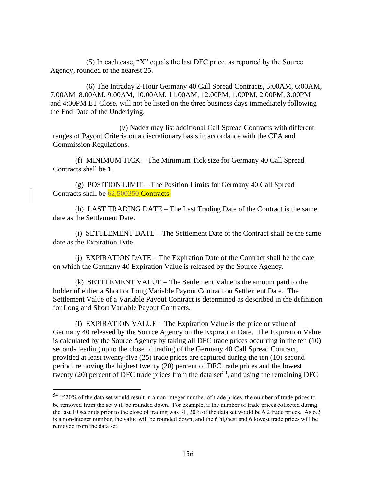(5) In each case, "X" equals the last DFC price, as reported by the Source Agency, rounded to the nearest 25.

(6) The Intraday 2-Hour Germany 40 Call Spread Contracts, 5:00AM, 6:00AM, 7:00AM, 8:00AM, 9:00AM, 10:00AM, 11:00AM, 12:00PM, 1:00PM, 2:00PM, 3:00PM and 4:00PM ET Close, will not be listed on the three business days immediately following the End Date of the Underlying.

(v) Nadex may list additional Call Spread Contracts with different ranges of Payout Criteria on a discretionary basis in accordance with the CEA and Commission Regulations.

(f) MINIMUM TICK – The Minimum Tick size for Germany 40 Call Spread Contracts shall be 1.

(g) POSITION LIMIT – The Position Limits for Germany 40 Call Spread Contracts shall be  $\frac{62,500250}{62,500250}$  Contracts.

(h) LAST TRADING DATE – The Last Trading Date of the Contract is the same date as the Settlement Date.

(i) SETTLEMENT DATE – The Settlement Date of the Contract shall be the same date as the Expiration Date.

(j) EXPIRATION DATE – The Expiration Date of the Contract shall be the date on which the Germany 40 Expiration Value is released by the Source Agency.

(k) SETTLEMENT VALUE – The Settlement Value is the amount paid to the holder of either a Short or Long Variable Payout Contract on Settlement Date. The Settlement Value of a Variable Payout Contract is determined as described in the definition for Long and Short Variable Payout Contracts.

(l) EXPIRATION VALUE – The Expiration Value is the price or value of Germany 40 released by the Source Agency on the Expiration Date. The Expiration Value is calculated by the Source Agency by taking all DFC trade prices occurring in the ten (10) seconds leading up to the close of trading of the Germany 40 Call Spread Contract, provided at least twenty-five (25) trade prices are captured during the ten (10) second period, removing the highest twenty (20) percent of DFC trade prices and the lowest twenty (20) percent of DFC trade prices from the data set<sup>54</sup>, and using the remaining DFC

<sup>54</sup> If 20% of the data set would result in a non-integer number of trade prices, the number of trade prices to be removed from the set will be rounded down. For example, if the number of trade prices collected during the last 10 seconds prior to the close of trading was 31, 20% of the data set would be 6.2 trade prices. As 6.2 is a non-integer number, the value will be rounded down, and the 6 highest and 6 lowest trade prices will be removed from the data set.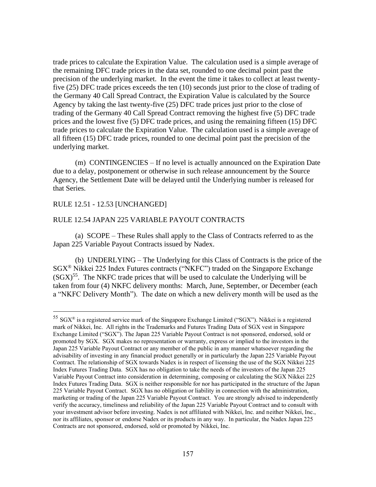trade prices to calculate the Expiration Value. The calculation used is a simple average of the remaining DFC trade prices in the data set, rounded to one decimal point past the precision of the underlying market. In the event the time it takes to collect at least twentyfive (25) DFC trade prices exceeds the ten (10) seconds just prior to the close of trading of the Germany 40 Call Spread Contract, the Expiration Value is calculated by the Source Agency by taking the last twenty-five (25) DFC trade prices just prior to the close of trading of the Germany 40 Call Spread Contract removing the highest five (5) DFC trade prices and the lowest five (5) DFC trade prices, and using the remaining fifteen (15) DFC trade prices to calculate the Expiration Value. The calculation used is a simple average of all fifteen (15) DFC trade prices, rounded to one decimal point past the precision of the underlying market.

(m) CONTINGENCIES – If no level is actually announced on the Expiration Date due to a delay, postponement or otherwise in such release announcement by the Source Agency, the Settlement Date will be delayed until the Underlying number is released for that Series.

#### RULE 12.51 - 12.53 [UNCHANGED]

### RULE 12.54 JAPAN 225 VARIABLE PAYOUT CONTRACTS

(a) SCOPE – These Rules shall apply to the Class of Contracts referred to as the Japan 225 Variable Payout Contracts issued by Nadex.

(b) UNDERLYING – The Underlying for this Class of Contracts is the price of the SGX® Nikkei 225 Index Futures contracts ("NKFC") traded on the Singapore Exchange  $(SGX)^{55}$ . The NKFC trade prices that will be used to calculate the Underlying will be taken from four (4) NKFC delivery months: March, June, September, or December (each a "NKFC Delivery Month"). The date on which a new delivery month will be used as the

 $55$  SGX<sup>®</sup> is a registered service mark of the Singapore Exchange Limited ("SGX"). Nikkei is a registered mark of Nikkei, Inc. All rights in the Trademarks and Futures Trading Data of SGX vest in Singapore Exchange Limited ("SGX"). The Japan 225 Variable Payout Contract is not sponsored, endorsed, sold or promoted by SGX. SGX makes no representation or warranty, express or implied to the investors in the Japan 225 Variable Payout Contract or any member of the public in any manner whatsoever regarding the advisability of investing in any financial product generally or in particularly the Japan 225 Variable Payout Contract. The relationship of SGX towards Nadex is in respect of licensing the use of the SGX Nikkei 225 Index Futures Trading Data. SGX has no obligation to take the needs of the investors of the Japan 225 Variable Payout Contract into consideration in determining, composing or calculating the SGX Nikkei 225 Index Futures Trading Data. SGX is neither responsible for nor has participated in the structure of the Japan 225 Variable Payout Contract. SGX has no obligation or liability in connection with the administration, marketing or trading of the Japan 225 Variable Payout Contract. You are strongly advised to independently verify the accuracy, timeliness and reliability of the Japan 225 Variable Payout Contract and to consult with your investment advisor before investing. Nadex is not affiliated with Nikkei, Inc. and neither Nikkei, Inc., nor its affiliates, sponsor or endorse Nadex or its products in any way. In particular, the Nadex Japan 225 Contracts are not sponsored, endorsed, sold or promoted by Nikkei, Inc.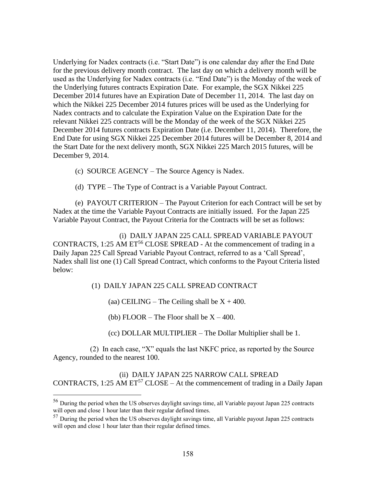Underlying for Nadex contracts (i.e. "Start Date") is one calendar day after the End Date for the previous delivery month contract. The last day on which a delivery month will be used as the Underlying for Nadex contracts (i.e. "End Date") is the Monday of the week of the Underlying futures contracts Expiration Date. For example, the SGX Nikkei 225 December 2014 futures have an Expiration Date of December 11, 2014. The last day on which the Nikkei 225 December 2014 futures prices will be used as the Underlying for Nadex contracts and to calculate the Expiration Value on the Expiration Date for the relevant Nikkei 225 contracts will be the Monday of the week of the SGX Nikkei 225 December 2014 futures contracts Expiration Date (i.e. December 11, 2014). Therefore, the End Date for using SGX Nikkei 225 December 2014 futures will be December 8, 2014 and the Start Date for the next delivery month, SGX Nikkei 225 March 2015 futures, will be December 9, 2014.

(c) SOURCE AGENCY – The Source Agency is Nadex.

(d) TYPE – The Type of Contract is a Variable Payout Contract.

 (e) PAYOUT CRITERION – The Payout Criterion for each Contract will be set by Nadex at the time the Variable Payout Contracts are initially issued. For the Japan 225 Variable Payout Contract, the Payout Criteria for the Contracts will be set as follows:

 (i) DAILY JAPAN 225 CALL SPREAD VARIABLE PAYOUT CONTRACTS, 1:25 AM  $ET^{56}$  CLOSE SPREAD - At the commencement of trading in a Daily Japan 225 Call Spread Variable Payout Contract, referred to as a 'Call Spread', Nadex shall list one (1) Call Spread Contract, which conforms to the Payout Criteria listed below:

(1) DAILY JAPAN 225 CALL SPREAD CONTRACT

(aa) CEILING – The Ceiling shall be  $X + 400$ .

(bb) FLOOR – The Floor shall be  $X - 400$ .

(cc) DOLLAR MULTIPLIER – The Dollar Multiplier shall be 1.

(2) In each case, "X" equals the last NKFC price, as reported by the Source Agency, rounded to the nearest 100.

(ii) DAILY JAPAN 225 NARROW CALL SPREAD CONTRACTS, 1:25 AM  $ET^{57}$  CLOSE – At the commencement of trading in a Daily Japan

<sup>56</sup> During the period when the US observes daylight savings time, all Variable payout Japan 225 contracts will open and close 1 hour later than their regular defined times.

<sup>&</sup>lt;sup>57</sup> During the period when the US observes daylight savings time, all Variable payout Japan 225 contracts will open and close 1 hour later than their regular defined times.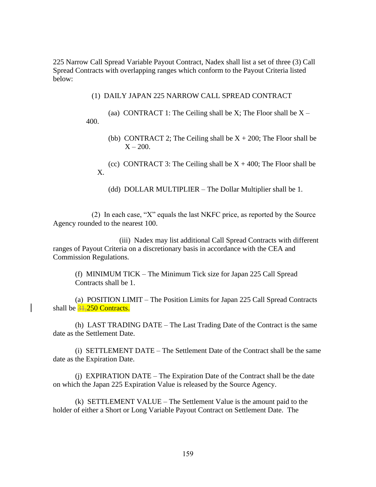225 Narrow Call Spread Variable Payout Contract, Nadex shall list a set of three (3) Call Spread Contracts with overlapping ranges which conform to the Payout Criteria listed below:

(1) DAILY JAPAN 225 NARROW CALL SPREAD CONTRACT

(aa) CONTRACT 1: The Ceiling shall be X; The Floor shall be  $X -$ 400.

(bb) CONTRACT 2; The Ceiling shall be  $X + 200$ ; The Floor shall be  $X - 200$ .

(cc) CONTRACT 3: The Ceiling shall be  $X + 400$ ; The Floor shall be X.

(dd) DOLLAR MULTIPLIER – The Dollar Multiplier shall be 1.

(2) In each case, "X" equals the last NKFC price, as reported by the Source Agency rounded to the nearest 100.

(iii) Nadex may list additional Call Spread Contracts with different ranges of Payout Criteria on a discretionary basis in accordance with the CEA and Commission Regulations.

(f) MINIMUM TICK – The Minimum Tick size for Japan 225 Call Spread Contracts shall be 1.

(a) POSITION LIMIT – The Position Limits for Japan 225 Call Spread Contracts shall be  $\frac{31}{250}$  Contracts.

(h) LAST TRADING DATE – The Last Trading Date of the Contract is the same date as the Settlement Date.

(i) SETTLEMENT DATE – The Settlement Date of the Contract shall be the same date as the Expiration Date.

(j) EXPIRATION DATE – The Expiration Date of the Contract shall be the date on which the Japan 225 Expiration Value is released by the Source Agency.

(k) SETTLEMENT VALUE – The Settlement Value is the amount paid to the holder of either a Short or Long Variable Payout Contract on Settlement Date. The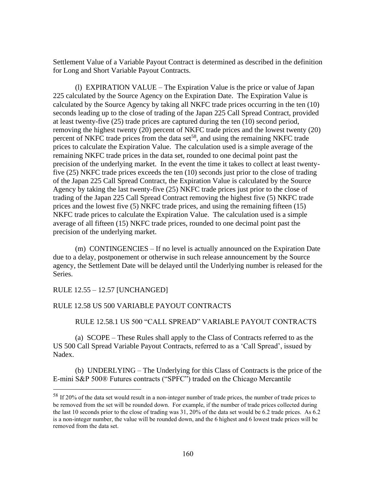Settlement Value of a Variable Payout Contract is determined as described in the definition for Long and Short Variable Payout Contracts.

(l) EXPIRATION VALUE – The Expiration Value is the price or value of Japan 225 calculated by the Source Agency on the Expiration Date. The Expiration Value is calculated by the Source Agency by taking all NKFC trade prices occurring in the ten (10) seconds leading up to the close of trading of the Japan 225 Call Spread Contract, provided at least twenty-five (25) trade prices are captured during the ten (10) second period, removing the highest twenty (20) percent of NKFC trade prices and the lowest twenty (20) percent of NKFC trade prices from the data set<sup>58</sup>, and using the remaining NKFC trade prices to calculate the Expiration Value. The calculation used is a simple average of the remaining NKFC trade prices in the data set, rounded to one decimal point past the precision of the underlying market. In the event the time it takes to collect at least twentyfive (25) NKFC trade prices exceeds the ten (10) seconds just prior to the close of trading of the Japan 225 Call Spread Contract, the Expiration Value is calculated by the Source Agency by taking the last twenty-five (25) NKFC trade prices just prior to the close of trading of the Japan 225 Call Spread Contract removing the highest five (5) NKFC trade prices and the lowest five (5) NKFC trade prices, and using the remaining fifteen (15) NKFC trade prices to calculate the Expiration Value. The calculation used is a simple average of all fifteen (15) NKFC trade prices, rounded to one decimal point past the precision of the underlying market.

(m) CONTINGENCIES – If no level is actually announced on the Expiration Date due to a delay, postponement or otherwise in such release announcement by the Source agency, the Settlement Date will be delayed until the Underlying number is released for the Series.

#### RULE 12.55 – 12.57 [UNCHANGED]

#### RULE 12.58 US 500 VARIABLE PAYOUT CONTRACTS

RULE 12.58.1 US 500 "CALL SPREAD" VARIABLE PAYOUT CONTRACTS

(a) SCOPE – These Rules shall apply to the Class of Contracts referred to as the US 500 Call Spread Variable Payout Contracts, referred to as a 'Call Spread', issued by Nadex.

(b) UNDERLYING – The Underlying for this Class of Contracts is the price of the E-mini S&P 500® Futures contracts ("SPFC") traded on the Chicago Mercantile

<sup>58</sup> If 20% of the data set would result in a non-integer number of trade prices, the number of trade prices to be removed from the set will be rounded down. For example, if the number of trade prices collected during the last 10 seconds prior to the close of trading was 31, 20% of the data set would be 6.2 trade prices. As 6.2 is a non-integer number, the value will be rounded down, and the 6 highest and 6 lowest trade prices will be removed from the data set.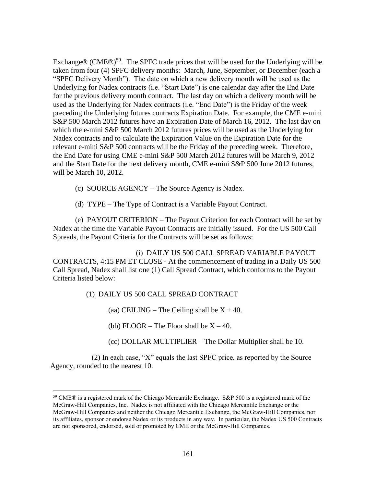Exchange $\circledR$  (CME $\circledR$ )<sup>59</sup>. The SPFC trade prices that will be used for the Underlying will be taken from four (4) SPFC delivery months: March, June, September, or December (each a "SPFC Delivery Month"). The date on which a new delivery month will be used as the Underlying for Nadex contracts (i.e. "Start Date") is one calendar day after the End Date for the previous delivery month contract. The last day on which a delivery month will be used as the Underlying for Nadex contracts (i.e. "End Date") is the Friday of the week preceding the Underlying futures contracts Expiration Date. For example, the CME e-mini S&P 500 March 2012 futures have an Expiration Date of March 16, 2012. The last day on which the e-mini S&P 500 March 2012 futures prices will be used as the Underlying for Nadex contracts and to calculate the Expiration Value on the Expiration Date for the relevant e-mini S&P 500 contracts will be the Friday of the preceding week. Therefore, the End Date for using CME e-mini S&P 500 March 2012 futures will be March 9, 2012 and the Start Date for the next delivery month, CME e-mini S&P 500 June 2012 futures, will be March 10, 2012.

- (c) SOURCE AGENCY The Source Agency is Nadex.
- (d) TYPE The Type of Contract is a Variable Payout Contract.

 (e) PAYOUT CRITERION – The Payout Criterion for each Contract will be set by Nadex at the time the Variable Payout Contracts are initially issued. For the US 500 Call Spreads, the Payout Criteria for the Contracts will be set as follows:

 (i) DAILY US 500 CALL SPREAD VARIABLE PAYOUT CONTRACTS, 4:15 PM ET CLOSE - At the commencement of trading in a Daily US 500 Call Spread, Nadex shall list one (1) Call Spread Contract, which conforms to the Payout Criteria listed below:

(1) DAILY US 500 CALL SPREAD CONTRACT

(aa) CEILING – The Ceiling shall be  $X + 40$ .

(bb) FLOOR – The Floor shall be  $X - 40$ .

(cc) DOLLAR MULTIPLIER – The Dollar Multiplier shall be 10.

(2) In each case, "X" equals the last SPFC price, as reported by the Source Agency, rounded to the nearest 10.

<sup>59</sup> CME® is a registered mark of the Chicago Mercantile Exchange. S&P 500 is a registered mark of the McGraw-Hill Companies, Inc. Nadex is not affiliated with the Chicago Mercantile Exchange or the McGraw-Hill Companies and neither the Chicago Mercantile Exchange, the McGraw-Hill Companies, nor its affiliates, sponsor or endorse Nadex or its products in any way. In particular, the Nadex US 500 Contracts are not sponsored, endorsed, sold or promoted by CME or the McGraw-Hill Companies.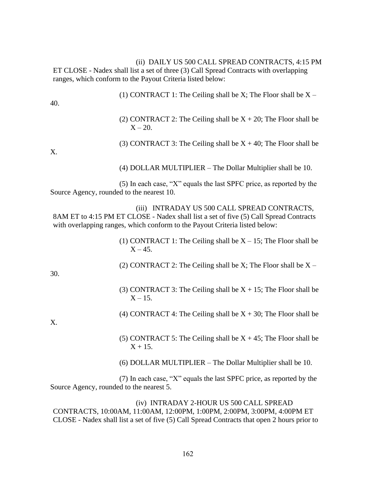(ii) DAILY US 500 CALL SPREAD CONTRACTS, 4:15 PM ET CLOSE - Nadex shall list a set of three (3) Call Spread Contracts with overlapping ranges, which conform to the Payout Criteria listed below:

(1) CONTRACT 1: The Ceiling shall be X; The Floor shall be  $X -$ 40. (2) CONTRACT 2: The Ceiling shall be  $X + 20$ ; The Floor shall be  $X - 20.$ (3) CONTRACT 3: The Ceiling shall be  $X + 40$ ; The Floor shall be X. (4) DOLLAR MULTIPLIER – The Dollar Multiplier shall be 10. (5) In each case, "X" equals the last SPFC price, as reported by the Source Agency, rounded to the nearest 10. (iii) INTRADAY US 500 CALL SPREAD CONTRACTS, 8AM ET to 4:15 PM ET CLOSE - Nadex shall list a set of five (5) Call Spread Contracts with overlapping ranges, which conform to the Payout Criteria listed below: (1) CONTRACT 1: The Ceiling shall be  $X - 15$ ; The Floor shall be  $X - 45$ . (2) CONTRACT 2: The Ceiling shall be X; The Floor shall be  $X -$ 30. (3) CONTRACT 3: The Ceiling shall be  $X + 15$ ; The Floor shall be  $X - 15$ . (4) CONTRACT 4: The Ceiling shall be  $X + 30$ ; The Floor shall be X.

(5) CONTRACT 5: The Ceiling shall be  $X + 45$ ; The Floor shall be  $X + 15$ .

(6) DOLLAR MULTIPLIER – The Dollar Multiplier shall be 10.

(7) In each case, "X" equals the last SPFC price, as reported by the Source Agency, rounded to the nearest 5.

(iv) INTRADAY 2-HOUR US 500 CALL SPREAD CONTRACTS, 10:00AM, 11:00AM, 12:00PM, 1:00PM, 2:00PM, 3:00PM, 4:00PM ET CLOSE - Nadex shall list a set of five (5) Call Spread Contracts that open 2 hours prior to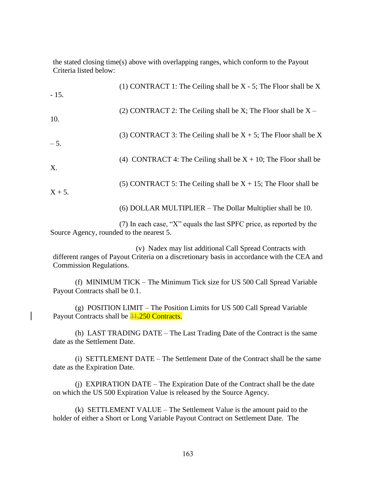the stated closing time(s) above with overlapping ranges, which conform to the Payout Criteria listed below:

| $-15.$    | (1) CONTRACT 1: The Ceiling shall be $X - 5$ ; The Floor shall be X |
|-----------|---------------------------------------------------------------------|
| 10.       | (2) CONTRACT 2: The Ceiling shall be X; The Floor shall be $X -$    |
| $-5.$     | (3) CONTRACT 3: The Ceiling shall be $X + 5$ ; The Floor shall be X |
| Χ.        | (4) CONTRACT 4: The Ceiling shall be $X + 10$ ; The Floor shall be  |
| $X + 5$ . | (5) CONTRACT 5: The Ceiling shall be $X + 15$ ; The Floor shall be  |
|           | (6) DOLLAR MULTIPLIER – The Dollar Multiplier shall be 10.          |

(7) In each case, "X" equals the last SPFC price, as reported by the Source Agency, rounded to the nearest 5.

(v) Nadex may list additional Call Spread Contracts with different ranges of Payout Criteria on a discretionary basis in accordance with the CEA and Commission Regulations.

(f) MINIMUM TICK – The Minimum Tick size for US 500 Call Spread Variable Payout Contracts shall be 0.1.

(g) POSITION LIMIT – The Position Limits for US 500 Call Spread Variable Payout Contracts shall be 31,250 Contracts.

(h) LAST TRADING DATE – The Last Trading Date of the Contract is the same date as the Settlement Date.

(i) SETTLEMENT DATE – The Settlement Date of the Contract shall be the same date as the Expiration Date.

(j) EXPIRATION DATE – The Expiration Date of the Contract shall be the date on which the US 500 Expiration Value is released by the Source Agency.

(k) SETTLEMENT VALUE – The Settlement Value is the amount paid to the holder of either a Short or Long Variable Payout Contract on Settlement Date. The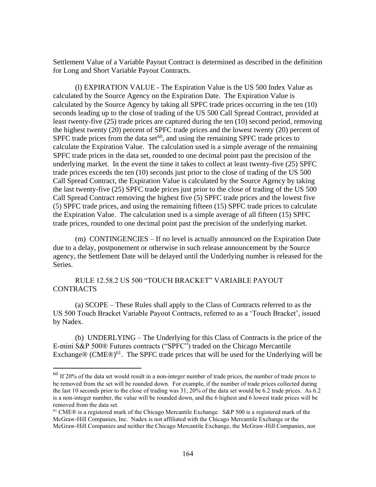Settlement Value of a Variable Payout Contract is determined as described in the definition for Long and Short Variable Payout Contracts.

(l) EXPIRATION VALUE - The Expiration Value is the US 500 Index Value as calculated by the Source Agency on the Expiration Date. The Expiration Value is calculated by the Source Agency by taking all SPFC trade prices occurring in the ten (10) seconds leading up to the close of trading of the US 500 Call Spread Contract, provided at least twenty-five (25) trade prices are captured during the ten (10) second period, removing the highest twenty (20) percent of SPFC trade prices and the lowest twenty (20) percent of SPFC trade prices from the data set $^{60}$ , and using the remaining SPFC trade prices to calculate the Expiration Value. The calculation used is a simple average of the remaining SPFC trade prices in the data set, rounded to one decimal point past the precision of the underlying market. In the event the time it takes to collect at least twenty-five (25) SPFC trade prices exceeds the ten (10) seconds just prior to the close of trading of the US 500 Call Spread Contract, the Expiration Value is calculated by the Source Agency by taking the last twenty-five (25) SPFC trade prices just prior to the close of trading of the US 500 Call Spread Contract removing the highest five (5) SPFC trade prices and the lowest five (5) SPFC trade prices, and using the remaining fifteen (15) SPFC trade prices to calculate the Expiration Value. The calculation used is a simple average of all fifteen (15) SPFC trade prices, rounded to one decimal point past the precision of the underlying market.

(m) CONTINGENCIES – If no level is actually announced on the Expiration Date due to a delay, postponement or otherwise in such release announcement by the Source agency, the Settlement Date will be delayed until the Underlying number is released for the Series.

RULE 12.58.2 US 500 "TOUCH BRACKET" VARIABLE PAYOUT CONTRACTS

(a) SCOPE – These Rules shall apply to the Class of Contracts referred to as the US 500 Touch Bracket Variable Payout Contracts, referred to as a 'Touch Bracket', issued by Nadex.

(b) UNDERLYING – The Underlying for this Class of Contracts is the price of the E-mini S&P 500® Futures contracts ("SPFC") traded on the Chicago Mercantile Exchange® (CME®) $61$ . The SPFC trade prices that will be used for the Underlying will be

 $60$  If 20% of the data set would result in a non-integer number of trade prices, the number of trade prices to be removed from the set will be rounded down. For example, if the number of trade prices collected during the last 10 seconds prior to the close of trading was 31, 20% of the data set would be 6.2 trade prices. As 6.2 is a non-integer number, the value will be rounded down, and the 6 highest and 6 lowest trade prices will be removed from the data set.

<sup>61</sup> CME® is a registered mark of the Chicago Mercantile Exchange. S&P 500 is a registered mark of the McGraw-Hill Companies, Inc. Nadex is not affiliated with the Chicago Mercantile Exchange or the McGraw-Hill Companies and neither the Chicago Mercantile Exchange, the McGraw-Hill Companies, nor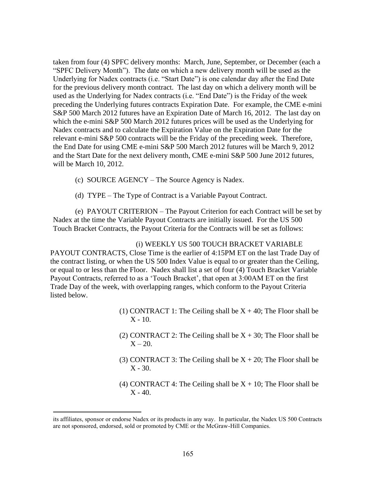taken from four (4) SPFC delivery months: March, June, September, or December (each a "SPFC Delivery Month"). The date on which a new delivery month will be used as the Underlying for Nadex contracts (i.e. "Start Date") is one calendar day after the End Date for the previous delivery month contract. The last day on which a delivery month will be used as the Underlying for Nadex contracts (i.e. "End Date") is the Friday of the week preceding the Underlying futures contracts Expiration Date. For example, the CME e-mini S&P 500 March 2012 futures have an Expiration Date of March 16, 2012. The last day on which the e-mini S&P 500 March 2012 futures prices will be used as the Underlying for Nadex contracts and to calculate the Expiration Value on the Expiration Date for the relevant e-mini S&P 500 contracts will be the Friday of the preceding week. Therefore, the End Date for using CME e-mini S&P 500 March 2012 futures will be March 9, 2012 and the Start Date for the next delivery month, CME e-mini S&P 500 June 2012 futures, will be March 10, 2012.

- (c) SOURCE AGENCY The Source Agency is Nadex.
- (d) TYPE The Type of Contract is a Variable Payout Contract.

 (e) PAYOUT CRITERION – The Payout Criterion for each Contract will be set by Nadex at the time the Variable Payout Contracts are initially issued. For the US 500 Touch Bracket Contracts, the Payout Criteria for the Contracts will be set as follows:

(i) WEEKLY US 500 TOUCH BRACKET VARIABLE

PAYOUT CONTRACTS, Close Time is the earlier of 4:15PM ET on the last Trade Day of the contract listing, or when the US 500 Index Value is equal to or greater than the Ceiling, or equal to or less than the Floor. Nadex shall list a set of four (4) Touch Bracket Variable Payout Contracts, referred to as a 'Touch Bracket', that open at 3:00AM ET on the first Trade Day of the week, with overlapping ranges, which conform to the Payout Criteria listed below.

- (1) CONTRACT 1: The Ceiling shall be  $X + 40$ ; The Floor shall be  $X - 10$ .
- (2) CONTRACT 2: The Ceiling shall be  $X + 30$ ; The Floor shall be  $X - 20.$
- (3) CONTRACT 3: The Ceiling shall be  $X + 20$ ; The Floor shall be X - 30.
- (4) CONTRACT 4: The Ceiling shall be  $X + 10$ ; The Floor shall be X - 40.

its affiliates, sponsor or endorse Nadex or its products in any way. In particular, the Nadex US 500 Contracts are not sponsored, endorsed, sold or promoted by CME or the McGraw-Hill Companies.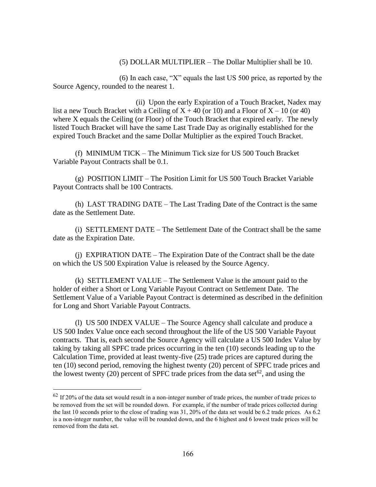(5) DOLLAR MULTIPLIER – The Dollar Multiplier shall be 10.

(6) In each case, "X" equals the last US 500 price, as reported by the Source Agency, rounded to the nearest 1.

(ii) Upon the early Expiration of a Touch Bracket, Nadex may list a new Touch Bracket with a Ceiling of  $X + 40$  (or 10) and a Floor of  $X - 10$  (or 40) where X equals the Ceiling (or Floor) of the Touch Bracket that expired early. The newly listed Touch Bracket will have the same Last Trade Day as originally established for the expired Touch Bracket and the same Dollar Multiplier as the expired Touch Bracket.

(f) MINIMUM TICK – The Minimum Tick size for US 500 Touch Bracket Variable Payout Contracts shall be 0.1.

(g) POSITION LIMIT – The Position Limit for US 500 Touch Bracket Variable Payout Contracts shall be 100 Contracts.

(h) LAST TRADING DATE – The Last Trading Date of the Contract is the same date as the Settlement Date.

(i) SETTLEMENT DATE – The Settlement Date of the Contract shall be the same date as the Expiration Date.

(j) EXPIRATION DATE – The Expiration Date of the Contract shall be the date on which the US 500 Expiration Value is released by the Source Agency.

(k) SETTLEMENT VALUE – The Settlement Value is the amount paid to the holder of either a Short or Long Variable Payout Contract on Settlement Date. The Settlement Value of a Variable Payout Contract is determined as described in the definition for Long and Short Variable Payout Contracts.

(l) US 500 INDEX VALUE – The Source Agency shall calculate and produce a US 500 Index Value once each second throughout the life of the US 500 Variable Payout contracts. That is, each second the Source Agency will calculate a US 500 Index Value by taking by taking all SPFC trade prices occurring in the ten (10) seconds leading up to the Calculation Time, provided at least twenty-five (25) trade prices are captured during the ten (10) second period, removing the highest twenty (20) percent of SPFC trade prices and the lowest twenty (20) percent of SPFC trade prices from the data set<sup>62</sup>, and using the

 $62$  If 20% of the data set would result in a non-integer number of trade prices, the number of trade prices to be removed from the set will be rounded down. For example, if the number of trade prices collected during the last 10 seconds prior to the close of trading was 31, 20% of the data set would be 6.2 trade prices. As 6.2 is a non-integer number, the value will be rounded down, and the 6 highest and 6 lowest trade prices will be removed from the data set.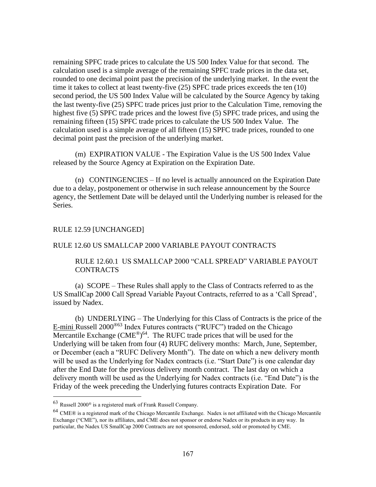remaining SPFC trade prices to calculate the US 500 Index Value for that second. The calculation used is a simple average of the remaining SPFC trade prices in the data set, rounded to one decimal point past the precision of the underlying market. In the event the time it takes to collect at least twenty-five (25) SPFC trade prices exceeds the ten (10) second period, the US 500 Index Value will be calculated by the Source Agency by taking the last twenty-five (25) SPFC trade prices just prior to the Calculation Time, removing the highest five (5) SPFC trade prices and the lowest five (5) SPFC trade prices, and using the remaining fifteen (15) SPFC trade prices to calculate the US 500 Index Value. The calculation used is a simple average of all fifteen (15) SPFC trade prices, rounded to one decimal point past the precision of the underlying market.

(m) EXPIRATION VALUE - The Expiration Value is the US 500 Index Value released by the Source Agency at Expiration on the Expiration Date.

(n) CONTINGENCIES – If no level is actually announced on the Expiration Date due to a delay, postponement or otherwise in such release announcement by the Source agency, the Settlement Date will be delayed until the Underlying number is released for the Series.

#### RULE 12.59 [UNCHANGED]

#### RULE 12.60 US SMALLCAP 2000 VARIABLE PAYOUT CONTRACTS

# RULE 12.60.1 US SMALLCAP 2000 "CALL SPREAD" VARIABLE PAYOUT **CONTRACTS**

(a) SCOPE – These Rules shall apply to the Class of Contracts referred to as the US SmallCap 2000 Call Spread Variable Payout Contracts, referred to as a 'Call Spread', issued by Nadex.

(b) UNDERLYING – The Underlying for this Class of Contracts is the price of the E-mini Russell 2000®63 Index Futures contracts ("RUFC") traded on the Chicago Mercantile Exchange  $(CME^{\circledast})^{64}$ . The RUFC trade prices that will be used for the Underlying will be taken from four (4) RUFC delivery months: March, June, September, or December (each a "RUFC Delivery Month"). The date on which a new delivery month will be used as the Underlying for Nadex contracts (i.e. "Start Date") is one calendar day after the End Date for the previous delivery month contract. The last day on which a delivery month will be used as the Underlying for Nadex contracts (i.e. "End Date") is the Friday of the week preceding the Underlying futures contracts Expiration Date. For

 $63$  Russell 2000<sup>®</sup> is a registered mark of Frank Russell Company.

<sup>64</sup> CME® is a registered mark of the Chicago Mercantile Exchange. Nadex is not affiliated with the Chicago Mercantile Exchange ("CME"), nor its affiliates, and CME does not sponsor or endorse Nadex or its products in any way. In particular, the Nadex US SmallCap 2000 Contracts are not sponsored, endorsed, sold or promoted by CME.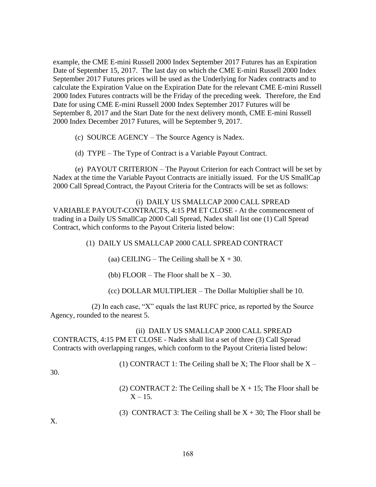example, the CME E-mini Russell 2000 Index September 2017 Futures has an Expiration Date of September 15, 2017. The last day on which the CME E-mini Russell 2000 Index September 2017 Futures prices will be used as the Underlying for Nadex contracts and to calculate the Expiration Value on the Expiration Date for the relevant CME E-mini Russell 2000 Index Futures contracts will be the Friday of the preceding week. Therefore, the End Date for using CME E-mini Russell 2000 Index September 2017 Futures will be September 8, 2017 and the Start Date for the next delivery month, CME E-mini Russell 2000 Index December 2017 Futures, will be September 9, 2017.

- (c) SOURCE AGENCY The Source Agency is Nadex.
- (d) TYPE The Type of Contract is a Variable Payout Contract.

 (e) PAYOUT CRITERION – The Payout Criterion for each Contract will be set by Nadex at the time the Variable Payout Contracts are initially issued. For the US SmallCap 2000 Call Spread Contract, the Payout Criteria for the Contracts will be set as follows:

 (i) DAILY US SMALLCAP 2000 CALL SPREAD VARIABLE PAYOUT CONTRACTS, 4:15 PM ET CLOSE - At the commencement of trading in a Daily US SmallCap 2000 Call Spread, Nadex shall list one (1) Call Spread Contract, which conforms to the Payout Criteria listed below:

(1) DAILY US SMALLCAP 2000 CALL SPREAD CONTRACT

(aa) CEILING – The Ceiling shall be  $X + 30$ .

(bb) FLOOR – The Floor shall be  $X - 30$ .

(cc) DOLLAR MULTIPLIER – The Dollar Multiplier shall be 10.

(2) In each case, "X" equals the last RUFC price, as reported by the Source Agency, rounded to the nearest 5.

(ii) DAILY US SMALLCAP 2000 CALL SPREAD CONTRACTS, 4:15 PM ET CLOSE - Nadex shall list a set of three (3) Call Spread Contracts with overlapping ranges, which conform to the Payout Criteria listed below:

(1) CONTRACT 1: The Ceiling shall be X; The Floor shall be  $X -$ 

30.

- (2) CONTRACT 2: The Ceiling shall be  $X + 15$ ; The Floor shall be  $X - 15$ .
- (3) CONTRACT 3: The Ceiling shall be  $X + 30$ ; The Floor shall be

X.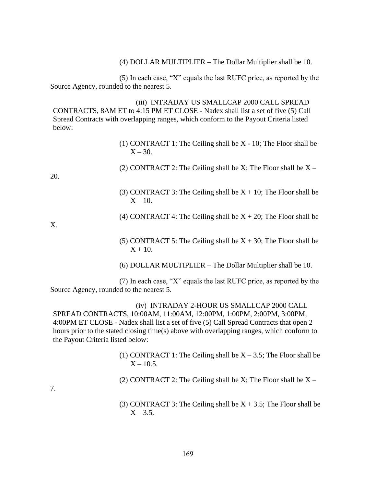(4) DOLLAR MULTIPLIER – The Dollar Multiplier shall be 10.

(5) In each case, "X" equals the last RUFC price, as reported by the Source Agency, rounded to the nearest 5.

(iii) INTRADAY US SMALLCAP 2000 CALL SPREAD CONTRACTS, 8AM ET to 4:15 PM ET CLOSE - Nadex shall list a set of five (5) Call Spread Contracts with overlapping ranges, which conform to the Payout Criteria listed below:

- (1) CONTRACT 1: The Ceiling shall be X 10; The Floor shall be  $X - 30.$
- (2) CONTRACT 2: The Ceiling shall be X; The Floor shall be  $X -$

20.

- (3) CONTRACT 3: The Ceiling shall be  $X + 10$ ; The Floor shall be  $X - 10$ .
- (4) CONTRACT 4: The Ceiling shall be  $X + 20$ ; The Floor shall be

X.

- (5) CONTRACT 5: The Ceiling shall be  $X + 30$ ; The Floor shall be  $X + 10.$
- (6) DOLLAR MULTIPLIER The Dollar Multiplier shall be 10.

(7) In each case, "X" equals the last RUFC price, as reported by the Source Agency, rounded to the nearest 5.

(iv) INTRADAY 2-HOUR US SMALLCAP 2000 CALL SPREAD CONTRACTS, 10:00AM, 11:00AM, 12:00PM, 1:00PM, 2:00PM, 3:00PM, 4:00PM ET CLOSE - Nadex shall list a set of five (5) Call Spread Contracts that open 2 hours prior to the stated closing time(s) above with overlapping ranges, which conform to the Payout Criteria listed below:

- (1) CONTRACT 1: The Ceiling shall be  $X 3.5$ ; The Floor shall be  $X - 10.5$ .
- (2) CONTRACT 2: The Ceiling shall be X; The Floor shall be  $X -$

7.

(3) CONTRACT 3: The Ceiling shall be  $X + 3.5$ ; The Floor shall be  $X - 3.5.$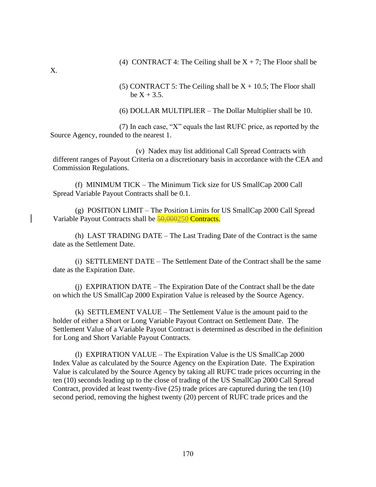(4) CONTRACT 4: The Ceiling shall be  $X + 7$ ; The Floor shall be

(5) CONTRACT 5: The Ceiling shall be  $X + 10.5$ ; The Floor shall be  $X + 3.5$ .

(6) DOLLAR MULTIPLIER – The Dollar Multiplier shall be 10.

(7) In each case, "X" equals the last RUFC price, as reported by the Source Agency, rounded to the nearest 1.

(v) Nadex may list additional Call Spread Contracts with different ranges of Payout Criteria on a discretionary basis in accordance with the CEA and Commission Regulations.

(f) MINIMUM TICK – The Minimum Tick size for US SmallCap 2000 Call Spread Variable Payout Contracts shall be 0.1.

(g) POSITION LIMIT – The Position Limits for US SmallCap 2000 Call Spread Variable Payout Contracts shall be 50,000250 Contracts.

(h) LAST TRADING DATE – The Last Trading Date of the Contract is the same date as the Settlement Date.

(i) SETTLEMENT DATE – The Settlement Date of the Contract shall be the same date as the Expiration Date.

(j) EXPIRATION DATE – The Expiration Date of the Contract shall be the date on which the US SmallCap 2000 Expiration Value is released by the Source Agency.

(k) SETTLEMENT VALUE – The Settlement Value is the amount paid to the holder of either a Short or Long Variable Payout Contract on Settlement Date. The Settlement Value of a Variable Payout Contract is determined as described in the definition for Long and Short Variable Payout Contracts.

(l) EXPIRATION VALUE – The Expiration Value is the US SmallCap 2000 Index Value as calculated by the Source Agency on the Expiration Date. The Expiration Value is calculated by the Source Agency by taking all RUFC trade prices occurring in the ten (10) seconds leading up to the close of trading of the US SmallCap 2000 Call Spread Contract, provided at least twenty-five (25) trade prices are captured during the ten (10) second period, removing the highest twenty (20) percent of RUFC trade prices and the

X.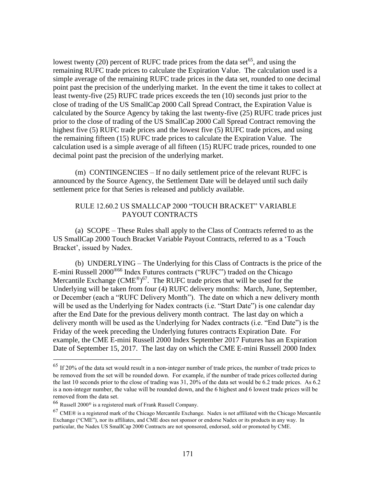lowest twenty (20) percent of RUFC trade prices from the data set<sup> $65$ </sup>, and using the remaining RUFC trade prices to calculate the Expiration Value. The calculation used is a simple average of the remaining RUFC trade prices in the data set, rounded to one decimal point past the precision of the underlying market. In the event the time it takes to collect at least twenty-five (25) RUFC trade prices exceeds the ten (10) seconds just prior to the close of trading of the US SmallCap 2000 Call Spread Contract, the Expiration Value is calculated by the Source Agency by taking the last twenty-five (25) RUFC trade prices just prior to the close of trading of the US SmallCap 2000 Call Spread Contract removing the highest five (5) RUFC trade prices and the lowest five (5) RUFC trade prices, and using the remaining fifteen (15) RUFC trade prices to calculate the Expiration Value. The calculation used is a simple average of all fifteen (15) RUFC trade prices, rounded to one decimal point past the precision of the underlying market.

(m) CONTINGENCIES – If no daily settlement price of the relevant RUFC is announced by the Source Agency, the Settlement Date will be delayed until such daily settlement price for that Series is released and publicly available.

# RULE 12.60.2 US SMALLCAP 2000 "TOUCH BRACKET" VARIABLE PAYOUT CONTRACTS

(a) SCOPE – These Rules shall apply to the Class of Contracts referred to as the US SmallCap 2000 Touch Bracket Variable Payout Contracts, referred to as a 'Touch Bracket', issued by Nadex.

(b) UNDERLYING – The Underlying for this Class of Contracts is the price of the E-mini Russell 2000®66 Index Futures contracts ("RUFC") traded on the Chicago Mercantile Exchange ( $CME^{\circledast}$ )<sup>67</sup>. The RUFC trade prices that will be used for the Underlying will be taken from four (4) RUFC delivery months: March, June, September, or December (each a "RUFC Delivery Month"). The date on which a new delivery month will be used as the Underlying for Nadex contracts (i.e. "Start Date") is one calendar day after the End Date for the previous delivery month contract. The last day on which a delivery month will be used as the Underlying for Nadex contracts (i.e. "End Date") is the Friday of the week preceding the Underlying futures contracts Expiration Date. For example, the CME E-mini Russell 2000 Index September 2017 Futures has an Expiration Date of September 15, 2017. The last day on which the CME E-mini Russell 2000 Index

<sup>65</sup> If 20% of the data set would result in a non-integer number of trade prices, the number of trade prices to be removed from the set will be rounded down. For example, if the number of trade prices collected during the last 10 seconds prior to the close of trading was 31, 20% of the data set would be 6.2 trade prices. As 6.2 is a non-integer number, the value will be rounded down, and the 6 highest and 6 lowest trade prices will be removed from the data set.

<sup>66</sup> Russell 2000® is a registered mark of Frank Russell Company.

 $^{67}$  CME® is a registered mark of the Chicago Mercantile Exchange. Nadex is not affiliated with the Chicago Mercantile Exchange ("CME"), nor its affiliates, and CME does not sponsor or endorse Nadex or its products in any way. In particular, the Nadex US SmallCap 2000 Contracts are not sponsored, endorsed, sold or promoted by CME.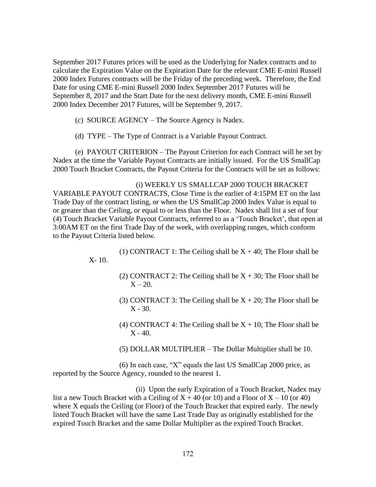September 2017 Futures prices will be used as the Underlying for Nadex contracts and to calculate the Expiration Value on the Expiration Date for the relevant CME E-mini Russell 2000 Index Futures contracts will be the Friday of the preceding week. Therefore, the End Date for using CME E-mini Russell 2000 Index September 2017 Futures will be September 8, 2017 and the Start Date for the next delivery month, CME E-mini Russell 2000 Index December 2017 Futures, will be September 9, 2017.

- (c) SOURCE AGENCY The Source Agency is Nadex.
- (d) TYPE The Type of Contract is a Variable Payout Contract.

 (e) PAYOUT CRITERION – The Payout Criterion for each Contract will be set by Nadex at the time the Variable Payout Contracts are initially issued. For the US SmallCap 2000 Touch Bracket Contracts, the Payout Criteria for the Contracts will be set as follows:

(i) WEEKLY US SMALLCAP 2000 TOUCH BRACKET VARIABLE PAYOUT CONTRACTS, Close Time is the earlier of 4:15PM ET on the last Trade Day of the contract listing, or when the US SmallCap 2000 Index Value is equal to or greater than the Ceiling, or equal to or less than the Floor. Nadex shall list a set of four (4) Touch Bracket Variable Payout Contracts, referred to as a 'Touch Bracket', that open at 3:00AM ET on the first Trade Day of the week, with overlapping ranges, which conform to the Payout Criteria listed below.

- (1) CONTRACT 1: The Ceiling shall be  $X + 40$ ; The Floor shall be X- 10.
	- (2) CONTRACT 2: The Ceiling shall be  $X + 30$ ; The Floor shall be  $X - 20.$
	- (3) CONTRACT 3: The Ceiling shall be  $X + 20$ ; The Floor shall be  $X - 30.$
	- (4) CONTRACT 4: The Ceiling shall be  $X + 10$ ; The Floor shall be  $X - 40.$
	- (5) DOLLAR MULTIPLIER The Dollar Multiplier shall be 10.

(6) In each case, "X" equals the last US SmallCap 2000 price, as reported by the Source Agency, rounded to the nearest 1.

(ii) Upon the early Expiration of a Touch Bracket, Nadex may list a new Touch Bracket with a Ceiling of  $X + 40$  (or 10) and a Floor of  $X - 10$  (or 40) where X equals the Ceiling (or Floor) of the Touch Bracket that expired early. The newly listed Touch Bracket will have the same Last Trade Day as originally established for the expired Touch Bracket and the same Dollar Multiplier as the expired Touch Bracket.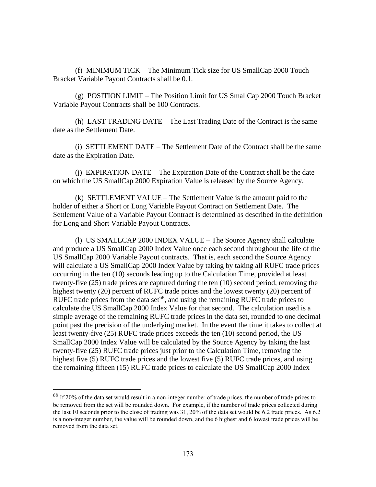(f) MINIMUM TICK – The Minimum Tick size for US SmallCap 2000 Touch Bracket Variable Payout Contracts shall be 0.1.

(g) POSITION LIMIT – The Position Limit for US SmallCap 2000 Touch Bracket Variable Payout Contracts shall be 100 Contracts.

(h) LAST TRADING DATE – The Last Trading Date of the Contract is the same date as the Settlement Date.

(i) SETTLEMENT DATE – The Settlement Date of the Contract shall be the same date as the Expiration Date.

(j) EXPIRATION DATE – The Expiration Date of the Contract shall be the date on which the US SmallCap 2000 Expiration Value is released by the Source Agency.

(k) SETTLEMENT VALUE – The Settlement Value is the amount paid to the holder of either a Short or Long Variable Payout Contract on Settlement Date. The Settlement Value of a Variable Payout Contract is determined as described in the definition for Long and Short Variable Payout Contracts.

(l) US SMALLCAP 2000 INDEX VALUE – The Source Agency shall calculate and produce a US SmallCap 2000 Index Value once each second throughout the life of the US SmallCap 2000 Variable Payout contracts. That is, each second the Source Agency will calculate a US SmallCap 2000 Index Value by taking by taking all RUFC trade prices occurring in the ten (10) seconds leading up to the Calculation Time, provided at least twenty-five (25) trade prices are captured during the ten (10) second period, removing the highest twenty (20) percent of RUFC trade prices and the lowest twenty (20) percent of RUFC trade prices from the data set<sup>68</sup>, and using the remaining RUFC trade prices to calculate the US SmallCap 2000 Index Value for that second. The calculation used is a simple average of the remaining RUFC trade prices in the data set, rounded to one decimal point past the precision of the underlying market. In the event the time it takes to collect at least twenty-five (25) RUFC trade prices exceeds the ten (10) second period, the US SmallCap 2000 Index Value will be calculated by the Source Agency by taking the last twenty-five (25) RUFC trade prices just prior to the Calculation Time, removing the highest five (5) RUFC trade prices and the lowest five (5) RUFC trade prices, and using the remaining fifteen (15) RUFC trade prices to calculate the US SmallCap 2000 Index

<sup>68</sup> If 20% of the data set would result in a non-integer number of trade prices, the number of trade prices to be removed from the set will be rounded down. For example, if the number of trade prices collected during the last 10 seconds prior to the close of trading was 31, 20% of the data set would be 6.2 trade prices. As 6.2 is a non-integer number, the value will be rounded down, and the 6 highest and 6 lowest trade prices will be removed from the data set.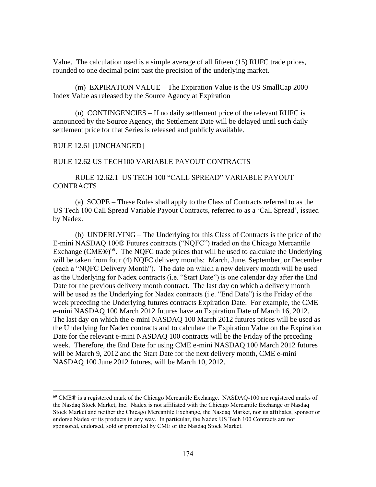Value. The calculation used is a simple average of all fifteen (15) RUFC trade prices, rounded to one decimal point past the precision of the underlying market.

(m) EXPIRATION VALUE – The Expiration Value is the US SmallCap 2000 Index Value as released by the Source Agency at Expiration

(n) CONTINGENCIES – If no daily settlement price of the relevant RUFC is announced by the Source Agency, the Settlement Date will be delayed until such daily settlement price for that Series is released and publicly available.

### RULE 12.61 [UNCHANGED]

#### RULE 12.62 US TECH100 VARIABLE PAYOUT CONTRACTS

RULE 12.62.1 US TECH 100 "CALL SPREAD" VARIABLE PAYOUT **CONTRACTS** 

(a) SCOPE – These Rules shall apply to the Class of Contracts referred to as the US Tech 100 Call Spread Variable Payout Contracts, referred to as a 'Call Spread', issued by Nadex.

(b) UNDERLYING – The Underlying for this Class of Contracts is the price of the E-mini NASDAQ 100® Futures contracts ("NQFC") traded on the Chicago Mercantile Exchange (CME®) $<sup>69</sup>$ . The NQFC trade prices that will be used to calculate the Underlying</sup> will be taken from four (4) NQFC delivery months: March, June, September, or December (each a "NQFC Delivery Month"). The date on which a new delivery month will be used as the Underlying for Nadex contracts (i.e. "Start Date") is one calendar day after the End Date for the previous delivery month contract. The last day on which a delivery month will be used as the Underlying for Nadex contracts (i.e. "End Date") is the Friday of the week preceding the Underlying futures contracts Expiration Date. For example, the CME e-mini NASDAQ 100 March 2012 futures have an Expiration Date of March 16, 2012. The last day on which the e-mini NASDAQ 100 March 2012 futures prices will be used as the Underlying for Nadex contracts and to calculate the Expiration Value on the Expiration Date for the relevant e-mini NASDAQ 100 contracts will be the Friday of the preceding week. Therefore, the End Date for using CME e-mini NASDAQ 100 March 2012 futures will be March 9, 2012 and the Start Date for the next delivery month, CME e-mini NASDAQ 100 June 2012 futures, will be March 10, 2012.

 $69$  CME $\textcircled{B}$  is a registered mark of the Chicago Mercantile Exchange. NASDAQ-100 are registered marks of the Nasdaq Stock Market, Inc. Nadex is not affiliated with the Chicago Mercantile Exchange or Nasdaq Stock Market and neither the Chicago Mercantile Exchange, the Nasdaq Market, nor its affiliates, sponsor or endorse Nadex or its products in any way. In particular, the Nadex US Tech 100 Contracts are not sponsored, endorsed, sold or promoted by CME or the Nasdaq Stock Market.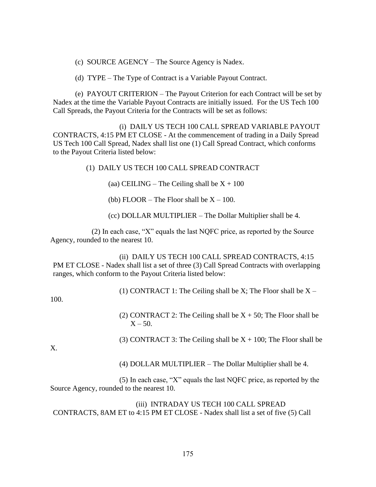(c) SOURCE AGENCY – The Source Agency is Nadex.

(d) TYPE – The Type of Contract is a Variable Payout Contract.

 (e) PAYOUT CRITERION – The Payout Criterion for each Contract will be set by Nadex at the time the Variable Payout Contracts are initially issued. For the US Tech 100 Call Spreads, the Payout Criteria for the Contracts will be set as follows:

 (i) DAILY US TECH 100 CALL SPREAD VARIABLE PAYOUT CONTRACTS, 4:15 PM ET CLOSE - At the commencement of trading in a Daily Spread US Tech 100 Call Spread, Nadex shall list one (1) Call Spread Contract, which conforms to the Payout Criteria listed below:

(1) DAILY US TECH 100 CALL SPREAD CONTRACT

(aa) CEILING – The Ceiling shall be  $X + 100$ 

(bb) FLOOR – The Floor shall be  $X - 100$ .

(cc) DOLLAR MULTIPLIER – The Dollar Multiplier shall be 4.

(2) In each case, "X" equals the last NQFC price, as reported by the Source Agency, rounded to the nearest 10.

(ii) DAILY US TECH 100 CALL SPREAD CONTRACTS, 4:15 PM ET CLOSE - Nadex shall list a set of three (3) Call Spread Contracts with overlapping ranges, which conform to the Payout Criteria listed below:

(1) CONTRACT 1: The Ceiling shall be X; The Floor shall be  $X -$ 

100.

(2) CONTRACT 2: The Ceiling shall be  $X + 50$ ; The Floor shall be  $X - 50$ .

(3) CONTRACT 3: The Ceiling shall be  $X + 100$ ; The Floor shall be

X.

(4) DOLLAR MULTIPLIER – The Dollar Multiplier shall be 4.

(5) In each case, "X" equals the last NQFC price, as reported by the Source Agency, rounded to the nearest 10.

(iii) INTRADAY US TECH 100 CALL SPREAD CONTRACTS, 8AM ET to 4:15 PM ET CLOSE - Nadex shall list a set of five (5) Call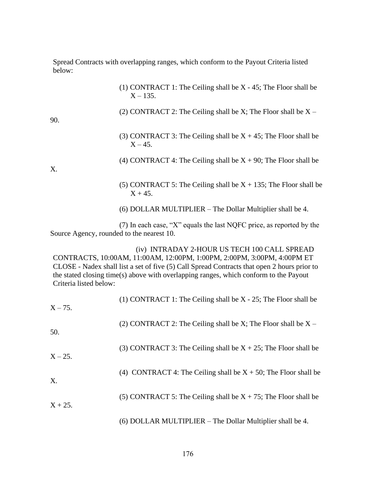Spread Contracts with overlapping ranges, which conform to the Payout Criteria listed below:

- (1) CONTRACT 1: The Ceiling shall be X 45; The Floor shall be  $X - 135$ .
- (2) CONTRACT 2: The Ceiling shall be X; The Floor shall be  $X -$

90.

- (3) CONTRACT 3: The Ceiling shall be  $X + 45$ ; The Floor shall be  $X - 45$ .
- (4) CONTRACT 4: The Ceiling shall be  $X + 90$ ; The Floor shall be

X.

- (5) CONTRACT 5: The Ceiling shall be  $X + 135$ ; The Floor shall be  $X + 45.$
- (6) DOLLAR MULTIPLIER The Dollar Multiplier shall be 4.

(7) In each case, "X" equals the last NQFC price, as reported by the Source Agency, rounded to the nearest 10.

(iv) INTRADAY 2-HOUR US TECH 100 CALL SPREAD CONTRACTS, 10:00AM, 11:00AM, 12:00PM, 1:00PM, 2:00PM, 3:00PM, 4:00PM ET CLOSE - Nadex shall list a set of five (5) Call Spread Contracts that open 2 hours prior to the stated closing time(s) above with overlapping ranges, which conform to the Payout Criteria listed below:

| $X - 75.$ | (1) CONTRACT 1: The Ceiling shall be $X - 25$ ; The Floor shall be |
|-----------|--------------------------------------------------------------------|
| 50.       | (2) CONTRACT 2: The Ceiling shall be X; The Floor shall be $X -$   |
| $X - 25.$ | (3) CONTRACT 3: The Ceiling shall be $X + 25$ ; The Floor shall be |
| X.        | (4) CONTRACT 4: The Ceiling shall be $X + 50$ ; The Floor shall be |
| $X + 25.$ | (5) CONTRACT 5: The Ceiling shall be $X + 75$ ; The Floor shall be |
|           | (6) DOLLAR MULTIPLIER – The Dollar Multiplier shall be 4.          |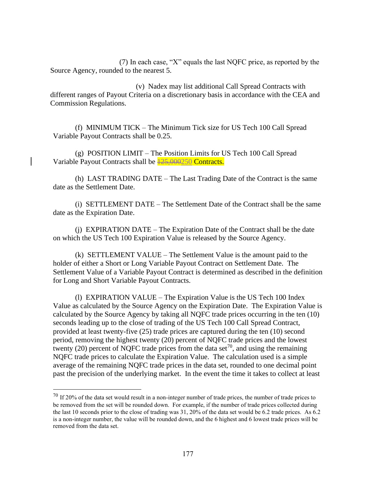(7) In each case, "X" equals the last NQFC price, as reported by the Source Agency, rounded to the nearest 5.

(v) Nadex may list additional Call Spread Contracts with different ranges of Payout Criteria on a discretionary basis in accordance with the CEA and Commission Regulations.

(f) MINIMUM TICK – The Minimum Tick size for US Tech 100 Call Spread Variable Payout Contracts shall be 0.25.

(g) POSITION LIMIT – The Position Limits for US Tech 100 Call Spread Variable Payout Contracts shall be  $\frac{125,000250 \text{Contracts.}}{125,000250 \text{Contracts.}}$ 

(h) LAST TRADING DATE – The Last Trading Date of the Contract is the same date as the Settlement Date.

(i) SETTLEMENT DATE – The Settlement Date of the Contract shall be the same date as the Expiration Date.

(j) EXPIRATION DATE – The Expiration Date of the Contract shall be the date on which the US Tech 100 Expiration Value is released by the Source Agency.

(k) SETTLEMENT VALUE – The Settlement Value is the amount paid to the holder of either a Short or Long Variable Payout Contract on Settlement Date. The Settlement Value of a Variable Payout Contract is determined as described in the definition for Long and Short Variable Payout Contracts.

(l) EXPIRATION VALUE – The Expiration Value is the US Tech 100 Index Value as calculated by the Source Agency on the Expiration Date. The Expiration Value is calculated by the Source Agency by taking all NQFC trade prices occurring in the ten (10) seconds leading up to the close of trading of the US Tech 100 Call Spread Contract, provided at least twenty-five (25) trade prices are captured during the ten (10) second period, removing the highest twenty (20) percent of NQFC trade prices and the lowest twenty (20) percent of NQFC trade prices from the data set<sup>70</sup>, and using the remaining NQFC trade prices to calculate the Expiration Value. The calculation used is a simple average of the remaining NQFC trade prices in the data set, rounded to one decimal point past the precision of the underlying market. In the event the time it takes to collect at least

<sup>70</sup> If 20% of the data set would result in a non-integer number of trade prices, the number of trade prices to be removed from the set will be rounded down. For example, if the number of trade prices collected during the last 10 seconds prior to the close of trading was 31, 20% of the data set would be 6.2 trade prices. As 6.2 is a non-integer number, the value will be rounded down, and the 6 highest and 6 lowest trade prices will be removed from the data set.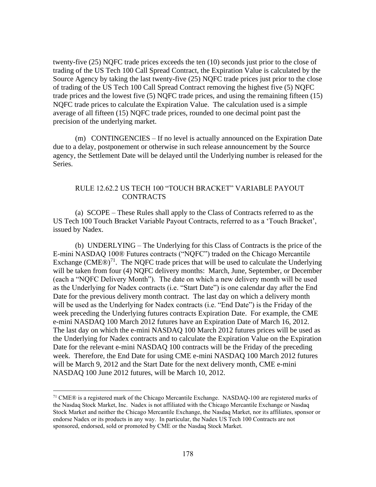twenty-five (25) NQFC trade prices exceeds the ten (10) seconds just prior to the close of trading of the US Tech 100 Call Spread Contract, the Expiration Value is calculated by the Source Agency by taking the last twenty-five (25) NQFC trade prices just prior to the close of trading of the US Tech 100 Call Spread Contract removing the highest five (5) NQFC trade prices and the lowest five (5) NQFC trade prices, and using the remaining fifteen (15) NQFC trade prices to calculate the Expiration Value. The calculation used is a simple average of all fifteen (15) NQFC trade prices, rounded to one decimal point past the precision of the underlying market.

(m) CONTINGENCIES – If no level is actually announced on the Expiration Date due to a delay, postponement or otherwise in such release announcement by the Source agency, the Settlement Date will be delayed until the Underlying number is released for the Series.

### RULE 12.62.2 US TECH 100 "TOUCH BRACKET" VARIABLE PAYOUT **CONTRACTS**

(a) SCOPE – These Rules shall apply to the Class of Contracts referred to as the US Tech 100 Touch Bracket Variable Payout Contracts, referred to as a 'Touch Bracket', issued by Nadex.

(b) UNDERLYING – The Underlying for this Class of Contracts is the price of the E-mini NASDAQ 100® Futures contracts ("NQFC") traded on the Chicago Mercantile Exchange (CME®)<sup>71</sup>. The NQFC trade prices that will be used to calculate the Underlying will be taken from four (4) NQFC delivery months: March, June, September, or December (each a "NQFC Delivery Month"). The date on which a new delivery month will be used as the Underlying for Nadex contracts (i.e. "Start Date") is one calendar day after the End Date for the previous delivery month contract. The last day on which a delivery month will be used as the Underlying for Nadex contracts (i.e. "End Date") is the Friday of the week preceding the Underlying futures contracts Expiration Date. For example, the CME e-mini NASDAQ 100 March 2012 futures have an Expiration Date of March 16, 2012. The last day on which the e-mini NASDAQ 100 March 2012 futures prices will be used as the Underlying for Nadex contracts and to calculate the Expiration Value on the Expiration Date for the relevant e-mini NASDAQ 100 contracts will be the Friday of the preceding week. Therefore, the End Date for using CME e-mini NASDAQ 100 March 2012 futures will be March 9, 2012 and the Start Date for the next delivery month, CME e-mini NASDAQ 100 June 2012 futures, will be March 10, 2012.

<sup>&</sup>lt;sup>71</sup> CME<sup>®</sup> is a registered mark of the Chicago Mercantile Exchange. NASDAQ-100 are registered marks of the Nasdaq Stock Market, Inc. Nadex is not affiliated with the Chicago Mercantile Exchange or Nasdaq Stock Market and neither the Chicago Mercantile Exchange, the Nasdaq Market, nor its affiliates, sponsor or endorse Nadex or its products in any way. In particular, the Nadex US Tech 100 Contracts are not sponsored, endorsed, sold or promoted by CME or the Nasdaq Stock Market.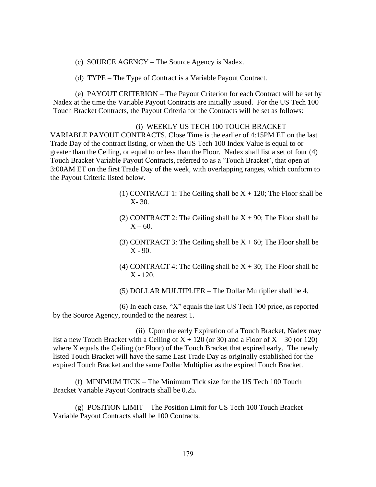- (c) SOURCE AGENCY The Source Agency is Nadex.
- (d) TYPE The Type of Contract is a Variable Payout Contract.

 (e) PAYOUT CRITERION – The Payout Criterion for each Contract will be set by Nadex at the time the Variable Payout Contracts are initially issued. For the US Tech 100 Touch Bracket Contracts, the Payout Criteria for the Contracts will be set as follows:

(i) WEEKLY US TECH 100 TOUCH BRACKET VARIABLE PAYOUT CONTRACTS, Close Time is the earlier of 4:15PM ET on the last Trade Day of the contract listing, or when the US Tech 100 Index Value is equal to or greater than the Ceiling, or equal to or less than the Floor. Nadex shall list a set of four (4) Touch Bracket Variable Payout Contracts, referred to as a 'Touch Bracket', that open at 3:00AM ET on the first Trade Day of the week, with overlapping ranges, which conform to the Payout Criteria listed below.

- (1) CONTRACT 1: The Ceiling shall be  $X + 120$ ; The Floor shall be X- 30.
- (2) CONTRACT 2: The Ceiling shall be  $X + 90$ ; The Floor shall be  $X - 60.$
- (3) CONTRACT 3: The Ceiling shall be  $X + 60$ ; The Floor shall be X - 90.
- (4) CONTRACT 4: The Ceiling shall be  $X + 30$ ; The Floor shall be  $X - 120$ .
- (5) DOLLAR MULTIPLIER The Dollar Multiplier shall be 4.

(6) In each case, "X" equals the last US Tech 100 price, as reported by the Source Agency, rounded to the nearest 1.

(ii) Upon the early Expiration of a Touch Bracket, Nadex may list a new Touch Bracket with a Ceiling of  $X + 120$  (or 30) and a Floor of  $X - 30$  (or 120) where X equals the Ceiling (or Floor) of the Touch Bracket that expired early. The newly listed Touch Bracket will have the same Last Trade Day as originally established for the expired Touch Bracket and the same Dollar Multiplier as the expired Touch Bracket.

(f) MINIMUM TICK – The Minimum Tick size for the US Tech 100 Touch Bracket Variable Payout Contracts shall be 0.25.

(g) POSITION LIMIT – The Position Limit for US Tech 100 Touch Bracket Variable Payout Contracts shall be 100 Contracts.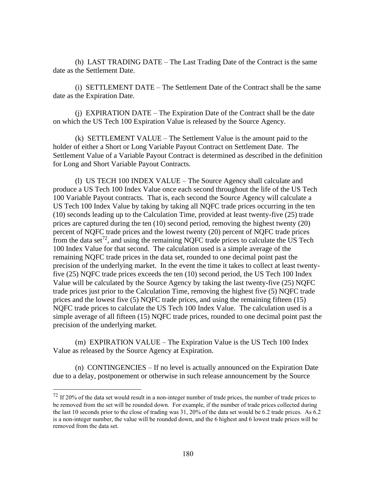(h) LAST TRADING DATE – The Last Trading Date of the Contract is the same date as the Settlement Date.

(i) SETTLEMENT DATE – The Settlement Date of the Contract shall be the same date as the Expiration Date.

(j) EXPIRATION DATE – The Expiration Date of the Contract shall be the date on which the US Tech 100 Expiration Value is released by the Source Agency.

(k) SETTLEMENT VALUE – The Settlement Value is the amount paid to the holder of either a Short or Long Variable Payout Contract on Settlement Date. The Settlement Value of a Variable Payout Contract is determined as described in the definition for Long and Short Variable Payout Contracts.

(l) US TECH 100 INDEX VALUE – The Source Agency shall calculate and produce a US Tech 100 Index Value once each second throughout the life of the US Tech 100 Variable Payout contracts. That is, each second the Source Agency will calculate a US Tech 100 Index Value by taking by taking all NQFC trade prices occurring in the ten (10) seconds leading up to the Calculation Time, provided at least twenty-five (25) trade prices are captured during the ten (10) second period, removing the highest twenty (20) percent of NQFC trade prices and the lowest twenty (20) percent of NQFC trade prices from the data set<sup>72</sup>, and using the remaining NQFC trade prices to calculate the US Tech 100 Index Value for that second. The calculation used is a simple average of the remaining NQFC trade prices in the data set, rounded to one decimal point past the precision of the underlying market. In the event the time it takes to collect at least twentyfive (25) NQFC trade prices exceeds the ten (10) second period, the US Tech 100 Index Value will be calculated by the Source Agency by taking the last twenty-five (25) NQFC trade prices just prior to the Calculation Time, removing the highest five (5) NQFC trade prices and the lowest five (5) NQFC trade prices, and using the remaining fifteen (15) NQFC trade prices to calculate the US Tech 100 Index Value. The calculation used is a simple average of all fifteen (15) NQFC trade prices, rounded to one decimal point past the precision of the underlying market.

(m) EXPIRATION VALUE – The Expiration Value is the US Tech 100 Index Value as released by the Source Agency at Expiration.

(n) CONTINGENCIES – If no level is actually announced on the Expiration Date due to a delay, postponement or otherwise in such release announcement by the Source

 $72$  If 20% of the data set would result in a non-integer number of trade prices, the number of trade prices to be removed from the set will be rounded down. For example, if the number of trade prices collected during the last 10 seconds prior to the close of trading was 31, 20% of the data set would be 6.2 trade prices. As 6.2 is a non-integer number, the value will be rounded down, and the 6 highest and 6 lowest trade prices will be removed from the data set.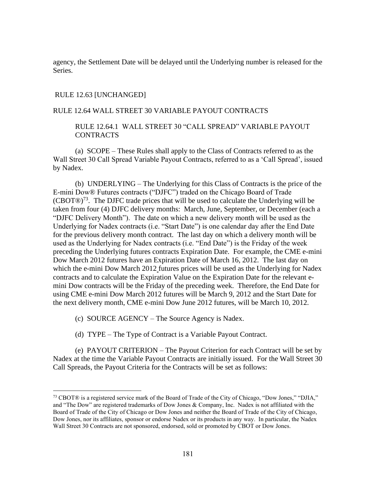agency, the Settlement Date will be delayed until the Underlying number is released for the Series.

# RULE 12.63 [UNCHANGED]

#### RULE 12.64 WALL STREET 30 VARIABLE PAYOUT CONTRACTS

## RULE 12.64.1 WALL STREET 30 "CALL SPREAD" VARIABLE PAYOUT **CONTRACTS**

(a) SCOPE – These Rules shall apply to the Class of Contracts referred to as the Wall Street 30 Call Spread Variable Payout Contracts, referred to as a 'Call Spread', issued by Nadex.

(b) UNDERLYING – The Underlying for this Class of Contracts is the price of the E-mini Dow® Futures contracts ("DJFC") traded on the Chicago Board of Trade  $(CBOT@)<sup>73</sup>$ . The DJFC trade prices that will be used to calculate the Underlying will be taken from four (4) DJFC delivery months: March, June, September, or December (each a "DJFC Delivery Month"). The date on which a new delivery month will be used as the Underlying for Nadex contracts (i.e. "Start Date") is one calendar day after the End Date for the previous delivery month contract. The last day on which a delivery month will be used as the Underlying for Nadex contracts (i.e. "End Date") is the Friday of the week preceding the Underlying futures contracts Expiration Date. For example, the CME e-mini Dow March 2012 futures have an Expiration Date of March 16, 2012. The last day on which the e-mini Dow March 2012 futures prices will be used as the Underlying for Nadex contracts and to calculate the Expiration Value on the Expiration Date for the relevant emini Dow contracts will be the Friday of the preceding week. Therefore, the End Date for using CME e-mini Dow March 2012 futures will be March 9, 2012 and the Start Date for the next delivery month, CME e-mini Dow June 2012 futures, will be March 10, 2012.

- (c) SOURCE AGENCY The Source Agency is Nadex.
- (d) TYPE The Type of Contract is a Variable Payout Contract.

 (e) PAYOUT CRITERION – The Payout Criterion for each Contract will be set by Nadex at the time the Variable Payout Contracts are initially issued. For the Wall Street 30 Call Spreads, the Payout Criteria for the Contracts will be set as follows:

 $^{73}$  CBOT® is a registered service mark of the Board of Trade of the City of Chicago, "Dow Jones," "DJIA," and "The Dow" are registered trademarks of Dow Jones & Company, Inc. Nadex is not affiliated with the Board of Trade of the City of Chicago or Dow Jones and neither the Board of Trade of the City of Chicago, Dow Jones, nor its affiliates, sponsor or endorse Nadex or its products in any way. In particular, the Nadex Wall Street 30 Contracts are not sponsored, endorsed, sold or promoted by CBOT or Dow Jones.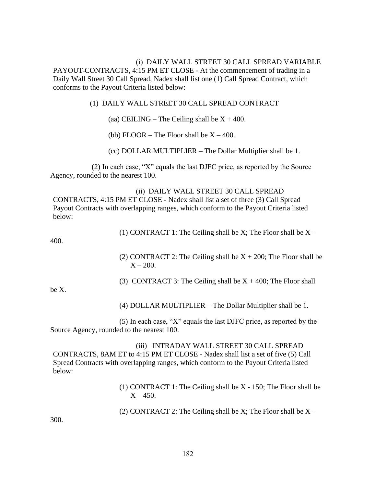(i) DAILY WALL STREET 30 CALL SPREAD VARIABLE PAYOUT CONTRACTS, 4:15 PM ET CLOSE - At the commencement of trading in a Daily Wall Street 30 Call Spread, Nadex shall list one (1) Call Spread Contract, which conforms to the Payout Criteria listed below:

## (1) DAILY WALL STREET 30 CALL SPREAD CONTRACT

(aa) CEILING – The Ceiling shall be  $X + 400$ .

(bb) FLOOR – The Floor shall be  $X - 400$ .

(cc) DOLLAR MULTIPLIER – The Dollar Multiplier shall be 1.

(2) In each case, "X" equals the last DJFC price, as reported by the Source Agency, rounded to the nearest 100.

(ii) DAILY WALL STREET 30 CALL SPREAD CONTRACTS, 4:15 PM ET CLOSE - Nadex shall list a set of three (3) Call Spread Payout Contracts with overlapping ranges, which conform to the Payout Criteria listed below:

(1) CONTRACT 1: The Ceiling shall be X; The Floor shall be  $X -$ 

400.

- (2) CONTRACT 2: The Ceiling shall be  $X + 200$ ; The Floor shall be  $X - 200$ .
- (3) CONTRACT 3: The Ceiling shall be  $X + 400$ ; The Floor shall

be X.

(4) DOLLAR MULTIPLIER – The Dollar Multiplier shall be 1.

(5) In each case, "X" equals the last DJFC price, as reported by the Source Agency, rounded to the nearest 100.

(iii) INTRADAY WALL STREET 30 CALL SPREAD CONTRACTS, 8AM ET to 4:15 PM ET CLOSE - Nadex shall list a set of five (5) Call Spread Contracts with overlapping ranges, which conform to the Payout Criteria listed below:

> (1) CONTRACT 1: The Ceiling shall be X - 150; The Floor shall be  $X - 450.$

(2) CONTRACT 2: The Ceiling shall be X; The Floor shall be  $X -$ 

300.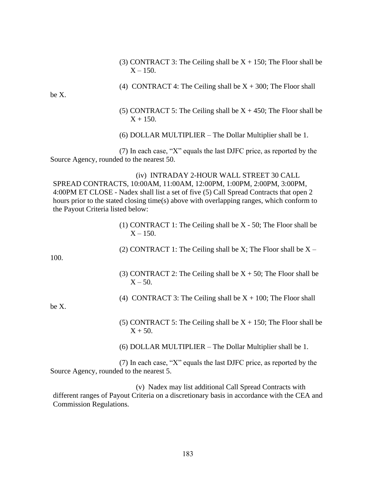- (3) CONTRACT 3: The Ceiling shall be  $X + 150$ ; The Floor shall be  $X - 150$ .
- (4) CONTRACT 4: The Ceiling shall be  $X + 300$ ; The Floor shall

be X.

(5) CONTRACT 5: The Ceiling shall be  $X + 450$ ; The Floor shall be  $X + 150.$ 

(6) DOLLAR MULTIPLIER – The Dollar Multiplier shall be 1.

(7) In each case, "X" equals the last DJFC price, as reported by the Source Agency, rounded to the nearest 50.

(iv) INTRADAY 2-HOUR WALL STREET 30 CALL SPREAD CONTRACTS, 10:00AM, 11:00AM, 12:00PM, 1:00PM, 2:00PM, 3:00PM, 4:00PM ET CLOSE - Nadex shall list a set of five (5) Call Spread Contracts that open 2 hours prior to the stated closing time(s) above with overlapping ranges, which conform to the Payout Criteria listed below:

- (1) CONTRACT 1: The Ceiling shall be X 50; The Floor shall be  $X - 150.$
- (2) CONTRACT 1: The Ceiling shall be X; The Floor shall be  $X -$

100.

- (3) CONTRACT 2: The Ceiling shall be  $X + 50$ ; The Floor shall be  $X - 50$ .
- (4) CONTRACT 3: The Ceiling shall be  $X + 100$ ; The Floor shall

be X.

- (5) CONTRACT 5: The Ceiling shall be  $X + 150$ ; The Floor shall be  $X + 50.$
- (6) DOLLAR MULTIPLIER The Dollar Multiplier shall be 1.

(7) In each case, "X" equals the last DJFC price, as reported by the Source Agency, rounded to the nearest 5.

(v) Nadex may list additional Call Spread Contracts with different ranges of Payout Criteria on a discretionary basis in accordance with the CEA and Commission Regulations.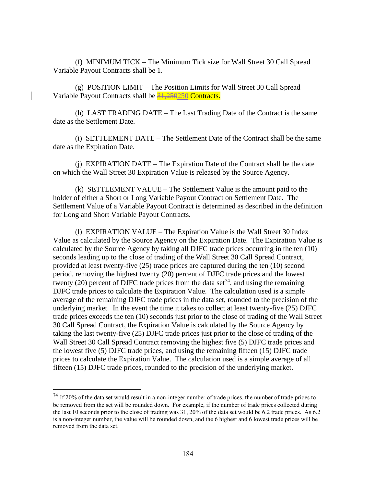(f) MINIMUM TICK – The Minimum Tick size for Wall Street 30 Call Spread Variable Payout Contracts shall be 1.

(g) POSITION LIMIT – The Position Limits for Wall Street 30 Call Spread Variable Payout Contracts shall be 31,250250 Contracts.

(h) LAST TRADING DATE – The Last Trading Date of the Contract is the same date as the Settlement Date.

(i) SETTLEMENT DATE – The Settlement Date of the Contract shall be the same date as the Expiration Date.

(j) EXPIRATION DATE – The Expiration Date of the Contract shall be the date on which the Wall Street 30 Expiration Value is released by the Source Agency.

(k) SETTLEMENT VALUE – The Settlement Value is the amount paid to the holder of either a Short or Long Variable Payout Contract on Settlement Date. The Settlement Value of a Variable Payout Contract is determined as described in the definition for Long and Short Variable Payout Contracts.

(l) EXPIRATION VALUE – The Expiration Value is the Wall Street 30 Index Value as calculated by the Source Agency on the Expiration Date. The Expiration Value is calculated by the Source Agency by taking all DJFC trade prices occurring in the ten (10) seconds leading up to the close of trading of the Wall Street 30 Call Spread Contract, provided at least twenty-five (25) trade prices are captured during the ten (10) second period, removing the highest twenty (20) percent of DJFC trade prices and the lowest twenty (20) percent of DJFC trade prices from the data set<sup>74</sup>, and using the remaining DJFC trade prices to calculate the Expiration Value. The calculation used is a simple average of the remaining DJFC trade prices in the data set, rounded to the precision of the underlying market. In the event the time it takes to collect at least twenty-five (25) DJFC trade prices exceeds the ten (10) seconds just prior to the close of trading of the Wall Street 30 Call Spread Contract, the Expiration Value is calculated by the Source Agency by taking the last twenty-five (25) DJFC trade prices just prior to the close of trading of the Wall Street 30 Call Spread Contract removing the highest five (5) DJFC trade prices and the lowest five (5) DJFC trade prices, and using the remaining fifteen (15) DJFC trade prices to calculate the Expiration Value. The calculation used is a simple average of all fifteen (15) DJFC trade prices, rounded to the precision of the underlying market.

<sup>74</sup> If 20% of the data set would result in a non-integer number of trade prices, the number of trade prices to be removed from the set will be rounded down. For example, if the number of trade prices collected during the last 10 seconds prior to the close of trading was 31, 20% of the data set would be 6.2 trade prices. As 6.2 is a non-integer number, the value will be rounded down, and the 6 highest and 6 lowest trade prices will be removed from the data set.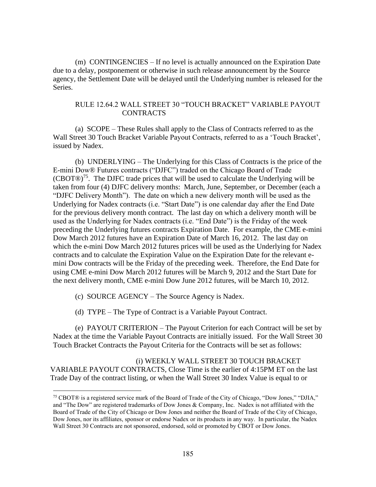(m) CONTINGENCIES – If no level is actually announced on the Expiration Date due to a delay, postponement or otherwise in such release announcement by the Source agency, the Settlement Date will be delayed until the Underlying number is released for the Series.

## RULE 12.64.2 WALL STREET 30 "TOUCH BRACKET" VARIABLE PAYOUT **CONTRACTS**

(a) SCOPE – These Rules shall apply to the Class of Contracts referred to as the Wall Street 30 Touch Bracket Variable Payout Contracts, referred to as a 'Touch Bracket', issued by Nadex.

(b) UNDERLYING – The Underlying for this Class of Contracts is the price of the E-mini Dow® Futures contracts ("DJFC") traded on the Chicago Board of Trade  $(CBOT@)<sup>75</sup>$ . The DJFC trade prices that will be used to calculate the Underlying will be taken from four (4) DJFC delivery months: March, June, September, or December (each a "DJFC Delivery Month"). The date on which a new delivery month will be used as the Underlying for Nadex contracts (i.e. "Start Date") is one calendar day after the End Date for the previous delivery month contract. The last day on which a delivery month will be used as the Underlying for Nadex contracts (i.e. "End Date") is the Friday of the week preceding the Underlying futures contracts Expiration Date. For example, the CME e-mini Dow March 2012 futures have an Expiration Date of March 16, 2012. The last day on which the e-mini Dow March 2012 futures prices will be used as the Underlying for Nadex contracts and to calculate the Expiration Value on the Expiration Date for the relevant emini Dow contracts will be the Friday of the preceding week. Therefore, the End Date for using CME e-mini Dow March 2012 futures will be March 9, 2012 and the Start Date for the next delivery month, CME e-mini Dow June 2012 futures, will be March 10, 2012.

- (c) SOURCE AGENCY The Source Agency is Nadex.
- (d) TYPE The Type of Contract is a Variable Payout Contract.

 (e) PAYOUT CRITERION – The Payout Criterion for each Contract will be set by Nadex at the time the Variable Payout Contracts are initially issued. For the Wall Street 30 Touch Bracket Contracts the Payout Criteria for the Contracts will be set as follows:

(i) WEEKLY WALL STREET 30 TOUCH BRACKET VARIABLE PAYOUT CONTRACTS, Close Time is the earlier of 4:15PM ET on the last Trade Day of the contract listing, or when the Wall Street 30 Index Value is equal to or

<sup>75</sup> CBOT® is a registered service mark of the Board of Trade of the City of Chicago, "Dow Jones," "DJIA," and "The Dow" are registered trademarks of Dow Jones & Company, Inc. Nadex is not affiliated with the Board of Trade of the City of Chicago or Dow Jones and neither the Board of Trade of the City of Chicago, Dow Jones, nor its affiliates, sponsor or endorse Nadex or its products in any way. In particular, the Nadex Wall Street 30 Contracts are not sponsored, endorsed, sold or promoted by CBOT or Dow Jones.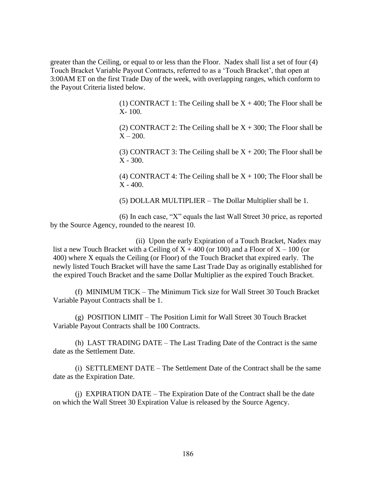greater than the Ceiling, or equal to or less than the Floor. Nadex shall list a set of four (4) Touch Bracket Variable Payout Contracts, referred to as a 'Touch Bracket', that open at 3:00AM ET on the first Trade Day of the week, with overlapping ranges, which conform to the Payout Criteria listed below.

> (1) CONTRACT 1: The Ceiling shall be  $X + 400$ ; The Floor shall be X- 100.

> (2) CONTRACT 2: The Ceiling shall be  $X + 300$ ; The Floor shall be  $X - 200$ .

> (3) CONTRACT 3: The Ceiling shall be  $X + 200$ ; The Floor shall be  $X - 300.$

> (4) CONTRACT 4: The Ceiling shall be  $X + 100$ ; The Floor shall be X - 400.

(5) DOLLAR MULTIPLIER – The Dollar Multiplier shall be 1.

(6) In each case, "X" equals the last Wall Street 30 price, as reported by the Source Agency, rounded to the nearest 10.

(ii) Upon the early Expiration of a Touch Bracket, Nadex may list a new Touch Bracket with a Ceiling of  $X + 400$  (or 100) and a Floor of  $X - 100$  (or 400) where X equals the Ceiling (or Floor) of the Touch Bracket that expired early. The newly listed Touch Bracket will have the same Last Trade Day as originally established for the expired Touch Bracket and the same Dollar Multiplier as the expired Touch Bracket.

(f) MINIMUM TICK – The Minimum Tick size for Wall Street 30 Touch Bracket Variable Payout Contracts shall be 1.

(g) POSITION LIMIT – The Position Limit for Wall Street 30 Touch Bracket Variable Payout Contracts shall be 100 Contracts.

(h) LAST TRADING DATE – The Last Trading Date of the Contract is the same date as the Settlement Date.

(i) SETTLEMENT DATE – The Settlement Date of the Contract shall be the same date as the Expiration Date.

(j) EXPIRATION DATE – The Expiration Date of the Contract shall be the date on which the Wall Street 30 Expiration Value is released by the Source Agency.